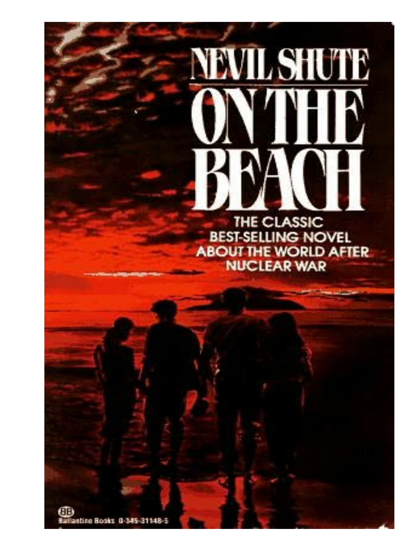# **NEVIL SHUTE**

THE CLASSIC BEST-SELLING NOVEL<br>ABOUT THE WORLD AFTER<br>NUCLEAR WAR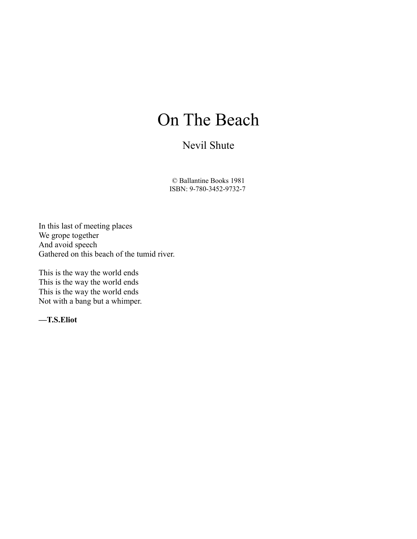# On The Beach

## Nevil Shute

© Ballantine Books 1981 ISBN: 9-780-3452-9732-7

In this last of meeting places We grope together And avoid speech Gathered on this beach of the tumid river.

This is the way the world ends This is the way the world ends This is the way the world ends Not with a bang but a whimper.

**—T.S.Eliot**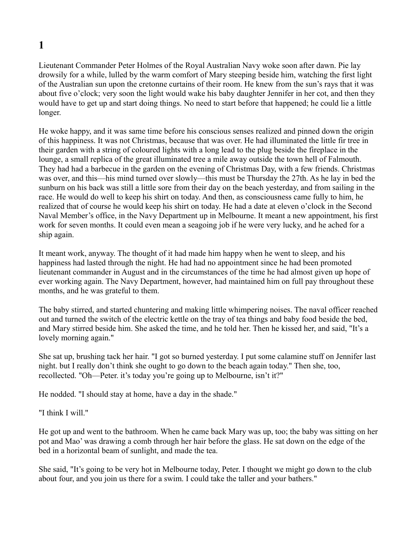## **1**

Lieutenant Commander Peter Holmes of the Royal Australian Navy woke soon after dawn. Pie lay drowsily for a while, lulled by the warm comfort of Mary steeping beside him, watching the first light of the Australian sun upon the cretonne curtains of their room. He knew from the sun's rays that it was about five o'clock; very soon the light would wake his baby daughter Jennifer in her cot, and then they would have to get up and start doing things. No need to start before that happened; he could lie a little longer.

He woke happy, and it was same time before his conscious senses realized and pinned down the origin of this happiness. It was not Christmas, because that was over. He had illuminated the little fir tree in their garden with a string of coloured lights with a long lead to the plug beside the fireplace in the lounge, a small replica of the great illuminated tree a mile away outside the town hell of Falmouth. They had had a barbecue in the garden on the evening of Christmas Day, with a few friends. Christmas was over, and this—his mind turned over slowly—this must be Thursday the 27th. As he lay in bed the sunburn on his back was still a little sore from their day on the beach yesterday, and from sailing in the race. He would do well to keep his shirt on today. And then, as consciousness came fully to him, he realized that of course he would keep his shirt on today. He had a date at eleven o'clock in the Second Naval Member's office, in the Navy Department up in Melbourne. It meant a new appointment, his first work for seven months. It could even mean a seagoing job if he were very lucky, and he ached for a ship again.

It meant work, anyway. The thought of it had made him happy when he went to sleep, and his happiness had lasted through the night. He had had no appointment since he had been promoted lieutenant commander in August and in the circumstances of the time he had almost given up hope of ever working again. The Navy Department, however, had maintained him on full pay throughout these months, and he was grateful to them.

The baby stirred, and started chuntering and making little whimpering noises. The naval officer reached out and turned the switch of the electric kettle on the tray of tea things and baby food beside the bed, and Mary stirred beside him. She asked the time, and he told her. Then he kissed her, and said, "It's a lovely morning again."

She sat up, brushing tack her hair. "I got so burned yesterday. I put some calamine stuff on Jennifer last night. but I really don't think she ought to go down to the beach again today." Then she, too, recollected. "Oh—Peter. it's today you're going up to Melbourne, isn't it?"

He nodded. "I should stay at home, have a day in the shade."

"I think I will."

He got up and went to the bathroom. When he came back Mary was up, too; the baby was sitting on her pot and Mao' was drawing a comb through her hair before the glass. He sat down on the edge of the bed in a horizontal beam of sunlight, and made the tea.

She said, "It's going to be very hot in Melbourne today, Peter. I thought we might go down to the club about four, and you join us there for a swim. I could take the taller and your bathers."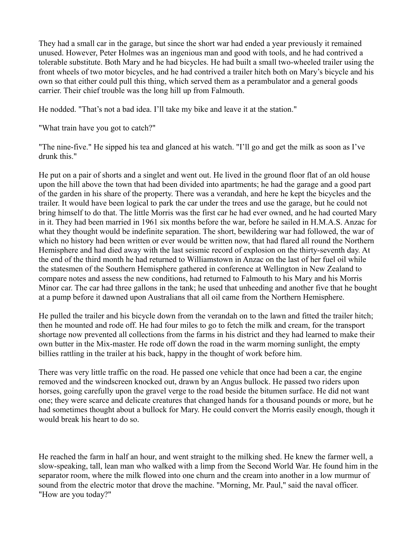They had a small car in the garage, but since the short war had ended a year previously it remained unused. However, Peter Holmes was an ingenious man and good with tools, and he had contrived a tolerable substitute. Both Mary and he had bicycles. He had built a small two-wheeled trailer using the front wheels of two motor bicycles, and he had contrived a trailer hitch both on Mary's bicycle and his own so that either could pull this thing, which served them as a perambulator and a general goods carrier. Their chief trouble was the long hill up from Falmouth.

He nodded. "That's not a bad idea. I'll take my bike and leave it at the station."

"What train have you got to catch?"

"The nine-five." He sipped his tea and glanced at his watch. "I'll go and get the milk as soon as I've drunk this."

He put on a pair of shorts and a singlet and went out. He lived in the ground floor flat of an old house upon the hill above the town that had been divided into apartments; he had the garage and a good part of the garden in his share of the property. There was a verandah, and here he kept the bicycles and the trailer. It would have been logical to park the car under the trees and use the garage, but he could not bring himself to do that. The little Morris was the first car he had ever owned, and he had courted Mary in it. They had been married in 1961 six months before the war, before he sailed in H.M.A.S. Anzac for what they thought would be indefinite separation. The short, bewildering war had followed, the war of which no history had been written or ever would be written now, that had flared all round the Northern Hemisphere and had died away with the last seismic record of explosion on the thirty-seventh day. At the end of the third month he had returned to Williamstown in Anzac on the last of her fuel oil while the statesmen of the Southern Hemisphere gathered in conference at Wellington in New Zealand to compare notes and assess the new conditions, had returned to Falmouth to his Mary and his Morris Minor car. The car had three gallons in the tank; he used that unheeding and another five that he bought at a pump before it dawned upon Australians that all oil came from the Northern Hemisphere.

He pulled the trailer and his bicycle down from the verandah on to the lawn and fitted the trailer hitch; then he mounted and rode off. He had four miles to go to fetch the milk and cream, for the transport shortage now prevented all collections from the farms in his district and they had learned to make their own butter in the Mix-master. He rode off down the road in the warm morning sunlight, the empty billies rattling in the trailer at his back, happy in the thought of work before him.

There was very little traffic on the road. He passed one vehicle that once had been a car, the engine removed and the windscreen knocked out, drawn by an Angus bullock. He passed two riders upon horses, going carefully upon the gravel verge to the road beside the bitumen surface. He did not want one; they were scarce and delicate creatures that changed hands for a thousand pounds or more, but he had sometimes thought about a bullock for Mary. He could convert the Morris easily enough, though it would break his heart to do so.

He reached the farm in half an hour, and went straight to the milking shed. He knew the farmer well, a slow-speaking, tall, lean man who walked with a limp from the Second World War. He found him in the separator room, where the milk flowed into one churn and the cream into another in a low murmur of sound from the electric motor that drove the machine. "Morning, Mr. Paul," said the naval officer. "How are you today?"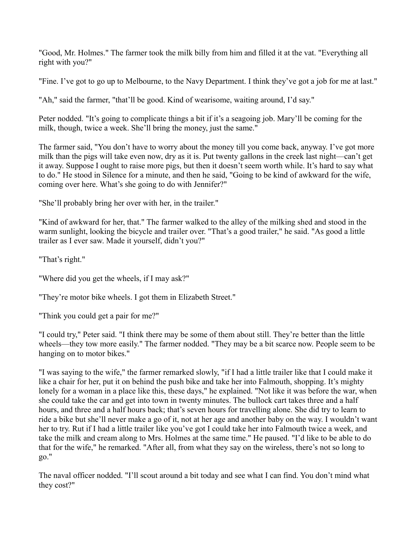"Good, Mr. Holmes." The farmer took the milk billy from him and filled it at the vat. "Everything all right with you?"

"Fine. I've got to go up to Melbourne, to the Navy Department. I think they've got a job for me at last."

"Ah," said the farmer, "that'll be good. Kind of wearisome, waiting around, I'd say."

Peter nodded. "It's going to complicate things a bit if it's a seagoing job. Mary'll be coming for the milk, though, twice a week. She'll bring the money, just the same."

The farmer said, "You don't have to worry about the money till you come back, anyway. I've got more milk than the pigs will take even now, dry as it is. Put twenty gallons in the creek last night—can't get it away. Suppose I ought to raise more pigs, but then it doesn't seem worth while. It's hard to say what to do." He stood in Silence for a minute, and then he said, "Going to be kind of awkward for the wife, coming over here. What's she going to do with Jennifer?"

"She'll probably bring her over with her, in the trailer."

"Kind of awkward for her, that." The farmer walked to the alley of the milking shed and stood in the warm sunlight, looking the bicycle and trailer over. "That's a good trailer," he said. "As good a little trailer as I ever saw. Made it yourself, didn't you?"

"That's right."

"Where did you get the wheels, if I may ask?"

"They're motor bike wheels. I got them in Elizabeth Street."

"Think you could get a pair for me?"

"I could try," Peter said. "I think there may be some of them about still. They're better than the little wheels—they tow more easily." The farmer nodded. "They may be a bit scarce now. People seem to be hanging on to motor bikes."

"I was saying to the wife," the farmer remarked slowly, "if I had a little trailer like that I could make it like a chair for her, put it on behind the push bike and take her into Falmouth, shopping. It's mighty lonely for a woman in a place like this, these days," he explained. "Not like it was before the war, when she could take the car and get into town in twenty minutes. The bullock cart takes three and a half hours, and three and a half hours back; that's seven hours for travelling alone. She did try to learn to ride a bike but she'll never make a go of it, not at her age and another baby on the way. I wouldn't want her to try. Rut if I had a little trailer like you've got I could take her into Falmouth twice a week, and take the milk and cream along to Mrs. Holmes at the same time." He paused. "I'd like to be able to do that for the wife," he remarked. "After all, from what they say on the wireless, there's not so long to go."

The naval officer nodded. "I'll scout around a bit today and see what I can find. You don't mind what they cost?"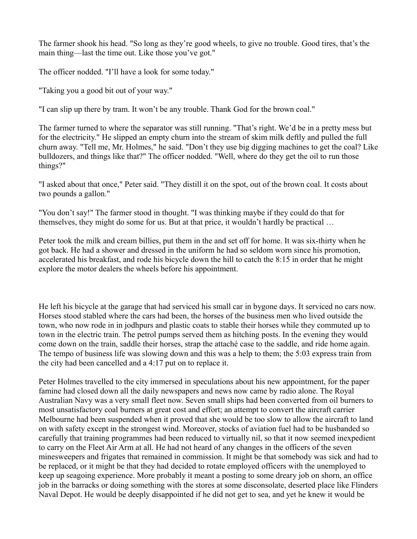The farmer shook his head. "So long as they're good wheels, to give no trouble. Good tires, that's the main thing—last the time out. Like those you've got."

The officer nodded. "I'll have a look for some today."

"Taking you a good bit out of your way."

"I can slip up there by tram. It won't be any trouble. Thank God for the brown coal."

The farmer turned to where the separator was still running. "That's right. We'd be in a pretty mess but for the electricity." He slipped an empty churn into the stream of skim milk deftly and pulled the full churn away. "Tell me, Mr. Holmes," he said. "Don't they use big digging machines to get the coal? Like bulldozers, and things like that?" The officer nodded. "Well, where do they get the oil to run those things?"

"I asked about that once," Peter said. "They distill it on the spot, out of the brown coal. It costs about two pounds a gallon."

"You don't say!" The farmer stood in thought. "I was thinking maybe if they could do that for themselves, they might do some for us. But at that price, it wouldn't hardly be practical …

Peter took the milk and cream billies, put them in the and set off for home. It was six-thirty when he got back. He had a shower and dressed in the uniform he had so seldom worn since his promotion, accelerated his breakfast, and rode his bicycle down the hill to catch the 8:15 in order that he might explore the motor dealers the wheels before his appointment.

He left his bicycle at the garage that had serviced his small car in bygone days. It serviced no cars now. Horses stood stabled where the cars had been, the horses of the business men who lived outside the town, who now rode in in jodhpurs and plastic coats to stable their horses while they commuted up to town in the electric train. The petrol pumps served them as hitching posts. In the evening they would come down on the train, saddle their horses, strap the attaché case to the saddle, and ride home again. The tempo of business life was slowing down and this was a help to them; the 5:03 express train from the city had been cancelled and a 4:17 put on to replace it.

Peter Holmes travelled to the city immersed in speculations about his new appointment, for the paper famine had closed down all the daily newspapers and news now came by radio alone. The Royal Australian Navy was a very small fleet now. Seven small ships had been converted from oil burners to most unsatisfactory coal burners at great cost and effort; an attempt to convert the aircraft carrier Melbourne had been suspended when it proved that she would be too slow to allow the aircraft to land on with safety except in the strongest wind. Moreover, stocks of aviation fuel had to be husbanded so carefully that training programmes had been reduced to virtually nil, so that it now seemed inexpedient to carry on the Fleet Air Arm at all. He had not heard of any changes in the officers of the seven minesweepers and frigates that remained in commission. It might be that somebody was sick and had to be replaced, or it might be that they had decided to rotate employed officers with the unemployed to keep up seagoing experience. More probably it meant a posting to some dreary job on shorn, an office job in the barracks or doing something with the stores at some disconsolate, deserted place like Flinders Naval Depot. He would be deeply disappointed if he did not get to sea, and yet he knew it would be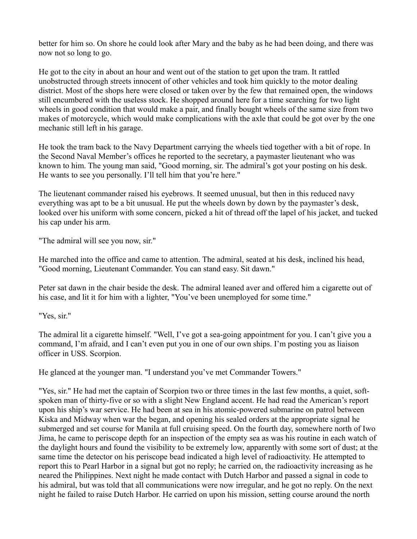better for him so. On shore he could look after Mary and the baby as he had been doing, and there was now not so long to go.

He got to the city in about an hour and went out of the station to get upon the tram. It rattled unobstructed through streets innocent of other vehicles and took him quickly to the motor dealing district. Most of the shops here were closed or taken over by the few that remained open, the windows still encumbered with the useless stock. He shopped around here for a time searching for two light wheels in good condition that would make a pair, and finally bought wheels of the same size from two makes of motorcycle, which would make complications with the axle that could be got over by the one mechanic still left in his garage.

He took the tram back to the Navy Department carrying the wheels tied together with a bit of rope. In the Second Naval Member's offices he reported to the secretary, a paymaster lieutenant who was known to him. The young man said, "Good morning, sir. The admiral's got your posting on his desk. He wants to see you personally. I'll tell him that you're here."

The lieutenant commander raised his eyebrows. It seemed unusual, but then in this reduced navy everything was apt to be a bit unusual. He put the wheels down by down by the paymaster's desk, looked over his uniform with some concern, picked a hit of thread off the lapel of his jacket, and tucked his cap under his arm.

"The admiral will see you now, sir."

He marched into the office and came to attention. The admiral, seated at his desk, inclined his head, "Good morning, Lieutenant Commander. You can stand easy. Sit dawn."

Peter sat dawn in the chair beside the desk. The admiral leaned aver and offered him a cigarette out of his case, and lit it for him with a lighter, "You've been unemployed for some time."

"Yes, sir."

The admiral lit a cigarette himself. "Well, I've got a sea-going appointment for you. I can't give you a command, I'm afraid, and I can't even put you in one of our own ships. I'm posting you as liaison officer in USS. Scorpion.

He glanced at the younger man. "I understand you've met Commander Towers."

"Yes, sir." He had met the captain of Scorpion two or three times in the last few months, a quiet, softspoken man of thirty-five or so with a slight New England accent. He had read the American's report upon his ship's war service. He had been at sea in his atomic-powered submarine on patrol between Kiska and Midway when war the began, and opening his sealed orders at the appropriate signal he submerged and set course for Manila at full cruising speed. On the fourth day, somewhere north of Iwo Jima, he came to periscope depth for an inspection of the empty sea as was his routine in each watch of the daylight hours and found the visibility to be extremely low, apparently with some sort of dust; at the same time the detector on his periscope bead indicated a high level of radioactivity. He attempted to report this to Pearl Harbor in a signal but got no reply; he carried on, the radioactivity increasing as he neared the Philippines. Next night he made contact with Dutch Harbor and passed a signal in code to his admiral, but was told that all communications were now irregular, and he got no reply. On the next night he failed to raise Dutch Harbor. He carried on upon his mission, setting course around the north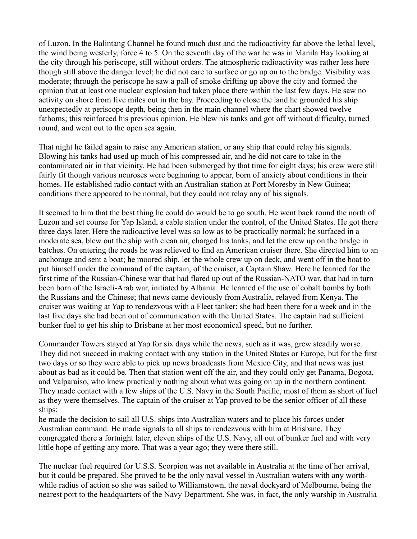of Luzon. In the Balintang Channel he found much dust and the radioactivity far above the lethal level, the wind being westerly, force 4 to 5. On the seventh day of the war he was in Manila Hay looking at the city through his periscope, still without orders. The atmospheric radioactivity was rather less here though still above the danger level; he did not care to surface or go up on to the bridge. Visibility was moderate; through the periscope he saw a pall of smoke drifting up above the city and formed the opinion that at least one nuclear explosion had taken place there within the last few days. He saw no activity on shore from five miles out in the bay. Proceeding to close the land he grounded his ship unexpectedly at periscope depth, being then in the main channel where the chart showed twelve fathoms; this reinforced his previous opinion. He blew his tanks and got off without difficulty, turned round, and went out to the open sea again.

That night he failed again to raise any American station, or any ship that could relay his signals. Blowing his tanks had used up much of his compressed air, and he did not care to take in the contaminated air in that vicinity. He had been submerged by that time for eight days; his crew were still fairly fit though various neuroses were beginning to appear, born of anxiety about conditions in their homes. He established radio contact with an Australian station at Port Moresby in New Guinea; conditions there appeared to be normal, but they could not relay any of his signals.

It seemed to him that the best thing he could do would be to go south. He went back round the north of Luzon and set course for Yap Island, a cable station under the control, of the United States. He got there three days later. Here the radioactive level was so low as to be practically normal; he surfaced in a moderate sea, blew out the ship with clean air, charged his tanks, and let the crew up on the bridge in batches. On entering the roads he was relieved to find an American cruiser there. She directed him to an anchorage and sent a boat; he moored ship, let the whole crew up on deck, and went off in the boat to put himself under the command of the captain, of the cruiser, a Captain Shaw. Here he learned for the first time of the Russian-Chinese war that had flared up out of the Russian-NATO war, that had in turn been born of the Israeli-Arab war, initiated by Albania. He learned of the use of cobalt bombs by both the Russians and the Chinese; that news came deviously from Australia, relayed from Kenya. The cruiser was waiting at Yap to rendezvous with a Fleet tanker; she had been there for a week and in the last five days she had been out of communication with the United States. The captain had sufficient bunker fuel to get his ship to Brisbane at her most economical speed, but no further.

Commander Towers stayed at Yap for six days while the news, such as it was, grew steadily worse. They did not succeed in making contact with any station in the United States or Europe, but for the first two days or so they were able to pick up news broadcasts from Mexico City, and that news was just about as bad as it could be. Then that station went off the air, and they could only get Panama, Bogota, and Valparaiso, who knew practically nothing about what was going on up in the northern continent. They made contact with a few ships of the U.S. Navy in the South Pacific, most of them as short of fuel as they were themselves. The captain of the cruiser at Yap proved to be the senior officer of all these ships;

he made the decision to sail all U.S. ships into Australian waters and to place his forces under Australian command. He made signals to all ships to rendezvous with him at Brisbane. They congregated there a fortnight later, eleven ships of the U.S. Navy, all out of bunker fuel and with very little hope of getting any more. That was a year ago; they were there still.

The nuclear fuel required for U.S.S. Scorpion was not available in Australia at the time of her arrival, but it could be prepared. She proved to be the only naval vessel in Australian waters with any worthwhile radius of action so she was sailed to Williamstown, the naval dockyard of Melbourne, being the nearest port to the headquarters of the Navy Department. She was, in fact, the only warship in Australia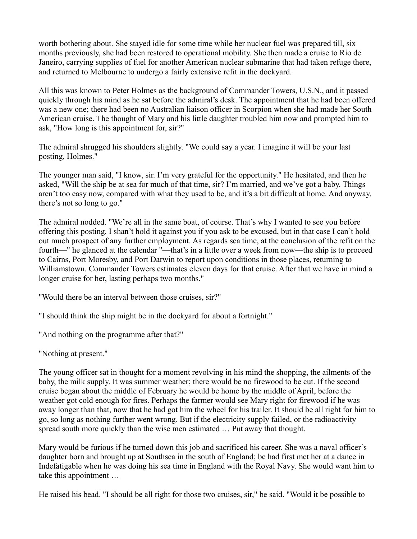worth bothering about. She stayed idle for some time while her nuclear fuel was prepared till, six months previously, she had been restored to operational mobility. She then made a cruise to Rio de Janeiro, carrying supplies of fuel for another American nuclear submarine that had taken refuge there, and returned to Melbourne to undergo a fairly extensive refit in the dockyard.

All this was known to Peter Holmes as the background of Commander Towers, U.S.N., and it passed quickly through his mind as he sat before the admiral's desk. The appointment that he had been offered was a new one; there had been no Australian liaison officer in Scorpion when she had made her South American cruise. The thought of Mary and his little daughter troubled him now and prompted him to ask, "How long is this appointment for, sir?"

The admiral shrugged his shoulders slightly. "We could say a year. I imagine it will be your last posting, Holmes."

The younger man said, "I know, sir. I'm very grateful for the opportunity." He hesitated, and then he asked, "Will the ship be at sea for much of that time, sir? I'm married, and we've got a baby. Things aren't too easy now, compared with what they used to be, and it's a bit difficult at home. And anyway, there's not so long to go."

The admiral nodded. "We're all in the same boat, of course. That's why I wanted to see you before offering this posting. I shan't hold it against you if you ask to be excused, but in that case I can't hold out much prospect of any further employment. As regards sea time, at the conclusion of the refit on the fourth—" he glanced at the calendar "—that's in a little over a week from now—the ship is to proceed to Cairns, Port Moresby, and Port Darwin to report upon conditions in those places, returning to Williamstown. Commander Towers estimates eleven days for that cruise. After that we have in mind a longer cruise for her, lasting perhaps two months."

"Would there be an interval between those cruises, sir?"

"I should think the ship might be in the dockyard for about a fortnight."

"And nothing on the programme after that?"

"Nothing at present."

The young officer sat in thought for a moment revolving in his mind the shopping, the ailments of the baby, the milk supply. It was summer weather; there would be no firewood to be cut. If the second cruise began about the middle of February he would be home by the middle of April, before the weather got cold enough for fires. Perhaps the farmer would see Mary right for firewood if he was away longer than that, now that he had got him the wheel for his trailer. It should be all right for him to go, so long as nothing further went wrong. But if the electricity supply failed, or the radioactivity spread south more quickly than the wise men estimated … Put away that thought.

Mary would be furious if he turned down this job and sacrificed his career. She was a naval officer's daughter born and brought up at Southsea in the south of England; be had first met her at a dance in Indefatigable when he was doing his sea time in England with the Royal Navy. She would want him to take this appointment …

He raised his bead. "I should be all right for those two cruises, sir," be said. "Would it be possible to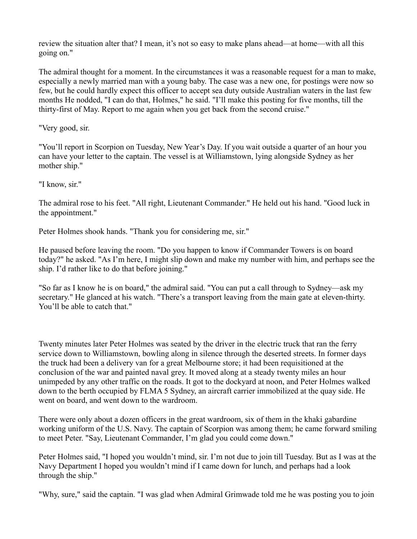review the situation alter that? I mean, it's not so easy to make plans ahead—at home—with all this going on."

The admiral thought for a moment. In the circumstances it was a reasonable request for a man to make, especially a newly married man with a young baby. The case was a new one, for postings were now so few, but he could hardly expect this officer to accept sea duty outside Australian waters in the last few months He nodded, "I can do that, Holmes," he said. "I'll make this posting for five months, till the thirty-first of May. Report to me again when you get back from the second cruise."

"Very good, sir.

"You'll report in Scorpion on Tuesday, New Year's Day. If you wait outside a quarter of an hour you can have your letter to the captain. The vessel is at Williamstown, lying alongside Sydney as her mother ship."

"I know, sir."

The admiral rose to his feet. "All right, Lieutenant Commander." He held out his hand. "Good luck in the appointment."

Peter Holmes shook hands. "Thank you for considering me, sir."

He paused before leaving the room. "Do you happen to know if Commander Towers is on board today?" he asked. "As I'm here, I might slip down and make my number with him, and perhaps see the ship. I'd rather like to do that before joining."

"So far as I know he is on board," the admiral said. "You can put a call through to Sydney—ask my secretary." He glanced at his watch. "There's a transport leaving from the main gate at eleven-thirty. You'll be able to catch that."

Twenty minutes later Peter Holmes was seated by the driver in the electric truck that ran the ferry service down to Williamstown, bowling along in silence through the deserted streets. In former days the truck had been a delivery van for a great Melbourne store; it had been requisitioned at the conclusion of the war and painted naval grey. It moved along at a steady twenty miles an hour unimpeded by any other traffic on the roads. It got to the dockyard at noon, and Peter Holmes walked down to the berth occupied by FLMA 5 Sydney, an aircraft carrier immobilized at the quay side. He went on board, and went down to the wardroom.

There were only about a dozen officers in the great wardroom, six of them in the khaki gabardine working uniform of the U.S. Navy. The captain of Scorpion was among them; he came forward smiling to meet Peter. "Say, Lieutenant Commander, I'm glad you could come down."

Peter Holmes said, "I hoped you wouldn't mind, sir. I'm not due to join till Tuesday. But as I was at the Navy Department I hoped you wouldn't mind if I came down for lunch, and perhaps had a look through the ship."

"Why, sure," said the captain. "I was glad when Admiral Grimwade told me he was posting you to join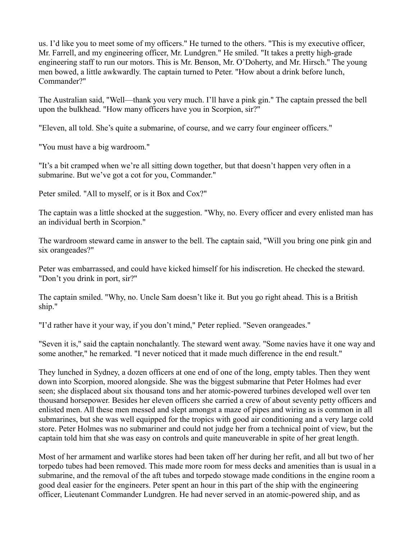us. I'd like you to meet some of my officers." He turned to the others. "This is my executive officer, Mr. Farrell, and my engineering officer, Mr. Lundgren." He smiled. "It takes a pretty high-grade engineering staff to run our motors. This is Mr. Benson, Mr. O'Doherty, and Mr. Hirsch." The young men bowed, a little awkwardly. The captain turned to Peter. "How about a drink before lunch, Commander?"

The Australian said, "Well—thank you very much. I'll have a pink gin." The captain pressed the bell upon the bulkhead. "How many officers have you in Scorpion, sir?"

"Eleven, all told. She's quite a submarine, of course, and we carry four engineer officers."

"You must have a big wardroom."

"It's a bit cramped when we're all sitting down together, but that doesn't happen very often in a submarine. But we've got a cot for you, Commander."

Peter smiled. "All to myself, or is it Box and Cox?"

The captain was a little shocked at the suggestion. "Why, no. Every officer and every enlisted man has an individual berth in Scorpion."

The wardroom steward came in answer to the bell. The captain said, "Will you bring one pink gin and six orangeades?"

Peter was embarrassed, and could have kicked himself for his indiscretion. He checked the steward. "Don't you drink in port, sir?"

The captain smiled. "Why, no. Uncle Sam doesn't like it. But you go right ahead. This is a British ship."

"I'd rather have it your way, if you don't mind," Peter replied. "Seven orangeades."

"Seven it is," said the captain nonchalantly. The steward went away. "Some navies have it one way and some another," he remarked. "I never noticed that it made much difference in the end result."

They lunched in Sydney, a dozen officers at one end of one of the long, empty tables. Then they went down into Scorpion, moored alongside. She was the biggest submarine that Peter Holmes had ever seen; she displaced about six thousand tons and her atomic-powered turbines developed well over ten thousand horsepower. Besides her eleven officers she carried a crew of about seventy petty officers and enlisted men. All these men messed and slept amongst a maze of pipes and wiring as is common in all submarines, but she was well equipped for the tropics with good air conditioning and a very large cold store. Peter Holmes was no submariner and could not judge her from a technical point of view, but the captain told him that she was easy on controls and quite maneuverable in spite of her great length.

Most of her armament and warlike stores had been taken off her during her refit, and all but two of her torpedo tubes had been removed. This made more room for mess decks and amenities than is usual in a submarine, and the removal of the aft tubes and torpedo stowage made conditions in the engine room a good deal easier for the engineers. Peter spent an hour in this part of the ship with the engineering officer, Lieutenant Commander Lundgren. He had never served in an atomic-powered ship, and as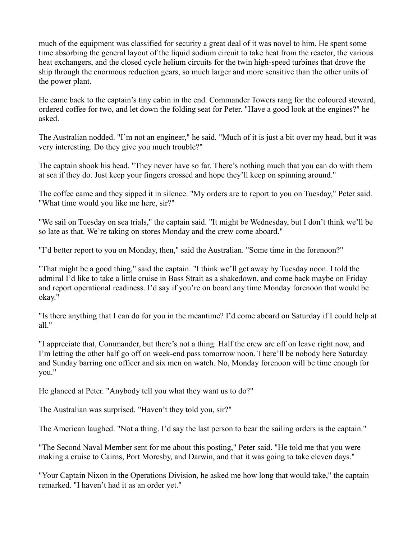much of the equipment was classified for security a great deal of it was novel to him. He spent some time absorbing the general layout of the liquid sodium circuit to take heat from the reactor, the various heat exchangers, and the closed cycle helium circuits for the twin high-speed turbines that drove the ship through the enormous reduction gears, so much larger and more sensitive than the other units of the power plant.

He came back to the captain's tiny cabin in the end. Commander Towers rang for the coloured steward, ordered coffee for two, and let down the folding seat for Peter. "Have a good look at the engines?" he asked.

The Australian nodded. "I'm not an engineer," he said. "Much of it is just a bit over my head, but it was very interesting. Do they give you much trouble?"

The captain shook his head. "They never have so far. There's nothing much that you can do with them at sea if they do. Just keep your fingers crossed and hope they'll keep on spinning around."

The coffee came and they sipped it in silence. "My orders are to report to you on Tuesday," Peter said. "What time would you like me here, sir?"

"We sail on Tuesday on sea trials," the captain said. "It might be Wednesday, but I don't think we'll be so late as that. We're taking on stores Monday and the crew come aboard."

"I'd better report to you on Monday, then," said the Australian. "Some time in the forenoon?"

"That might be a good thing," said the captain. "I think we'll get away by Tuesday noon. I told the admiral I'd like to take a little cruise in Bass Strait as a shakedown, and come back maybe on Friday and report operational readiness. I'd say if you're on board any time Monday forenoon that would be okay."

"Is there anything that I can do for you in the meantime? I'd come aboard on Saturday if I could help at all."

"I appreciate that, Commander, but there's not a thing. Half the crew are off on leave right now, and I'm letting the other half go off on week-end pass tomorrow noon. There'll be nobody here Saturday and Sunday barring one officer and six men on watch. No, Monday forenoon will be time enough for you."

He glanced at Peter. "Anybody tell you what they want us to do?"

The Australian was surprised. "Haven't they told you, sir?"

The American laughed. "Not a thing. I'd say the last person to bear the sailing orders is the captain."

"The Second Naval Member sent for me about this posting," Peter said. "He told me that you were making a cruise to Cairns, Port Moresby, and Darwin, and that it was going to take eleven days."

"Your Captain Nixon in the Operations Division, he asked me how long that would take," the captain remarked. "I haven't had it as an order yet."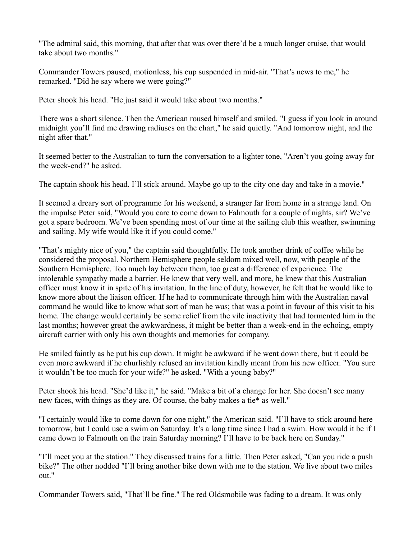"The admiral said, this morning, that after that was over there'd be a much longer cruise, that would take about two months."

Commander Towers paused, motionless, his cup suspended in mid-air. "That's news to me," he remarked. "Did he say where we were going?"

Peter shook his head. "He just said it would take about two months."

There was a short silence. Then the American roused himself and smiled. "I guess if you look in around midnight you'll find me drawing radiuses on the chart," he said quietly. "And tomorrow night, and the night after that."

It seemed better to the Australian to turn the conversation to a lighter tone, "Aren't you going away for the week-end?" he asked.

The captain shook his head. I'll stick around. Maybe go up to the city one day and take in a movie."

It seemed a dreary sort of programme for his weekend, a stranger far from home in a strange land. On the impulse Peter said, "Would you care to come down to Falmouth for a couple of nights, sir? We've got a spare bedroom. We've been spending most of our time at the sailing club this weather, swimming and sailing. My wife would like it if you could come."

"That's mighty nice of you," the captain said thoughtfully. He took another drink of coffee while he considered the proposal. Northern Hemisphere people seldom mixed well, now, with people of the Southern Hemisphere. Too much lay between them, too great a difference of experience. The intolerable sympathy made a barrier. He knew that very well, and more, he knew that this Australian officer must know it in spite of his invitation. In the line of duty, however, he felt that he would like to know more about the liaison officer. If he had to communicate through him with the Australian naval command he would like to know what sort of man he was; that was a point in favour of this visit to his home. The change would certainly be some relief from the vile inactivity that had tormented him in the last months; however great the awkwardness, it might be better than a week-end in the echoing, empty aircraft carrier with only his own thoughts and memories for company.

He smiled faintly as he put his cup down. It might be awkward if he went down there, but it could be even more awkward if he churlishly refused an invitation kindly meant from his new officer. "You sure it wouldn't be too much for your wife?" he asked. "With a young baby?"

Peter shook his head. "She'd like it," he said. "Make a bit of a change for her. She doesn't see many new faces, with things as they are. Of course, the baby makes a tie\* as well."

"I certainly would like to come down for one night," the American said. "I'll have to stick around here tomorrow, but I could use a swim on Saturday. It's a long time since I had a swim. How would it be if I came down to Falmouth on the train Saturday morning? I'll have to be back here on Sunday."

"I'll meet you at the station." They discussed trains for a little. Then Peter asked, "Can you ride a push bike?" The other nodded "I'll bring another bike down with me to the station. We live about two miles out."

Commander Towers said, "That'll be fine." The red Oldsmobile was fading to a dream. It was only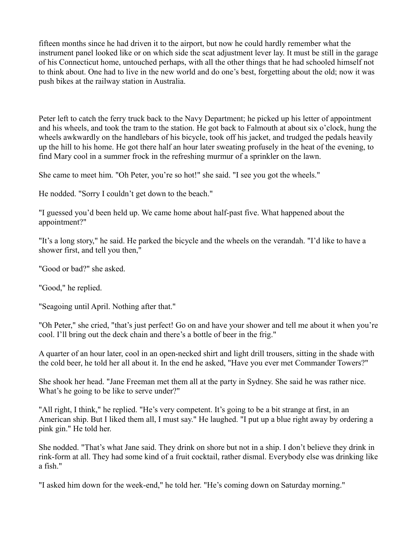fifteen months since he had driven it to the airport, but now he could hardly remember what the instrument panel looked like or on which side the scat adjustment lever lay. It must be still in the garage of his Connecticut home, untouched perhaps, with all the other things that he had schooled himself not to think about. One had to live in the new world and do one's best, forgetting about the old; now it was push bikes at the railway station in Australia.

Peter left to catch the ferry truck back to the Navy Department; he picked up his letter of appointment and his wheels, and took the tram to the station. He got back to Falmouth at about six o'clock, hung the wheels awkwardly on the handlebars of his bicycle, took off his jacket, and trudged the pedals heavily up the hill to his home. He got there half an hour later sweating profusely in the heat of the evening, to find Mary cool in a summer frock in the refreshing murmur of a sprinkler on the lawn.

She came to meet him. "Oh Peter, you're so hot!" she said. "I see you got the wheels."

He nodded. "Sorry I couldn't get down to the beach."

"I guessed you'd been held up. We came home about half-past five. What happened about the appointment?"

"It's a long story," he said. He parked the bicycle and the wheels on the verandah. "I'd like to have a shower first, and tell you then,"

"Good or bad?" she asked.

"Good," he replied.

"Seagoing until April. Nothing after that."

"Oh Peter," she cried, "that's just perfect! Go on and have your shower and tell me about it when you're cool. I'll bring out the deck chain and there's a bottle of beer in the frig."

A quarter of an hour later, cool in an open-necked shirt and light drill trousers, sitting in the shade with the cold beer, he told her all about it. In the end he asked, "Have you ever met Commander Towers?"

She shook her head. "Jane Freeman met them all at the party in Sydney. She said he was rather nice. What's he going to be like to serve under?"

"All right, I think," he replied. "He's very competent. It's going to be a bit strange at first, in an American ship. But I liked them all, I must say." He laughed. "I put up a blue right away by ordering a pink gin." He told her.

She nodded. "That's what Jane said. They drink on shore but not in a ship. I don't believe they drink in rink-form at all. They had some kind of a fruit cocktail, rather dismal. Everybody else was drinking like a fish."

"I asked him down for the week-end," he told her. "He's coming down on Saturday morning."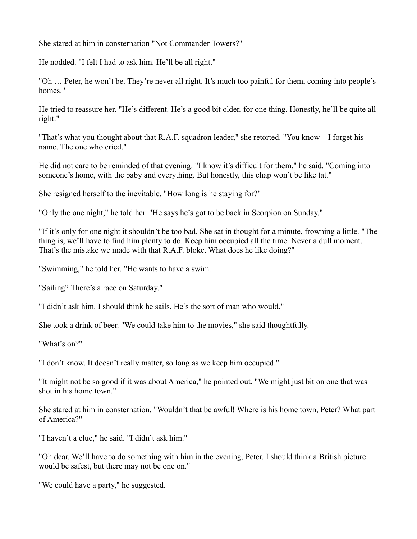She stared at him in consternation "Not Commander Towers?"

He nodded. "I felt I had to ask him. He'll be all right."

"Oh … Peter, he won't be. They're never all right. It's much too painful for them, coming into people's homes."

He tried to reassure her. "He's different. He's a good bit older, for one thing. Honestly, he'll be quite all right."

"That's what you thought about that R.A.F. squadron leader," she retorted. "You know—I forget his name. The one who cried."

He did not care to be reminded of that evening. "I know it's difficult for them," he said. "Coming into someone's home, with the baby and everything. But honestly, this chap won't be like tat."

She resigned herself to the inevitable. "How long is he staying for?"

"Only the one night," he told her. "He says he's got to be back in Scorpion on Sunday."

"If it's only for one night it shouldn't be too bad. She sat in thought for a minute, frowning a little. "The thing is, we'll have to find him plenty to do. Keep him occupied all the time. Never a dull moment. That's the mistake we made with that R.A.F. bloke. What does he like doing?"

"Swimming," he told her. "He wants to have a swim.

"Sailing? There's a race on Saturday."

"I didn't ask him. I should think he sails. He's the sort of man who would."

She took a drink of beer. "We could take him to the movies," she said thoughtfully.

"What's on?"

"I don't know. It doesn't really matter, so long as we keep him occupied."

"It might not be so good if it was about America," he pointed out. "We might just bit on one that was shot in his home town."

She stared at him in consternation. "Wouldn't that be awful! Where is his home town, Peter? What part of America?"

"I haven't a clue," he said. "I didn't ask him."

"Oh dear. We'll have to do something with him in the evening, Peter. I should think a British picture would be safest, but there may not be one on."

"We could have a party," he suggested.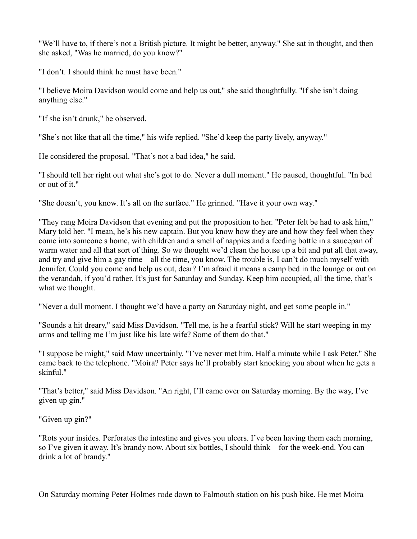"We'll have to, if there's not a British picture. It might be better, anyway." She sat in thought, and then she asked, "Was he married, do you know?"

"I don't. I should think he must have been."

"I believe Moira Davidson would come and help us out," she said thoughtfully. "If she isn't doing anything else."

"If she isn't drunk," be observed.

"She's not like that all the time," his wife replied. "She'd keep the party lively, anyway."

He considered the proposal. "That's not a bad idea," he said.

"I should tell her right out what she's got to do. Never a dull moment." He paused, thoughtful. "In bed or out of it."

"She doesn't, you know. It's all on the surface." He grinned. "Have it your own way."

"They rang Moira Davidson that evening and put the proposition to her. "Peter felt be had to ask him," Mary told her. "I mean, he's his new captain. But you know how they are and how they feel when they come into someone s home, with children and a smell of nappies and a feeding bottle in a saucepan of warm water and all that sort of thing. So we thought we'd clean the house up a bit and put all that away, and try and give him a gay time—all the time, you know. The trouble is, I can't do much myself with Jennifer. Could you come and help us out, dear? I'm afraid it means a camp bed in the lounge or out on the verandah, if you'd rather. It's just for Saturday and Sunday. Keep him occupied, all the time, that's what we thought.

"Never a dull moment. I thought we'd have a party on Saturday night, and get some people in."

"Sounds a hit dreary," said Miss Davidson. "Tell me, is he a fearful stick? Will he start weeping in my arms and telling me I'm just like his late wife? Some of them do that."

"I suppose be might," said Maw uncertainly. "I've never met him. Half a minute while I ask Peter." She came back to the telephone. "Moira? Peter says he'll probably start knocking you about when he gets a skinful."

"That's better," said Miss Davidson. "An right, I'll came over on Saturday morning. By the way, I've given up gin."

"Given up gin?"

"Rots your insides. Perforates the intestine and gives you ulcers. I've been having them each morning, so I've given it away. It's brandy now. About six bottles, I should think—for the week-end. You can drink a lot of brandy."

On Saturday morning Peter Holmes rode down to Falmouth station on his push bike. He met Moira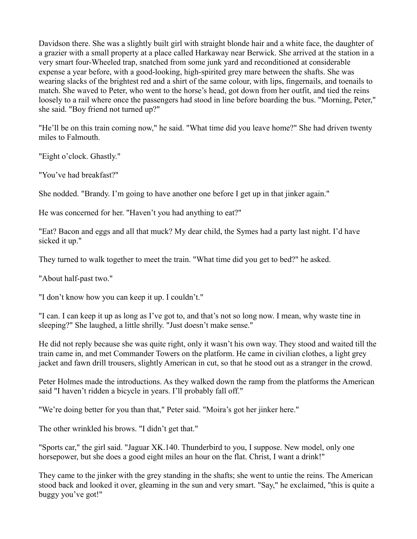Davidson there. She was a slightly built girl with straight blonde hair and a white face, the daughter of a grazier with a small property at a place called Harkaway near Berwick. She arrived at the station in a very smart four-Wheeled trap, snatched from some junk yard and reconditioned at considerable expense a year before, with a good-looking, high-spirited grey mare between the shafts. She was wearing slacks of the brightest red and a shirt of the same colour, with lips, fingernails, and toenails to match. She waved to Peter, who went to the horse's head, got down from her outfit, and tied the reins loosely to a rail where once the passengers had stood in line before boarding the bus. "Morning, Peter," she said. "Boy friend not turned up?"

"He'll be on this train coming now," he said. "What time did you leave home?" She had driven twenty miles to Falmouth.

"Eight o'clock. Ghastly."

"You've had breakfast?"

She nodded. "Brandy. I'm going to have another one before I get up in that jinker again."

He was concerned for her. "Haven't you had anything to eat?"

"Eat? Bacon and eggs and all that muck? My dear child, the Symes had a party last night. I'd have sicked it up."

They turned to walk together to meet the train. "What time did you get to bed?" he asked.

"About half-past two."

"I don't know how you can keep it up. I couldn't."

"I can. I can keep it up as long as I've got to, and that's not so long now. I mean, why waste tine in sleeping?" She laughed, a little shrilly. "Just doesn't make sense."

He did not reply because she was quite right, only it wasn't his own way. They stood and waited till the train came in, and met Commander Towers on the platform. He came in civilian clothes, a light grey jacket and fawn drill trousers, slightly American in cut, so that he stood out as a stranger in the crowd.

Peter Holmes made the introductions. As they walked down the ramp from the platforms the American said "I haven't ridden a bicycle in years. I'll probably fall off."

"We're doing better for you than that," Peter said. "Moira's got her jinker here."

The other wrinkled his brows. "I didn't get that."

"Sports car," the girl said. "Jaguar XK.140. Thunderbird to you, I suppose. New model, only one horsepower, but she does a good eight miles an hour on the flat. Christ, I want a drink!"

They came to the jinker with the grey standing in the shafts; she went to untie the reins. The American stood back and looked it over, gleaming in the sun and very smart. "Say," he exclaimed, "this is quite a buggy you've got!"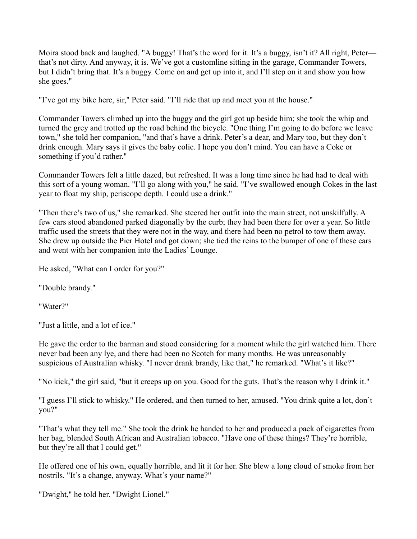Moira stood back and laughed. "A buggy! That's the word for it. It's a buggy, isn't it? All right, Peter that's not dirty. And anyway, it is. We've got a customline sitting in the garage, Commander Towers, but I didn't bring that. It's a buggy. Come on and get up into it, and I'll step on it and show you how she goes."

"I've got my bike here, sir," Peter said. "I'll ride that up and meet you at the house."

Commander Towers climbed up into the buggy and the girl got up beside him; she took the whip and turned the grey and trotted up the road behind the bicycle. "One thing I'm going to do before we leave town," she told her companion, "and that's have a drink. Peter's a dear, and Mary too, but they don't drink enough. Mary says it gives the baby colic. I hope you don't mind. You can have a Coke or something if you'd rather."

Commander Towers felt a little dazed, but refreshed. It was a long time since he had had to deal with this sort of a young woman. "I'll go along with you," he said. "I've swallowed enough Cokes in the last year to float my ship, periscope depth. I could use a drink."

"Then there's two of us," she remarked. She steered her outfit into the main street, not unskilfully. A few cars stood abandoned parked diagonally by the curb; they had been there for over a year. So little traffic used the streets that they were not in the way, and there had been no petrol to tow them away. She drew up outside the Pier Hotel and got down; she tied the reins to the bumper of one of these cars and went with her companion into the Ladies' Lounge.

He asked, "What can I order for you?"

"Double brandy."

"Water?"

"Just a little, and a lot of ice."

He gave the order to the barman and stood considering for a moment while the girl watched him. There never bad been any lye, and there had been no Scotch for many months. He was unreasonably suspicious of Australian whisky. "I never drank brandy, like that," he remarked. "What's it like?"

"No kick," the girl said, "but it creeps up on you. Good for the guts. That's the reason why I drink it."

"I guess I'll stick to whisky." He ordered, and then turned to her, amused. "You drink quite a lot, don't you?"

"That's what they tell me." She took the drink he handed to her and produced a pack of cigarettes from her bag, blended South African and Australian tobacco. "Have one of these things? They're horrible, but they're all that I could get."

He offered one of his own, equally horrible, and lit it for her. She blew a long cloud of smoke from her nostrils. "It's a change, anyway. What's your name?"

"Dwight," he told her. "Dwight Lionel."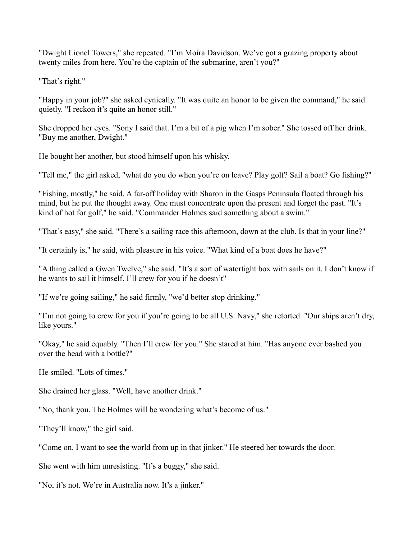"Dwight Lionel Towers," she repeated. "I'm Moira Davidson. We've got a grazing property about twenty miles from here. You're the captain of the submarine, aren't you?"

"That's right."

"Happy in your job?" she asked cynically. "It was quite an honor to be given the command," he said quietly. "I reckon it's quite an honor still."

She dropped her eyes. "Sony I said that. I'm a bit of a pig when I'm sober." She tossed off her drink. "Buy me another, Dwight."

He bought her another, but stood himself upon his whisky.

"Tell me," the girl asked, "what do you do when you're on leave? Play golf? Sail a boat? Go fishing?"

"Fishing, mostly," he said. A far-off holiday with Sharon in the Gasps Peninsula floated through his mind, but he put the thought away. One must concentrate upon the present and forget the past. "It's kind of hot for golf," he said. "Commander Holmes said something about a swim."

"That's easy," she said. "There's a sailing race this afternoon, down at the club. Is that in your line?"

"It certainly is," he said, with pleasure in his voice. "What kind of a boat does he have?"

"A thing called a Gwen Twelve," she said. "It's a sort of watertight box with sails on it. I don't know if he wants to sail it himself. I'll crew for you if he doesn't"

"If we're going sailing," he said firmly, "we'd better stop drinking."

"I'm not going to crew for you if you're going to be all U.S. Navy," she retorted. "Our ships aren't dry, like yours."

"Okay," he said equably. "Then I'll crew for you." She stared at him. "Has anyone ever bashed you over the head with a bottle?"

He smiled. "Lots of times."

She drained her glass. "Well, have another drink."

"No, thank you. The Holmes will be wondering what's become of us."

"They'll know," the girl said.

"Come on. I want to see the world from up in that jinker." He steered her towards the door.

She went with him unresisting. "It's a buggy," she said.

"No, it's not. We're in Australia now. It's a jinker."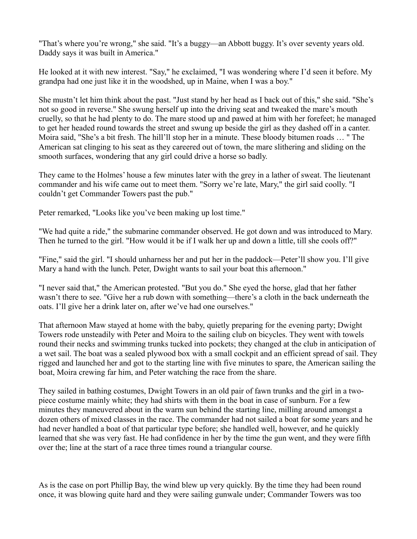"That's where you're wrong," she said. "It's a buggy—an Abbott buggy. It's over seventy years old. Daddy says it was built in America."

He looked at it with new interest. "Say," he exclaimed, "I was wondering where I'd seen it before. My grandpa had one just like it in the woodshed, up in Maine, when I was a boy."

She mustn't let him think about the past. "Just stand by her head as I back out of this," she said. "She's not so good in reverse." She swung herself up into the driving seat and tweaked the mare's mouth cruelly, so that he had plenty to do. The mare stood up and pawed at him with her forefeet; he managed to get her headed round towards the street and swung up beside the girl as they dashed off in a canter. Moira said, "She's a bit fresh. The hill'll stop her in a minute. These bloody bitumen roads … " The American sat clinging to his seat as they careered out of town, the mare slithering and sliding on the smooth surfaces, wondering that any girl could drive a horse so badly.

They came to the Holmes' house a few minutes later with the grey in a lather of sweat. The lieutenant commander and his wife came out to meet them. "Sorry we're late, Mary," the girl said coolly. "I couldn't get Commander Towers past the pub."

Peter remarked, "Looks like you've been making up lost time."

"We had quite a ride," the submarine commander observed. He got down and was introduced to Mary. Then he turned to the girl. "How would it be if I walk her up and down a little, till she cools off?"

"Fine," said the girl. "I should unharness her and put her in the paddock—Peter'll show you. I'll give Mary a hand with the lunch. Peter, Dwight wants to sail your boat this afternoon."

"I never said that," the American protested. "But you do." She eyed the horse, glad that her father wasn't there to see. "Give her a rub down with something—there's a cloth in the back underneath the oats. I'll give her a drink later on, after we've had one ourselves."

That afternoon Maw stayed at home with the baby, quietly preparing for the evening party; Dwight Towers rode unsteadily with Peter and Moira to the sailing club on bicycles. They went with towels round their necks and swimming trunks tucked into pockets; they changed at the club in anticipation of a wet sail. The boat was a sealed plywood box with a small cockpit and an efficient spread of sail. They rigged and launched her and got to the starting line with five minutes to spare, the American sailing the boat, Moira crewing far him, and Peter watching the race from the share.

They sailed in bathing costumes, Dwight Towers in an old pair of fawn trunks and the girl in a twopiece costume mainly white; they had shirts with them in the boat in case of sunburn. For a few minutes they maneuvered about in the warm sun behind the starting line, milling around amongst a dozen others of mixed classes in the race. The commander had not sailed a boat for some years and he had never handled a boat of that particular type before; she handled well, however, and he quickly learned that she was very fast. He had confidence in her by the time the gun went, and they were fifth over the; line at the start of a race three times round a triangular course.

As is the case on port Phillip Bay, the wind blew up very quickly. By the time they had been round once, it was blowing quite hard and they were sailing gunwale under; Commander Towers was too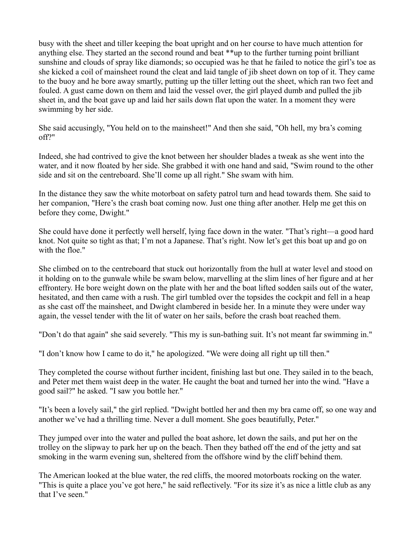busy with the sheet and tiller keeping the boat upright and on her course to have much attention for anything else. They started an the second round and beat \*\*up to the further turning point brilliant sunshine and clouds of spray like diamonds; so occupied was he that he failed to notice the girl's toe as she kicked a coil of mainsheet round the cleat and laid tangle of jib sheet down on top of it. They came to the buoy and he bore away smartly, putting up the tiller letting out the sheet, which ran two feet and fouled. A gust came down on them and laid the vessel over, the girl played dumb and pulled the jib sheet in, and the boat gave up and laid her sails down flat upon the water. In a moment they were swimming by her side.

She said accusingly, "You held on to the mainsheet!" And then she said, "Oh hell, my bra's coming off?"

Indeed, she had contrived to give the knot between her shoulder blades a tweak as she went into the water, and it now floated by her side. She grabbed it with one hand and said, "Swim round to the other side and sit on the centreboard. She'll come up all right." She swam with him.

In the distance they saw the white motorboat on safety patrol turn and head towards them. She said to her companion, "Here's the crash boat coming now. Just one thing after another. Help me get this on before they come, Dwight."

She could have done it perfectly well herself, lying face down in the water. "That's right—a good hard knot. Not quite so tight as that; I'm not a Japanese. That's right. Now let's get this boat up and go on with the floe."

She climbed on to the centreboard that stuck out horizontally from the hull at water level and stood on it holding on to the gunwale while be swam below, marvelling at the slim lines of her figure and at her effrontery. He bore weight down on the plate with her and the boat lifted sodden sails out of the water, hesitated, and then came with a rush. The girl tumbled over the topsides the cockpit and fell in a heap as she cast off the mainsheet, and Dwight clambered in beside her. In a minute they were under way again, the vessel tender with the lit of water on her sails, before the crash boat reached them.

"Don't do that again" she said severely. "This my is sun-bathing suit. It's not meant far swimming in."

"I don't know how I came to do it," he apologized. "We were doing all right up till then."

They completed the course without further incident, finishing last but one. They sailed in to the beach, and Peter met them waist deep in the water. He caught the boat and turned her into the wind. "Have a good sail?" he asked. "I saw you bottle her."

"It's been a lovely sail," the girl replied. "Dwight bottled her and then my bra came off, so one way and another we've had a thrilling time. Never a dull moment. She goes beautifully, Peter."

They jumped over into the water and pulled the boat ashore, let down the sails, and put her on the trolley on the slipway to park her up on the beach. Then they bathed off the end of the jetty and sat smoking in the warm evening sun, sheltered from the offshore wind by the cliff behind them.

The American looked at the blue water, the red cliffs, the moored motorboats rocking on the water. "This is quite a place you've got here," he said reflectively. "For its size it's as nice a little club as any that I've seen."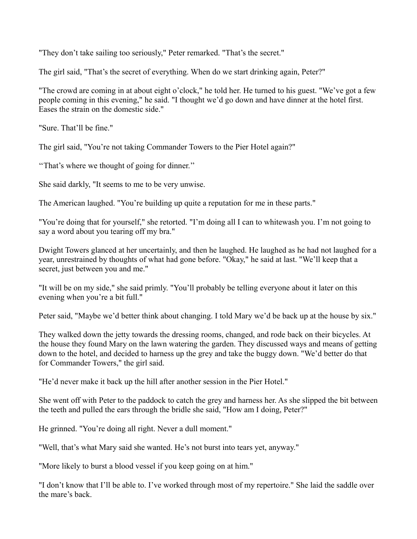"They don't take sailing too seriously," Peter remarked. "That's the secret."

The girl said, "That's the secret of everything. When do we start drinking again, Peter?"

"The crowd are coming in at about eight o'clock," he told her. He turned to his guest. "We've got a few people coming in this evening," he said. "I thought we'd go down and have dinner at the hotel first. Eases the strain on the domestic side."

"Sure. That'll be fine."

The girl said, "You're not taking Commander Towers to the Pier Hotel again?"

''That's where we thought of going for dinner.''

She said darkly, "It seems to me to be very unwise.

The American laughed. "You're building up quite a reputation for me in these parts."

"You're doing that for yourself," she retorted. "I'm doing all I can to whitewash you. I'm not going to say a word about you tearing off my bra."

Dwight Towers glanced at her uncertainly, and then he laughed. He laughed as he had not laughed for a year, unrestrained by thoughts of what had gone before. "Okay," he said at last. "We'll keep that a secret, just between you and me."

"It will be on my side," she said primly. "You'll probably be telling everyone about it later on this evening when you're a bit full."

Peter said, "Maybe we'd better think about changing. I told Mary we'd be back up at the house by six."

They walked down the jetty towards the dressing rooms, changed, and rode back on their bicycles. At the house they found Mary on the lawn watering the garden. They discussed ways and means of getting down to the hotel, and decided to harness up the grey and take the buggy down. "We'd better do that for Commander Towers," the girl said.

"He'd never make it back up the hill after another session in the Pier Hotel."

She went off with Peter to the paddock to catch the grey and harness her. As she slipped the bit between the teeth and pulled the ears through the bridle she said, "How am I doing, Peter?"

He grinned. "You're doing all right. Never a dull moment."

"Well, that's what Mary said she wanted. He's not burst into tears yet, anyway."

"More likely to burst a blood vessel if you keep going on at him."

"I don't know that I'll be able to. I've worked through most of my repertoire." She laid the saddle over the mare's back.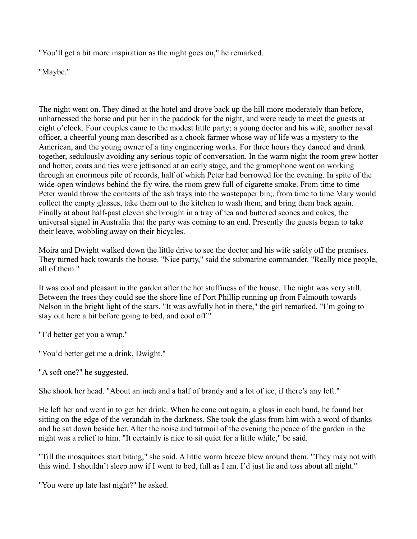"You'll get a bit more inspiration as the night goes on," he remarked.

"Maybe."

The night went on. They dined at the hotel and drove back up the hill more moderately than before, unharnessed the horse and put her in the paddock for the night, and were ready to meet the guests at eight o'clock. Four couples came to the modest little party; a young doctor and his wife, another naval officer, a cheerful young man described as a chook farmer whose way of life was a mystery to the American, and the young owner of a tiny engineering works. For three hours they danced and drank together, sedulously avoiding any serious topic of conversation. In the warm night the room grew hotter and hotter, coats and ties were jettisoned at an early stage, and the gramophone went on working through an enormous pile of records, half of which Peter had borrowed for the evening. In spite of the wide-open windows behind the fly wire, the room grew full of cigarette smoke. From time to time Peter would throw the contents of the ash trays into the wastepaper bin;, from time to time Mary would collect the empty glasses, take them out to the kitchen to wash them, and bring them back again. Finally at about half-past eleven she brought in a tray of tea and buttered scones and cakes, the universal signal in Australia that the party was coming to an end. Presently the guests began to take their leave, wobbling away on their bicycles.

Moira and Dwight walked down the little drive to see the doctor and his wife safely off the premises. They turned back towards the house. "Nice party," said the submarine commander. "Really nice people, all of them."

It was cool and pleasant in the garden after the hot stuffiness of the house. The night was very still. Between the trees they could see the shore line of Port Phillip running up from Falmouth towards Nelson in the bright light of the stars. "It was awfully hot in there," the girl remarked. "I'm going to stay out here a bit before going to bed, and cool off."

"I'd better get you a wrap."

"You'd better get me a drink, Dwight."

"A soft one?" he suggested.

She shook her head. "About an inch and a half of brandy and a lot of ice, if there's any left."

He left her and went in to get her drink. When he cane out again, a glass in each band, he found her sitting on the edge of the verandah in the darkness. She took the glass from him with a word of thanks and he sat down beside her. Alter the noise and turmoil of the evening the peace of the garden in the night was a relief to him. "It certainly is nice to sit quiet for a little while," be said.

"Till the mosquitoes start biting," she said. A little warm breeze blew around them. "They may not with this wind. I shouldn't sleep now if I went to bed, full as I am. I'd just lie and toss about all night."

"You were up late last night?" he asked.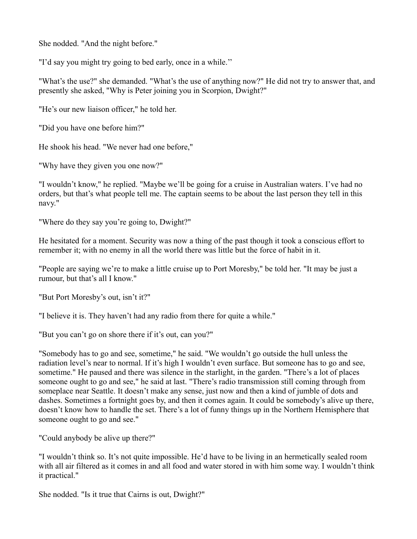She nodded. "And the night before."

"I'd say you might try going to bed early, once in a while.''

"What's the use?" she demanded. "What's the use of anything now?" He did not try to answer that, and presently she asked, "Why is Peter joining you in Scorpion, Dwight?"

"He's our new liaison officer," he told her.

"Did you have one before him?"

He shook his head. "We never had one before,"

"Why have they given you one now?"

"I wouldn't know," he replied. "Maybe we'll be going for a cruise in Australian waters. I've had no orders, but that's what people tell me. The captain seems to be about the last person they tell in this navy."

"Where do they say you're going to, Dwight?"

He hesitated for a moment. Security was now a thing of the past though it took a conscious effort to remember it; with no enemy in all the world there was little but the force of habit in it.

"People are saying we're to make a little cruise up to Port Moresby," be told her. "It may be just a rumour, but that's all I know."

"But Port Moresby's out, isn't it?"

"I believe it is. They haven't had any radio from there for quite a while."

"But you can't go on shore there if it's out, can you?"

"Somebody has to go and see, sometime," he said. "We wouldn't go outside the hull unless the radiation level's near to normal. If it's high I wouldn't even surface. But someone has to go and see, sometime." He paused and there was silence in the starlight, in the garden. "There's a lot of places someone ought to go and see," he said at last. "There's radio transmission still coming through from someplace near Seattle. It doesn't make any sense, just now and then a kind of jumble of dots and dashes. Sometimes a fortnight goes by, and then it comes again. It could be somebody's alive up there, doesn't know how to handle the set. There's a lot of funny things up in the Northern Hemisphere that someone ought to go and see."

"Could anybody be alive up there?"

"I wouldn't think so. It's not quite impossible. He'd have to be living in an hermetically sealed room with all air filtered as it comes in and all food and water stored in with him some way. I wouldn't think it practical."

She nodded. "Is it true that Cairns is out, Dwight?"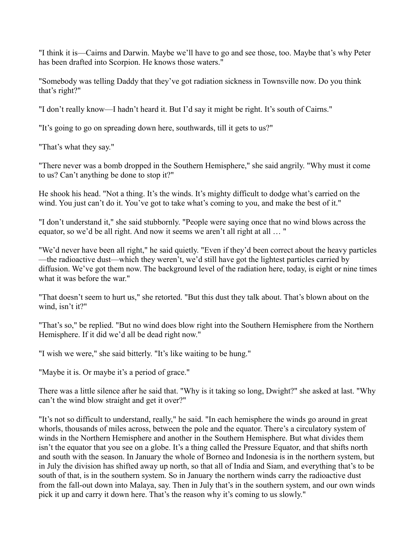"I think it is—Cairns and Darwin. Maybe we'll have to go and see those, too. Maybe that's why Peter has been drafted into Scorpion. He knows those waters."

"Somebody was telling Daddy that they've got radiation sickness in Townsville now. Do you think that's right?"

"I don't really know—I hadn't heard it. But I'd say it might be right. It's south of Cairns."

"It's going to go on spreading down here, southwards, till it gets to us?"

"That's what they say."

"There never was a bomb dropped in the Southern Hemisphere," she said angrily. "Why must it come to us? Can't anything be done to stop it?"

He shook his head. "Not a thing. It's the winds. It's mighty difficult to dodge what's carried on the wind. You just can't do it. You've got to take what's coming to you, and make the best of it."

"I don't understand it," she said stubbornly. "People were saying once that no wind blows across the equator, so we'd be all right. And now it seems we aren't all right at all … "

"We'd never have been all right," he said quietly. "Even if they'd been correct about the heavy particles —the radioactive dust—which they weren't, we'd still have got the lightest particles carried by diffusion. We've got them now. The background level of the radiation here, today, is eight or nine times what it was before the war."

"That doesn't seem to hurt us," she retorted. "But this dust they talk about. That's blown about on the wind, isn't it?"

"That's so," be replied. "But no wind does blow right into the Southern Hemisphere from the Northern Hemisphere. If it did we'd all be dead right now."

"I wish we were," she said bitterly. "It's like waiting to be hung."

"Maybe it is. Or maybe it's a period of grace."

There was a little silence after he said that. "Why is it taking so long, Dwight?" she asked at last. "Why can't the wind blow straight and get it over?"

"It's not so difficult to understand, really," he said. "In each hemisphere the winds go around in great whorls, thousands of miles across, between the pole and the equator. There's a circulatory system of winds in the Northern Hemisphere and another in the Southern Hemisphere. But what divides them isn't the equator that you see on a globe. It's a thing called the Pressure Equator, and that shifts north and south with the season. In January the whole of Borneo and Indonesia is in the northern system, but in July the division has shifted away up north, so that all of India and Siam, and everything that's to be south of that, is in the southern system. So in January the northern winds carry the radioactive dust from the fall-out down into Malaya, say. Then in July that's in the southern system, and our own winds pick it up and carry it down here. That's the reason why it's coming to us slowly."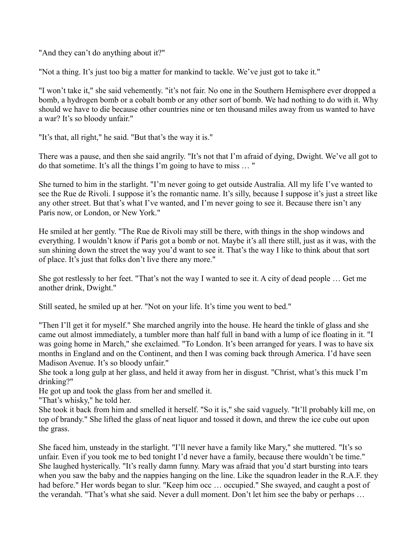"And they can't do anything about it?"

"Not a thing. It's just too big a matter for mankind to tackle. We've just got to take it."

"I won't take it," she said vehemently. "it's not fair. No one in the Southern Hemisphere ever dropped a bomb, a hydrogen bomb or a cobalt bomb or any other sort of bomb. We had nothing to do with it. Why should we have to die because other countries nine or ten thousand miles away from us wanted to have a war? It's so bloody unfair."

"It's that, all right," he said. "But that's the way it is."

There was a pause, and then she said angrily. "It's not that I'm afraid of dying, Dwight. We've all got to do that sometime. It's all the things I'm going to have to miss … "

She turned to him in the starlight. "I'm never going to get outside Australia. All my life I've wanted to see the Rue de Rivoli. I suppose it's the romantic name. It's silly, because I suppose it's just a street like any other street. But that's what I've wanted, and I'm never going to see it. Because there isn't any Paris now, or London, or New York."

He smiled at her gently. "The Rue de Rivoli may still be there, with things in the shop windows and everything. I wouldn't know if Paris got a bomb or not. Maybe it's all there still, just as it was, with the sun shining down the street the way you'd want to see it. That's the way I like to think about that sort of place. It's just that folks don't live there any more."

She got restlessly to her feet. "That's not the way I wanted to see it. A city of dead people … Get me another drink, Dwight."

Still seated, he smiled up at her. "Not on your life. It's time you went to bed."

"Then I'll get it for myself." She marched angrily into the house. He heard the tinkle of glass and she came out almost immediately, a tumbler more than half full in band with a lump of ice floating in it. "I was going home in March," she exclaimed. "To London. It's been arranged for years. I was to have six months in England and on the Continent, and then I was coming back through America. I'd have seen Madison Avenue. It's so bloody unfair."

She took a long gulp at her glass, and held it away from her in disgust. "Christ, what's this muck I'm drinking?"

He got up and took the glass from her and smelled it.

"That's whisky," he told her.

She took it back from him and smelled it herself. "So it is," she said vaguely. "It'll probably kill me, on top of brandy." She lifted the glass of neat liquor and tossed it down, and threw the ice cube out upon the grass.

She faced him, unsteady in the starlight. "I'll never have a family like Mary," she muttered. "It's so unfair. Even if you took me to bed tonight I'd never have a family, because there wouldn't be time." She laughed hysterically. "It's really damn funny. Mary was afraid that you'd start bursting into tears when you saw the baby and the nappies hanging on the line. Like the squadron leader in the R.A.F. they had before." Her words began to slur. "Keep him occ ... occupied." She swayed, and caught a post of the verandah. "That's what she said. Never a dull moment. Don't let him see the baby or perhaps …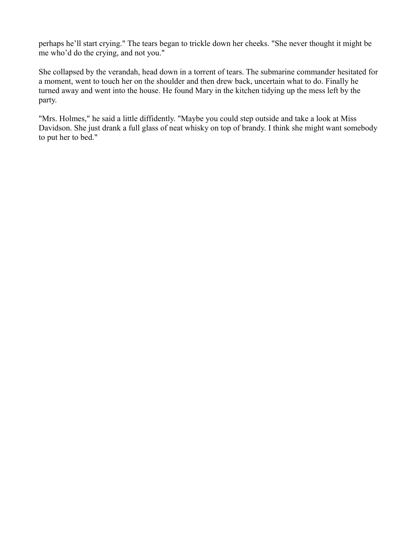perhaps he'll start crying." The tears began to trickle down her cheeks. "She never thought it might be me who'd do the crying, and not you."

She collapsed by the verandah, head down in a torrent of tears. The submarine commander hesitated for a moment, went to touch her on the shoulder and then drew back, uncertain what to do. Finally he turned away and went into the house. He found Mary in the kitchen tidying up the mess left by the party.

"Mrs. Holmes," he said a little diffidently. "Maybe you could step outside and take a look at Miss Davidson. She just drank a full glass of neat whisky on top of brandy. I think she might want somebody to put her to bed."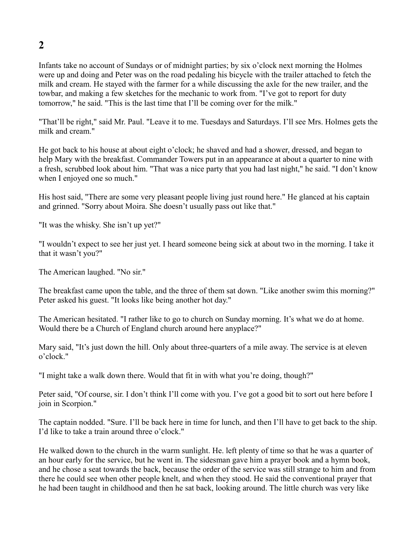### **2**

Infants take no account of Sundays or of midnight parties; by six o'clock next morning the Holmes were up and doing and Peter was on the road pedaling his bicycle with the trailer attached to fetch the milk and cream. He stayed with the farmer for a while discussing the axle for the new trailer, and the towbar, and making a few sketches for the mechanic to work from. "I've got to report for duty tomorrow," he said. "This is the last time that I'll be coming over for the milk."

"That'll be right," said Mr. Paul. "Leave it to me. Tuesdays and Saturdays. I'll see Mrs. Holmes gets the milk and cream."

He got back to his house at about eight o'clock; he shaved and had a shower, dressed, and began to help Mary with the breakfast. Commander Towers put in an appearance at about a quarter to nine with a fresh, scrubbed look about him. "That was a nice party that you had last night," he said. "I don't know when I enjoyed one so much."

His host said, "There are some very pleasant people living just round here." He glanced at his captain and grinned. "Sorry about Moira. She doesn't usually pass out like that."

"It was the whisky. She isn't up yet?"

"I wouldn't expect to see her just yet. I heard someone being sick at about two in the morning. I take it that it wasn't you?"

The American laughed. "No sir."

The breakfast came upon the table, and the three of them sat down. "Like another swim this morning?" Peter asked his guest. "It looks like being another hot day."

The American hesitated. "I rather like to go to church on Sunday morning. It's what we do at home. Would there be a Church of England church around here anyplace?"

Mary said, "It's just down the hill. Only about three-quarters of a mile away. The service is at eleven o'clock."

"I might take a walk down there. Would that fit in with what you're doing, though?"

Peter said, "Of course, sir. I don't think I'll come with you. I've got a good bit to sort out here before I join in Scorpion."

The captain nodded. "Sure. I'll be back here in time for lunch, and then I'll have to get back to the ship. I'd like to take a train around three o'clock."

He walked down to the church in the warm sunlight. He. left plenty of time so that he was a quarter of an hour early for the service, but he went in. The sidesman gave him a prayer book and a hymn book, and he chose a seat towards the back, because the order of the service was still strange to him and from there he could see when other people knelt, and when they stood. He said the conventional prayer that he had been taught in childhood and then he sat back, looking around. The little church was very like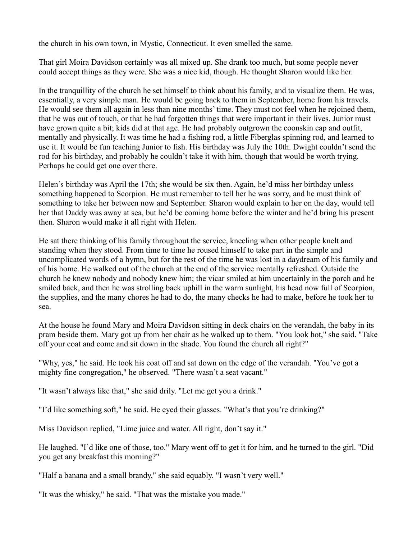the church in his own town, in Mystic, Connecticut. It even smelled the same.

That girl Moira Davidson certainly was all mixed up. She drank too much, but some people never could accept things as they were. She was a nice kid, though. He thought Sharon would like her.

In the tranquillity of the church he set himself to think about his family, and to visualize them. He was, essentially, a very simple man. He would be going back to them in September, home from his travels. He would see them all again in less than nine months' time. They must not feel when he rejoined them, that he was out of touch, or that he had forgotten things that were important in their lives. Junior must have grown quite a bit; kids did at that age. He had probably outgrown the coonskin cap and outfit, mentally and physically. It was time he had a fishing rod, a little Fiberglas spinning rod, and learned to use it. It would be fun teaching Junior to fish. His birthday was July the 10th. Dwight couldn't send the rod for his birthday, and probably he couldn't take it with him, though that would be worth trying. Perhaps he could get one over there.

Helen's birthday was April the 17th; she would be six then. Again, he'd miss her birthday unless something happened to Scorpion. He must remember to tell her he was sorry, and he must think of something to take her between now and September. Sharon would explain to her on the day, would tell her that Daddy was away at sea, but he'd be coming home before the winter and he'd bring his present then. Sharon would make it all right with Helen.

He sat there thinking of his family throughout the service, kneeling when other people knelt and standing when they stood. From time to time he roused himself to take part in the simple and uncomplicated words of a hymn, but for the rest of the time he was lost in a daydream of his family and of his home. He walked out of the church at the end of the service mentally refreshed. Outside the church he knew nobody and nobody knew him; the vicar smiled at him uncertainly in the porch and he smiled back, and then he was strolling back uphill in the warm sunlight, his head now full of Scorpion, the supplies, and the many chores he had to do, the many checks he had to make, before he took her to sea.

At the house he found Mary and Moira Davidson sitting in deck chairs on the verandah, the baby in its pram beside them. Mary got up from her chair as he walked up to them. "You look hot," she said. "Take off your coat and come and sit down in the shade. You found the church all right?"

"Why, yes," he said. He took his coat off and sat down on the edge of the verandah. "You've got a mighty fine congregation," he observed. "There wasn't a seat vacant."

"It wasn't always like that," she said drily. "Let me get you a drink."

"I'd like something soft," he said. He eyed their glasses. "What's that you're drinking?"

Miss Davidson replied, "Lime juice and water. All right, don't say it."

He laughed. "I'd like one of those, too." Mary went off to get it for him, and he turned to the girl. "Did you get any breakfast this morning?"

"Half a banana and a small brandy," she said equably. "I wasn't very well."

"It was the whisky," he said. "That was the mistake you made."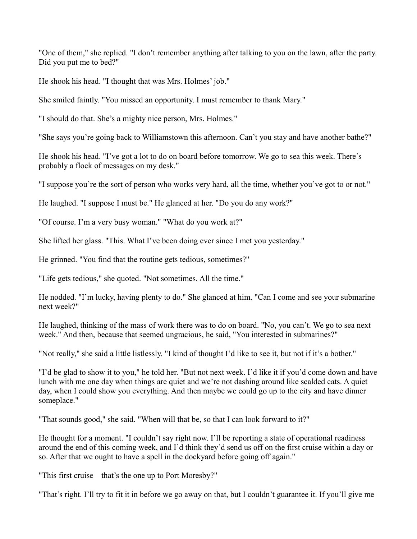"One of them," she replied. "I don't remember anything after talking to you on the lawn, after the party. Did you put me to bed?"

He shook his head. "I thought that was Mrs. Holmes' job."

She smiled faintly. "You missed an opportunity. I must remember to thank Mary."

"I should do that. She's a mighty nice person, Mrs. Holmes."

"She says you're going back to Williamstown this afternoon. Can't you stay and have another bathe?"

He shook his head. "I've got a lot to do on board before tomorrow. We go to sea this week. There's probably a flock of messages on my desk."

"I suppose you're the sort of person who works very hard, all the time, whether you've got to or not."

He laughed. "I suppose I must be." He glanced at her. "Do you do any work?"

"Of course. I'm a very busy woman." "What do you work at?"

She lifted her glass. "This. What I've been doing ever since I met you yesterday."

He grinned. "You find that the routine gets tedious, sometimes?"

"Life gets tedious," she quoted. "Not sometimes. All the time."

He nodded. "I'm lucky, having plenty to do." She glanced at him. "Can I come and see your submarine next week?"

He laughed, thinking of the mass of work there was to do on board. "No, you can't. We go to sea next week." And then, because that seemed ungracious, he said, "You interested in submarines?"

"Not really," she said a little listlessly. "I kind of thought I'd like to see it, but not if it's a bother."

"I'd be glad to show it to you," he told her. "But not next week. I'd like it if you'd come down and have lunch with me one day when things are quiet and we're not dashing around like scalded cats. A quiet day, when I could show you everything. And then maybe we could go up to the city and have dinner someplace."

"That sounds good," she said. "When will that be, so that I can look forward to it?"

He thought for a moment. "I couldn't say right now. I'll be reporting a state of operational readiness around the end of this coming week, and I'd think they'd send us off on the first cruise within a day or so. After that we ought to have a spell in the dockyard before going off again."

"This first cruise—that's the one up to Port Moresby?"

"That's right. I'll try to fit it in before we go away on that, but I couldn't guarantee it. If you'll give me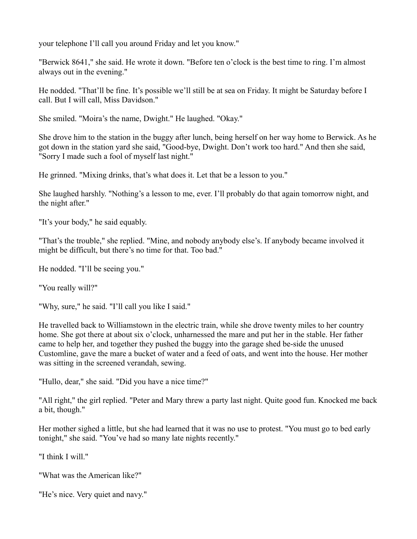your telephone I'll call you around Friday and let you know."

"Berwick 8641," she said. He wrote it down. "Before ten o'clock is the best time to ring. I'm almost always out in the evening."

He nodded. "That'll be fine. It's possible we'll still be at sea on Friday. It might be Saturday before I call. But I will call, Miss Davidson."

She smiled. "Moira's the name, Dwight." He laughed. "Okay."

She drove him to the station in the buggy after lunch, being herself on her way home to Berwick. As he got down in the station yard she said, "Good-bye, Dwight. Don't work too hard." And then she said, "Sorry I made such a fool of myself last night."

He grinned. "Mixing drinks, that's what does it. Let that be a lesson to you."

She laughed harshly. "Nothing's a lesson to me, ever. I'll probably do that again tomorrow night, and the night after."

"It's your body," he said equably.

"That's the trouble," she replied. "Mine, and nobody anybody else's. If anybody became involved it might be difficult, but there's no time for that. Too bad."

He nodded. "I'll be seeing you."

"You really will?"

"Why, sure," he said. "I'll call you like I said."

He travelled back to Williamstown in the electric train, while she drove twenty miles to her country home. She got there at about six o'clock, unharnessed the mare and put her in the stable. Her father came to help her, and together they pushed the buggy into the garage shed be-side the unused Customline, gave the mare a bucket of water and a feed of oats, and went into the house. Her mother was sitting in the screened verandah, sewing.

"Hullo, dear," she said. "Did you have a nice time?"

"All right," the girl replied. "Peter and Mary threw a party last night. Quite good fun. Knocked me back a bit, though."

Her mother sighed a little, but she had learned that it was no use to protest. "You must go to bed early tonight," she said. "You've had so many late nights recently."

"I think I will."

"What was the American like?"

"He's nice. Very quiet and navy."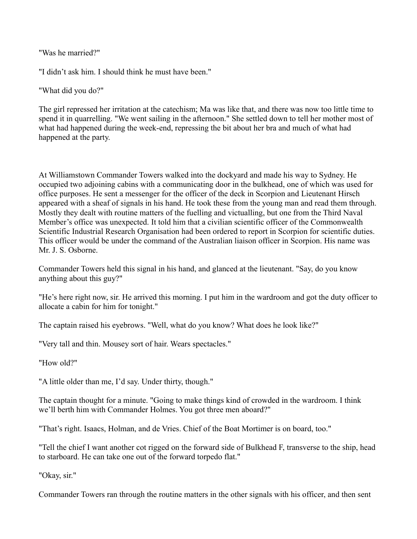"Was he married?"

"I didn't ask him. I should think he must have been."

"What did you do?"

The girl repressed her irritation at the catechism; Ma was like that, and there was now too little time to spend it in quarrelling. "We went sailing in the afternoon." She settled down to tell her mother most of what had happened during the week-end, repressing the bit about her bra and much of what had happened at the party.

At Williamstown Commander Towers walked into the dockyard and made his way to Sydney. He occupied two adjoining cabins with a communicating door in the bulkhead, one of which was used for office purposes. He sent a messenger for the officer of the deck in Scorpion and Lieutenant Hirsch appeared with a sheaf of signals in his hand. He took these from the young man and read them through. Mostly they dealt with routine matters of the fuelling and victualling, but one from the Third Naval Member's office was unexpected. It told him that a civilian scientific officer of the Commonwealth Scientific Industrial Research Organisation had been ordered to report in Scorpion for scientific duties. This officer would be under the command of the Australian liaison officer in Scorpion. His name was Mr. J. S. Osborne.

Commander Towers held this signal in his hand, and glanced at the lieutenant. "Say, do you know anything about this guy?"

"He's here right now, sir. He arrived this morning. I put him in the wardroom and got the duty officer to allocate a cabin for him for tonight."

The captain raised his eyebrows. "Well, what do you know? What does he look like?"

"Very tall and thin. Mousey sort of hair. Wears spectacles."

"How old?"

"A little older than me, I'd say. Under thirty, though."

The captain thought for a minute. "Going to make things kind of crowded in the wardroom. I think we'll berth him with Commander Holmes. You got three men aboard?"

"That's right. Isaacs, Holman, and de Vries. Chief of the Boat Mortimer is on board, too."

"Tell the chief I want another cot rigged on the forward side of Bulkhead F, transverse to the ship, head to starboard. He can take one out of the forward torpedo flat."

"Okay, sir."

Commander Towers ran through the routine matters in the other signals with his officer, and then sent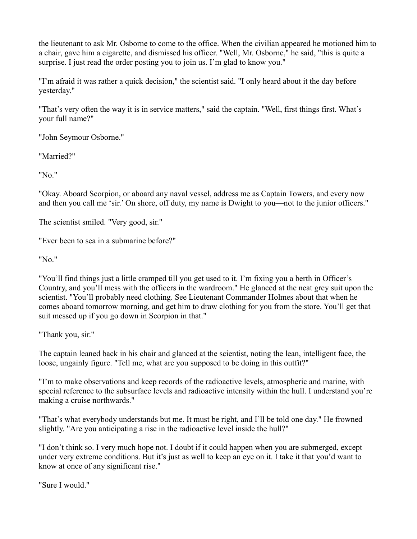the lieutenant to ask Mr. Osborne to come to the office. When the civilian appeared he motioned him to a chair, gave him a cigarette, and dismissed his officer. "Well, Mr. Osborne," he said, "this is quite a surprise. I just read the order posting you to join us. I'm glad to know you."

"I'm afraid it was rather a quick decision," the scientist said. "I only heard about it the day before yesterday."

"That's very often the way it is in service matters," said the captain. "Well, first things first. What's your full name?"

"John Seymour Osborne."

"Married?"

"No."

"Okay. Aboard Scorpion, or aboard any naval vessel, address me as Captain Towers, and every now and then you call me 'sir.' On shore, off duty, my name is Dwight to you—not to the junior officers."

The scientist smiled. "Very good, sir."

"Ever been to sea in a submarine before?"

"No."

"You'll find things just a little cramped till you get used to it. I'm fixing you a berth in Officer's Country, and you'll mess with the officers in the wardroom." He glanced at the neat grey suit upon the scientist. "You'll probably need clothing. See Lieutenant Commander Holmes about that when he comes aboard tomorrow morning, and get him to draw clothing for you from the store. You'll get that suit messed up if you go down in Scorpion in that."

"Thank you, sir."

The captain leaned back in his chair and glanced at the scientist, noting the lean, intelligent face, the loose, ungainly figure. "Tell me, what are you supposed to be doing in this outfit?"

"I'm to make observations and keep records of the radioactive levels, atmospheric and marine, with special reference to the subsurface levels and radioactive intensity within the hull. I understand you're making a cruise northwards."

"That's what everybody understands but me. It must be right, and I'll be told one day." He frowned slightly. "Are you anticipating a rise in the radioactive level inside the hull?"

"I don't think so. I very much hope not. I doubt if it could happen when you are submerged, except under very extreme conditions. But it's just as well to keep an eye on it. I take it that you'd want to know at once of any significant rise."

"Sure I would."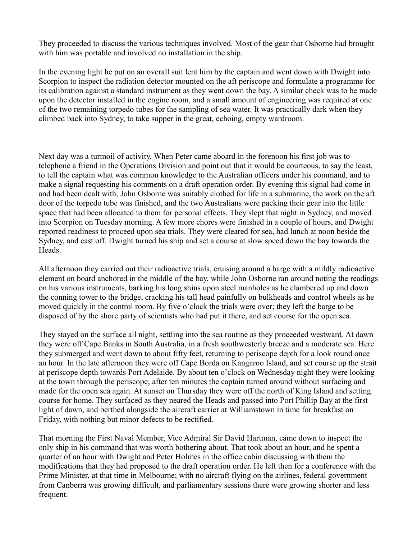They proceeded to discuss the various techniques involved. Most of the gear that Osborne had brought with him was portable and involved no installation in the ship.

In the evening light he put on an overall suit lent him by the captain and went down with Dwight into Scorpion to inspect the radiation detector mounted on the aft periscope and formulate a programme for its calibration against a standard instrument as they went down the bay. A similar check was to be made upon the detector installed in the engine room, and a small amount of engineering was required at one of the two remaining torpedo tubes for the sampling of sea water. It was practically dark when they climbed back into Sydney, to take supper in the great, echoing, empty wardroom.

Next day was a turmoil of activity. When Peter came aboard in the forenoon his first job was to telephone a friend in the Operations Division and point out that it would be courteous, to say the least, to tell the captain what was common knowledge to the Australian officers under his command, and to make a signal requesting his comments on a draft operation order. By evening this signal had come in and had been dealt with, John Osborne was suitably clothed for life in a submarine, the work on the aft door of the torpedo tube was finished, and the two Australians were packing their gear into the little space that had been allocated to them for personal effects. They slept that night in Sydney, and moved into Scorpion on Tuesday morning. A few more chores were finished in a couple of hours, and Dwight reported readiness to proceed upon sea trials. They were cleared for sea, had lunch at noon beside the Sydney, and cast off. Dwight turned his ship and set a course at slow speed down the bay towards the Heads.

All afternoon they carried out their radioactive trials, cruising around a barge with a mildly radioactive element on board anchored in the middle of the bay, while John Osborne ran around noting the readings on his various instruments, barking his long shins upon steel manholes as he clambered up and down the conning tower to the bridge, cracking his tall head painfully on bulkheads and control wheels as he moved quickly in the control room. By five o'clock the trials were over; they left the barge to be disposed of by the shore party of scientists who had put it there, and set course for the open sea.

They stayed on the surface all night, settling into the sea routine as they proceeded westward. At dawn they were off Cape Banks in South Australia, in a fresh southwesterly breeze and a moderate sea. Here they submerged and went down to about fifty feet, returning to periscope depth for a look round once an hour. In the late afternoon they were off Cape Borda on Kangaroo Island, and set course up the strait at periscope depth towards Port Adelaide. By about ten o'clock on Wednesday night they were looking at the town through the periscope; after ten minutes the captain turned around without surfacing and made for the open sea again. At sunset on Thursday they were off the north of King Island and setting course for home. They surfaced as they neared the Heads and passed into Port Phillip Bay at the first light of dawn, and berthed alongside the aircraft carrier at Williamstown in time for breakfast on Friday, with nothing but minor defects to be rectified.

That morning the First Naval Member, Vice Admiral Sir David Hartman, came down to inspect the only ship in his command that was worth bothering about. That took about an hour, and he spent a quarter of an hour with Dwight and Peter Holmes in the office cabin discussing with them the modifications that they had proposed to the draft operation order. He left then for a conference with the Prime Minister, at that time in Melbourne; with no aircraft flying on the airlines, federal government from Canberra was growing difficult, and parliamentary sessions there were growing shorter and less frequent.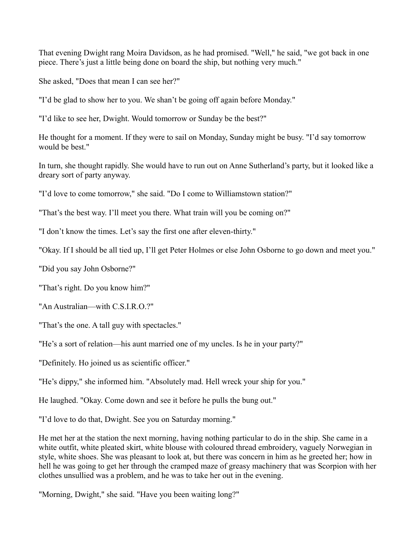That evening Dwight rang Moira Davidson, as he had promised. "Well," he said, "we got back in one piece. There's just a little being done on board the ship, but nothing very much."

She asked, "Does that mean I can see her?"

"I'd be glad to show her to you. We shan't be going off again before Monday."

"I'd like to see her, Dwight. Would tomorrow or Sunday be the best?"

He thought for a moment. If they were to sail on Monday, Sunday might be busy. "I'd say tomorrow would be best."

In turn, she thought rapidly. She would have to run out on Anne Sutherland's party, but it looked like a dreary sort of party anyway.

"I'd love to come tomorrow," she said. "Do I come to Williamstown station?"

"That's the best way. I'll meet you there. What train will you be coming on?"

"I don't know the times. Let's say the first one after eleven-thirty."

"Okay. If I should be all tied up, I'll get Peter Holmes or else John Osborne to go down and meet you."

"Did you say John Osborne?"

"That's right. Do you know him?"

"An Australian—with C.S.I.R.O.?"

"That's the one. A tall guy with spectacles."

"He's a sort of relation—his aunt married one of my uncles. Is he in your party?"

"Definitely. Ho joined us as scientific officer."

"He's dippy," she informed him. "Absolutely mad. Hell wreck your ship for you."

He laughed. "Okay. Come down and see it before he pulls the bung out."

"I'd love to do that, Dwight. See you on Saturday morning."

He met her at the station the next morning, having nothing particular to do in the ship. She came in a white outfit, white pleated skirt, white blouse with coloured thread embroidery, vaguely Norwegian in style, white shoes. She was pleasant to look at, but there was concern in him as he greeted her; how in hell he was going to get her through the cramped maze of greasy machinery that was Scorpion with her clothes unsullied was a problem, and he was to take her out in the evening.

"Morning, Dwight," she said. "Have you been waiting long?"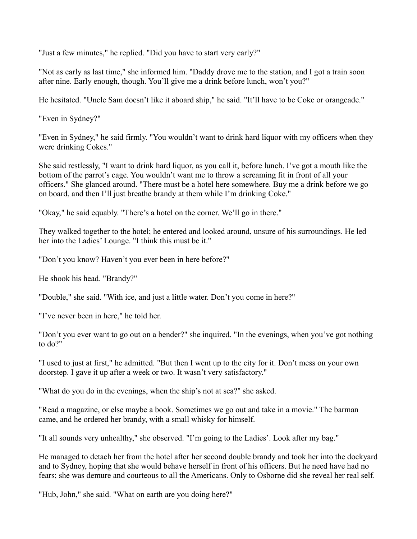"Just a few minutes," he replied. "Did you have to start very early?"

"Not as early as last time," she informed him. "Daddy drove me to the station, and I got a train soon after nine. Early enough, though. You'll give me a drink before lunch, won't you?"

He hesitated. "Uncle Sam doesn't like it aboard ship," he said. "It'll have to be Coke or orangeade."

"Even in Sydney?"

"Even in Sydney," he said firmly. "You wouldn't want to drink hard liquor with my officers when they were drinking Cokes."

She said restlessly, "I want to drink hard liquor, as you call it, before lunch. I've got a mouth like the bottom of the parrot's cage. You wouldn't want me to throw a screaming fit in front of all your officers." She glanced around. "There must be a hotel here somewhere. Buy me a drink before we go on board, and then I'll just breathe brandy at them while I'm drinking Coke."

"Okay," he said equably. "There's a hotel on the corner. We'll go in there."

They walked together to the hotel; he entered and looked around, unsure of his surroundings. He led her into the Ladies' Lounge. "I think this must be it."

"Don't you know? Haven't you ever been in here before?"

He shook his head. "Brandy?"

"Double," she said. "With ice, and just a little water. Don't you come in here?"

"I've never been in here," he told her.

"Don't you ever want to go out on a bender?" she inquired. "In the evenings, when you've got nothing to do?"

"I used to just at first," he admitted. "But then I went up to the city for it. Don't mess on your own doorstep. I gave it up after a week or two. It wasn't very satisfactory."

"What do you do in the evenings, when the ship's not at sea?" she asked.

"Read a magazine, or else maybe a book. Sometimes we go out and take in a movie." The barman came, and he ordered her brandy, with a small whisky for himself.

"It all sounds very unhealthy," she observed. "I'm going to the Ladies'. Look after my bag."

He managed to detach her from the hotel after her second double brandy and took her into the dockyard and to Sydney, hoping that she would behave herself in front of his officers. But he need have had no fears; she was demure and courteous to all the Americans. Only to Osborne did she reveal her real self.

"Hub, John," she said. "What on earth are you doing here?"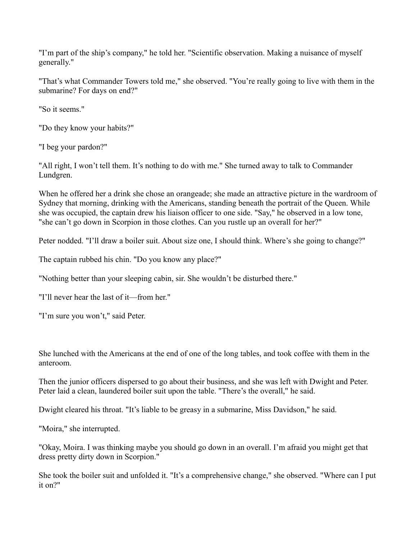"I'm part of the ship's company," he told her. "Scientific observation. Making a nuisance of myself generally."

"That's what Commander Towers told me," she observed. "You're really going to live with them in the submarine? For days on end?"

"So it seems."

"Do they know your habits?"

"I beg your pardon?"

"All right, I won't tell them. It's nothing to do with me." She turned away to talk to Commander Lundgren.

When he offered her a drink she chose an orangeade; she made an attractive picture in the wardroom of Sydney that morning, drinking with the Americans, standing beneath the portrait of the Queen. While she was occupied, the captain drew his liaison officer to one side. "Say," he observed in a low tone, "she can't go down in Scorpion in those clothes. Can you rustle up an overall for her?"

Peter nodded. "I'll draw a boiler suit. About size one, I should think. Where's she going to change?"

The captain rubbed his chin. "Do you know any place?"

"Nothing better than your sleeping cabin, sir. She wouldn't be disturbed there."

"I'll never hear the last of it—from her."

"I'm sure you won't," said Peter.

She lunched with the Americans at the end of one of the long tables, and took coffee with them in the anteroom.

Then the junior officers dispersed to go about their business, and she was left with Dwight and Peter. Peter laid a clean, laundered boiler suit upon the table. "There's the overall," he said.

Dwight cleared his throat. "It's liable to be greasy in a submarine, Miss Davidson," he said.

"Moira," she interrupted.

"Okay, Moira. I was thinking maybe you should go down in an overall. I'm afraid you might get that dress pretty dirty down in Scorpion."

She took the boiler suit and unfolded it. "It's a comprehensive change," she observed. "Where can I put it on?"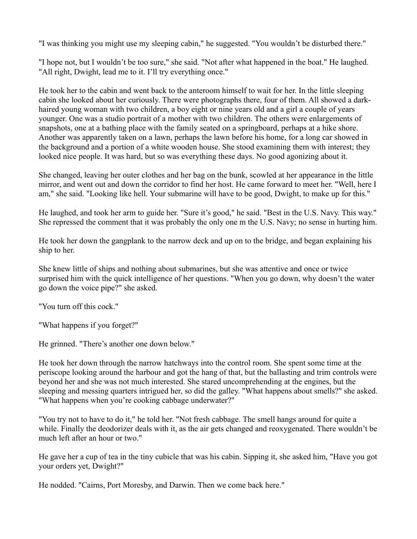"I was thinking you might use my sleeping cabin," he suggested. "You wouldn't be disturbed there."

"I hope not, but I wouldn't be too sure," she said. "Not after what happened in the boat." He laughed. "All right, Dwight, lead me to it. I'll try everything once."

He took her to the cabin and went back to the anteroom himself to wait for her. In the little sleeping cabin she looked about her curiously. There were photographs there, four of them. All showed a darkhaired young woman with two children, a boy eight or nine years old and a girl a couple of years younger. One was a studio portrait of a mother with two children. The others were enlargements of snapshots, one at a bathing place with the family seated on a springboard, perhaps at a hike shore. Another was apparently taken on a lawn, perhaps the lawn before his home, for a long car showed in the background and a portion of a white wooden house. She stood examining them with interest; they looked nice people. It was hard, but so was everything these days. No good agonizing about it.

She changed, leaving her outer clothes and her bag on the bunk, scowled at her appearance in the little mirror, and went out and down the corridor to find her host. He came forward to meet her. "Well, here I am," she said. "Looking like hell. Your submarine will have to be good, Dwight, to make up for this."

He laughed, and took her arm to guide her. "Sure it's good," he said. "Best in the U.S. Navy. This way." She repressed the comment that it was probably the only one m the U.S. Navy; no sense in hurting him.

He took her down the gangplank to the narrow deck and up on to the bridge, and began explaining his ship to her.

She knew little of ships and nothing about submarines, but she was attentive and once or twice surprised him with the quick intelligence of her questions. "When you go down, why doesn't the water go down the voice pipe?" she asked.

"You turn off this cock."

"What happens if you forget?"

He grinned. "There's another one down below."

He took her down through the narrow hatchways into the control room. She spent some time at the periscope looking around the harbour and got the hang of that, but the ballasting and trim controls were beyond her and she was not much interested. She stared uncomprehending at the engines, but the sleeping and messing quarters intrigued her, so did the galley. "What happens about smells?" she asked. "What happens when you're cooking cabbage underwater?"

"You try not to have to do it," he told her. "Not fresh cabbage. The smell hangs around for quite a while. Finally the deodorizer deals with it, as the air gets changed and reoxygenated. There wouldn't be much left after an hour or two."

He gave her a cup of tea in the tiny cubicle that was his cabin. Sipping it, she asked him, "Have you got your orders yet, Dwight?"

He nodded. "Cairns, Port Moresby, and Darwin. Then we come back here."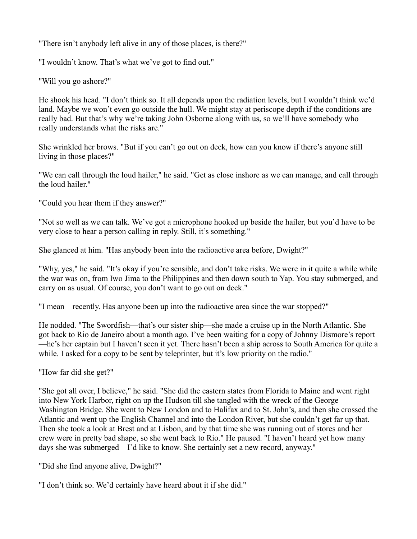"There isn't anybody left alive in any of those places, is there?"

"I wouldn't know. That's what we've got to find out."

"Will you go ashore?"

He shook his head. "I don't think so. It all depends upon the radiation levels, but I wouldn't think we'd land. Maybe we won't even go outside the hull. We might stay at periscope depth if the conditions are really bad. But that's why we're taking John Osborne along with us, so we'll have somebody who really understands what the risks are."

She wrinkled her brows. "But if you can't go out on deck, how can you know if there's anyone still living in those places?"

"We can call through the loud hailer," he said. "Get as close inshore as we can manage, and call through the loud hailer."

"Could you hear them if they answer?"

"Not so well as we can talk. We've got a microphone hooked up beside the hailer, but you'd have to be very close to hear a person calling in reply. Still, it's something."

She glanced at him. "Has anybody been into the radioactive area before, Dwight?"

"Why, yes," he said. "It's okay if you're sensible, and don't take risks. We were in it quite a while while the war was on, from Iwo Jima to the Philippines and then down south to Yap. You stay submerged, and carry on as usual. Of course, you don't want to go out on deck."

"I mean—recently. Has anyone been up into the radioactive area since the war stopped?"

He nodded. "The Swordfish—that's our sister ship—she made a cruise up in the North Atlantic. She got back to Rio de Janeiro about a month ago. I've been waiting for a copy of Johnny Dismore's report —he's her captain but I haven't seen it yet. There hasn't been a ship across to South America for quite a while. I asked for a copy to be sent by teleprinter, but it's low priority on the radio."

"How far did she get?"

"She got all over, I believe," he said. "She did the eastern states from Florida to Maine and went right into New York Harbor, right on up the Hudson till she tangled with the wreck of the George Washington Bridge. She went to New London and to Halifax and to St. John's, and then she crossed the Atlantic and went up the English Channel and into the London River, but she couldn't get far up that. Then she took a look at Brest and at Lisbon, and by that time she was running out of stores and her crew were in pretty bad shape, so she went back to Rio." He paused. "I haven't heard yet how many days she was submerged—I'd like to know. She certainly set a new record, anyway."

"Did she find anyone alive, Dwight?"

"I don't think so. We'd certainly have heard about it if she did."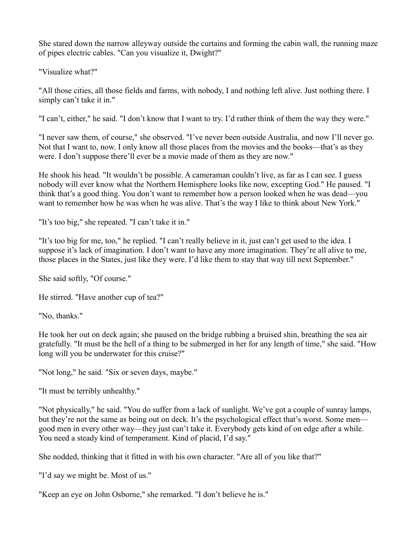She stared down the narrow alleyway outside the curtains and forming the cabin wall, the running maze of pipes electric cables. "Can you visualize it, Dwight?"

"Visualize what?"

"All those cities, all those fields and farms, with nobody, I and nothing left alive. Just nothing there. I simply can't take it in."

"I can't, either," he said. "I don't know that I want to try. I'd rather think of them the way they were."

"I never saw them, of course," she observed. "I've never been outside Australia, and now I'll never go. Not that I want to, now. I only know all those places from the movies and the books—that's as they were. I don't suppose there'll ever be a movie made of them as they are now."

He shook his head. "It wouldn't be possible. A cameraman couldn't live, as far as I can see. I guess nobody will ever know what the Northern Hemisphere looks like now, excepting God." He paused. "I think that's a good thing. You don't want to remember how a person looked when he was dead—you want to remember how he was when he was alive. That's the way I like to think about New York."

"It's too big," she repeated. "I can't take it in."

"It's too big for me, too," he replied. "I can't really believe in it, just can't get used to the idea. I suppose it's lack of imagination. I don't want to have any more imagination. They're all alive to me, those places in the States, just like they were. I'd like them to stay that way till next September."

She said softly, "Of course."

He stirred. "Have another cup of tea?"

"No, thanks."

He took her out on deck again; she paused on the bridge rubbing a bruised shin, breathing the sea air gratefully. "It must be the hell of a thing to be submerged in her for any length of time," she said. "How long will you be underwater for this cruise?"

"Not long," he said. "Six or seven days, maybe."

"It must be terribly unhealthy."

"Not physically," he said. "You do suffer from a lack of sunlight. We've got a couple of sunray lamps, but they're not the same as being out on deck. It's the psychological effect that's worst. Some men good men in every other way—they just can't take it. Everybody gets kind of on edge after a while. You need a steady kind of temperament. Kind of placid, I'd say."

She nodded, thinking that it fitted in with his own character. "Are all of you like that?"

"I'd say we might be. Most of us."

"Keep an eye on John Osborne," she remarked. "I don't believe he is."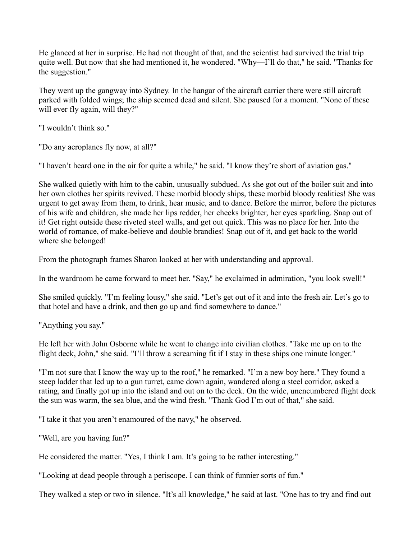He glanced at her in surprise. He had not thought of that, and the scientist had survived the trial trip quite well. But now that she had mentioned it, he wondered. "Why—I'll do that," he said. "Thanks for the suggestion."

They went up the gangway into Sydney. In the hangar of the aircraft carrier there were still aircraft parked with folded wings; the ship seemed dead and silent. She paused for a moment. "None of these will ever fly again, will they?"

"I wouldn't think so."

"Do any aeroplanes fly now, at all?"

"I haven't heard one in the air for quite a while," he said. "I know they're short of aviation gas."

She walked quietly with him to the cabin, unusually subdued. As she got out of the boiler suit and into her own clothes her spirits revived. These morbid bloody ships, these morbid bloody realities! She was urgent to get away from them, to drink, hear music, and to dance. Before the mirror, before the pictures of his wife and children, she made her lips redder, her cheeks brighter, her eyes sparkling. Snap out of it! Get right outside these riveted steel walls, and get out quick. This was no place for her. Into the world of romance, of make-believe and double brandies! Snap out of it, and get back to the world where she belonged!

From the photograph frames Sharon looked at her with understanding and approval.

In the wardroom he came forward to meet her. "Say," he exclaimed in admiration, "you look swell!"

She smiled quickly. "I'm feeling lousy," she said. "Let's get out of it and into the fresh air. Let's go to that hotel and have a drink, and then go up and find somewhere to dance."

"Anything you say."

He left her with John Osborne while he went to change into civilian clothes. "Take me up on to the flight deck, John," she said. "I'll throw a screaming fit if I stay in these ships one minute longer."

"I'm not sure that I know the way up to the roof," he remarked. "I'm a new boy here." They found a steep ladder that led up to a gun turret, came down again, wandered along a steel corridor, asked a rating, and finally got up into the island and out on to the deck. On the wide, unencumbered flight deck the sun was warm, the sea blue, and the wind fresh. "Thank God I'm out of that," she said.

"I take it that you aren't enamoured of the navy," he observed.

"Well, are you having fun?"

He considered the matter. "Yes, I think I am. It's going to be rather interesting."

"Looking at dead people through a periscope. I can think of funnier sorts of fun."

They walked a step or two in silence. "It's all knowledge," he said at last. "One has to try and find out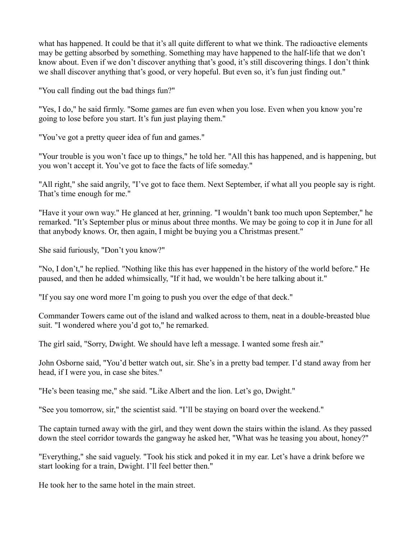what has happened. It could be that it's all quite different to what we think. The radioactive elements may be getting absorbed by something. Something may have happened to the half-life that we don't know about. Even if we don't discover anything that's good, it's still discovering things. I don't think we shall discover anything that's good, or very hopeful. But even so, it's fun just finding out."

"You call finding out the bad things fun?"

"Yes, I do," he said firmly. "Some games are fun even when you lose. Even when you know you're going to lose before you start. It's fun just playing them."

"You've got a pretty queer idea of fun and games."

"Your trouble is you won't face up to things," he told her. "All this has happened, and is happening, but you won't accept it. You've got to face the facts of life someday."

"All right," she said angrily, "I've got to face them. Next September, if what all you people say is right. That's time enough for me."

"Have it your own way." He glanced at her, grinning. "I wouldn't bank too much upon September," he remarked. "It's September plus or minus about three months. We may be going to cop it in June for all that anybody knows. Or, then again, I might be buying you a Christmas present."

She said furiously, "Don't you know?"

"No, I don't," he replied. "Nothing like this has ever happened in the history of the world before." He paused, and then he added whimsically, "If it had, we wouldn't be here talking about it."

"If you say one word more I'm going to push you over the edge of that deck."

Commander Towers came out of the island and walked across to them, neat in a double-breasted blue suit. "I wondered where you'd got to," he remarked.

The girl said, "Sorry, Dwight. We should have left a message. I wanted some fresh air."

John Osborne said, "You'd better watch out, sir. She's in a pretty bad temper. I'd stand away from her head, if I were you, in case she bites."

"He's been teasing me," she said. "Like Albert and the lion. Let's go, Dwight."

"See you tomorrow, sir," the scientist said. "I'll be staying on board over the weekend."

The captain turned away with the girl, and they went down the stairs within the island. As they passed down the steel corridor towards the gangway he asked her, "What was he teasing you about, honey?"

"Everything," she said vaguely. "Took his stick and poked it in my ear. Let's have a drink before we start looking for a train, Dwight. I'll feel better then."

He took her to the same hotel in the main street.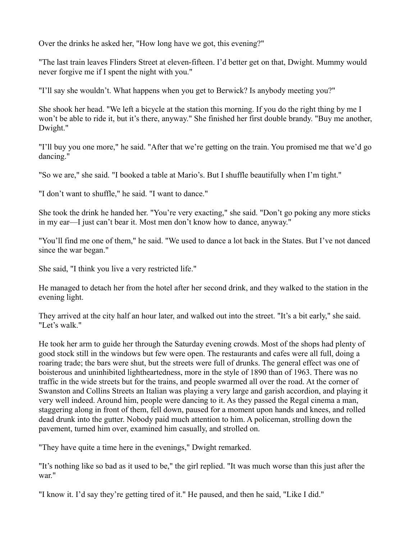Over the drinks he asked her, "How long have we got, this evening?"

"The last train leaves Flinders Street at eleven-fifteen. I'd better get on that, Dwight. Mummy would never forgive me if I spent the night with you."

"I'll say she wouldn't. What happens when you get to Berwick? Is anybody meeting you?"

She shook her head. "We left a bicycle at the station this morning. If you do the right thing by me I won't be able to ride it, but it's there, anyway." She finished her first double brandy. "Buy me another, Dwight."

"I'll buy you one more," he said. "After that we're getting on the train. You promised me that we'd go dancing."

"So we are," she said. "I booked a table at Mario's. But I shuffle beautifully when I'm tight."

"I don't want to shuffle," he said. "I want to dance."

She took the drink he handed her. "You're very exacting," she said. "Don't go poking any more sticks in my ear—I just can't bear it. Most men don't know how to dance, anyway."

"You'll find me one of them," he said. "We used to dance a lot back in the States. But I've not danced since the war began."

She said, "I think you live a very restricted life."

He managed to detach her from the hotel after her second drink, and they walked to the station in the evening light.

They arrived at the city half an hour later, and walked out into the street. "It's a bit early," she said. "Let's walk."

He took her arm to guide her through the Saturday evening crowds. Most of the shops had plenty of good stock still in the windows but few were open. The restaurants and cafes were all full, doing a roaring trade; the bars were shut, but the streets were full of drunks. The general effect was one of boisterous and uninhibited lightheartedness, more in the style of 1890 than of 1963. There was no traffic in the wide streets but for the trains, and people swarmed all over the road. At the corner of Swanston and Collins Streets an Italian was playing a very large and garish accordion, and playing it very well indeed. Around him, people were dancing to it. As they passed the Regal cinema a man, staggering along in front of them, fell down, paused for a moment upon hands and knees, and rolled dead drunk into the gutter. Nobody paid much attention to him. A policeman, strolling down the pavement, turned him over, examined him casually, and strolled on.

"They have quite a time here in the evenings," Dwight remarked.

"It's nothing like so bad as it used to be," the girl replied. "It was much worse than this just after the war."

"I know it. I'd say they're getting tired of it." He paused, and then he said, "Like I did."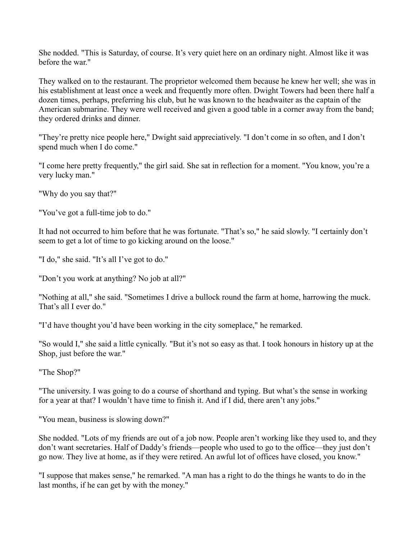She nodded. "This is Saturday, of course. It's very quiet here on an ordinary night. Almost like it was before the war."

They walked on to the restaurant. The proprietor welcomed them because he knew her well; she was in his establishment at least once a week and frequently more often. Dwight Towers had been there half a dozen times, perhaps, preferring his club, but he was known to the headwaiter as the captain of the American submarine. They were well received and given a good table in a corner away from the band; they ordered drinks and dinner.

"They're pretty nice people here," Dwight said appreciatively. "I don't come in so often, and I don't spend much when I do come."

"I come here pretty frequently," the girl said. She sat in reflection for a moment. "You know, you're a very lucky man."

"Why do you say that?"

"You've got a full-time job to do."

It had not occurred to him before that he was fortunate. "That's so," he said slowly. "I certainly don't seem to get a lot of time to go kicking around on the loose."

"I do," she said. "It's all I've got to do."

"Don't you work at anything? No job at all?"

"Nothing at all," she said. "Sometimes I drive a bullock round the farm at home, harrowing the muck. That's all I ever do."

"I'd have thought you'd have been working in the city someplace," he remarked.

"So would I," she said a little cynically. "But it's not so easy as that. I took honours in history up at the Shop, just before the war."

"The Shop?"

"The university. I was going to do a course of shorthand and typing. But what's the sense in working for a year at that? I wouldn't have time to finish it. And if I did, there aren't any jobs."

"You mean, business is slowing down?"

She nodded. "Lots of my friends are out of a job now. People aren't working like they used to, and they don't want secretaries. Half of Daddy's friends—people who used to go to the office—they just don't go now. They live at home, as if they were retired. An awful lot of offices have closed, you know."

"I suppose that makes sense," he remarked. "A man has a right to do the things he wants to do in the last months, if he can get by with the money."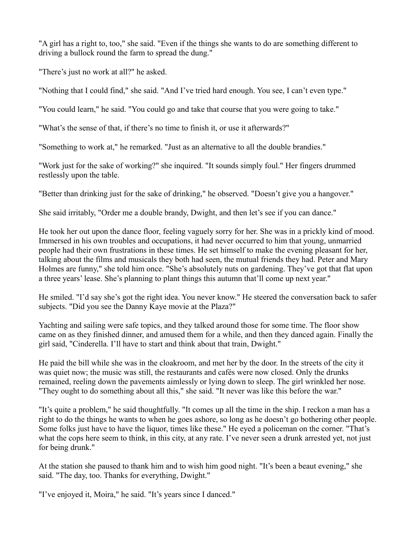"A girl has a right to, too," she said. "Even if the things she wants to do are something different to driving a bullock round the farm to spread the dung."

"There's just no work at all?" he asked.

"Nothing that I could find," she said. "And I've tried hard enough. You see, I can't even type."

"You could learn," he said. "You could go and take that course that you were going to take."

"What's the sense of that, if there's no time to finish it, or use it afterwards?"

"Something to work at," he remarked. "Just as an alternative to all the double brandies."

"Work just for the sake of working?" she inquired. "It sounds simply foul." Her fingers drummed restlessly upon the table.

"Better than drinking just for the sake of drinking," he observed. "Doesn't give you a hangover."

She said irritably, "Order me a double brandy, Dwight, and then let's see if you can dance."

He took her out upon the dance floor, feeling vaguely sorry for her. She was in a prickly kind of mood. Immersed in his own troubles and occupations, it had never occurred to him that young, unmarried people had their own frustrations in these times. He set himself to make the evening pleasant for her, talking about the films and musicals they both had seen, the mutual friends they had. Peter and Mary Holmes are funny," she told him once. "She's absolutely nuts on gardening. They've got that flat upon a three years' lease. She's planning to plant things this autumn that'll come up next year."

He smiled. "I'd say she's got the right idea. You never know." He steered the conversation back to safer subjects. "Did you see the Danny Kaye movie at the Plaza?"

Yachting and sailing were safe topics, and they talked around those for some time. The floor show came on as they finished dinner, and amused them for a while, and then they danced again. Finally the girl said, "Cinderella. I'll have to start and think about that train, Dwight."

He paid the bill while she was in the cloakroom, and met her by the door. In the streets of the city it was quiet now; the music was still, the restaurants and cafés were now closed. Only the drunks remained, reeling down the pavements aimlessly or lying down to sleep. The girl wrinkled her nose. "They ought to do something about all this," she said. "It never was like this before the war."

"It's quite a problem," he said thoughtfully. "It comes up all the time in the ship. I reckon a man has a right to do the things he wants to when he goes ashore, so long as he doesn't go bothering other people. Some folks just have to have the liquor, times like these." He eyed a policeman on the corner. "That's what the cops here seem to think, in this city, at any rate. I've never seen a drunk arrested yet, not just for being drunk."

At the station she paused to thank him and to wish him good night. "It's been a beaut evening," she said. "The day, too. Thanks for everything, Dwight."

"I've enjoyed it, Moira," he said. "It's years since I danced."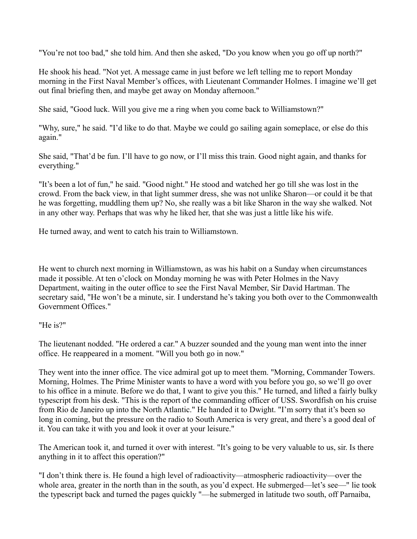"You're not too bad," she told him. And then she asked, "Do you know when you go off up north?"

He shook his head. "Not yet. A message came in just before we left telling me to report Monday morning in the First Naval Member's offices, with Lieutenant Commander Holmes. I imagine we'll get out final briefing then, and maybe get away on Monday afternoon."

She said, "Good luck. Will you give me a ring when you come back to Williamstown?"

"Why, sure," he said. "I'd like to do that. Maybe we could go sailing again someplace, or else do this again."

She said, "That'd be fun. I'll have to go now, or I'll miss this train. Good night again, and thanks for everything."

"It's been a lot of fun," he said. "Good night." He stood and watched her go till she was lost in the crowd. From the back view, in that light summer dress, she was not unlike Sharon—or could it be that he was forgetting, muddling them up? No, she really was a bit like Sharon in the way she walked. Not in any other way. Perhaps that was why he liked her, that she was just a little like his wife.

He turned away, and went to catch his train to Williamstown.

He went to church next morning in Williamstown, as was his habit on a Sunday when circumstances made it possible. At ten o'clock on Monday morning he was with Peter Holmes in the Navy Department, waiting in the outer office to see the First Naval Member, Sir David Hartman. The secretary said, "He won't be a minute, sir. I understand he's taking you both over to the Commonwealth Government Offices."

## "He is?"

The lieutenant nodded. "He ordered a car." A buzzer sounded and the young man went into the inner office. He reappeared in a moment. "Will you both go in now."

They went into the inner office. The vice admiral got up to meet them. "Morning, Commander Towers. Morning, Holmes. The Prime Minister wants to have a word with you before you go, so we'll go over to his office in a minute. Before we do that, I want to give you this." He turned, and lifted a fairly bulky typescript from his desk. "This is the report of the commanding officer of USS. Swordfish on his cruise from Rio de Janeiro up into the North Atlantic." He handed it to Dwight. "I'm sorry that it's been so long in coming, but the pressure on the radio to South America is very great, and there's a good deal of it. You can take it with you and look it over at your leisure."

The American took it, and turned it over with interest. "It's going to be very valuable to us, sir. Is there anything in it to affect this operation?"

"I don't think there is. He found a high level of radioactivity—atmospheric radioactivity—over the whole area, greater in the north than in the south, as you'd expect. He submerged—let's see—" lie took the typescript back and turned the pages quickly "—he submerged in latitude two south, off Parnaiba,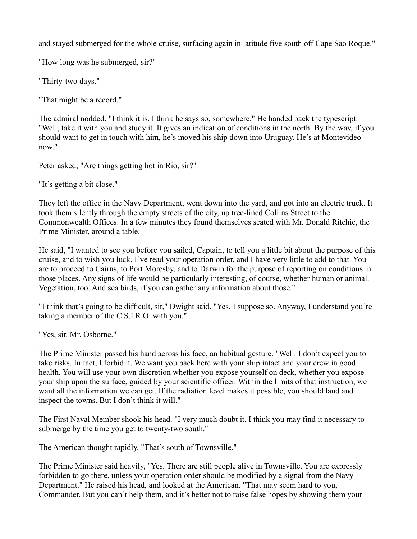and stayed submerged for the whole cruise, surfacing again in latitude five south off Cape Sao Roque."

"How long was he submerged, sir?"

"Thirty-two days."

"That might be a record."

The admiral nodded. "I think it is. I think he says so, somewhere." He handed back the typescript. "Well, take it with you and study it. It gives an indication of conditions in the north. By the way, if you should want to get in touch with him, he's moved his ship down into Uruguay. He's at Montevideo now."

Peter asked, "Are things getting hot in Rio, sir?"

"It's getting a bit close."

They left the office in the Navy Department, went down into the yard, and got into an electric truck. It took them silently through the empty streets of the city, up tree-lined Collins Street to the Commonwealth Offices. In a few minutes they found themselves seated with Mr. Donald Ritchie, the Prime Minister, around a table.

He said, "I wanted to see you before you sailed, Captain, to tell you a little bit about the purpose of this cruise, and to wish you luck. I've read your operation order, and I have very little to add to that. You are to proceed to Cairns, to Port Moresby, and to Darwin for the purpose of reporting on conditions in those places. Any signs of life would be particularly interesting, of course, whether human or animal. Vegetation, too. And sea birds, if you can gather any information about those."

"I think that's going to be difficult, sir," Dwight said. "Yes, I suppose so. Anyway, I understand you're taking a member of the C.S.I.R.O. with you."

"Yes, sir. Mr. Osborne."

The Prime Minister passed his hand across his face, an habitual gesture. "Well. I don't expect you to take risks. In fact, I forbid it. We want you back here with your ship intact and your crew in good health. You will use your own discretion whether you expose yourself on deck, whether you expose your ship upon the surface, guided by your scientific officer. Within the limits of that instruction, we want all the information we can get. If the radiation level makes it possible, you should land and inspect the towns. But I don't think it will."

The First Naval Member shook his head. "I very much doubt it. I think you may find it necessary to submerge by the time you get to twenty-two south."

The American thought rapidly. "That's south of Townsville."

The Prime Minister said heavily, "Yes. There are still people alive in Townsville. You are expressly forbidden to go there, unless your operation order should be modified by a signal from the Navy Department." He raised his head, and looked at the American. "That may seem hard to you, Commander. But you can't help them, and it's better not to raise false hopes by showing them your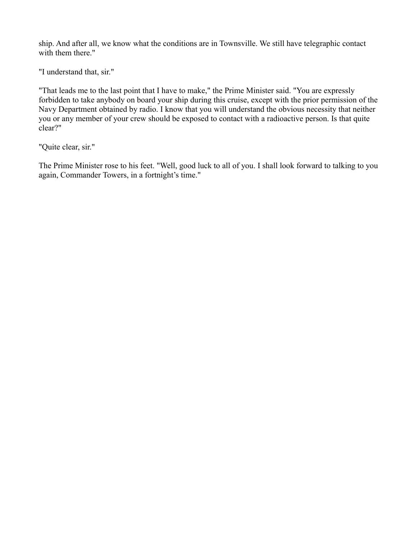ship. And after all, we know what the conditions are in Townsville. We still have telegraphic contact with them there."

"I understand that, sir."

"That leads me to the last point that I have to make," the Prime Minister said. "You are expressly forbidden to take anybody on board your ship during this cruise, except with the prior permission of the Navy Department obtained by radio. I know that you will understand the obvious necessity that neither you or any member of your crew should be exposed to contact with a radioactive person. Is that quite clear?"

"Quite clear, sir."

The Prime Minister rose to his feet. "Well, good luck to all of you. I shall look forward to talking to you again, Commander Towers, in a fortnight's time."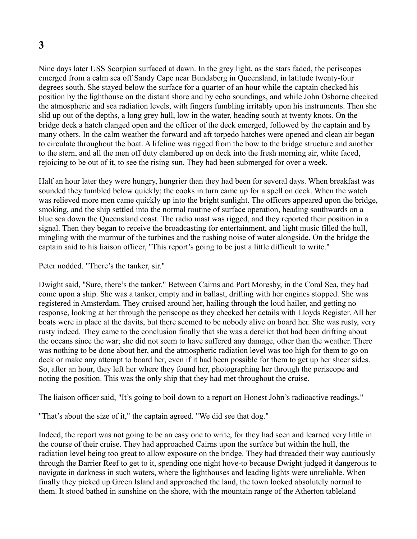## **3**

Nine days later USS Scorpion surfaced at dawn. In the grey light, as the stars faded, the periscopes emerged from a calm sea off Sandy Cape near Bundaberg in Queensland, in latitude twenty-four degrees south. She stayed below the surface for a quarter of an hour while the captain checked his position by the lighthouse on the distant shore and by echo soundings, and while John Osborne checked the atmospheric and sea radiation levels, with fingers fumbling irritably upon his instruments. Then she slid up out of the depths, a long grey hull, low in the water, heading south at twenty knots. On the bridge deck a hatch clanged open and the officer of the deck emerged, followed by the captain and by many others. In the calm weather the forward and aft torpedo hatches were opened and clean air began to circulate throughout the boat. A lifeline was rigged from the bow to the bridge structure and another to the stern, and all the men off duty clambered up on deck into the fresh morning air, white faced, rejoicing to be out of it, to see the rising sun. They had been submerged for over a week.

Half an hour later they were hungry, hungrier than they had been for several days. When breakfast was sounded they tumbled below quickly; the cooks in turn came up for a spell on deck. When the watch was relieved more men came quickly up into the bright sunlight. The officers appeared upon the bridge, smoking, and the ship settled into the normal routine of surface operation, heading southwards on a blue sea down the Queensland coast. The radio mast was rigged, and they reported their position in a signal. Then they began to receive the broadcasting for entertainment, and light music filled the hull, mingling with the murmur of the turbines and the rushing noise of water alongside. On the bridge the captain said to his liaison officer, "This report's going to be just a little difficult to write."

Peter nodded. "There's the tanker, sir."

Dwight said, "Sure, there's the tanker." Between Cairns and Port Moresby, in the Coral Sea, they had come upon a ship. She was a tanker, empty and in ballast, drifting with her engines stopped. She was registered in Amsterdam. They cruised around her, hailing through the loud hailer, and getting no response, looking at her through the periscope as they checked her details with Lloyds Register. All her boats were in place at the davits, but there seemed to be nobody alive on board her. She was rusty, very rusty indeed. They came to the conclusion finally that she was a derelict that had been drifting about the oceans since the war; she did not seem to have suffered any damage, other than the weather. There was nothing to be done about her, and the atmospheric radiation level was too high for them to go on deck or make any attempt to board her, even if it had been possible for them to get up her sheer sides. So, after an hour, they left her where they found her, photographing her through the periscope and noting the position. This was the only ship that they had met throughout the cruise.

The liaison officer said, "It's going to boil down to a report on Honest John's radioactive readings."

"That's about the size of it," the captain agreed. "We did see that dog."

Indeed, the report was not going to be an easy one to write, for they had seen and learned very little in the course of their cruise. They had approached Cairns upon the surface but within the hull, the radiation level being too great to allow exposure on the bridge. They had threaded their way cautiously through the Barrier Reef to get to it, spending one night hove-to because Dwight judged it dangerous to navigate in darkness in such waters, where the lighthouses and leading lights were unreliable. When finally they picked up Green Island and approached the land, the town looked absolutely normal to them. It stood bathed in sunshine on the shore, with the mountain range of the Atherton tableland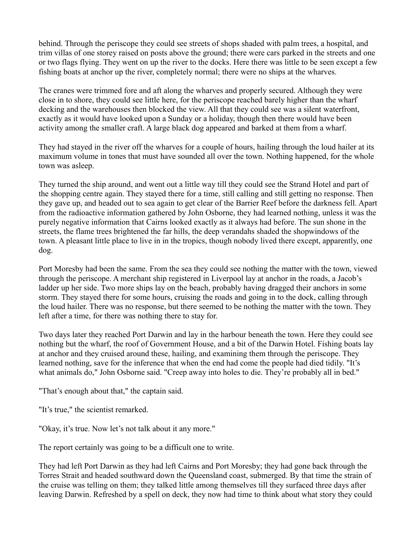behind. Through the periscope they could see streets of shops shaded with palm trees, a hospital, and trim villas of one storey raised on posts above the ground; there were cars parked in the streets and one or two flags flying. They went on up the river to the docks. Here there was little to be seen except a few fishing boats at anchor up the river, completely normal; there were no ships at the wharves.

The cranes were trimmed fore and aft along the wharves and properly secured. Although they were close in to shore, they could see little here, for the periscope reached barely higher than the wharf decking and the warehouses then blocked the view. All that they could see was a silent waterfront, exactly as it would have looked upon a Sunday or a holiday, though then there would have been activity among the smaller craft. A large black dog appeared and barked at them from a wharf.

They had stayed in the river off the wharves for a couple of hours, hailing through the loud hailer at its maximum volume in tones that must have sounded all over the town. Nothing happened, for the whole town was asleep.

They turned the ship around, and went out a little way till they could see the Strand Hotel and part of the shopping centre again. They stayed there for a time, still calling and still getting no response. Then they gave up, and headed out to sea again to get clear of the Barrier Reef before the darkness fell. Apart from the radioactive information gathered by John Osborne, they had learned nothing, unless it was the purely negative information that Cairns looked exactly as it always had before. The sun shone in the streets, the flame trees brightened the far hills, the deep verandahs shaded the shopwindows of the town. A pleasant little place to live in in the tropics, though nobody lived there except, apparently, one dog.

Port Moresby had been the same. From the sea they could see nothing the matter with the town, viewed through the periscope. A merchant ship registered in Liverpool lay at anchor in the roads, a Jacob's ladder up her side. Two more ships lay on the beach, probably having dragged their anchors in some storm. They stayed there for some hours, cruising the roads and going in to the dock, calling through the loud hailer. There was no response, but there seemed to be nothing the matter with the town. They left after a time, for there was nothing there to stay for.

Two days later they reached Port Darwin and lay in the harbour beneath the town. Here they could see nothing but the wharf, the roof of Government House, and a bit of the Darwin Hotel. Fishing boats lay at anchor and they cruised around these, hailing, and examining them through the periscope. They learned nothing, save for the inference that when the end had come the people had died tidily. "It's what animals do," John Osborne said. "Creep away into holes to die. They're probably all in bed."

"That's enough about that," the captain said.

"It's true," the scientist remarked.

"Okay, it's true. Now let's not talk about it any more."

The report certainly was going to be a difficult one to write.

They had left Port Darwin as they had left Cairns and Port Moresby; they had gone back through the Torres Strait and headed southward down the Queensland coast, submerged. By that time the strain of the cruise was telling on them; they talked little among themselves till they surfaced three days after leaving Darwin. Refreshed by a spell on deck, they now had time to think about what story they could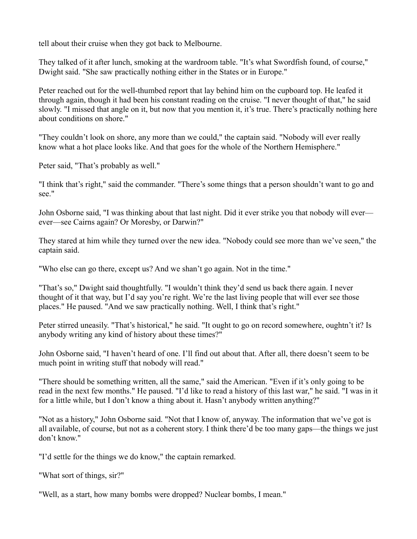tell about their cruise when they got back to Melbourne.

They talked of it after lunch, smoking at the wardroom table. "It's what Swordfish found, of course," Dwight said. "She saw practically nothing either in the States or in Europe."

Peter reached out for the well-thumbed report that lay behind him on the cupboard top. He leafed it through again, though it had been his constant reading on the cruise. "I never thought of that," he said slowly. "I missed that angle on it, but now that you mention it, it's true. There's practically nothing here about conditions on shore."

"They couldn't look on shore, any more than we could," the captain said. "Nobody will ever really know what a hot place looks like. And that goes for the whole of the Northern Hemisphere."

Peter said, "That's probably as well."

"I think that's right," said the commander. "There's some things that a person shouldn't want to go and see."

John Osborne said, "I was thinking about that last night. Did it ever strike you that nobody will ever ever—see Cairns again? Or Moresby, or Darwin?"

They stared at him while they turned over the new idea. "Nobody could see more than we've seen," the captain said.

"Who else can go there, except us? And we shan't go again. Not in the time."

"That's so," Dwight said thoughtfully. "I wouldn't think they'd send us back there again. I never thought of it that way, but I'd say you're right. We're the last living people that will ever see those places." He paused. "And we saw practically nothing. Well, I think that's right."

Peter stirred uneasily. "That's historical," he said. "It ought to go on record somewhere, oughtn't it? Is anybody writing any kind of history about these times?"

John Osborne said, "I haven't heard of one. I'll find out about that. After all, there doesn't seem to be much point in writing stuff that nobody will read."

"There should be something written, all the same," said the American. "Even if it's only going to be read in the next few months." He paused. "I'd like to read a history of this last war," he said. "I was in it for a little while, but I don't know a thing about it. Hasn't anybody written anything?"

"Not as a history," John Osborne said. "Not that I know of, anyway. The information that we've got is all available, of course, but not as a coherent story. I think there'd be too many gaps—the things we just don't know."

"I'd settle for the things we do know," the captain remarked.

"What sort of things, sir?"

"Well, as a start, how many bombs were dropped? Nuclear bombs, I mean."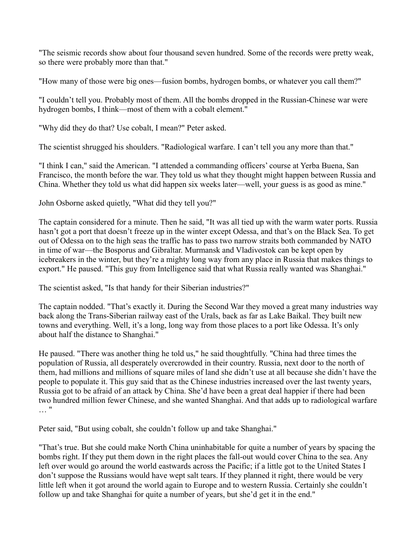"The seismic records show about four thousand seven hundred. Some of the records were pretty weak, so there were probably more than that."

"How many of those were big ones—fusion bombs, hydrogen bombs, or whatever you call them?"

"I couldn't tell you. Probably most of them. All the bombs dropped in the Russian-Chinese war were hydrogen bombs, I think—most of them with a cobalt element."

"Why did they do that? Use cobalt, I mean?" Peter asked.

The scientist shrugged his shoulders. "Radiological warfare. I can't tell you any more than that."

"I think I can," said the American. "I attended a commanding officers' course at Yerba Buena, San Francisco, the month before the war. They told us what they thought might happen between Russia and China. Whether they told us what did happen six weeks later—well, your guess is as good as mine."

John Osborne asked quietly, "What did they tell you?"

The captain considered for a minute. Then he said, "It was all tied up with the warm water ports. Russia hasn't got a port that doesn't freeze up in the winter except Odessa, and that's on the Black Sea. To get out of Odessa on to the high seas the traffic has to pass two narrow straits both commanded by NATO in time of war—the Bosporus and Gibraltar. Murmansk and Vladivostok can be kept open by icebreakers in the winter, but they're a mighty long way from any place in Russia that makes things to export." He paused. "This guy from Intelligence said that what Russia really wanted was Shanghai."

The scientist asked, "Is that handy for their Siberian industries?"

The captain nodded. "That's exactly it. During the Second War they moved a great many industries way back along the Trans-Siberian railway east of the Urals, back as far as Lake Baikal. They built new towns and everything. Well, it's a long, long way from those places to a port like Odessa. It's only about half the distance to Shanghai."

He paused. "There was another thing he told us," he said thoughtfully. "China had three times the population of Russia, all desperately overcrowded in their country. Russia, next door to the north of them, had millions and millions of square miles of land she didn't use at all because she didn't have the people to populate it. This guy said that as the Chinese industries increased over the last twenty years, Russia got to be afraid of an attack by China. She'd have been a great deal happier if there had been two hundred million fewer Chinese, and she wanted Shanghai. And that adds up to radiological warfare  $\mathbf{m}$ 

Peter said, "But using cobalt, she couldn't follow up and take Shanghai."

"That's true. But she could make North China uninhabitable for quite a number of years by spacing the bombs right. If they put them down in the right places the fall-out would cover China to the sea. Any left over would go around the world eastwards across the Pacific; if a little got to the United States I don't suppose the Russians would have wept salt tears. If they planned it right, there would be very little left when it got around the world again to Europe and to western Russia. Certainly she couldn't follow up and take Shanghai for quite a number of years, but she'd get it in the end."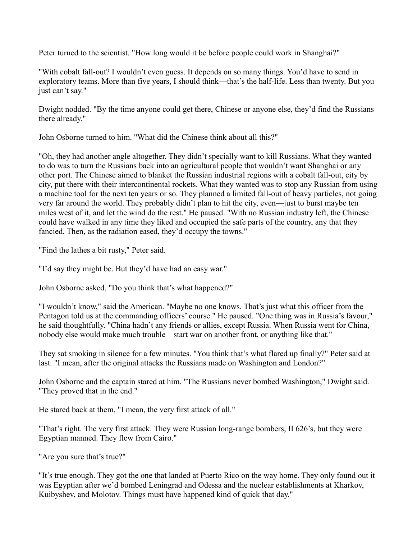Peter turned to the scientist. "How long would it be before people could work in Shanghai?"

"With cobalt fall-out? I wouldn't even guess. It depends on so many things. You'd have to send in exploratory teams. More than five years, I should think—that's the half-life. Less than twenty. But you just can't say."

Dwight nodded. "By the time anyone could get there, Chinese or anyone else, they'd find the Russians there already."

John Osborne turned to him. "What did the Chinese think about all this?"

"Oh, they had another angle altogether. They didn't specially want to kill Russians. What they wanted to do was to turn the Russians back into an agricultural people that wouldn't want Shanghai or any other port. The Chinese aimed to blanket the Russian industrial regions with a cobalt fall-out, city by city, put there with their intercontinental rockets. What they wanted was to stop any Russian from using a machine tool for the next ten years or so. They planned a limited fall-out of heavy particles, not going very far around the world. They probably didn't plan to hit the city, even—just to burst maybe ten miles west of it, and let the wind do the rest." He paused. "With no Russian industry left, the Chinese could have walked in any time they liked and occupied the safe parts of the country, any that they fancied. Then, as the radiation eased, they'd occupy the towns."

"Find the lathes a bit rusty," Peter said.

"I'd say they might be. But they'd have had an easy war."

John Osborne asked, "Do you think that's what happened?"

"I wouldn't know," said the American. "Maybe no one knows. That's just what this officer from the Pentagon told us at the commanding officers' course." He paused. "One thing was in Russia's favour," he said thoughtfully. "China hadn't any friends or allies, except Russia. When Russia went for China, nobody else would make much trouble—start war on another front, or anything like that."

They sat smoking in silence for a few minutes. "You think that's what flared up finally?" Peter said at last. "I mean, after the original attacks the Russians made on Washington and London?"

John Osborne and the captain stared at him. "The Russians never bombed Washington," Dwight said. "They proved that in the end."

He stared back at them. "I mean, the very first attack of all."

"That's right. The very first attack. They were Russian long-range bombers, II 626's, but they were Egyptian manned. They flew from Cairo."

"Are you sure that's true?"

"It's true enough. They got the one that landed at Puerto Rico on the way home. They only found out it was Egyptian after we'd bombed Leningrad and Odessa and the nuclear establishments at Kharkov, Kuibyshev, and Molotov. Things must have happened kind of quick that day."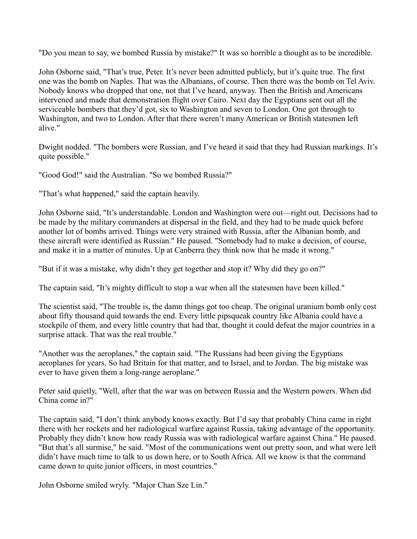"Do you mean to say, we bombed Russia by mistake?" It was so horrible a thought as to be incredible.

John Osborne said, "That's true, Peter. It's never been admitted publicly, but it's quite true. The first one was the bomb on Naples. That was the Albanians, of course. Then there was the bomb on Tel Aviv. Nobody knows who dropped that one, not that I've heard, anyway. Then the British and Americans intervened and made that demonstration flight over Cairo. Next day the Egyptians sent out all the serviceable bombers that they'd got, six to Washington and seven to London. One got through to Washington, and two to London. After that there weren't many American or British statesmen left alive."

Dwight nodded. "The bombers were Russian, and I've heard it said that they had Russian markings. It's quite possible."

"Good God!" said the Australian. "So we bombed Russia?"

"That's what happened," said the captain heavily.

John Osborne said, "It's understandable. London and Washington were out—right out. Decisions had to be made by the military commanders at dispersal in the field, and they had to be made quick before another lot of bombs arrived. Things were very strained with Russia, after the Albanian bomb, and these aircraft were identified as Russian." He paused. "Somebody had to make a decision, of course, and make it in a matter of minutes. Up at Canberra they think now that he made it wrong."

"But if it was a mistake, why didn't they get together and stop it? Why did they go on?"

The captain said, "It's mighty difficult to stop a war when all the statesmen have been killed."

The scientist said, "The trouble is, the damn things got too cheap. The original uranium bomb only cost about fifty thousand quid towards the end. Every little pipsqueak country like Albania could have a stockpile of them, and every little country that had that, thought it could defeat the major countries in a surprise attack. That was the real trouble."

"Another was the aeroplanes," the captain said. "The Russians had been giving the Egyptians aeroplanes for years. So had Britain for that matter, and to Israel, and to Jordan. The big mistake was ever to have given them a long-range aeroplane."

Peter said quietly, "Well, after that the war was on between Russia and the Western powers. When did China come in?"

The captain said, "I don't think anybody knows exactly. But I'd say that probably China came in right there with her rockets and her radiological warfare against Russia, taking advantage of the opportunity. Probably they didn't know how ready Russia was with radiological warfare against China." He paused. "But that's all surmise," he said. "Most of the communications went out pretty soon, and what were left didn't have much time to talk to us down here, or to South Africa. All we know is that the command came down to quite junior officers, in most countries."

John Osborne smiled wryly. "Major Chan Sze Lin."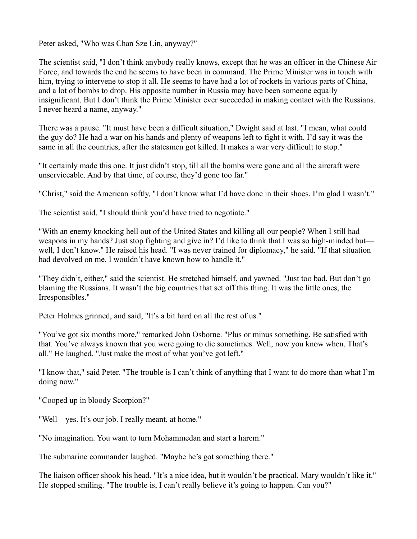Peter asked, "Who was Chan Sze Lin, anyway?"

The scientist said, "I don't think anybody really knows, except that he was an officer in the Chinese Air Force, and towards the end he seems to have been in command. The Prime Minister was in touch with him, trying to intervene to stop it all. He seems to have had a lot of rockets in various parts of China, and a lot of bombs to drop. His opposite number in Russia may have been someone equally insignificant. But I don't think the Prime Minister ever succeeded in making contact with the Russians. I never heard a name, anyway."

There was a pause. "It must have been a difficult situation," Dwight said at last. "I mean, what could the guy do? He had a war on his hands and plenty of weapons left to fight it with. I'd say it was the same in all the countries, after the statesmen got killed. It makes a war very difficult to stop."

"It certainly made this one. It just didn't stop, till all the bombs were gone and all the aircraft were unserviceable. And by that time, of course, they'd gone too far."

"Christ," said the American softly, "I don't know what I'd have done in their shoes. I'm glad I wasn't."

The scientist said, "I should think you'd have tried to negotiate."

"With an enemy knocking hell out of the United States and killing all our people? When I still had weapons in my hands? Just stop fighting and give in? I'd like to think that I was so high-minded but well, I don't know." He raised his head. "I was never trained for diplomacy," he said. "If that situation had devolved on me, I wouldn't have known how to handle it."

"They didn't, either," said the scientist. He stretched himself, and yawned. "Just too bad. But don't go blaming the Russians. It wasn't the big countries that set off this thing. It was the little ones, the Irresponsibles."

Peter Holmes grinned, and said, "It's a bit hard on all the rest of us."

"You've got six months more," remarked John Osborne. "Plus or minus something. Be satisfied with that. You've always known that you were going to die sometimes. Well, now you know when. That's all." He laughed. "Just make the most of what you've got left."

"I know that," said Peter. "The trouble is I can't think of anything that I want to do more than what I'm doing now."

"Cooped up in bloody Scorpion?"

"Well—yes. It's our job. I really meant, at home."

"No imagination. You want to turn Mohammedan and start a harem."

The submarine commander laughed. "Maybe he's got something there."

The liaison officer shook his head. "It's a nice idea, but it wouldn't be practical. Mary wouldn't like it." He stopped smiling. "The trouble is, I can't really believe it's going to happen. Can you?"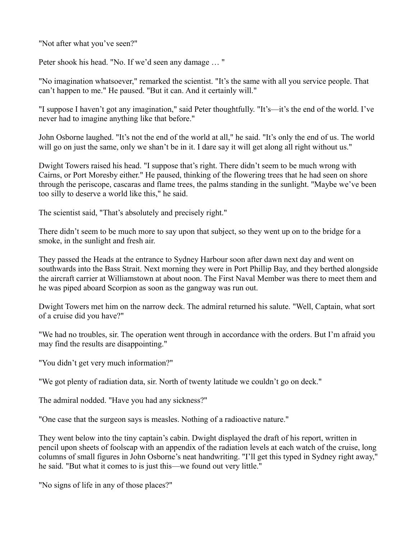"Not after what you've seen?"

Peter shook his head. "No. If we'd seen any damage … "

"No imagination whatsoever," remarked the scientist. "It's the same with all you service people. That can't happen to me." He paused. "But it can. And it certainly will."

"I suppose I haven't got any imagination," said Peter thoughtfully. "It's—it's the end of the world. I've never had to imagine anything like that before."

John Osborne laughed. "It's not the end of the world at all," he said. "It's only the end of us. The world will go on just the same, only we shan't be in it. I dare say it will get along all right without us."

Dwight Towers raised his head. "I suppose that's right. There didn't seem to be much wrong with Cairns, or Port Moresby either." He paused, thinking of the flowering trees that he had seen on shore through the periscope, cascaras and flame trees, the palms standing in the sunlight. "Maybe we've been too silly to deserve a world like this," he said.

The scientist said, "That's absolutely and precisely right."

There didn't seem to be much more to say upon that subject, so they went up on to the bridge for a smoke, in the sunlight and fresh air.

They passed the Heads at the entrance to Sydney Harbour soon after dawn next day and went on southwards into the Bass Strait. Next morning they were in Port Phillip Bay, and they berthed alongside the aircraft carrier at Williamstown at about noon. The First Naval Member was there to meet them and he was piped aboard Scorpion as soon as the gangway was run out.

Dwight Towers met him on the narrow deck. The admiral returned his salute. "Well, Captain, what sort of a cruise did you have?"

"We had no troubles, sir. The operation went through in accordance with the orders. But I'm afraid you may find the results are disappointing."

"You didn't get very much information?"

"We got plenty of radiation data, sir. North of twenty latitude we couldn't go on deck."

The admiral nodded. "Have you had any sickness?"

"One case that the surgeon says is measles. Nothing of a radioactive nature."

They went below into the tiny captain's cabin. Dwight displayed the draft of his report, written in pencil upon sheets of foolscap with an appendix of the radiation levels at each watch of the cruise, long columns of small figures in John Osborne's neat handwriting. "I'll get this typed in Sydney right away," he said. "But what it comes to is just this—we found out very little."

"No signs of life in any of those places?"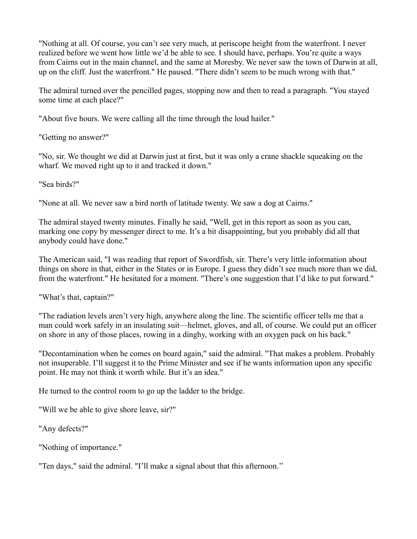"Nothing at all. Of course, you can't see very much, at periscope height from the waterfront. I never realized before we went how little we'd be able to see. I should have, perhaps. You're quite a ways from Cairns out in the main channel, and the same at Moresby. We never saw the town of Darwin at all, up on the cliff. Just the waterfront." He paused. "There didn't seem to be much wrong with that."

The admiral turned over the pencilled pages, stopping now and then to read a paragraph. "You stayed some time at each place?"

"About five hours. We were calling all the time through the loud hailer."

"Getting no answer?"

"No, sir. We thought we did at Darwin just at first, but it was only a crane shackle squeaking on the wharf. We moved right up to it and tracked it down."

"Sea birds?"

"None at all. We never saw a bird north of latitude twenty. We saw a dog at Cairns."

The admiral stayed twenty minutes. Finally he said, "Well, get in this report as soon as you can, marking one copy by messenger direct to me. It's a bit disappointing, but you probably did all that anybody could have done."

The American said, "I was reading that report of Swordfish, sir. There's very little information about things on shore in that, either in the States or in Europe. I guess they didn't see much more than we did, from the waterfront." He hesitated for a moment. "There's one suggestion that I'd like to put forward."

"What's that, captain?"

"The radiation levels aren't very high, anywhere along the line. The scientific officer tells me that a man could work safely in an insulating suit—helmet, gloves, and all, of course. We could put an officer on shore in any of those places, rowing in a dinghy, working with an oxygen pack on his back."

"Decontamination when he comes on board again," said the admiral. "That makes a problem. Probably not insuperable. I'll suggest it to the Prime Minister and see if he wants information upon any specific point. He may not think it worth while. But it's an idea."

He turned to the control room to go up the ladder to the bridge.

"Will we be able to give shore leave, sir?"

"Any defects?"

"Nothing of importance."

"Ten days," said the admiral. "I'll make a signal about that this afternoon.''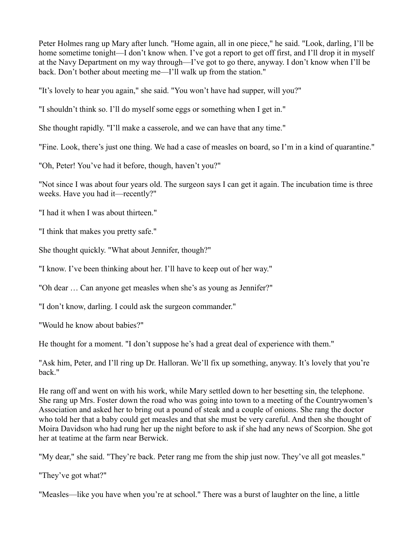Peter Holmes rang up Mary after lunch. "Home again, all in one piece," he said. "Look, darling, I'll be home sometime tonight—I don't know when. I've got a report to get off first, and I'll drop it in myself at the Navy Department on my way through—I've got to go there, anyway. I don't know when I'll be back. Don't bother about meeting me—I'll walk up from the station."

"It's lovely to hear you again," she said. "You won't have had supper, will you?"

"I shouldn't think so. I'll do myself some eggs or something when I get in."

She thought rapidly. "I'll make a casserole, and we can have that any time."

"Fine. Look, there's just one thing. We had a case of measles on board, so I'm in a kind of quarantine."

"Oh, Peter! You've had it before, though, haven't you?"

"Not since I was about four years old. The surgeon says I can get it again. The incubation time is three weeks. Have you had it—recently?"

"I had it when I was about thirteen."

"I think that makes you pretty safe."

She thought quickly. "What about Jennifer, though?"

"I know. I've been thinking about her. I'll have to keep out of her way."

"Oh dear … Can anyone get measles when she's as young as Jennifer?"

"I don't know, darling. I could ask the surgeon commander."

"Would he know about babies?"

He thought for a moment. "I don't suppose he's had a great deal of experience with them."

"Ask him, Peter, and I'll ring up Dr. Halloran. We'll fix up something, anyway. It's lovely that you're back."

He rang off and went on with his work, while Mary settled down to her besetting sin, the telephone. She rang up Mrs. Foster down the road who was going into town to a meeting of the Countrywomen's Association and asked her to bring out a pound of steak and a couple of onions. She rang the doctor who told her that a baby could get measles and that she must be very careful. And then she thought of Moira Davidson who had rung her up the night before to ask if she had any news of Scorpion. She got her at teatime at the farm near Berwick.

"My dear," she said. "They're back. Peter rang me from the ship just now. They've all got measles."

"They've got what?"

"Measles—like you have when you're at school." There was a burst of laughter on the line, a little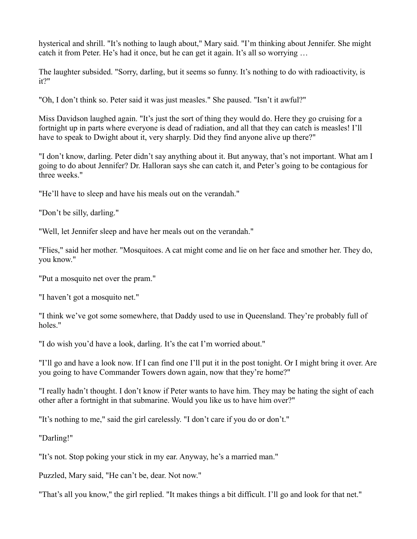hysterical and shrill. "It's nothing to laugh about," Mary said. "I'm thinking about Jennifer. She might catch it from Peter. He's had it once, but he can get it again. It's all so worrying …

The laughter subsided. "Sorry, darling, but it seems so funny. It's nothing to do with radioactivity, is it?"

"Oh, I don't think so. Peter said it was just measles." She paused. "Isn't it awful?"

Miss Davidson laughed again. "It's just the sort of thing they would do. Here they go cruising for a fortnight up in parts where everyone is dead of radiation, and all that they can catch is measles! I'll have to speak to Dwight about it, very sharply. Did they find anyone alive up there?"

"I don't know, darling. Peter didn't say anything about it. But anyway, that's not important. What am I going to do about Jennifer? Dr. Halloran says she can catch it, and Peter's going to be contagious for three weeks."

"He'll have to sleep and have his meals out on the verandah."

"Don't be silly, darling."

"Well, let Jennifer sleep and have her meals out on the verandah."

"Flies," said her mother. "Mosquitoes. A cat might come and lie on her face and smother her. They do, you know."

"Put a mosquito net over the pram."

"I haven't got a mosquito net."

"I think we've got some somewhere, that Daddy used to use in Queensland. They're probably full of holes."

"I do wish you'd have a look, darling. It's the cat I'm worried about."

"I'll go and have a look now. If I can find one I'll put it in the post tonight. Or I might bring it over. Are you going to have Commander Towers down again, now that they're home?"

"I really hadn't thought. I don't know if Peter wants to have him. They may be hating the sight of each other after a fortnight in that submarine. Would you like us to have him over?"

"It's nothing to me," said the girl carelessly. "I don't care if you do or don't."

"Darling!"

"It's not. Stop poking your stick in my ear. Anyway, he's a married man."

Puzzled, Mary said, "He can't be, dear. Not now."

"That's all you know," the girl replied. "It makes things a bit difficult. I'll go and look for that net."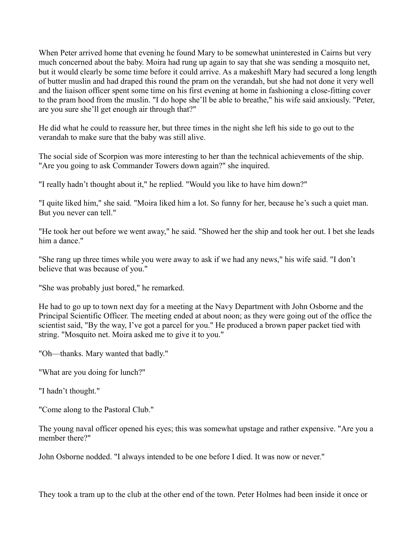When Peter arrived home that evening he found Mary to be somewhat uninterested in Cairns but very much concerned about the baby. Moira had rung up again to say that she was sending a mosquito net, but it would clearly be some time before it could arrive. As a makeshift Mary had secured a long length of butter muslin and had draped this round the pram on the verandah, but she had not done it very well and the liaison officer spent some time on his first evening at home in fashioning a close-fitting cover to the pram hood from the muslin. "I do hope she'll be able to breathe," his wife said anxiously. "Peter, are you sure she'll get enough air through that?"

He did what he could to reassure her, but three times in the night she left his side to go out to the verandah to make sure that the baby was still alive.

The social side of Scorpion was more interesting to her than the technical achievements of the ship. "Are you going to ask Commander Towers down again?" she inquired.

"I really hadn't thought about it," he replied. "Would you like to have him down?"

"I quite liked him," she said. "Moira liked him a lot. So funny for her, because he's such a quiet man. But you never can tell."

"He took her out before we went away," he said. "Showed her the ship and took her out. I bet she leads him a dance."

"She rang up three times while you were away to ask if we had any news," his wife said. "I don't believe that was because of you."

"She was probably just bored," he remarked.

He had to go up to town next day for a meeting at the Navy Department with John Osborne and the Principal Scientific Officer. The meeting ended at about noon; as they were going out of the office the scientist said, "By the way, I've got a parcel for you." He produced a brown paper packet tied with string. "Mosquito net. Moira asked me to give it to you."

"Oh—thanks. Mary wanted that badly."

"What are you doing for lunch?"

"I hadn't thought."

"Come along to the Pastoral Club."

The young naval officer opened his eyes; this was somewhat upstage and rather expensive. "Are you a member there?"

John Osborne nodded. "I always intended to be one before I died. It was now or never."

They took a tram up to the club at the other end of the town. Peter Holmes had been inside it once or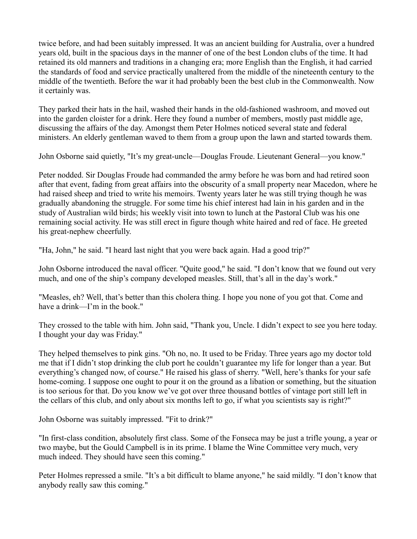twice before, and had been suitably impressed. It was an ancient building for Australia, over a hundred years old, built in the spacious days in the manner of one of the best London clubs of the time. It had retained its old manners and traditions in a changing era; more English than the English, it had carried the standards of food and service practically unaltered from the middle of the nineteenth century to the middle of the twentieth. Before the war it had probably been the best club in the Commonwealth. Now it certainly was.

They parked their hats in the hail, washed their hands in the old-fashioned washroom, and moved out into the garden cloister for a drink. Here they found a number of members, mostly past middle age, discussing the affairs of the day. Amongst them Peter Holmes noticed several state and federal ministers. An elderly gentleman waved to them from a group upon the lawn and started towards them.

John Osborne said quietly, "It's my great-uncle—Douglas Froude. Lieutenant General—you know."

Peter nodded. Sir Douglas Froude had commanded the army before he was born and had retired soon after that event, fading from great affairs into the obscurity of a small property near Macedon, where he had raised sheep and tried to write his memoirs. Twenty years later he was still trying though he was gradually abandoning the struggle. For some time his chief interest had lain in his garden and in the study of Australian wild birds; his weekly visit into town to lunch at the Pastoral Club was his one remaining social activity. He was still erect in figure though white haired and red of face. He greeted his great-nephew cheerfully.

"Ha, John," he said. "I heard last night that you were back again. Had a good trip?"

John Osborne introduced the naval officer. "Quite good," he said. "I don't know that we found out very much, and one of the ship's company developed measles. Still, that's all in the day's work."

"Measles, eh? Well, that's better than this cholera thing. I hope you none of you got that. Come and have a drink—I'm in the book."

They crossed to the table with him. John said, "Thank you, Uncle. I didn't expect to see you here today. I thought your day was Friday."

They helped themselves to pink gins. "Oh no, no. It used to be Friday. Three years ago my doctor told me that if I didn't stop drinking the club port he couldn't guarantee my life for longer than a year. But everything's changed now, of course." He raised his glass of sherry. "Well, here's thanks for your safe home-coming. I suppose one ought to pour it on the ground as a libation or something, but the situation is too serious for that. Do you know we've got over three thousand bottles of vintage port still left in the cellars of this club, and only about six months left to go, if what you scientists say is right?"

John Osborne was suitably impressed. "Fit to drink?"

"In first-class condition, absolutely first class. Some of the Fonseca may be just a trifle young, a year or two maybe, but the Gould Campbell is in its prime. I blame the Wine Committee very much, very much indeed. They should have seen this coming."

Peter Holmes repressed a smile. "It's a bit difficult to blame anyone," he said mildly. "I don't know that anybody really saw this coming."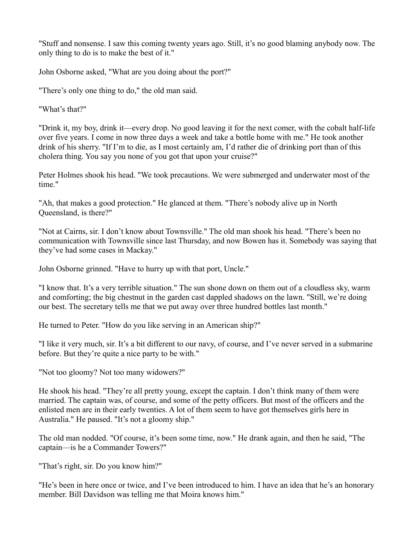"Stuff and nonsense. I saw this coming twenty years ago. Still, it's no good blaming anybody now. The only thing to do is to make the best of it."

John Osborne asked, "What are you doing about the port?"

"There's only one thing to do," the old man said.

"What's that?"

"Drink it, my boy, drink it—every drop. No good leaving it for the next comer, with the cobalt half-life over five years. I come in now three days a week and take a bottle home with me." He took another drink of his sherry. "If I'm to die, as I most certainly am, I'd rather die of drinking port than of this cholera thing. You say you none of you got that upon your cruise?"

Peter Holmes shook his head. "We took precautions. We were submerged and underwater most of the time."

"Ah, that makes a good protection." He glanced at them. "There's nobody alive up in North Queensland, is there?"

"Not at Cairns, sir. I don't know about Townsville." The old man shook his head. "There's been no communication with Townsville since last Thursday, and now Bowen has it. Somebody was saying that they've had some cases in Mackay."

John Osborne grinned. "Have to hurry up with that port, Uncle."

"I know that. It's a very terrible situation." The sun shone down on them out of a cloudless sky, warm and comforting; the big chestnut in the garden cast dappled shadows on the lawn. "Still, we're doing our best. The secretary tells me that we put away over three hundred bottles last month."

He turned to Peter. "How do you like serving in an American ship?"

"I like it very much, sir. It's a bit different to our navy, of course, and I've never served in a submarine before. But they're quite a nice party to be with."

"Not too gloomy? Not too many widowers?"

He shook his head. "They're all pretty young, except the captain. I don't think many of them were married. The captain was, of course, and some of the petty officers. But most of the officers and the enlisted men are in their early twenties. A lot of them seem to have got themselves girls here in Australia." He paused. "It's not a gloomy ship."

The old man nodded. "Of course, it's been some time, now." He drank again, and then he said, "The captain—is he a Commander Towers?"

"That's right, sir. Do you know him?"

"He's been in here once or twice, and I've been introduced to him. I have an idea that he's an honorary member. Bill Davidson was telling me that Moira knows him."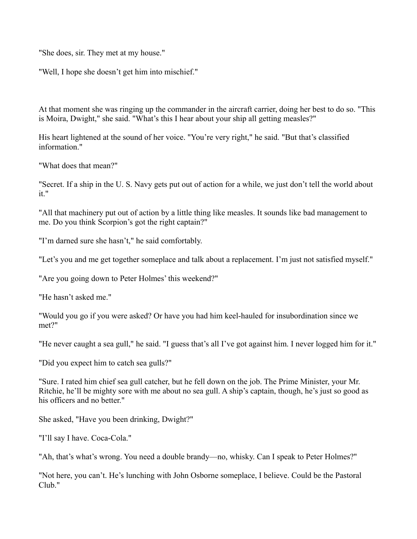"She does, sir. They met at my house."

"Well, I hope she doesn't get him into mischief."

At that moment she was ringing up the commander in the aircraft carrier, doing her best to do so. "This is Moira, Dwight," she said. "What's this I hear about your ship all getting measles?"

His heart lightened at the sound of her voice. "You're very right," he said. "But that's classified information."

"What does that mean?"

"Secret. If a ship in the U. S. Navy gets put out of action for a while, we just don't tell the world about it."

"All that machinery put out of action by a little thing like measles. It sounds like bad management to me. Do you think Scorpion's got the right captain?"

"I'm darned sure she hasn't," he said comfortably.

"Let's you and me get together someplace and talk about a replacement. I'm just not satisfied myself."

"Are you going down to Peter Holmes' this weekend?"

"He hasn't asked me."

"Would you go if you were asked? Or have you had him keel-hauled for insubordination since we met?"

"He never caught a sea gull," he said. "I guess that's all I've got against him. I never logged him for it."

"Did you expect him to catch sea gulls?"

"Sure. I rated him chief sea gull catcher, but he fell down on the job. The Prime Minister, your Mr. Ritchie, he'll be mighty sore with me about no sea gull. A ship's captain, though, he's just so good as his officers and no better."

She asked, "Have you been drinking, Dwight?"

"I'll say I have. Coca-Cola."

"Ah, that's what's wrong. You need a double brandy—no, whisky. Can I speak to Peter Holmes?"

"Not here, you can't. He's lunching with John Osborne someplace, I believe. Could be the Pastoral Club."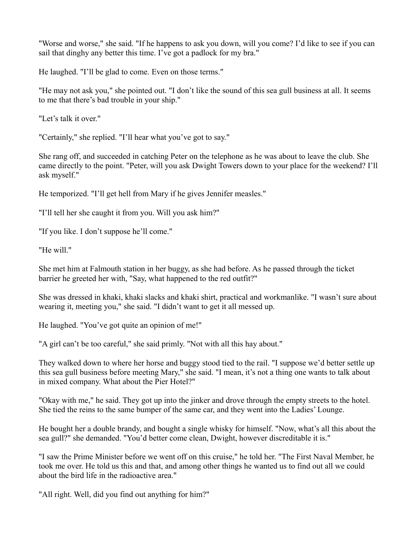"Worse and worse," she said. "If he happens to ask you down, will you come? I'd like to see if you can sail that dinghy any better this time. I've got a padlock for my bra."

He laughed. "I'll be glad to come. Even on those terms."

"He may not ask you," she pointed out. "I don't like the sound of this sea gull business at all. It seems to me that there's bad trouble in your ship."

"Let's talk it over."

"Certainly," she replied. "I'll hear what you've got to say."

She rang off, and succeeded in catching Peter on the telephone as he was about to leave the club. She came directly to the point. "Peter, will you ask Dwight Towers down to your place for the weekend? I'll ask myself."

He temporized. "I'll get hell from Mary if he gives Jennifer measles."

"I'll tell her she caught it from you. Will you ask him?"

"If you like. I don't suppose he'll come."

"He will."

She met him at Falmouth station in her buggy, as she had before. As he passed through the ticket barrier he greeted her with, "Say, what happened to the red outfit?"

She was dressed in khaki, khaki slacks and khaki shirt, practical and workmanlike. "I wasn't sure about wearing it, meeting you," she said. "I didn't want to get it all messed up.

He laughed. "You've got quite an opinion of me!"

"A girl can't be too careful," she said primly. "Not with all this hay about."

They walked down to where her horse and buggy stood tied to the rail. "I suppose we'd better settle up this sea gull business before meeting Mary," she said. "I mean, it's not a thing one wants to talk about in mixed company. What about the Pier Hotel?"

"Okay with me," he said. They got up into the jinker and drove through the empty streets to the hotel. She tied the reins to the same bumper of the same car, and they went into the Ladies' Lounge.

He bought her a double brandy, and bought a single whisky for himself. "Now, what's all this about the sea gull?" she demanded. "You'd better come clean, Dwight, however discreditable it is."

"I saw the Prime Minister before we went off on this cruise," he told her. "The First Naval Member, he took me over. He told us this and that, and among other things he wanted us to find out all we could about the bird life in the radioactive area."

"All right. Well, did you find out anything for him?"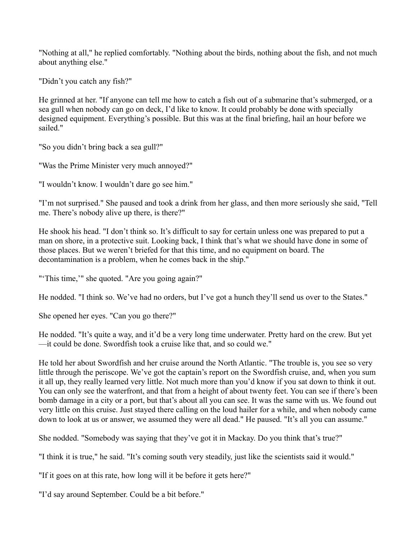"Nothing at all," he replied comfortably. "Nothing about the birds, nothing about the fish, and not much about anything else."

"Didn't you catch any fish?"

He grinned at her. "If anyone can tell me how to catch a fish out of a submarine that's submerged, or a sea gull when nobody can go on deck, I'd like to know. It could probably be done with specially designed equipment. Everything's possible. But this was at the final briefing, hail an hour before we sailed."

"So you didn't bring back a sea gull?"

"Was the Prime Minister very much annoyed?"

"I wouldn't know. I wouldn't dare go see him."

"I'm not surprised." She paused and took a drink from her glass, and then more seriously she said, "Tell me. There's nobody alive up there, is there?"

He shook his head. "I don't think so. It's difficult to say for certain unless one was prepared to put a man on shore, in a protective suit. Looking back, I think that's what we should have done in some of those places. But we weren't briefed for that this time, and no equipment on board. The decontamination is a problem, when he comes back in the ship."

"'This time,'" she quoted. "Are you going again?"

He nodded. "I think so. We've had no orders, but I've got a hunch they'll send us over to the States."

She opened her eyes. "Can you go there?"

He nodded. "It's quite a way, and it'd be a very long time underwater. Pretty hard on the crew. But yet —it could be done. Swordfish took a cruise like that, and so could we."

He told her about Swordfish and her cruise around the North Atlantic. "The trouble is, you see so very little through the periscope. We've got the captain's report on the Swordfish cruise, and, when you sum it all up, they really learned very little. Not much more than you'd know if you sat down to think it out. You can only see the waterfront, and that from a height of about twenty feet. You can see if there's been bomb damage in a city or a port, but that's about all you can see. It was the same with us. We found out very little on this cruise. Just stayed there calling on the loud hailer for a while, and when nobody came down to look at us or answer, we assumed they were all dead." He paused. "It's all you can assume."

She nodded. "Somebody was saying that they've got it in Mackay. Do you think that's true?"

"I think it is true," he said. "It's coming south very steadily, just like the scientists said it would."

"If it goes on at this rate, how long will it be before it gets here?"

"I'd say around September. Could be a bit before."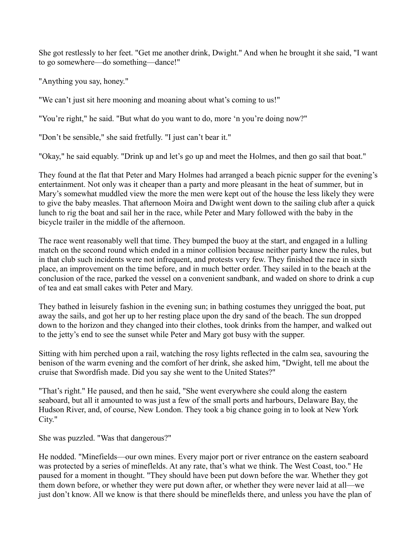She got restlessly to her feet. "Get me another drink, Dwight." And when he brought it she said, "I want to go somewhere—do something—dance!"

"Anything you say, honey."

"We can't just sit here mooning and moaning about what's coming to us!"

"You're right," he said. "But what do you want to do, more 'n you're doing now?"

"Don't be sensible," she said fretfully. "I just can't bear it."

"Okay," he said equably. "Drink up and let's go up and meet the Holmes, and then go sail that boat."

They found at the flat that Peter and Mary Holmes had arranged a beach picnic supper for the evening's entertainment. Not only was it cheaper than a party and more pleasant in the heat of summer, but in Mary's somewhat muddled view the more the men were kept out of the house the less likely they were to give the baby measles. That afternoon Moira and Dwight went down to the sailing club after a quick lunch to rig the boat and sail her in the race, while Peter and Mary followed with the baby in the bicycle trailer in the middle of the afternoon.

The race went reasonably well that time. They bumped the buoy at the start, and engaged in a lulling match on the second round which ended in a minor collision because neither party knew the rules, but in that club such incidents were not infrequent, and protests very few. They finished the race in sixth place, an improvement on the time before, and in much better order. They sailed in to the beach at the conclusion of the race, parked the vessel on a convenient sandbank, and waded on shore to drink a cup of tea and eat small cakes with Peter and Mary.

They bathed in leisurely fashion in the evening sun; in bathing costumes they unrigged the boat, put away the sails, and got her up to her resting place upon the dry sand of the beach. The sun dropped down to the horizon and they changed into their clothes, took drinks from the hamper, and walked out to the jetty's end to see the sunset while Peter and Mary got busy with the supper.

Sitting with him perched upon a rail, watching the rosy lights reflected in the calm sea, savouring the benison of the warm evening and the comfort of her drink, she asked him, "Dwight, tell me about the cruise that Swordfish made. Did you say she went to the United States?"

"That's right." He paused, and then he said, "She went everywhere she could along the eastern seaboard, but all it amounted to was just a few of the small ports and harbours, Delaware Bay, the Hudson River, and, of course, New London. They took a big chance going in to look at New York City."

She was puzzled. "Was that dangerous?"

He nodded. "Minefields—our own mines. Every major port or river entrance on the eastern seaboard was protected by a series of mineflelds. At any rate, that's what we think. The West Coast, too." He paused for a moment in thought. "They should have been put down before the war. Whether they got them down before, or whether they were put down after, or whether they were never laid at all—we just don't know. All we know is that there should be mineflelds there, and unless you have the plan of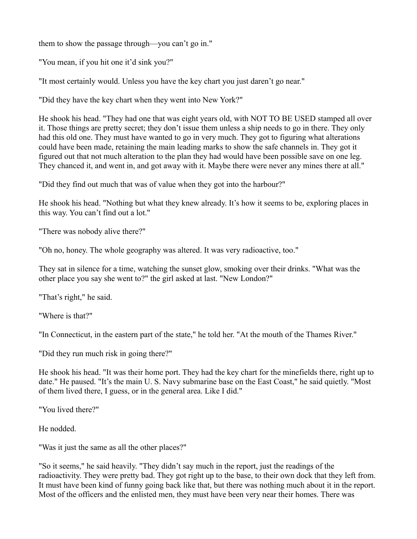them to show the passage through—you can't go in."

"You mean, if you hit one it'd sink you?"

"It most certainly would. Unless you have the key chart you just daren't go near."

"Did they have the key chart when they went into New York?"

He shook his head. "They had one that was eight years old, with NOT TO BE USED stamped all over it. Those things are pretty secret; they don't issue them unless a ship needs to go in there. They only had this old one. They must have wanted to go in very much. They got to figuring what alterations could have been made, retaining the main leading marks to show the safe channels in. They got it figured out that not much alteration to the plan they had would have been possible save on one leg. They chanced it, and went in, and got away with it. Maybe there were never any mines there at all."

"Did they find out much that was of value when they got into the harbour?"

He shook his head. "Nothing but what they knew already. It's how it seems to be, exploring places in this way. You can't find out a lot."

"There was nobody alive there?"

"Oh no, honey. The whole geography was altered. It was very radioactive, too."

They sat in silence for a time, watching the sunset glow, smoking over their drinks. "What was the other place you say she went to?" the girl asked at last. "New London?"

"That's right," he said.

"Where is that?"

"In Connecticut, in the eastern part of the state," he told her. "At the mouth of the Thames River."

"Did they run much risk in going there?"

He shook his head. "It was their home port. They had the key chart for the minefields there, right up to date." He paused. "It's the main U. S. Navy submarine base on the East Coast," he said quietly. "Most of them lived there, I guess, or in the general area. Like I did."

"You lived there?"

He nodded.

"Was it just the same as all the other places?"

"So it seems," he said heavily. "They didn't say much in the report, just the readings of the radioactivity. They were pretty bad. They got right up to the base, to their own dock that they left from. It must have been kind of funny going back like that, but there was nothing much about it in the report. Most of the officers and the enlisted men, they must have been very near their homes. There was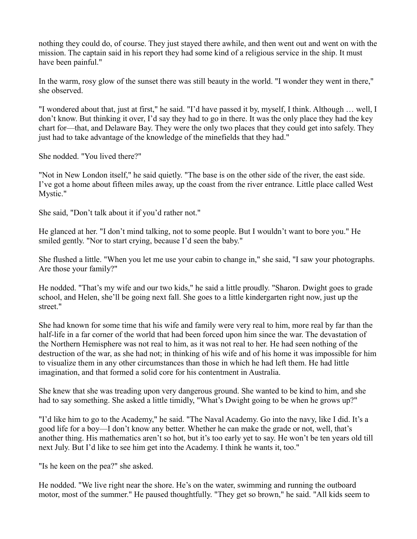nothing they could do, of course. They just stayed there awhile, and then went out and went on with the mission. The captain said in his report they had some kind of a religious service in the ship. It must have been painful."

In the warm, rosy glow of the sunset there was still beauty in the world. "I wonder they went in there," she observed.

"I wondered about that, just at first," he said. "I'd have passed it by, myself, I think. Although … well, I don't know. But thinking it over, I'd say they had to go in there. It was the only place they had the key chart for—that, and Delaware Bay. They were the only two places that they could get into safely. They just had to take advantage of the knowledge of the minefields that they had."

She nodded. "You lived there?"

"Not in New London itself," he said quietly. "The base is on the other side of the river, the east side. I've got a home about fifteen miles away, up the coast from the river entrance. Little place called West Mystic."

She said, "Don't talk about it if you'd rather not."

He glanced at her. "I don't mind talking, not to some people. But I wouldn't want to bore you." He smiled gently. "Nor to start crying, because I'd seen the baby."

She flushed a little. "When you let me use your cabin to change in," she said, "I saw your photographs. Are those your family?"

He nodded. "That's my wife and our two kids," he said a little proudly. "Sharon. Dwight goes to grade school, and Helen, she'll be going next fall. She goes to a little kindergarten right now, just up the street."

She had known for some time that his wife and family were very real to him, more real by far than the half-life in a far corner of the world that had been forced upon him since the war. The devastation of the Northern Hemisphere was not real to him, as it was not real to her. He had seen nothing of the destruction of the war, as she had not; in thinking of his wife and of his home it was impossible for him to visualize them in any other circumstances than those in which he had left them. He had little imagination, and that formed a solid core for his contentment in Australia.

She knew that she was treading upon very dangerous ground. She wanted to be kind to him, and she had to say something. She asked a little timidly, "What's Dwight going to be when he grows up?"

"I'd like him to go to the Academy," he said. "The Naval Academy. Go into the navy, like I did. It's a good life for a boy—I don't know any better. Whether he can make the grade or not, well, that's another thing. His mathematics aren't so hot, but it's too early yet to say. He won't be ten years old till next July. But I'd like to see him get into the Academy. I think he wants it, too."

"Is he keen on the pea?" she asked.

He nodded. "We live right near the shore. He's on the water, swimming and running the outboard motor, most of the summer." He paused thoughtfully. "They get so brown," he said. "All kids seem to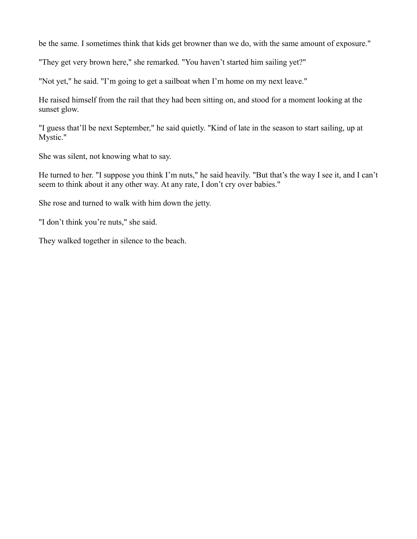be the same. I sometimes think that kids get browner than we do, with the same amount of exposure."

"They get very brown here," she remarked. "You haven't started him sailing yet?"

"Not yet," he said. "I'm going to get a sailboat when I'm home on my next leave."

He raised himself from the rail that they had been sitting on, and stood for a moment looking at the sunset glow.

"I guess that'll be next September," he said quietly. "Kind of late in the season to start sailing, up at Mystic."

She was silent, not knowing what to say.

He turned to her. "I suppose you think I'm nuts," he said heavily. "But that's the way I see it, and I can't seem to think about it any other way. At any rate, I don't cry over babies."

She rose and turned to walk with him down the jetty.

"I don't think you're nuts," she said.

They walked together in silence to the beach.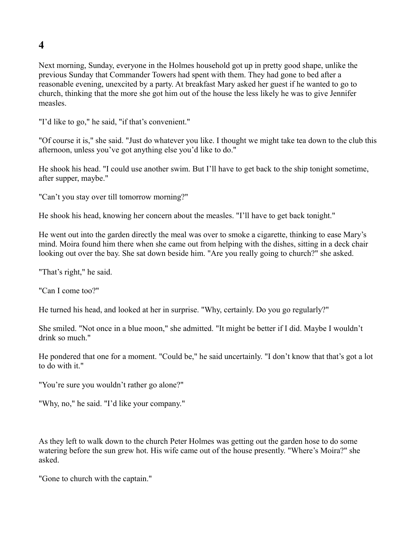## **4**

Next morning, Sunday, everyone in the Holmes household got up in pretty good shape, unlike the previous Sunday that Commander Towers had spent with them. They had gone to bed after a reasonable evening, unexcited by a party. At breakfast Mary asked her guest if he wanted to go to church, thinking that the more she got him out of the house the less likely he was to give Jennifer measles.

"I'd like to go," he said, "if that's convenient."

"Of course it is," she said. "Just do whatever you like. I thought we might take tea down to the club this afternoon, unless you've got anything else you'd like to do."

He shook his head. "I could use another swim. But I'll have to get back to the ship tonight sometime, after supper, maybe."

"Can't you stay over till tomorrow morning?"

He shook his head, knowing her concern about the measles. "I'll have to get back tonight."

He went out into the garden directly the meal was over to smoke a cigarette, thinking to ease Mary's mind. Moira found him there when she came out from helping with the dishes, sitting in a deck chair looking out over the bay. She sat down beside him. "Are you really going to church?" she asked.

"That's right," he said.

"Can I come too?"

He turned his head, and looked at her in surprise. "Why, certainly. Do you go regularly?"

She smiled. "Not once in a blue moon," she admitted. "It might be better if I did. Maybe I wouldn't drink so much."

He pondered that one for a moment. "Could be," he said uncertainly. "I don't know that that's got a lot to do with it."

"You're sure you wouldn't rather go alone?"

"Why, no," he said. "I'd like your company."

As they left to walk down to the church Peter Holmes was getting out the garden hose to do some watering before the sun grew hot. His wife came out of the house presently. "Where's Moira?" she asked.

"Gone to church with the captain."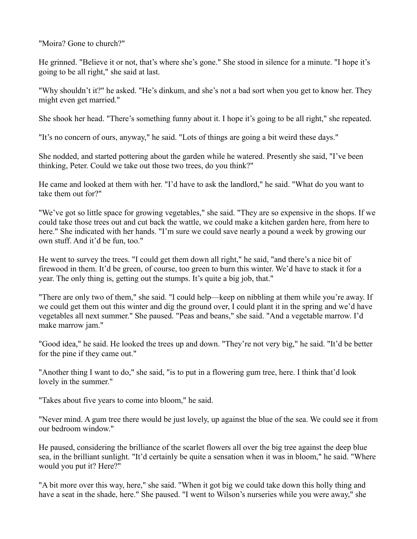"Moira? Gone to church?"

He grinned. "Believe it or not, that's where she's gone." She stood in silence for a minute. "I hope it's going to be all right," she said at last.

"Why shouldn't it?" he asked. "He's dinkum, and she's not a bad sort when you get to know her. They might even get married."

She shook her head. "There's something funny about it. I hope it's going to be all right," she repeated.

"It's no concern of ours, anyway," he said. "Lots of things are going a bit weird these days."

She nodded, and started pottering about the garden while he watered. Presently she said, "I've been thinking, Peter. Could we take out those two trees, do you think?"

He came and looked at them with her. "I'd have to ask the landlord," he said. "What do you want to take them out for?"

"We've got so little space for growing vegetables," she said. "They are so expensive in the shops. If we could take those trees out and cut back the wattle, we could make a kitchen garden here, from here to here." She indicated with her hands. "I'm sure we could save nearly a pound a week by growing our own stuff. And it'd be fun, too."

He went to survey the trees. "I could get them down all right," he said, "and there's a nice bit of firewood in them. It'd be green, of course, too green to burn this winter. We'd have to stack it for a year. The only thing is, getting out the stumps. It's quite a big job, that."

"There are only two of them," she said. "I could help—keep on nibbling at them while you're away. If we could get them out this winter and dig the ground over, I could plant it in the spring and we'd have vegetables all next summer." She paused. "Peas and beans," she said. "And a vegetable marrow. I'd make marrow jam."

"Good idea," he said. He looked the trees up and down. "They're not very big," he said. "It'd be better for the pine if they came out."

"Another thing I want to do," she said, "is to put in a flowering gum tree, here. I think that'd look lovely in the summer."

"Takes about five years to come into bloom," he said.

"Never mind. A gum tree there would be just lovely, up against the blue of the sea. We could see it from our bedroom window."

He paused, considering the brilliance of the scarlet flowers all over the big tree against the deep blue sea, in the brilliant sunlight. "It'd certainly be quite a sensation when it was in bloom," he said. "Where would you put it? Here?"

"A bit more over this way, here," she said. "When it got big we could take down this holly thing and have a seat in the shade, here." She paused. "I went to Wilson's nurseries while you were away," she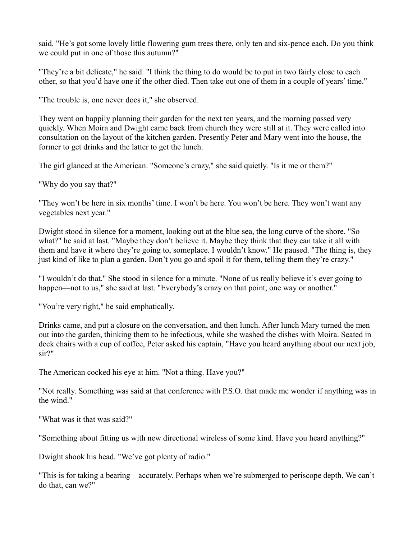said. "He's got some lovely little flowering gum trees there, only ten and six-pence each. Do you think we could put in one of those this autumn?"

"They're a bit delicate," he said. "I think the thing to do would be to put in two fairly close to each other, so that you'd have one if the other died. Then take out one of them in a couple of years' time."

"The trouble is, one never does it," she observed.

They went on happily planning their garden for the next ten years, and the morning passed very quickly. When Moira and Dwight came back from church they were still at it. They were called into consultation on the layout of the kitchen garden. Presently Peter and Mary went into the house, the former to get drinks and the latter to get the lunch.

The girl glanced at the American. "Someone's crazy," she said quietly. "Is it me or them?"

"Why do you say that?"

"They won't be here in six months' time. I won't be here. You won't be here. They won't want any vegetables next year."

Dwight stood in silence for a moment, looking out at the blue sea, the long curve of the shore. "So what?" he said at last. "Maybe they don't believe it. Maybe they think that they can take it all with them and have it where they're going to, someplace. I wouldn't know." He paused. "The thing is, they just kind of like to plan a garden. Don't you go and spoil it for them, telling them they're crazy."

"I wouldn't do that." She stood in silence for a minute. "None of us really believe it's ever going to happen—not to us," she said at last. "Everybody's crazy on that point, one way or another."

"You're very right," he said emphatically.

Drinks came, and put a closure on the conversation, and then lunch. After lunch Mary turned the men out into the garden, thinking them to be infectious, while she washed the dishes with Moira. Seated in deck chairs with a cup of coffee, Peter asked his captain, "Have you heard anything about our next job, sir?"

The American cocked his eye at him. "Not a thing. Have you?"

"Not really. Something was said at that conference with P.S.O. that made me wonder if anything was in the wind."

"What was it that was said?"

"Something about fitting us with new directional wireless of some kind. Have you heard anything?"

Dwight shook his head. "We've got plenty of radio."

"This is for taking a bearing—accurately. Perhaps when we're submerged to periscope depth. We can't do that, can we?"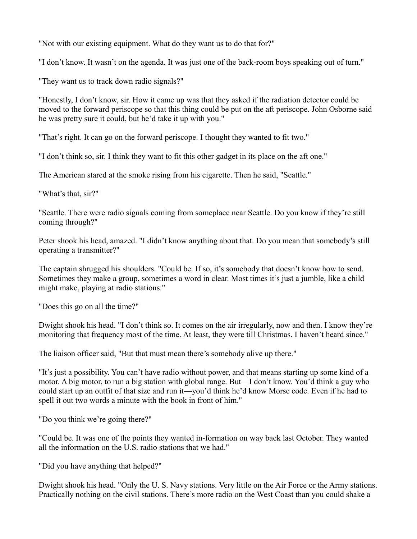"Not with our existing equipment. What do they want us to do that for?"

"I don't know. It wasn't on the agenda. It was just one of the back-room boys speaking out of turn."

"They want us to track down radio signals?"

"Honestly, I don't know, sir. How it came up was that they asked if the radiation detector could be moved to the forward periscope so that this thing could be put on the aft periscope. John Osborne said he was pretty sure it could, but he'd take it up with you."

"That's right. It can go on the forward periscope. I thought they wanted to fit two."

"I don't think so, sir. I think they want to fit this other gadget in its place on the aft one."

The American stared at the smoke rising from his cigarette. Then he said, "Seattle."

"What's that, sir?"

"Seattle. There were radio signals coming from someplace near Seattle. Do you know if they're still coming through?"

Peter shook his head, amazed. "I didn't know anything about that. Do you mean that somebody's still operating a transmitter?"

The captain shrugged his shoulders. "Could be. If so, it's somebody that doesn't know how to send. Sometimes they make a group, sometimes a word in clear. Most times it's just a jumble, like a child might make, playing at radio stations."

"Does this go on all the time?"

Dwight shook his head. "I don't think so. It comes on the air irregularly, now and then. I know they're monitoring that frequency most of the time. At least, they were till Christmas. I haven't heard since."

The liaison officer said, "But that must mean there's somebody alive up there."

"It's just a possibility. You can't have radio without power, and that means starting up some kind of a motor. A big motor, to run a big station with global range. But—I don't know. You'd think a guy who could start up an outfit of that size and run it—you'd think he'd know Morse code. Even if he had to spell it out two words a minute with the book in front of him."

"Do you think we're going there?"

"Could be. It was one of the points they wanted in-formation on way back last October. They wanted all the information on the U.S. radio stations that we had."

"Did you have anything that helped?"

Dwight shook his head. "Only the U. S. Navy stations. Very little on the Air Force or the Army stations. Practically nothing on the civil stations. There's more radio on the West Coast than you could shake a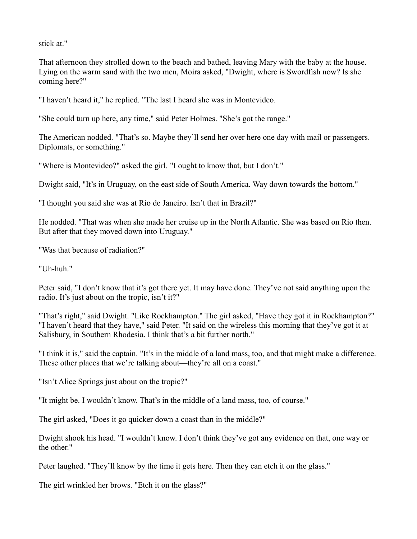stick at."

That afternoon they strolled down to the beach and bathed, leaving Mary with the baby at the house. Lying on the warm sand with the two men, Moira asked, "Dwight, where is Swordfish now? Is she coming here?"

"I haven't heard it," he replied. "The last I heard she was in Montevideo.

"She could turn up here, any time," said Peter Holmes. "She's got the range."

The American nodded. "That's so. Maybe they'll send her over here one day with mail or passengers. Diplomats, or something."

"Where is Montevideo?" asked the girl. "I ought to know that, but I don't."

Dwight said, "It's in Uruguay, on the east side of South America. Way down towards the bottom."

"I thought you said she was at Rio de Janeiro. Isn't that in Brazil?"

He nodded. "That was when she made her cruise up in the North Atlantic. She was based on Rio then. But after that they moved down into Uruguay."

"Was that because of radiation?"

"Uh-huh."

Peter said, "I don't know that it's got there yet. It may have done. They've not said anything upon the radio. It's just about on the tropic, isn't it?"

"That's right," said Dwight. "Like Rockhampton." The girl asked, "Have they got it in Rockhampton?" "I haven't heard that they have," said Peter. "It said on the wireless this morning that they've got it at Salisbury, in Southern Rhodesia. I think that's a bit further north."

"I think it is," said the captain. "It's in the middle of a land mass, too, and that might make a difference. These other places that we're talking about—they're all on a coast."

"Isn't Alice Springs just about on the tropic?"

"It might be. I wouldn't know. That's in the middle of a land mass, too, of course."

The girl asked, "Does it go quicker down a coast than in the middle?"

Dwight shook his head. "I wouldn't know. I don't think they've got any evidence on that, one way or the other."

Peter laughed. "They'll know by the time it gets here. Then they can etch it on the glass."

The girl wrinkled her brows. "Etch it on the glass?"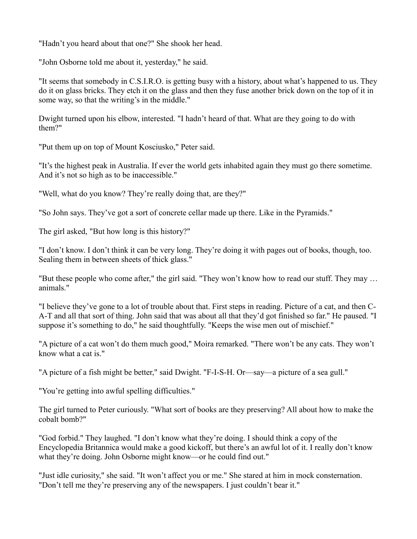"Hadn't you heard about that one?" She shook her head.

"John Osborne told me about it, yesterday," he said.

"It seems that somebody in C.S.I.R.O. is getting busy with a history, about what's happened to us. They do it on glass bricks. They etch it on the glass and then they fuse another brick down on the top of it in some way, so that the writing's in the middle."

Dwight turned upon his elbow, interested. "I hadn't heard of that. What are they going to do with them?"

"Put them up on top of Mount Kosciusko," Peter said.

"It's the highest peak in Australia. If ever the world gets inhabited again they must go there sometime. And it's not so high as to be inaccessible."

"Well, what do you know? They're really doing that, are they?"

"So John says. They've got a sort of concrete cellar made up there. Like in the Pyramids."

The girl asked, "But how long is this history?"

"I don't know. I don't think it can be very long. They're doing it with pages out of books, though, too. Sealing them in between sheets of thick glass."

"But these people who come after," the girl said. "They won't know how to read our stuff. They may … animals."

"I believe they've gone to a lot of trouble about that. First steps in reading. Picture of a cat, and then C-A-T and all that sort of thing. John said that was about all that they'd got finished so far." He paused. "I suppose it's something to do," he said thoughtfully. "Keeps the wise men out of mischief."

"A picture of a cat won't do them much good," Moira remarked. "There won't be any cats. They won't know what a cat is."

"A picture of a fish might be better," said Dwight. "F-I-S-H. Or—say—a picture of a sea gull."

"You're getting into awful spelling difficulties."

The girl turned to Peter curiously. "What sort of books are they preserving? All about how to make the cobalt bomb?"

"God forbid." They laughed. "I don't know what they're doing. I should think a copy of the Encyclopedia Britannica would make a good kickoff, but there's an awful lot of it. I really don't know what they're doing. John Osborne might know—or he could find out."

"Just idle curiosity," she said. "It won't affect you or me." She stared at him in mock consternation. "Don't tell me they're preserving any of the newspapers. I just couldn't bear it."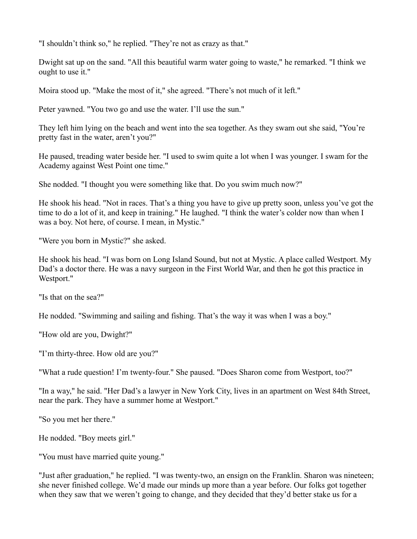"I shouldn't think so," he replied. "They're not as crazy as that."

Dwight sat up on the sand. "All this beautiful warm water going to waste," he remarked. "I think we ought to use it."

Moira stood up. "Make the most of it," she agreed. "There's not much of it left."

Peter yawned. "You two go and use the water. I'll use the sun."

They left him lying on the beach and went into the sea together. As they swam out she said, "You're pretty fast in the water, aren't you?"

He paused, treading water beside her. "I used to swim quite a lot when I was younger. I swam for the Academy against West Point one time."

She nodded. "I thought you were something like that. Do you swim much now?"

He shook his head. "Not in races. That's a thing you have to give up pretty soon, unless you've got the time to do a lot of it, and keep in training." He laughed. "I think the water's colder now than when I was a boy. Not here, of course. I mean, in Mystic."

"Were you born in Mystic?" she asked.

He shook his head. "I was born on Long Island Sound, but not at Mystic. A place called Westport. My Dad's a doctor there. He was a navy surgeon in the First World War, and then he got this practice in Westport."

"Is that on the sea?"

He nodded. "Swimming and sailing and fishing. That's the way it was when I was a boy."

"How old are you, Dwight?"

"I'm thirty-three. How old are you?"

"What a rude question! I'm twenty-four." She paused. "Does Sharon come from Westport, too?"

"In a way," he said. "Her Dad's a lawyer in New York City, lives in an apartment on West 84th Street, near the park. They have a summer home at Westport."

"So you met her there."

He nodded. "Boy meets girl."

"You must have married quite young."

"Just after graduation," he replied. "I was twenty-two, an ensign on the Franklin. Sharon was nineteen; she never finished college. We'd made our minds up more than a year before. Our folks got together when they saw that we weren't going to change, and they decided that they'd better stake us for a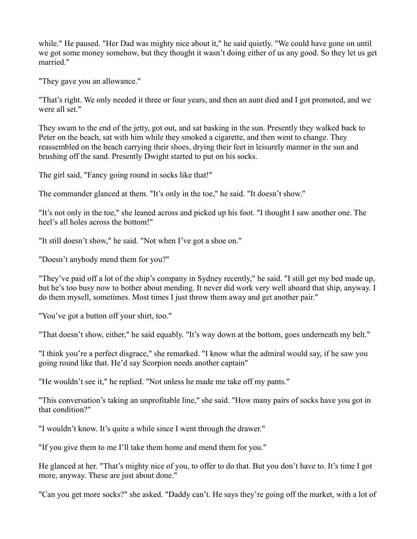while." He paused. "Her Dad was mighty nice about it," he said quietly. "We could have gone on until we got some money somehow, but they thought it wasn't doing either of us any good. So they let us get married."

"They gave you an allowance."

"That's right. We only needed it three or four years, and then an aunt died and I got promoted, and we were all set."

They swam to the end of the jetty, got out, and sat basking in the sun. Presently they walked back to Peter on the beach, sat with him while they smoked a cigarette, and then went to change. They reassembled on the beach carrying their shoes, drying their feet in leisurely manner in the sun and brushing off the sand. Presently Dwight started to put on his socks.

The girl said, "Fancy going round in socks like that!"

The commander glanced at them. "It's only in the toe," he said. "It doesn't show."

"It's not only in the toe," she leaned across and picked up his foot. "I thought I saw another one. The heel's all holes across the bottom!"

"It still doesn't show," he said. "Not when I've got a shoe on."

"Doesn't anybody mend them for you?"

"They've paid off a lot of the ship's company in Sydney recently," he said. "I still get my bed made up, but he's too busy now to bother about mending. It never did work very well aboard that ship, anyway. I do them mysell, sometimes. Most times I just throw them away and get another pair."

"You've got a button off your shirt, too."

"That doesn't show, either," he said equably. "It's way down at the bottom, goes underneath my belt."

"I think you're a perfect disgrace," she remarked. "I know what the admiral would say, if he saw you going round like that. He'd say Scorpion needs another captain"

"He wouldn't see it," he replied. "Not unless he made me take off my pants."

"This conversation's taking an unprofitable line," she said. "How many pairs of socks have you got in that condition?"

"I wouldn't know. It's quite a while since I went through the drawer."

"If you give them to me I'll take them home and mend them for you."

He glanced at her. "That's mighty nice of you, to offer to do that. But you don't have to. It's time I got more, anyway. These are just about done."

"Can you get more socks?" she asked. "Daddy can't. He says they're going off the market, with a lot of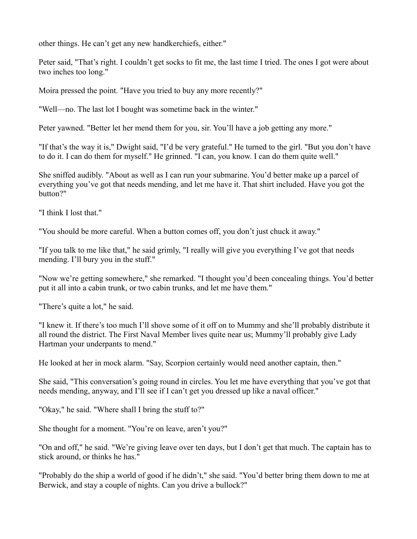other things. He can't get any new handkerchiefs, either."

Peter said, "That's right. I couldn't get socks to fit me, the last time I tried. The ones I got were about two inches too long."

Moira pressed the point. "Have you tried to buy any more recently?"

"Well—no. The last lot I bought was sometime back in the winter."

Peter yawned. "Better let her mend them for you, sir. You'll have a job getting any more."

"If that's the way it is," Dwight said, "I'd be very grateful." He turned to the girl. "But you don't have to do it. I can do them for myself." He grinned. "I can, you know. I can do them quite well."

She sniffed audibly. "About as well as I can run your submarine. You'd better make up a parcel of everything you've got that needs mending, and let me have it. That shirt included. Have you got the button?"

"I think I lost that."

"You should be more careful. When a button comes off, you don't just chuck it away."

"If you talk to me like that," he said grimly, "I really will give you everything I've got that needs mending. I'll bury you in the stuff."

"Now we're getting somewhere," she remarked. "I thought you'd been concealing things. You'd better put it all into a cabin trunk, or two cabin trunks, and let me have them."

"There's quite a lot," he said.

"I knew it. If there's too much I'll shove some of it off on to Mummy and she'll probably distribute it all round the district. The First Naval Member lives quite near us; Mummy'll probably give Lady Hartman your underpants to mend."

He looked at her in mock alarm. "Say, Scorpion certainly would need another captain, then."

She said, "This conversation's going round in circles. You let me have everything that you've got that needs mending, anyway, and I'll see if I can't get you dressed up like a naval officer."

"Okay," he said. "Where shall I bring the stuff to?"

She thought for a moment. "You're on leave, aren't you?"

"On and off," he said. "We're giving leave over ten days, but I don't get that much. The captain has to stick around, or thinks he has."

"Probably do the ship a world of good if he didn't," she said. "You'd better bring them down to me at Berwick, and stay a couple of nights. Can you drive a bullock?"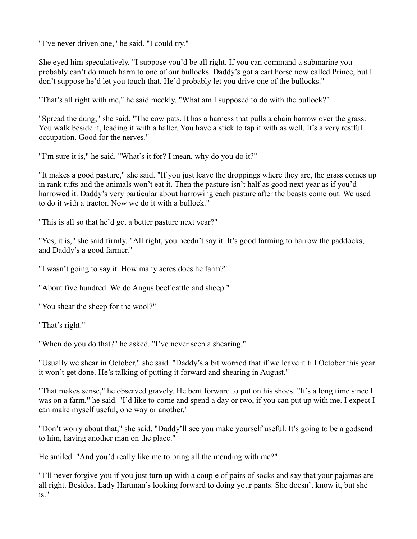"I've never driven one," he said. "I could try."

She eyed him speculatively. "I suppose you'd be all right. If you can command a submarine you probably can't do much harm to one of our bullocks. Daddy's got a cart horse now called Prince, but I don't suppose he'd let you touch that. He'd probably let you drive one of the bullocks."

"That's all right with me," he said meekly. "What am I supposed to do with the bullock?"

"Spread the dung," she said. "The cow pats. It has a harness that pulls a chain harrow over the grass. You walk beside it, leading it with a halter. You have a stick to tap it with as well. It's a very restful occupation. Good for the nerves."

"I'm sure it is," he said. "What's it for? I mean, why do you do it?"

"It makes a good pasture," she said. "If you just leave the droppings where they are, the grass comes up in rank tufts and the animals won't eat it. Then the pasture isn't half as good next year as if you'd harrowed it. Daddy's very particular about harrowing each pasture after the beasts come out. We used to do it with a tractor. Now we do it with a bullock."

"This is all so that he'd get a better pasture next year?"

"Yes, it is," she said firmly. "All right, you needn't say it. It's good farming to harrow the paddocks, and Daddy's a good farmer."

"I wasn't going to say it. How many acres does he farm?"

"About five hundred. We do Angus beef cattle and sheep."

"You shear the sheep for the wool?"

"That's right."

"When do you do that?" he asked. "I've never seen a shearing."

"Usually we shear in October," she said. "Daddy's a bit worried that if we leave it till October this year it won't get done. He's talking of putting it forward and shearing in August."

"That makes sense," he observed gravely. He bent forward to put on his shoes. "It's a long time since I was on a farm," he said. "I'd like to come and spend a day or two, if you can put up with me. I expect I can make myself useful, one way or another."

"Don't worry about that," she said. "Daddy'll see you make yourself useful. It's going to be a godsend to him, having another man on the place."

He smiled. "And you'd really like me to bring all the mending with me?"

"I'll never forgive you if you just turn up with a couple of pairs of socks and say that your pajamas are all right. Besides, Lady Hartman's looking forward to doing your pants. She doesn't know it, but she is."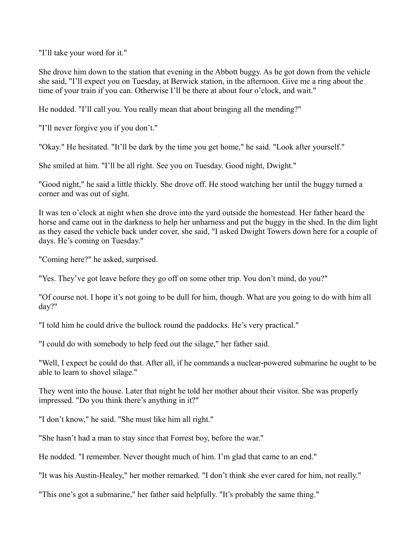"I'll take your word for it."

She drove him down to the station that evening in the Abbott buggy. As he got down from the vehicle she said, "I'll expect you on Tuesday, at Berwick station, in the afternoon. Give me a ring about the time of your train if you can. Otherwise I'll be there at about four o'clock, and wait."

He nodded. "I'll call you. You really mean that about bringing all the mending?"

"I'll never forgive you if you don't."

"Okay." He hesitated. "It'll be dark by the time you get home," he said. "Look after yourself."

She smiled at him. "I'll be all right. See you on Tuesday. Good night, Dwight."

"Good night," he said a little thickly. She drove off. He stood watching her until the buggy turned a corner and was out of sight.

It was ten o'clock at night when she drove into the yard outside the homestead. Her father heard the horse and came out in the darkness to help her unharness and put the buggy in the shed. In the dim light as they eased the vehicle back under cover, she said, "I asked Dwight Towers down here for a couple of days. He's coming on Tuesday."

"Coming here?" he asked, surprised.

"Yes. They've got leave before they go off on some other trip. You don't mind, do you?"

"Of course not. I hope it's not going to be dull for him, though. What are you going to do with him all day?"

"I told him he could drive the bullock round the paddocks. He's very practical."

"I could do with somebody to help feed out the silage," her father said.

"Well, I expect he could do that. After all, if he commands a nuclear-powered submarine he ought to be able to learn to shovel silage."

They went into the house. Later that night he told her mother about their visitor. She was properly impressed. "Do you think there's anything in it?"

"I don't know," he said. "She must like him all right."

"She hasn't had a man to stay since that Forrest boy, before the war."

He nodded. "I remember. Never thought much of him. I'm glad that came to an end."

"It was his Austin-Healey," her mother remarked. "I don't think she ever cared for him, not really."

"This one's got a submarine," her father said helpfully. "It's probably the same thing."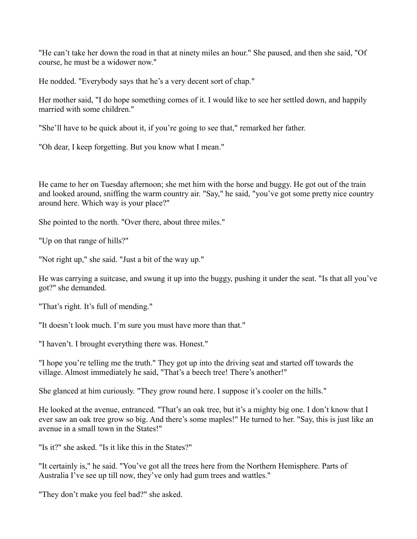"He can't take her down the road in that at ninety miles an hour." She paused, and then she said, "Of course, he must be a widower now."

He nodded. "Everybody says that he's a very decent sort of chap."

Her mother said, "I do hope something comes of it. I would like to see her settled down, and happily married with some children."

"She'll have to be quick about it, if you're going to see that," remarked her father.

"Oh dear, I keep forgetting. But you know what I mean."

He came to her on Tuesday afternoon; she met him with the horse and buggy. He got out of the train and looked around, sniffing the warm country air. "Say," he said, "you've got some pretty nice country around here. Which way is your place?"

She pointed to the north. "Over there, about three miles."

"Up on that range of hills?"

"Not right up," she said. "Just a bit of the way up."

He was carrying a suitcase, and swung it up into the buggy, pushing it under the seat. "Is that all you've got?" she demanded.

"That's right. It's full of mending."

"It doesn't look much. I'm sure you must have more than that."

"I haven't. I brought everything there was. Honest."

"I hope you're telling me the truth." They got up into the driving seat and started off towards the village. Almost immediately he said, "That's a beech tree! There's another!"

She glanced at him curiously. "They grow round here. I suppose it's cooler on the hills."

He looked at the avenue, entranced. "That's an oak tree, but it's a mighty big one. I don't know that I ever saw an oak tree grow so big. And there's some maples!" He turned to her. "Say, this is just like an avenue in a small town in the States!"

"Is it?" she asked. "Is it like this in the States?"

"It certainly is," he said. "You've got all the trees here from the Northern Hemisphere. Parts of Australia I've see up till now, they've only had gum trees and wattles."

"They don't make you feel bad?" she asked.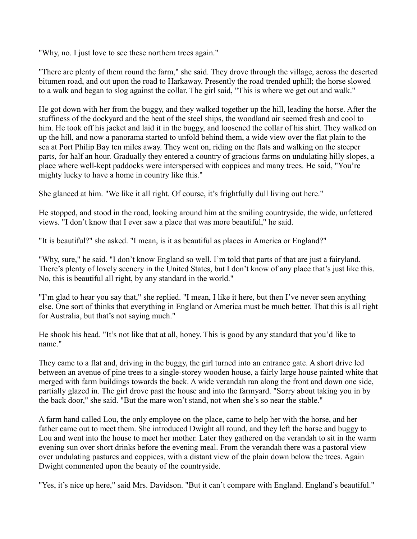"Why, no. I just love to see these northern trees again."

"There are plenty of them round the farm," she said. They drove through the village, across the deserted bitumen road, and out upon the road to Harkaway. Presently the road trended uphill; the horse slowed to a walk and began to slog against the collar. The girl said, "This is where we get out and walk."

He got down with her from the buggy, and they walked together up the hill, leading the horse. After the stuffiness of the dockyard and the heat of the steel ships, the woodland air seemed fresh and cool to him. He took off his jacket and laid it in the buggy, and loosened the collar of his shirt. They walked on up the hill, and now a panorama started to unfold behind them, a wide view over the flat plain to the sea at Port Philip Bay ten miles away. They went on, riding on the flats and walking on the steeper parts, for half an hour. Gradually they entered a country of gracious farms on undulating hilly slopes, a place where well-kept paddocks were interspersed with coppices and many trees. He said, "You're mighty lucky to have a home in country like this."

She glanced at him. "We like it all right. Of course, it's frightfully dull living out here."

He stopped, and stood in the road, looking around him at the smiling countryside, the wide, unfettered views. "I don't know that I ever saw a place that was more beautiful," he said.

"It is beautiful?" she asked. "I mean, is it as beautiful as places in America or England?"

"Why, sure," he said. "I don't know England so well. I'm told that parts of that are just a fairyland. There's plenty of lovely scenery in the United States, but I don't know of any place that's just like this. No, this is beautiful all right, by any standard in the world."

"I'm glad to hear you say that," she replied. "I mean, I like it here, but then I've never seen anything else. One sort of thinks that everything in England or America must be much better. That this is all right for Australia, but that's not saying much."

He shook his head. "It's not like that at all, honey. This is good by any standard that you'd like to name."

They came to a flat and, driving in the buggy, the girl turned into an entrance gate. A short drive led between an avenue of pine trees to a single-storey wooden house, a fairly large house painted white that merged with farm buildings towards the back. A wide verandah ran along the front and down one side, partially glazed in. The girl drove past the house and into the farmyard. "Sorry about taking you in by the back door," she said. "But the mare won't stand, not when she's so near the stable."

A farm hand called Lou, the only employee on the place, came to help her with the horse, and her father came out to meet them. She introduced Dwight all round, and they left the horse and buggy to Lou and went into the house to meet her mother. Later they gathered on the verandah to sit in the warm evening sun over short drinks before the evening meal. From the verandah there was a pastoral view over undulating pastures and coppices, with a distant view of the plain down below the trees. Again Dwight commented upon the beauty of the countryside.

"Yes, it's nice up here," said Mrs. Davidson. "But it can't compare with England. England's beautiful."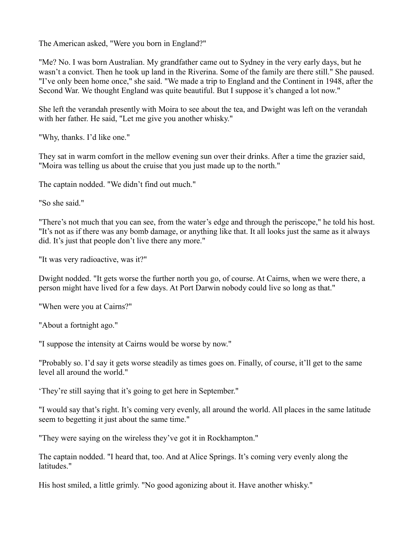The American asked, "Were you born in England?"

"Me? No. I was born Australian. My grandfather came out to Sydney in the very early days, but he wasn't a convict. Then he took up land in the Riverina. Some of the family are there still." She paused. "I've only been home once," she said. "We made a trip to England and the Continent in 1948, after the Second War. We thought England was quite beautiful. But I suppose it's changed a lot now."

She left the verandah presently with Moira to see about the tea, and Dwight was left on the verandah with her father. He said, "Let me give you another whisky."

"Why, thanks. I'd like one."

They sat in warm comfort in the mellow evening sun over their drinks. After a time the grazier said, "Moira was telling us about the cruise that you just made up to the north."

The captain nodded. "We didn't find out much."

"So she said."

"There's not much that you can see, from the water's edge and through the periscope," he told his host. "It's not as if there was any bomb damage, or anything like that. It all looks just the same as it always did. It's just that people don't live there any more."

"It was very radioactive, was it?"

Dwight nodded. "It gets worse the further north you go, of course. At Cairns, when we were there, a person might have lived for a few days. At Port Darwin nobody could live so long as that."

"When were you at Cairns?"

"About a fortnight ago."

"I suppose the intensity at Cairns would be worse by now."

"Probably so. I'd say it gets worse steadily as times goes on. Finally, of course, it'll get to the same level all around the world."

'They're still saying that it's going to get here in September."

"I would say that's right. It's coming very evenly, all around the world. All places in the same latitude seem to begetting it just about the same time."

"They were saying on the wireless they've got it in Rockhampton."

The captain nodded. "I heard that, too. And at Alice Springs. It's coming very evenly along the latitudes."

His host smiled, a little grimly. "No good agonizing about it. Have another whisky."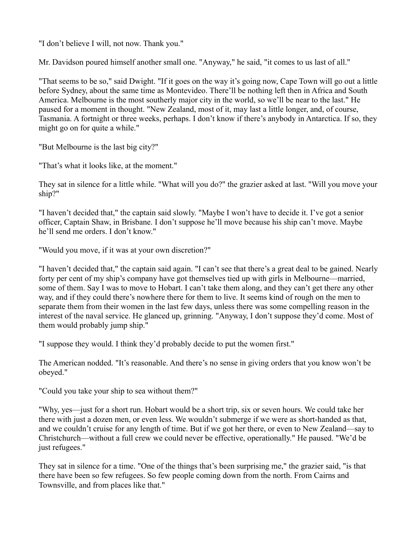"I don't believe I will, not now. Thank you."

Mr. Davidson poured himself another small one. "Anyway," he said, "it comes to us last of all."

"That seems to be so," said Dwight. "If it goes on the way it's going now, Cape Town will go out a little before Sydney, about the same time as Montevideo. There'll be nothing left then in Africa and South America. Melbourne is the most southerly major city in the world, so we'll be near to the last." He paused for a moment in thought. "New Zealand, most of it, may last a little longer, and, of course, Tasmania. A fortnight or three weeks, perhaps. I don't know if there's anybody in Antarctica. If so, they might go on for quite a while."

"But Melbourne is the last big city?"

"That's what it looks like, at the moment."

They sat in silence for a little while. "What will you do?" the grazier asked at last. "Will you move your ship?"

"I haven't decided that," the captain said slowly. "Maybe I won't have to decide it. I've got a senior officer, Captain Shaw, in Brisbane. I don't suppose he'll move because his ship can't move. Maybe he'll send me orders. I don't know."

"Would you move, if it was at your own discretion?"

"I haven't decided that," the captain said again. "I can't see that there's a great deal to be gained. Nearly forty per cent of my ship's company have got themselves tied up with girls in Melbourne—married, some of them. Say I was to move to Hobart. I can't take them along, and they can't get there any other way, and if they could there's nowhere there for them to live. It seems kind of rough on the men to separate them from their women in the last few days, unless there was some compelling reason in the interest of the naval service. He glanced up, grinning. "Anyway, I don't suppose they'd come. Most of them would probably jump ship."

"I suppose they would. I think they'd probably decide to put the women first."

The American nodded. "It's reasonable. And there's no sense in giving orders that you know won't be obeyed."

"Could you take your ship to sea without them?"

"Why, yes—just for a short run. Hobart would be a short trip, six or seven hours. We could take her there with just a dozen men, or even less. We wouldn't submerge if we were as short-handed as that, and we couldn't cruise for any length of time. But if we got her there, or even to New Zealand—say to Christchurch—without a full crew we could never be effective, operationally." He paused. "We'd be just refugees."

They sat in silence for a time. "One of the things that's been surprising me," the grazier said, "is that there have been so few refugees. So few people coming down from the north. From Cairns and Townsville, and from places like that."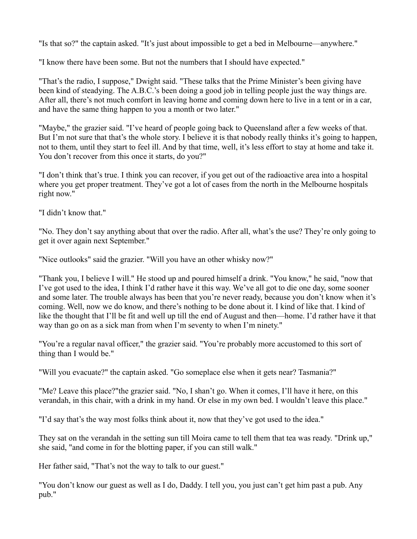"Is that so?" the captain asked. "It's just about impossible to get a bed in Melbourne—anywhere."

"I know there have been some. But not the numbers that I should have expected."

"That's the radio, I suppose," Dwight said. "These talks that the Prime Minister's been giving have been kind of steadying. The A.B.C.'s been doing a good job in telling people just the way things are. After all, there's not much comfort in leaving home and coming down here to live in a tent or in a car, and have the same thing happen to you a month or two later."

"Maybe," the grazier said. "I've heard of people going back to Queensland after a few weeks of that. But I'm not sure that that's the whole story. I believe it is that nobody really thinks it's going to happen, not to them, until they start to feel ill. And by that time, well, it's less effort to stay at home and take it. You don't recover from this once it starts, do you?"

"I don't think that's true. I think you can recover, if you get out of the radioactive area into a hospital where you get proper treatment. They've got a lot of cases from the north in the Melbourne hospitals right now."

"I didn't know that."

"No. They don't say anything about that over the radio. After all, what's the use? They're only going to get it over again next September."

"Nice outlooks" said the grazier. "Will you have an other whisky now?"

"Thank you, I believe I will." He stood up and poured himself a drink. "You know," he said, "now that I've got used to the idea, I think I'd rather have it this way. We've all got to die one day, some sooner and some later. The trouble always has been that you're never ready, because you don't know when it's coming. Well, now we do know, and there's nothing to be done about it. I kind of like that. I kind of like the thought that I'll be fit and well up till the end of August and then—home. I'd rather have it that way than go on as a sick man from when I'm seventy to when I'm ninety."

"You're a regular naval officer," the grazier said. "You're probably more accustomed to this sort of thing than I would be."

"Will you evacuate?" the captain asked. "Go someplace else when it gets near? Tasmania?"

"Me? Leave this place?"the grazier said. "No, I shan't go. When it comes, I'll have it here, on this verandah, in this chair, with a drink in my hand. Or else in my own bed. I wouldn't leave this place."

"I'd say that's the way most folks think about it, now that they've got used to the idea."

They sat on the verandah in the setting sun till Moira came to tell them that tea was ready. "Drink up," she said, "and come in for the blotting paper, if you can still walk."

Her father said, "That's not the way to talk to our guest."

"You don't know our guest as well as I do, Daddy. I tell you, you just can't get him past a pub. Any pub."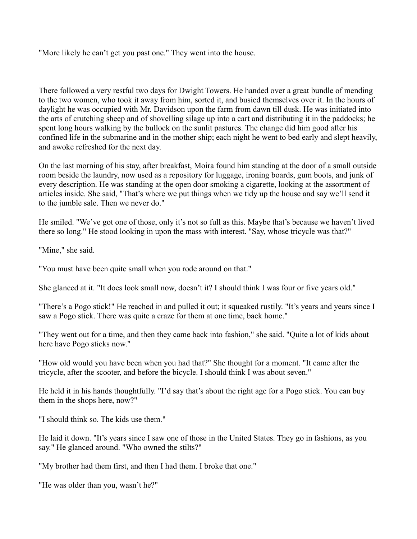"More likely he can't get you past one." They went into the house.

There followed a very restful two days for Dwight Towers. He handed over a great bundle of mending to the two women, who took it away from him, sorted it, and busied themselves over it. In the hours of daylight he was occupied with Mr. Davidson upon the farm from dawn till dusk. He was initiated into the arts of crutching sheep and of shovelling silage up into a cart and distributing it in the paddocks; he spent long hours walking by the bullock on the sunlit pastures. The change did him good after his confined life in the submarine and in the mother ship; each night he went to bed early and slept heavily, and awoke refreshed for the next day.

On the last morning of his stay, after breakfast, Moira found him standing at the door of a small outside room beside the laundry, now used as a repository for luggage, ironing boards, gum boots, and junk of every description. He was standing at the open door smoking a cigarette, looking at the assortment of articles inside. She said, "That's where we put things when we tidy up the house and say we'll send it to the jumble sale. Then we never do."

He smiled. "We've got one of those, only it's not so full as this. Maybe that's because we haven't lived there so long." He stood looking in upon the mass with interest. "Say, whose tricycle was that?"

"Mine," she said.

"You must have been quite small when you rode around on that."

She glanced at it. "It does look small now, doesn't it? I should think I was four or five years old."

"There's a Pogo stick!" He reached in and pulled it out; it squeaked rustily. "It's years and years since I saw a Pogo stick. There was quite a craze for them at one time, back home."

"They went out for a time, and then they came back into fashion," she said. "Quite a lot of kids about here have Pogo sticks now."

"How old would you have been when you had that?" She thought for a moment. "It came after the tricycle, after the scooter, and before the bicycle. I should think I was about seven."

He held it in his hands thoughtfully. "I'd say that's about the right age for a Pogo stick. You can buy them in the shops here, now?"

"I should think so. The kids use them."

He laid it down. "It's years since I saw one of those in the United States. They go in fashions, as you say." He glanced around. "Who owned the stilts?"

"My brother had them first, and then I had them. I broke that one."

"He was older than you, wasn't he?"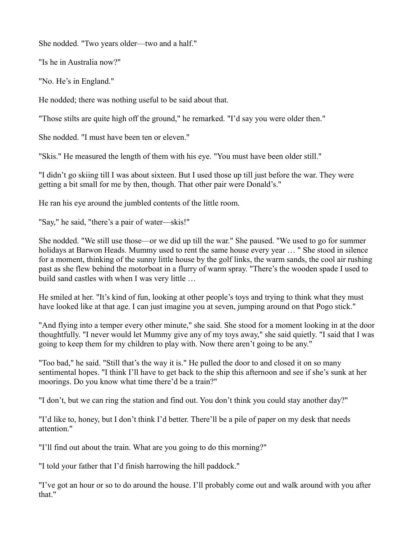She nodded. "Two years older—two and a half."

"Is he in Australia now?"

"No. He's in England."

He nodded; there was nothing useful to be said about that.

"Those stilts are quite high off the ground," he remarked. "I'd say you were older then."

She nodded. "I must have been ten or eleven."

"Skis." He measured the length of them with his eye. "You must have been older still."

"I didn't go skiing till I was about sixteen. But I used those up till just before the war. They were getting a bit small for me by then, though. That other pair were Donald's."

He ran his eye around the jumbled contents of the little room.

"Say," he said, "there's a pair of water—skis!"

She nodded. "We still use those—or we did up till the war." She paused. "We used to go for summer holidays at Barwon Heads. Mummy used to rent the same house every year ... " She stood in silence for a moment, thinking of the sunny little house by the golf links, the warm sands, the cool air rushing past as she flew behind the motorboat in a flurry of warm spray. "There's the wooden spade I used to build sand castles with when I was very little …

He smiled at her. "It's kind of fun, looking at other people's toys and trying to think what they must have looked like at that age. I can just imagine you at seven, jumping around on that Pogo stick."

"And flying into a temper every other minute," she said. She stood for a moment looking in at the door thoughtfully. "I never would let Mummy give any of my toys away," she said quietly. "I said that I was going to keep them for my children to play with. Now there aren't going to be any."

"Too bad," he said. "Still that's the way it is." He pulled the door to and closed it on so many sentimental hopes. "I think I'll have to get back to the ship this afternoon and see if she's sunk at her moorings. Do you know what time there'd be a train?"

"I don't, but we can ring the station and find out. You don't think you could stay another day?"

"I'd like to, honey, but I don't think I'd better. There'll be a pile of paper on my desk that needs attention."

"I'll find out about the train. What are you going to do this morning?"

"I told your father that I'd finish harrowing the hill paddock."

"I've got an hour or so to do around the house. I'll probably come out and walk around with you after that."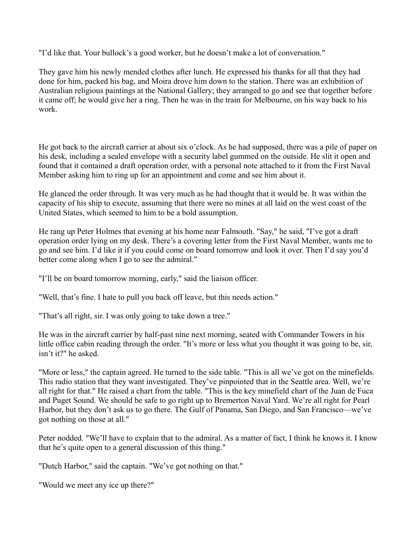"I'd like that. Your bullock's a good worker, but he doesn't make a lot of conversation."

They gave him his newly mended clothes after lunch. He expressed his thanks for all that they had done for him, packed his bag, and Moira drove him down to the station. There was an exhibition of Australian religious paintings at the National Gallery; they arranged to go and see that together before it came off; he would give her a ring. Then he was in the train for Melbourne, on his way back to his work.

He got back to the aircraft carrier at about six o'clock. As he had supposed, there was a pile of paper on his desk, including a sealed envelope with a security label gummed on the outside. He slit it open and found that it contained a draft operation order, with a personal note attached to it from the First Naval Member asking him to ring up for an appointment and come and see him about it.

He glanced the order through. It was very much as he had thought that it would be. It was within the capacity of his ship to execute, assuming that there were no mines at all laid on the west coast of the United States, which seemed to him to be a bold assumption.

He rang up Peter Holmes that evening at his home near Falmouth. "Say," he said, "I've got a draft operation order lying on my desk. There's a covering letter from the First Naval Member, wants me to go and see him. I'd like it if you could come on board tomorrow and look it over. Then I'd say you'd better come along when I go to see the admiral."

"I'll be on board tomorrow morning, early," said the liaison officer.

"Well, that's fine. I hate to pull you back off leave, but this needs action."

"That's all right, sir. I was only going to take down a tree."

He was in the aircraft carrier by half-past nine next morning, seated with Commander Towers in his little office cabin reading through the order. "It's more or less what you thought it was going to be, sir, isn't it?" he asked.

"More or less," the captain agreed. He turned to the side table. "This is all we've got on the minefields. This radio station that they want investigated. They've pinpointed that in the Seattle area. Well, we're all right for that." He raised a chart from the table. "This is the key minefield chart of the Juan de Fuca and Puget Sound. We should be safe to go right up to Bremerton Naval Yard. We're all right for Pearl Harbor, but they don't ask us to go there. The Gulf of Panama, San Diego, and San Francisco—we've got nothing on those at all."

Peter nodded. "We'll have to explain that to the admiral. As a matter of fact, I think he knows it. I know that he's quite open to a general discussion of this thing."

"Dutch Harbor," said the captain. "We've got nothing on that."

"Would we meet any ice up there?"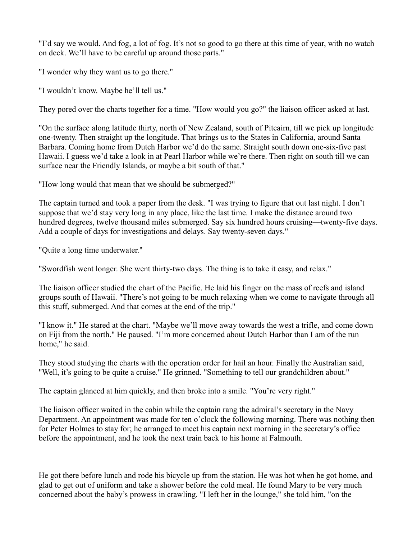"I'd say we would. And fog, a lot of fog. It's not so good to go there at this time of year, with no watch on deck. We'll have to be careful up around those parts."

"I wonder why they want us to go there."

"I wouldn't know. Maybe he'll tell us."

They pored over the charts together for a time. "How would you go?" the liaison officer asked at last.

"On the surface along latitude thirty, north of New Zealand, south of Pitcairn, till we pick up longitude one-twenty. Then straight up the longitude. That brings us to the States in California, around Santa Barbara. Coming home from Dutch Harbor we'd do the same. Straight south down one-six-five past Hawaii. I guess we'd take a look in at Pearl Harbor while we're there. Then right on south till we can surface near the Friendly Islands, or maybe a bit south of that."

"How long would that mean that we should be submerged?"

The captain turned and took a paper from the desk. "I was trying to figure that out last night. I don't suppose that we'd stay very long in any place, like the last time. I make the distance around two hundred degrees, twelve thousand miles submerged. Say six hundred hours cruising—twenty-five days. Add a couple of days for investigations and delays. Say twenty-seven days."

"Quite a long time underwater."

"Swordfish went longer. She went thirty-two days. The thing is to take it easy, and relax."

The liaison officer studied the chart of the Pacific. He laid his finger on the mass of reefs and island groups south of Hawaii. "There's not going to be much relaxing when we come to navigate through all this stuff, submerged. And that comes at the end of the trip."

"I know it." He stared at the chart. "Maybe we'll move away towards the west a trifle, and come down on Fiji from the north." He paused. "I'm more concerned about Dutch Harbor than I am of the run home," he said.

They stood studying the charts with the operation order for hail an hour. Finally the Australian said, "Well, it's going to be quite a cruise." He grinned. "Something to tell our grandchildren about."

The captain glanced at him quickly, and then broke into a smile. "You're very right."

The liaison officer waited in the cabin while the captain rang the admiral's secretary in the Navy Department. An appointment was made for ten o'clock the following morning. There was nothing then for Peter Holmes to stay for; he arranged to meet his captain next morning in the secretary's office before the appointment, and he took the next train back to his home at Falmouth.

He got there before lunch and rode his bicycle up from the station. He was hot when he got home, and glad to get out of uniform and take a shower before the cold meal. He found Mary to be very much concerned about the baby's prowess in crawling. "I left her in the lounge," she told him, "on the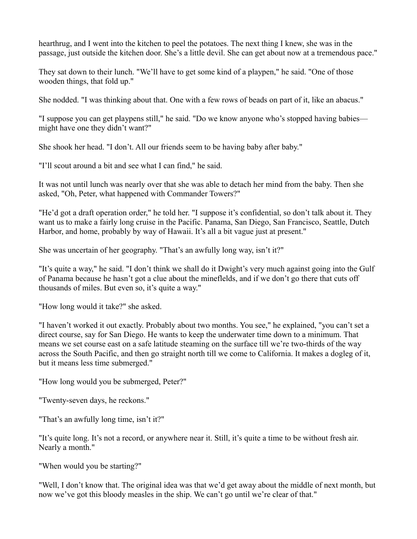hearthrug, and I went into the kitchen to peel the potatoes. The next thing I knew, she was in the passage, just outside the kitchen door. She's a little devil. She can get about now at a tremendous pace."

They sat down to their lunch. "We'll have to get some kind of a playpen," he said. "One of those wooden things, that fold up."

She nodded. "I was thinking about that. One with a few rows of beads on part of it, like an abacus."

"I suppose you can get playpens still," he said. "Do we know anyone who's stopped having babies might have one they didn't want?"

She shook her head. "I don't. All our friends seem to be having baby after baby."

"I'll scout around a bit and see what I can find," he said.

It was not until lunch was nearly over that she was able to detach her mind from the baby. Then she asked, "Oh, Peter, what happened with Commander Towers?"

"He'd got a draft operation order," he told her. "I suppose it's confidential, so don't talk about it. They want us to make a fairly long cruise in the Pacific. Panama, San Diego, San Francisco, Seattle, Dutch Harbor, and home, probably by way of Hawaii. It's all a bit vague just at present."

She was uncertain of her geography. "That's an awfully long way, isn't it?"

"It's quite a way," he said. "I don't think we shall do it Dwight's very much against going into the Gulf of Panama because he hasn't got a clue about the mineflelds, and if we don't go there that cuts off thousands of miles. But even so, it's quite a way."

"How long would it take?" she asked.

"I haven't worked it out exactly. Probably about two months. You see," he explained, "you can't set a direct course, say for San Diego. He wants to keep the underwater time down to a minimum. That means we set course east on a safe latitude steaming on the surface till we're two-thirds of the way across the South Pacific, and then go straight north till we come to California. It makes a dogleg of it, but it means less time submerged."

"How long would you be submerged, Peter?"

"Twenty-seven days, he reckons."

"That's an awfully long time, isn't it?"

"It's quite long. It's not a record, or anywhere near it. Still, it's quite a time to be without fresh air. Nearly a month."

"When would you be starting?"

"Well, I don't know that. The original idea was that we'd get away about the middle of next month, but now we've got this bloody measles in the ship. We can't go until we're clear of that."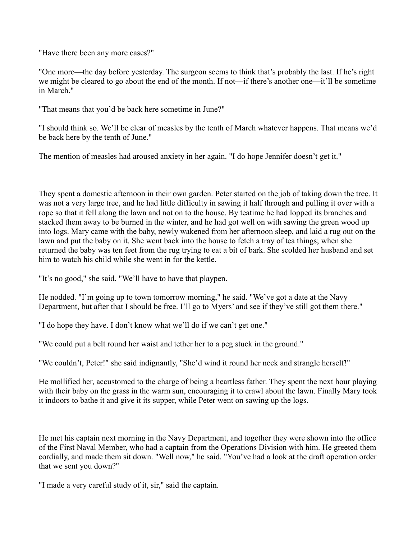"Have there been any more cases?"

"One more—the day before yesterday. The surgeon seems to think that's probably the last. If he's right we might be cleared to go about the end of the month. If not—if there's another one—it'll be sometime in March."

"That means that you'd be back here sometime in June?"

"I should think so. We'll be clear of measles by the tenth of March whatever happens. That means we'd be back here by the tenth of June."

The mention of measles had aroused anxiety in her again. "I do hope Jennifer doesn't get it."

They spent a domestic afternoon in their own garden. Peter started on the job of taking down the tree. It was not a very large tree, and he had little difficulty in sawing it half through and pulling it over with a rope so that it fell along the lawn and not on to the house. By teatime he had lopped its branches and stacked them away to be burned in the winter, and he had got well on with sawing the green wood up into logs. Mary came with the baby, newly wakened from her afternoon sleep, and laid a rug out on the lawn and put the baby on it. She went back into the house to fetch a tray of tea things; when she returned the baby was ten feet from the rug trying to eat a bit of bark. She scolded her husband and set him to watch his child while she went in for the kettle.

"It's no good," she said. "We'll have to have that playpen.

He nodded. "I'm going up to town tomorrow morning," he said. "We've got a date at the Navy Department, but after that I should be free. I'll go to Myers' and see if they've still got them there."

"I do hope they have. I don't know what we'll do if we can't get one."

"We could put a belt round her waist and tether her to a peg stuck in the ground."

"We couldn't, Peter!" she said indignantly, "She'd wind it round her neck and strangle herself!"

He mollified her, accustomed to the charge of being a heartless father. They spent the next hour playing with their baby on the grass in the warm sun, encouraging it to crawl about the lawn. Finally Mary took it indoors to bathe it and give it its supper, while Peter went on sawing up the logs.

He met his captain next morning in the Navy Department, and together they were shown into the office of the First Naval Member, who had a captain from the Operations Division with him. He greeted them cordially, and made them sit down. "Well now," he said. "You've had a look at the draft operation order that we sent you down?"

"I made a very careful study of it, sir," said the captain.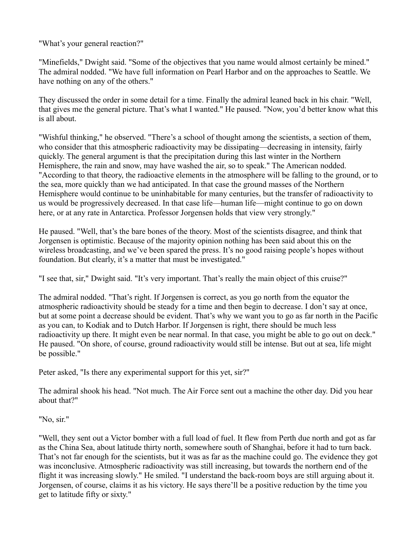"What's your general reaction?"

"Minefields," Dwight said. "Some of the objectives that you name would almost certainly be mined." The admiral nodded. "We have full information on Pearl Harbor and on the approaches to Seattle. We have nothing on any of the others."

They discussed the order in some detail for a time. Finally the admiral leaned back in his chair. "Well, that gives me the general picture. That's what I wanted." He paused. "Now, you'd better know what this is all about.

"Wishful thinking," he observed. "There's a school of thought among the scientists, a section of them, who consider that this atmospheric radioactivity may be dissipating—decreasing in intensity, fairly quickly. The general argument is that the precipitation during this last winter in the Northern Hemisphere, the rain and snow, may have washed the air, so to speak." The American nodded. "According to that theory, the radioactive elements in the atmosphere will be falling to the ground, or to the sea, more quickly than we had anticipated. In that case the ground masses of the Northern Hemisphere would continue to be uninhabitable for many centuries, but the transfer of radioactivity to us would be progressively decreased. In that case life—human life—might continue to go on down here, or at any rate in Antarctica. Professor Jorgensen holds that view very strongly."

He paused. "Well, that's the bare bones of the theory. Most of the scientists disagree, and think that Jorgensen is optimistic. Because of the majority opinion nothing has been said about this on the wireless broadcasting, and we've been spared the press. It's no good raising people's hopes without foundation. But clearly, it's a matter that must be investigated."

"I see that, sir," Dwight said. "It's very important. That's really the main object of this cruise?"

The admiral nodded. "That's right. If Jorgensen is correct, as you go north from the equator the atmospheric radioactivity should be steady for a time and then begin to decrease. I don't say at once, but at some point a decrease should be evident. That's why we want you to go as far north in the Pacific as you can, to Kodiak and to Dutch Harbor. If Jorgensen is right, there should be much less radioactivity up there. It might even be near normal. In that case, you might be able to go out on deck." He paused. "On shore, of course, ground radioactivity would still be intense. But out at sea, life might be possible."

Peter asked, "Is there any experimental support for this yet, sir?"

The admiral shook his head. "Not much. The Air Force sent out a machine the other day. Did you hear about that?"

"No, sir."

"Well, they sent out a Victor bomber with a full load of fuel. It flew from Perth due north and got as far as the China Sea, about latitude thirty north, somewhere south of Shanghai, before it had to turn back. That's not far enough for the scientists, but it was as far as the machine could go. The evidence they got was inconclusive. Atmospheric radioactivity was still increasing, but towards the northern end of the flight it was increasing slowly." He smiled. "I understand the back-room boys are still arguing about it. Jorgensen, of course, claims it as his victory. He says there'll be a positive reduction by the time you get to latitude fifty or sixty."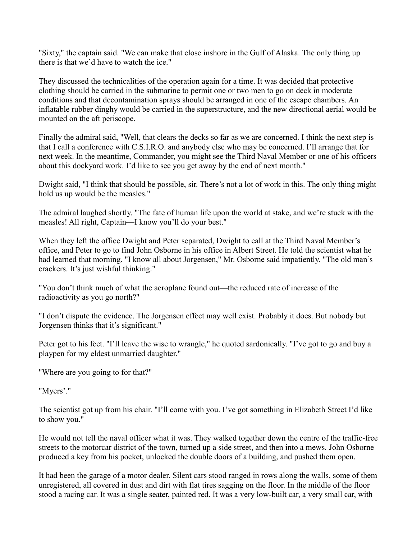"Sixty," the captain said. "We can make that close inshore in the Gulf of Alaska. The only thing up there is that we'd have to watch the ice."

They discussed the technicalities of the operation again for a time. It was decided that protective clothing should be carried in the submarine to permit one or two men to go on deck in moderate conditions and that decontamination sprays should be arranged in one of the escape chambers. An inflatable rubber dinghy would be carried in the superstructure, and the new directional aerial would be mounted on the aft periscope.

Finally the admiral said, "Well, that clears the decks so far as we are concerned. I think the next step is that I call a conference with C.S.I.R.O. and anybody else who may be concerned. I'll arrange that for next week. In the meantime, Commander, you might see the Third Naval Member or one of his officers about this dockyard work. I'd like to see you get away by the end of next month."

Dwight said, "I think that should be possible, sir. There's not a lot of work in this. The only thing might hold us up would be the measles."

The admiral laughed shortly. "The fate of human life upon the world at stake, and we're stuck with the measles! All right, Captain—I know you'll do your best."

When they left the office Dwight and Peter separated, Dwight to call at the Third Naval Member's office, and Peter to go to find John Osborne in his office in Albert Street. He told the scientist what he had learned that morning. "I know all about Jorgensen," Mr. Osborne said impatiently. "The old man's crackers. It's just wishful thinking."

"You don't think much of what the aeroplane found out—the reduced rate of increase of the radioactivity as you go north?"

"I don't dispute the evidence. The Jorgensen effect may well exist. Probably it does. But nobody but Jorgensen thinks that it's significant."

Peter got to his feet. "I'll leave the wise to wrangle," he quoted sardonically. "I've got to go and buy a playpen for my eldest unmarried daughter."

"Where are you going to for that?"

"Myers'."

The scientist got up from his chair. "I'll come with you. I've got something in Elizabeth Street I'd like to show you."

He would not tell the naval officer what it was. They walked together down the centre of the traffic-free streets to the motorcar district of the town, turned up a side street, and then into a mews. John Osborne produced a key from his pocket, unlocked the double doors of a building, and pushed them open.

It had been the garage of a motor dealer. Silent cars stood ranged in rows along the walls, some of them unregistered, all covered in dust and dirt with flat tires sagging on the floor. In the middle of the floor stood a racing car. It was a single seater, painted red. It was a very low-built car, a very small car, with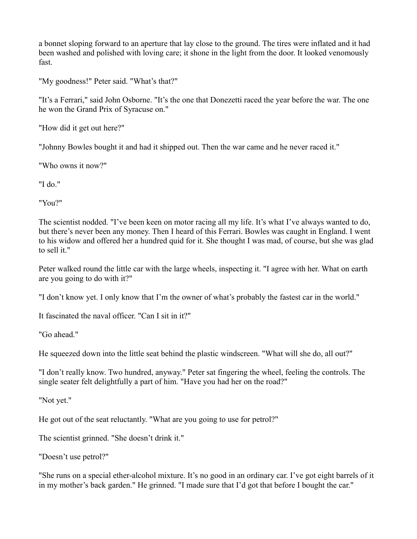a bonnet sloping forward to an aperture that lay close to the ground. The tires were inflated and it had been washed and polished with loving care; it shone in the light from the door. It looked venomously fast.

"My goodness!" Peter said. "What's that?"

"It's a Ferrari," said John Osborne. "It's the one that Donezetti raced the year before the war. The one he won the Grand Prix of Syracuse on."

"How did it get out here?"

"Johnny Bowles bought it and had it shipped out. Then the war came and he never raced it."

"Who owns it now?"

"I do."

"You?"

The scientist nodded. "I've been keen on motor racing all my life. It's what I've always wanted to do, but there's never been any money. Then I heard of this Ferrari. Bowles was caught in England. I went to his widow and offered her a hundred quid for it. She thought I was mad, of course, but she was glad to sell it."

Peter walked round the little car with the large wheels, inspecting it. "I agree with her. What on earth are you going to do with it?"

"I don't know yet. I only know that I'm the owner of what's probably the fastest car in the world."

It fascinated the naval officer. "Can I sit in it?"

"Go ahead."

He squeezed down into the little seat behind the plastic windscreen. "What will she do, all out?"

"I don't really know. Two hundred, anyway." Peter sat fingering the wheel, feeling the controls. The single seater felt delightfully a part of him. "Have you had her on the road?"

"Not yet."

He got out of the seat reluctantly. "What are you going to use for petrol?"

The scientist grinned. "She doesn't drink it."

"Doesn't use petrol?"

"She runs on a special ether-alcohol mixture. It's no good in an ordinary car. I've got eight barrels of it in my mother's back garden." He grinned. "I made sure that I'd got that before I bought the car."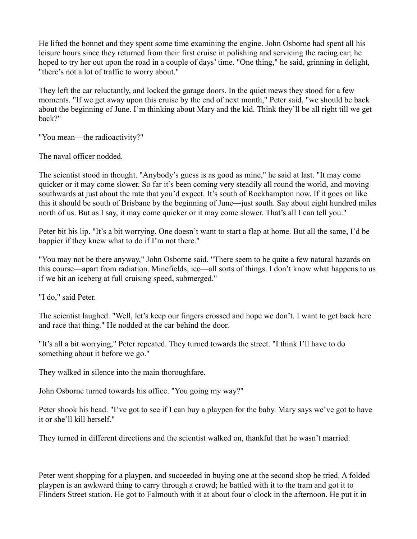He lifted the bonnet and they spent some time examining the engine. John Osborne had spent all his leisure hours since they returned from their first cruise in polishing and servicing the racing car; he hoped to try her out upon the road in a couple of days' time. "One thing," he said, grinning in delight, "there's not a lot of traffic to worry about."

They left the car reluctantly, and locked the garage doors. In the quiet mews they stood for a few moments. "If we get away upon this cruise by the end of next month," Peter said, "we should be back about the beginning of June. I'm thinking about Mary and the kid. Think they'll be all right till we get back?"

"You mean—the radioactivity?"

The naval officer nodded.

The scientist stood in thought. "Anybody's guess is as good as mine," he said at last. "It may come quicker or it may come slower. So far it's been coming very steadily all round the world, and moving southwards at just about the rate that you'd expect. It's south of Rockhampton now. If it goes on like this it should be south of Brisbane by the beginning of June—just south. Say about eight hundred miles north of us. But as I say, it may come quicker or it may come slower. That's all I can tell you."

Peter bit his lip. "It's a bit worrying. One doesn't want to start a flap at home. But all the same, I'd be happier if they knew what to do if I'm not there."

"You may not be there anyway," John Osborne said. "There seem to be quite a few natural hazards on this course—apart from radiation. Minefields, ice—all sorts of things. I don't know what happens to us if we hit an iceberg at full cruising speed, submerged."

"I do," said Peter.

The scientist laughed. "Well, let's keep our fingers crossed and hope we don't. I want to get back here and race that thing." He nodded at the car behind the door.

"It's all a bit worrying," Peter repeated. They turned towards the street. "I think I'll have to do something about it before we go."

They walked in silence into the main thoroughfare.

John Osborne turned towards his office. "You going my way?"

Peter shook his head. "I've got to see if I can buy a playpen for the baby. Mary says we've got to have it or she'll kill herself."

They turned in different directions and the scientist walked on, thankful that he wasn't married.

Peter went shopping for a playpen, and succeeded in buying one at the second shop he tried. A folded playpen is an awkward thing to carry through a crowd; he battled with it to the tram and got it to Flinders Street station. He got to Falmouth with it at about four o'clock in the afternoon. He put it in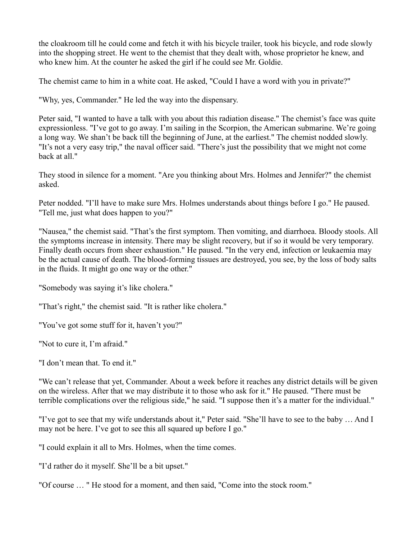the cloakroom till he could come and fetch it with his bicycle trailer, took his bicycle, and rode slowly into the shopping street. He went to the chemist that they dealt with, whose proprietor he knew, and who knew him. At the counter he asked the girl if he could see Mr. Goldie.

The chemist came to him in a white coat. He asked, "Could I have a word with you in private?"

"Why, yes, Commander." He led the way into the dispensary.

Peter said, "I wanted to have a talk with you about this radiation disease." The chemist's face was quite expressionless. "I've got to go away. I'm sailing in the Scorpion, the American submarine. We're going a long way. We shan't be back till the beginning of June, at the earliest." The chemist nodded slowly. "It's not a very easy trip," the naval officer said. "There's just the possibility that we might not come back at all."

They stood in silence for a moment. "Are you thinking about Mrs. Holmes and Jennifer?" the chemist asked.

Peter nodded. "I'll have to make sure Mrs. Holmes understands about things before I go." He paused. "Tell me, just what does happen to you?"

"Nausea," the chemist said. "That's the first symptom. Then vomiting, and diarrhoea. Bloody stools. All the symptoms increase in intensity. There may be slight recovery, but if so it would be very temporary. Finally death occurs from sheer exhaustion." He paused. "In the very end, infection or leukaemia may be the actual cause of death. The blood-forming tissues are destroyed, you see, by the loss of body salts in the fluids. It might go one way or the other."

"Somebody was saying it's like cholera."

"That's right," the chemist said. "It is rather like cholera."

"You've got some stuff for it, haven't you?"

"Not to cure it, I'm afraid."

"I don't mean that. To end it."

"We can't release that yet, Commander. About a week before it reaches any district details will be given on the wireless. After that we may distribute it to those who ask for it." He paused. "There must be terrible complications over the religious side," he said. "I suppose then it's a matter for the individual."

"I've got to see that my wife understands about it," Peter said. "She'll have to see to the baby … And I may not be here. I've got to see this all squared up before I go."

"I could explain it all to Mrs. Holmes, when the time comes.

"I'd rather do it myself. She'll be a bit upset."

"Of course … " He stood for a moment, and then said, "Come into the stock room."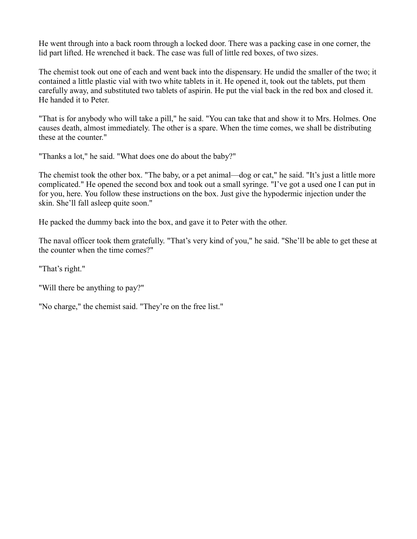He went through into a back room through a locked door. There was a packing case in one corner, the lid part lifted. He wrenched it back. The case was full of little red boxes, of two sizes.

The chemist took out one of each and went back into the dispensary. He undid the smaller of the two; it contained a little plastic vial with two white tablets in it. He opened it, took out the tablets, put them carefully away, and substituted two tablets of aspirin. He put the vial back in the red box and closed it. He handed it to Peter.

"That is for anybody who will take a pill," he said. "You can take that and show it to Mrs. Holmes. One causes death, almost immediately. The other is a spare. When the time comes, we shall be distributing these at the counter."

"Thanks a lot," he said. "What does one do about the baby?"

The chemist took the other box. "The baby, or a pet animal—dog or cat," he said. "It's just a little more complicated." He opened the second box and took out a small syringe. "I've got a used one I can put in for you, here. You follow these instructions on the box. Just give the hypodermic injection under the skin. She'll fall asleep quite soon."

He packed the dummy back into the box, and gave it to Peter with the other.

The naval officer took them gratefully. "That's very kind of you," he said. "She'll be able to get these at the counter when the time comes?"

"That's right."

"Will there be anything to pay?"

"No charge," the chemist said. "They're on the free list."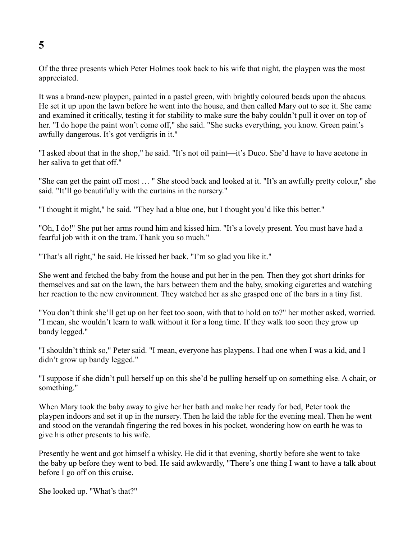## **5**

Of the three presents which Peter Holmes took back to his wife that night, the playpen was the most appreciated.

It was a brand-new playpen, painted in a pastel green, with brightly coloured beads upon the abacus. He set it up upon the lawn before he went into the house, and then called Mary out to see it. She came and examined it critically, testing it for stability to make sure the baby couldn't pull it over on top of her. "I do hope the paint won't come off," she said. "She sucks everything, you know. Green paint's awfully dangerous. It's got verdigris in it."

"I asked about that in the shop," he said. "It's not oil paint—it's Duco. She'd have to have acetone in her saliva to get that off."

"She can get the paint off most … " She stood back and looked at it. "It's an awfully pretty colour," she said. "It'll go beautifully with the curtains in the nursery."

"I thought it might," he said. "They had a blue one, but I thought you'd like this better."

"Oh, I do!" She put her arms round him and kissed him. "It's a lovely present. You must have had a fearful job with it on the tram. Thank you so much."

"That's all right," he said. He kissed her back. "I'm so glad you like it."

She went and fetched the baby from the house and put her in the pen. Then they got short drinks for themselves and sat on the lawn, the bars between them and the baby, smoking cigarettes and watching her reaction to the new environment. They watched her as she grasped one of the bars in a tiny fist.

"You don't think she'll get up on her feet too soon, with that to hold on to?" her mother asked, worried. "I mean, she wouldn't learn to walk without it for a long time. If they walk too soon they grow up bandy legged."

"I shouldn't think so," Peter said. "I mean, everyone has playpens. I had one when I was a kid, and I didn't grow up bandy legged."

"I suppose if she didn't pull herself up on this she'd be pulling herself up on something else. A chair, or something."

When Mary took the baby away to give her her bath and make her ready for bed, Peter took the playpen indoors and set it up in the nursery. Then he laid the table for the evening meal. Then he went and stood on the verandah fingering the red boxes in his pocket, wondering how on earth he was to give his other presents to his wife.

Presently he went and got himself a whisky. He did it that evening, shortly before she went to take the baby up before they went to bed. He said awkwardly, "There's one thing I want to have a talk about before I go off on this cruise.

She looked up. "What's that?"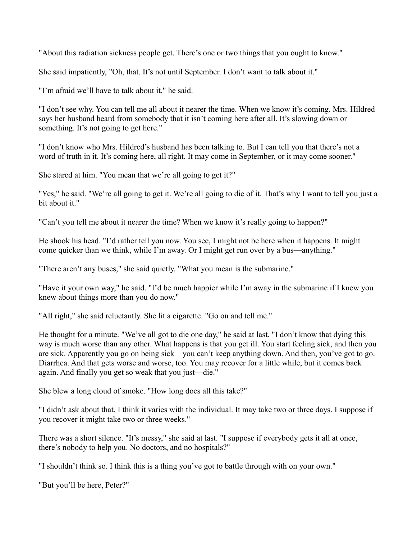"About this radiation sickness people get. There's one or two things that you ought to know."

She said impatiently, "Oh, that. It's not until September. I don't want to talk about it."

"I'm afraid we'll have to talk about it," he said.

"I don't see why. You can tell me all about it nearer the time. When we know it's coming. Mrs. Hildred says her husband heard from somebody that it isn't coming here after all. It's slowing down or something. It's not going to get here."

"I don't know who Mrs. Hildred's husband has been talking to. But I can tell you that there's not a word of truth in it. It's coming here, all right. It may come in September, or it may come sooner."

She stared at him. "You mean that we're all going to get it?"

"Yes," he said. "We're all going to get it. We're all going to die of it. That's why I want to tell you just a bit about it."

"Can't you tell me about it nearer the time? When we know it's really going to happen?"

He shook his head. "I'd rather tell you now. You see, I might not be here when it happens. It might come quicker than we think, while I'm away. Or I might get run over by a bus—anything."

"There aren't any buses," she said quietly. "What you mean is the submarine."

"Have it your own way," he said. "I'd be much happier while I'm away in the submarine if I knew you knew about things more than you do now."

"All right," she said reluctantly. She lit a cigarette. "Go on and tell me."

He thought for a minute. "We've all got to die one day," he said at last. "I don't know that dying this way is much worse than any other. What happens is that you get ill. You start feeling sick, and then you are sick. Apparently you go on being sick—you can't keep anything down. And then, you've got to go. Diarrhea. And that gets worse and worse, too. You may recover for a little while, but it comes back again. And finally you get so weak that you just—die."

She blew a long cloud of smoke. "How long does all this take?"

"I didn't ask about that. I think it varies with the individual. It may take two or three days. I suppose if you recover it might take two or three weeks."

There was a short silence. "It's messy," she said at last. "I suppose if everybody gets it all at once, there's nobody to help you. No doctors, and no hospitals?"

"I shouldn't think so. I think this is a thing you've got to battle through with on your own."

"But you'll be here, Peter?"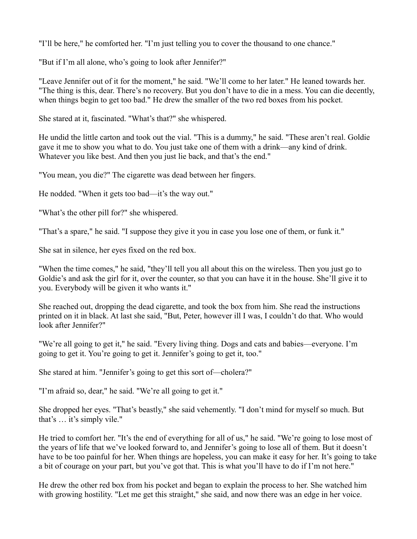"I'll be here," he comforted her. "I'm just telling you to cover the thousand to one chance."

"But if I'm all alone, who's going to look after Jennifer?"

"Leave Jennifer out of it for the moment," he said. "We'll come to her later." He leaned towards her. "The thing is this, dear. There's no recovery. But you don't have to die in a mess. You can die decently, when things begin to get too bad." He drew the smaller of the two red boxes from his pocket.

She stared at it, fascinated. "What's that?" she whispered.

He undid the little carton and took out the vial. "This is a dummy," he said. "These aren't real. Goldie gave it me to show you what to do. You just take one of them with a drink—any kind of drink. Whatever you like best. And then you just lie back, and that's the end."

"You mean, you die?" The cigarette was dead between her fingers.

He nodded. "When it gets too bad—it's the way out."

"What's the other pill for?" she whispered.

"That's a spare," he said. "I suppose they give it you in case you lose one of them, or funk it."

She sat in silence, her eyes fixed on the red box.

"When the time comes," he said, "they'll tell you all about this on the wireless. Then you just go to Goldie's and ask the girl for it, over the counter, so that you can have it in the house. She'll give it to you. Everybody will be given it who wants it."

She reached out, dropping the dead cigarette, and took the box from him. She read the instructions printed on it in black. At last she said, "But, Peter, however ill I was, I couldn't do that. Who would look after Jennifer?"

"We're all going to get it," he said. "Every living thing. Dogs and cats and babies—everyone. I'm going to get it. You're going to get it. Jennifer's going to get it, too."

She stared at him. "Jennifer's going to get this sort of—cholera?"

"I'm afraid so, dear," he said. "We're all going to get it."

She dropped her eyes. "That's beastly," she said vehemently. "I don't mind for myself so much. But that's … it's simply vile."

He tried to comfort her. "It's the end of everything for all of us," he said. "We're going to lose most of the years of life that we've looked forward to, and Jennifer's going to lose all of them. But it doesn't have to be too painful for her. When things are hopeless, you can make it easy for her. It's going to take a bit of courage on your part, but you've got that. This is what you'll have to do if I'm not here."

He drew the other red box from his pocket and began to explain the process to her. She watched him with growing hostility. "Let me get this straight," she said, and now there was an edge in her voice.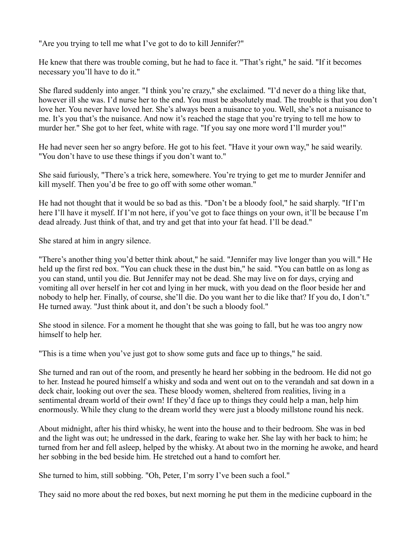"Are you trying to tell me what I've got to do to kill Jennifer?"

He knew that there was trouble coming, but he had to face it. "That's right," he said. "If it becomes necessary you'll have to do it."

She flared suddenly into anger. "I think you're crazy," she exclaimed. "I'd never do a thing like that, however ill she was. I'd nurse her to the end. You must be absolutely mad. The trouble is that you don't love her. You never have loved her. She's always been a nuisance to you. Well, she's not a nuisance to me. It's you that's the nuisance. And now it's reached the stage that you're trying to tell me how to murder her." She got to her feet, white with rage. "If you say one more word I'll murder you!"

He had never seen her so angry before. He got to his feet. "Have it your own way," he said wearily. "You don't have to use these things if you don't want to."

She said furiously, "There's a trick here, somewhere. You're trying to get me to murder Jennifer and kill myself. Then you'd be free to go off with some other woman."

He had not thought that it would be so bad as this. "Don't be a bloody fool," he said sharply. "If I'm here I'll have it myself. If I'm not here, if you've got to face things on your own, it'll be because I'm dead already. Just think of that, and try and get that into your fat head. I'll be dead."

She stared at him in angry silence.

"There's another thing you'd better think about," he said. "Jennifer may live longer than you will." He held up the first red box. "You can chuck these in the dust bin," he said. "You can battle on as long as you can stand, until you die. But Jennifer may not be dead. She may live on for days, crying and vomiting all over herself in her cot and lying in her muck, with you dead on the floor beside her and nobody to help her. Finally, of course, she'll die. Do you want her to die like that? If you do, I don't." He turned away. "Just think about it, and don't be such a bloody fool."

She stood in silence. For a moment he thought that she was going to fall, but he was too angry now himself to help her.

"This is a time when you've just got to show some guts and face up to things," he said.

She turned and ran out of the room, and presently he heard her sobbing in the bedroom. He did not go to her. Instead he poured himself a whisky and soda and went out on to the verandah and sat down in a deck chair, looking out over the sea. These bloody women, sheltered from realities, living in a sentimental dream world of their own! If they'd face up to things they could help a man, help him enormously. While they clung to the dream world they were just a bloody millstone round his neck.

About midnight, after his third whisky, he went into the house and to their bedroom. She was in bed and the light was out; he undressed in the dark, fearing to wake her. She lay with her back to him; he turned from her and fell asleep, helped by the whisky. At about two in the morning he awoke, and heard her sobbing in the bed beside him. He stretched out a hand to comfort her.

She turned to him, still sobbing. "Oh, Peter, I'm sorry I've been such a fool."

They said no more about the red boxes, but next morning he put them in the medicine cupboard in the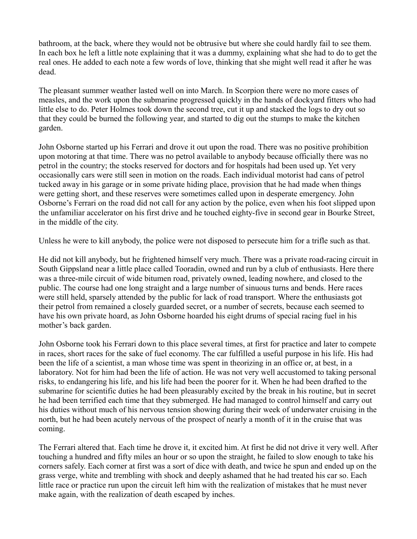bathroom, at the back, where they would not be obtrusive but where she could hardly fail to see them. In each box he left a little note explaining that it was a dummy, explaining what she had to do to get the real ones. He added to each note a few words of love, thinking that she might well read it after he was dead.

The pleasant summer weather lasted well on into March. In Scorpion there were no more cases of measles, and the work upon the submarine progressed quickly in the hands of dockyard fitters who had little else to do. Peter Holmes took down the second tree, cut it up and stacked the logs to dry out so that they could be burned the following year, and started to dig out the stumps to make the kitchen garden.

John Osborne started up his Ferrari and drove it out upon the road. There was no positive prohibition upon motoring at that time. There was no petrol available to anybody because officially there was no petrol in the country; the stocks reserved for doctors and for hospitals had been used up. Yet very occasionally cars were still seen in motion on the roads. Each individual motorist had cans of petrol tucked away in his garage or in some private hiding place, provision that he had made when things were getting short, and these reserves were sometimes called upon in desperate emergency. John Osborne's Ferrari on the road did not call for any action by the police, even when his foot slipped upon the unfamiliar accelerator on his first drive and he touched eighty-five in second gear in Bourke Street, in the middle of the city.

Unless he were to kill anybody, the police were not disposed to persecute him for a trifle such as that.

He did not kill anybody, but he frightened himself very much. There was a private road-racing circuit in South Gippsland near a little place called Tooradin, owned and run by a club of enthusiasts. Here there was a three-mile circuit of wide bitumen road, privately owned, leading nowhere, and closed to the public. The course had one long straight and a large number of sinuous turns and bends. Here races were still held, sparsely attended by the public for lack of road transport. Where the enthusiasts got their petrol from remained a closely guarded secret, or a number of secrets, because each seemed to have his own private hoard, as John Osborne hoarded his eight drums of special racing fuel in his mother's back garden.

John Osborne took his Ferrari down to this place several times, at first for practice and later to compete in races, short races for the sake of fuel economy. The car fulfilled a useful purpose in his life. His had been the life of a scientist, a man whose time was spent in theorizing in an office or, at best, in a laboratory. Not for him had been the life of action. He was not very well accustomed to taking personal risks, to endangering his life, and his life had been the poorer for it. When he had been drafted to the submarine for scientific duties he had been pleasurably excited by the break in his routine, but in secret he had been terrified each time that they submerged. He had managed to control himself and carry out his duties without much of his nervous tension showing during their week of underwater cruising in the north, but he had been acutely nervous of the prospect of nearly a month of it in the cruise that was coming.

The Ferrari altered that. Each time he drove it, it excited him. At first he did not drive it very well. After touching a hundred and fifty miles an hour or so upon the straight, he failed to slow enough to take his corners safely. Each corner at first was a sort of dice with death, and twice he spun and ended up on the grass verge, white and trembling with shock and deeply ashamed that he had treated his car so. Each little race or practice run upon the circuit left him with the realization of mistakes that he must never make again, with the realization of death escaped by inches.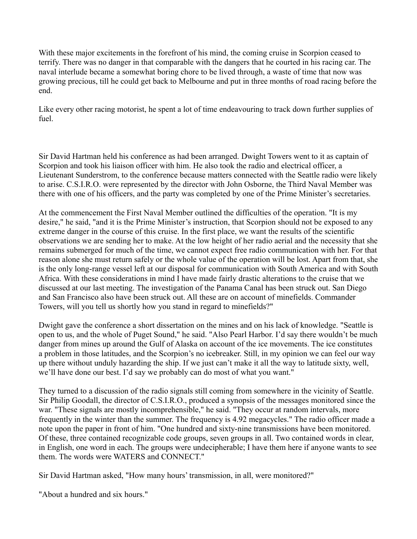With these major excitements in the forefront of his mind, the coming cruise in Scorpion ceased to terrify. There was no danger in that comparable with the dangers that he courted in his racing car. The naval interlude became a somewhat boring chore to be lived through, a waste of time that now was growing precious, till he could get back to Melbourne and put in three months of road racing before the end.

Like every other racing motorist, he spent a lot of time endeavouring to track down further supplies of fuel.

Sir David Hartman held his conference as had been arranged. Dwight Towers went to it as captain of Scorpion and took his liaison officer with him. He also took the radio and electrical officer, a Lieutenant Sunderstrom, to the conference because matters connected with the Seattle radio were likely to arise. C.S.I.R.O. were represented by the director with John Osborne, the Third Naval Member was there with one of his officers, and the party was completed by one of the Prime Minister's secretaries.

At the commencement the First Naval Member outlined the difficulties of the operation. "It is my desire," he said, "and it is the Prime Minister's instruction, that Scorpion should not be exposed to any extreme danger in the course of this cruise. In the first place, we want the results of the scientific observations we are sending her to make. At the low height of her radio aerial and the necessity that she remains submerged for much of the time, we cannot expect free radio communication with her. For that reason alone she must return safely or the whole value of the operation will be lost. Apart from that, she is the only long-range vessel left at our disposal for communication with South America and with South Africa. With these considerations in mind I have made fairly drastic alterations to the cruise that we discussed at our last meeting. The investigation of the Panama Canal has been struck out. San Diego and San Francisco also have been struck out. All these are on account of minefields. Commander Towers, will you tell us shortly how you stand in regard to minefields?"

Dwight gave the conference a short dissertation on the mines and on his lack of knowledge. "Seattle is open to us, and the whole of Puget Sound," he said. "Also Pearl Harbor. I'd say there wouldn't be much danger from mines up around the Gulf of Alaska on account of the ice movements. The ice constitutes a problem in those latitudes, and the Scorpion's no icebreaker. Still, in my opinion we can feel our way up there without unduly hazarding the ship. If we just can't make it all the way to latitude sixty, well, we'll have done our best. I'd say we probably can do most of what you want."

They turned to a discussion of the radio signals still coming from somewhere in the vicinity of Seattle. Sir Philip Goodall, the director of C.S.I.R.O., produced a synopsis of the messages monitored since the war. "These signals are mostly incomprehensible," he said. "They occur at random intervals, more frequently in the winter than the summer. The frequency is 4.92 megacycles." The radio officer made a note upon the paper in front of him. "One hundred and sixty-nine transmissions have been monitored. Of these, three contained recognizable code groups, seven groups in all. Two contained words in clear, in English, one word in each. The groups were undecipherable; I have them here if anyone wants to see them. The words were WATERS and CONNECT."

Sir David Hartman asked, "How many hours' transmission, in all, were monitored?"

"About a hundred and six hours."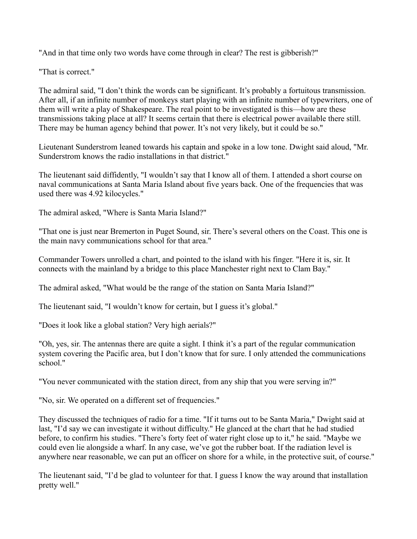"And in that time only two words have come through in clear? The rest is gibberish?"

"That is correct."

The admiral said, "I don't think the words can be significant. It's probably a fortuitous transmission. After all, if an infinite number of monkeys start playing with an infinite number of typewriters, one of them will write a play of Shakespeare. The real point to be investigated is this—how are these transmissions taking place at all? It seems certain that there is electrical power available there still. There may be human agency behind that power. It's not very likely, but it could be so."

Lieutenant Sunderstrom leaned towards his captain and spoke in a low tone. Dwight said aloud, "Mr. Sunderstrom knows the radio installations in that district."

The lieutenant said diffidently, "I wouldn't say that I know all of them. I attended a short course on naval communications at Santa Maria Island about five years back. One of the frequencies that was used there was 4.92 kilocycles."

The admiral asked, "Where is Santa Maria Island?"

"That one is just near Bremerton in Puget Sound, sir. There's several others on the Coast. This one is the main navy communications school for that area."

Commander Towers unrolled a chart, and pointed to the island with his finger. "Here it is, sir. It connects with the mainland by a bridge to this place Manchester right next to Clam Bay."

The admiral asked, "What would be the range of the station on Santa Maria Island?"

The lieutenant said, "I wouldn't know for certain, but I guess it's global."

"Does it look like a global station? Very high aerials?"

"Oh, yes, sir. The antennas there are quite a sight. I think it's a part of the regular communication system covering the Pacific area, but I don't know that for sure. I only attended the communications school."

"You never communicated with the station direct, from any ship that you were serving in?"

"No, sir. We operated on a different set of frequencies."

They discussed the techniques of radio for a time. "If it turns out to be Santa Maria," Dwight said at last, "I'd say we can investigate it without difficulty." He glanced at the chart that he had studied before, to confirm his studies. "There's forty feet of water right close up to it," he said. "Maybe we could even lie alongside a wharf. In any case, we've got the rubber boat. If the radiation level is anywhere near reasonable, we can put an officer on shore for a while, in the protective suit, of course."

The lieutenant said, "I'd be glad to volunteer for that. I guess I know the way around that installation pretty well."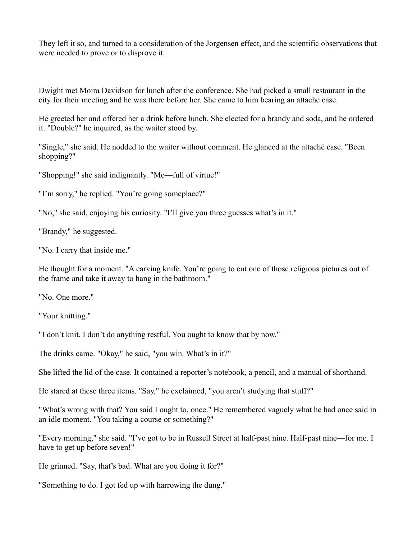They left it so, and turned to a consideration of the Jorgensen effect, and the scientific observations that were needed to prove or to disprove it.

Dwight met Moira Davidson for lunch after the conference. She had picked a small restaurant in the city for their meeting and he was there before her. She came to him bearing an attache case.

He greeted her and offered her a drink before lunch. She elected for a brandy and soda, and he ordered it. "Double?" he inquired, as the waiter stood by.

"Single," she said. He nodded to the waiter without comment. He glanced at the attaché case. "Been shopping?"

"Shopping!" she said indignantly. "Me—full of virtue!"

"I'm sorry," he replied. "You're going someplace?"

"No," she said, enjoying his curiosity. "I'll give you three guesses what's in it."

"Brandy," he suggested.

"No. I carry that inside me."

He thought for a moment. "A carving knife. You're going to cut one of those religious pictures out of the frame and take it away to hang in the bathroom."

"No. One more."

"Your knitting."

"I don't knit. I don't do anything restful. You ought to know that by now."

The drinks came. "Okay," he said, "you win. What's in it?"

She lifted the lid of the case. It contained a reporter's notebook, a pencil, and a manual of shorthand.

He stared at these three items. "Say," he exclaimed, "you aren't studying that stuff?"

"What's wrong with that? You said I ought to, once." He remembered vaguely what he had once said in an idle moment. "You taking a course or something?"

"Every morning," she said. "I've got to be in Russell Street at half-past nine. Half-past nine—for me. I have to get up before seven!"

He grinned. "Say, that's bad. What are you doing it for?"

"Something to do. I got fed up with harrowing the dung."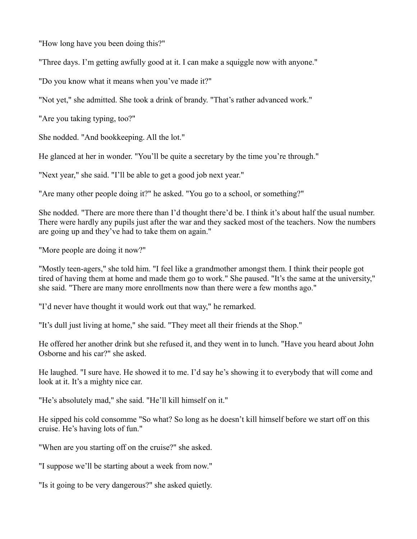"How long have you been doing this?"

"Three days. I'm getting awfully good at it. I can make a squiggle now with anyone."

"Do you know what it means when you've made it?"

"Not yet," she admitted. She took a drink of brandy. "That's rather advanced work."

"Are you taking typing, too?"

She nodded. "And bookkeeping. All the lot."

He glanced at her in wonder. "You'll be quite a secretary by the time you're through."

"Next year," she said. "I'll be able to get a good job next year."

"Are many other people doing it?" he asked. "You go to a school, or something?"

She nodded. "There are more there than I'd thought there'd be. I think it's about half the usual number. There were hardly any pupils just after the war and they sacked most of the teachers. Now the numbers are going up and they've had to take them on again."

"More people are doing it now?"

"Mostly teen-agers," she told him. "I feel like a grandmother amongst them. I think their people got tired of having them at home and made them go to work." She paused. "It's the same at the university," she said. "There are many more enrollments now than there were a few months ago."

"I'd never have thought it would work out that way," he remarked.

"It's dull just living at home," she said. "They meet all their friends at the Shop."

He offered her another drink but she refused it, and they went in to lunch. "Have you heard about John Osborne and his car?" she asked.

He laughed. "I sure have. He showed it to me. I'd say he's showing it to everybody that will come and look at it. It's a mighty nice car.

"He's absolutely mad," she said. "He'll kill himself on it."

He sipped his cold consomme "So what? So long as he doesn't kill himself before we start off on this cruise. He's having lots of fun."

"When are you starting off on the cruise?" she asked.

"I suppose we'll be starting about a week from now."

"Is it going to be very dangerous?" she asked quietly.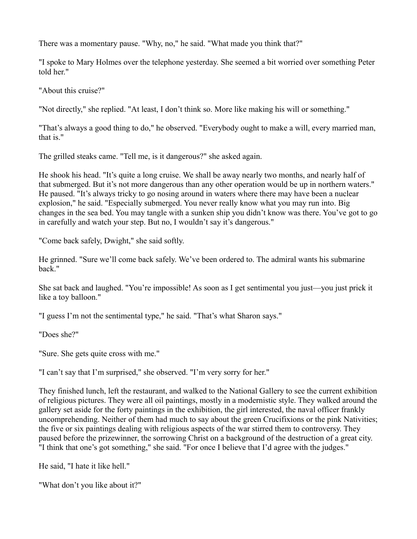There was a momentary pause. "Why, no," he said. "What made you think that?"

"I spoke to Mary Holmes over the telephone yesterday. She seemed a bit worried over something Peter told her."

"About this cruise?"

"Not directly," she replied. "At least, I don't think so. More like making his will or something."

"That's always a good thing to do," he observed. "Everybody ought to make a will, every married man, that is."

The grilled steaks came. "Tell me, is it dangerous?" she asked again.

He shook his head. "It's quite a long cruise. We shall be away nearly two months, and nearly half of that submerged. But it's not more dangerous than any other operation would be up in northern waters." He paused. "It's always tricky to go nosing around in waters where there may have been a nuclear explosion," he said. "Especially submerged. You never really know what you may run into. Big changes in the sea bed. You may tangle with a sunken ship you didn't know was there. You've got to go in carefully and watch your step. But no, I wouldn't say it's dangerous."

"Come back safely, Dwight," she said softly.

He grinned. "Sure we'll come back safely. We've been ordered to. The admiral wants his submarine back."

She sat back and laughed. "You're impossible! As soon as I get sentimental you just—you just prick it like a toy balloon."

"I guess I'm not the sentimental type," he said. "That's what Sharon says."

"Does she?"

"Sure. She gets quite cross with me."

"I can't say that I'm surprised," she observed. "I'm very sorry for her."

They finished lunch, left the restaurant, and walked to the National Gallery to see the current exhibition of religious pictures. They were all oil paintings, mostly in a modernistic style. They walked around the gallery set aside for the forty paintings in the exhibition, the girl interested, the naval officer frankly uncomprehending. Neither of them had much to say about the green Crucifixions or the pink Nativities; the five or six paintings dealing with religious aspects of the war stirred them to controversy. They paused before the prizewinner, the sorrowing Christ on a background of the destruction of a great city. "I think that one's got something," she said. "For once I believe that I'd agree with the judges."

He said, "I hate it like hell."

"What don't you like about it?"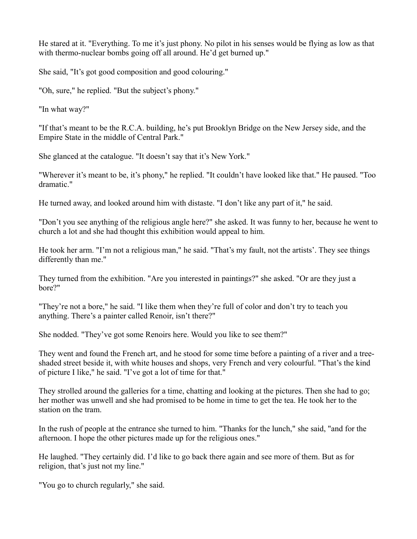He stared at it. "Everything. To me it's just phony. No pilot in his senses would be flying as low as that with thermo-nuclear bombs going off all around. He'd get burned up."

She said, "It's got good composition and good colouring."

"Oh, sure," he replied. "But the subject's phony."

"In what way?"

"If that's meant to be the R.C.A. building, he's put Brooklyn Bridge on the New Jersey side, and the Empire State in the middle of Central Park."

She glanced at the catalogue. "It doesn't say that it's New York."

"Wherever it's meant to be, it's phony," he replied. "It couldn't have looked like that." He paused. "Too dramatic."

He turned away, and looked around him with distaste. "I don't like any part of it," he said.

"Don't you see anything of the religious angle here?" she asked. It was funny to her, because he went to church a lot and she had thought this exhibition would appeal to him.

He took her arm. "I'm not a religious man," he said. "That's my fault, not the artists'. They see things differently than me."

They turned from the exhibition. "Are you interested in paintings?" she asked. "Or are they just a bore?"

"They're not a bore," he said. "I like them when they're full of color and don't try to teach you anything. There's a painter called Renoir, isn't there?"

She nodded. "They've got some Renoirs here. Would you like to see them?"

They went and found the French art, and he stood for some time before a painting of a river and a treeshaded street beside it, with white houses and shops, very French and very colourful. "That's the kind of picture I like," he said. "I've got a lot of time for that."

They strolled around the galleries for a time, chatting and looking at the pictures. Then she had to go; her mother was unwell and she had promised to be home in time to get the tea. He took her to the station on the tram.

In the rush of people at the entrance she turned to him. "Thanks for the lunch," she said, "and for the afternoon. I hope the other pictures made up for the religious ones."

He laughed. "They certainly did. I'd like to go back there again and see more of them. But as for religion, that's just not my line."

"You go to church regularly," she said.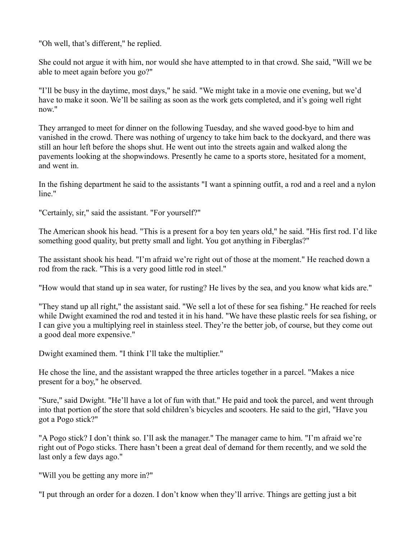"Oh well, that's different," he replied.

She could not argue it with him, nor would she have attempted to in that crowd. She said, "Will we be able to meet again before you go?"

"I'll be busy in the daytime, most days," he said. "We might take in a movie one evening, but we'd have to make it soon. We'll be sailing as soon as the work gets completed, and it's going well right now."

They arranged to meet for dinner on the following Tuesday, and she waved good-bye to him and vanished in the crowd. There was nothing of urgency to take him back to the dockyard, and there was still an hour left before the shops shut. He went out into the streets again and walked along the pavements looking at the shopwindows. Presently he came to a sports store, hesitated for a moment, and went in.

In the fishing department he said to the assistants "I want a spinning outfit, a rod and a reel and a nylon line."

"Certainly, sir," said the assistant. "For yourself?"

The American shook his head. "This is a present for a boy ten years old," he said. "His first rod. I'd like something good quality, but pretty small and light. You got anything in Fiberglas?"

The assistant shook his head. "I'm afraid we're right out of those at the moment." He reached down a rod from the rack. "This is a very good little rod in steel."

"How would that stand up in sea water, for rusting? He lives by the sea, and you know what kids are."

"They stand up all right," the assistant said. "We sell a lot of these for sea fishing." He reached for reels while Dwight examined the rod and tested it in his hand. "We have these plastic reels for sea fishing, or I can give you a multiplying reel in stainless steel. They're the better job, of course, but they come out a good deal more expensive."

Dwight examined them. "I think I'll take the multiplier."

He chose the line, and the assistant wrapped the three articles together in a parcel. "Makes a nice present for a boy," he observed.

"Sure," said Dwight. "He'll have a lot of fun with that." He paid and took the parcel, and went through into that portion of the store that sold children's bicycles and scooters. He said to the girl, "Have you got a Pogo stick?"

"A Pogo stick? I don't think so. I'll ask the manager." The manager came to him. "I'm afraid we're right out of Pogo sticks. There hasn't been a great deal of demand for them recently, and we sold the last only a few days ago."

"Will you be getting any more in?"

"I put through an order for a dozen. I don't know when they'll arrive. Things are getting just a bit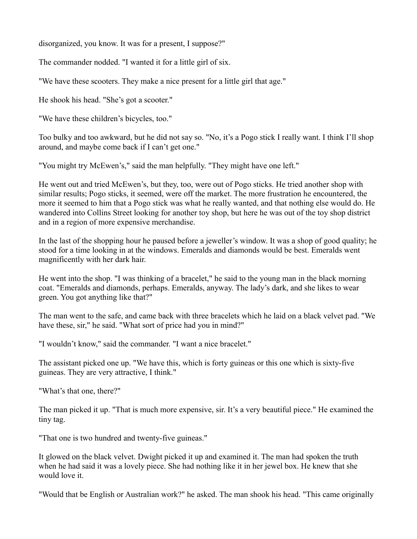disorganized, you know. It was for a present, I suppose?"

The commander nodded. "I wanted it for a little girl of six.

"We have these scooters. They make a nice present for a little girl that age."

He shook his head. "She's got a scooter."

"We have these children's bicycles, too."

Too bulky and too awkward, but he did not say so. "No, it's a Pogo stick I really want. I think I'll shop around, and maybe come back if I can't get one."

"You might try McEwen's," said the man helpfully. "They might have one left."

He went out and tried McEwen's, but they, too, were out of Pogo sticks. He tried another shop with similar results; Pogo sticks, it seemed, were off the market. The more frustration he encountered, the more it seemed to him that a Pogo stick was what he really wanted, and that nothing else would do. He wandered into Collins Street looking for another toy shop, but here he was out of the toy shop district and in a region of more expensive merchandise.

In the last of the shopping hour he paused before a jeweller's window. It was a shop of good quality; he stood for a time looking in at the windows. Emeralds and diamonds would be best. Emeralds went magnificently with her dark hair.

He went into the shop. "I was thinking of a bracelet," he said to the young man in the black morning coat. "Emeralds and diamonds, perhaps. Emeralds, anyway. The lady's dark, and she likes to wear green. You got anything like that?"

The man went to the safe, and came back with three bracelets which he laid on a black velvet pad. "We have these, sir," he said. "What sort of price had you in mind?"

"I wouldn't know," said the commander. "I want a nice bracelet."

The assistant picked one up. "We have this, which is forty guineas or this one which is sixty-five guineas. They are very attractive, I think."

"What's that one, there?"

The man picked it up. "That is much more expensive, sir. It's a very beautiful piece." He examined the tiny tag.

"That one is two hundred and twenty-five guineas."

It glowed on the black velvet. Dwight picked it up and examined it. The man had spoken the truth when he had said it was a lovely piece. She had nothing like it in her jewel box. He knew that she would love it.

"Would that be English or Australian work?" he asked. The man shook his head. "This came originally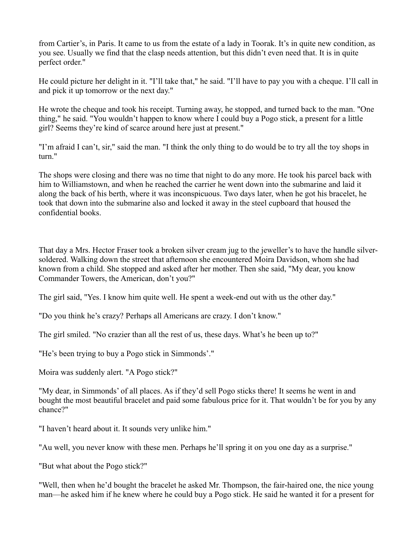from Cartier's, in Paris. It came to us from the estate of a lady in Toorak. It's in quite new condition, as you see. Usually we find that the clasp needs attention, but this didn't even need that. It is in quite perfect order."

He could picture her delight in it. "I'll take that," he said. "I'll have to pay you with a cheque. I'll call in and pick it up tomorrow or the next day."

He wrote the cheque and took his receipt. Turning away, he stopped, and turned back to the man. "One thing," he said. "You wouldn't happen to know where I could buy a Pogo stick, a present for a little girl? Seems they're kind of scarce around here just at present."

"I'm afraid I can't, sir," said the man. "I think the only thing to do would be to try all the toy shops in turn."

The shops were closing and there was no time that night to do any more. He took his parcel back with him to Williamstown, and when he reached the carrier he went down into the submarine and laid it along the back of his berth, where it was inconspicuous. Two days later, when he got his bracelet, he took that down into the submarine also and locked it away in the steel cupboard that housed the confidential books.

That day a Mrs. Hector Fraser took a broken silver cream jug to the jeweller's to have the handle silversoldered. Walking down the street that afternoon she encountered Moira Davidson, whom she had known from a child. She stopped and asked after her mother. Then she said, "My dear, you know Commander Towers, the American, don't you?"

The girl said, "Yes. I know him quite well. He spent a week-end out with us the other day."

"Do you think he's crazy? Perhaps all Americans are crazy. I don't know."

The girl smiled. "No crazier than all the rest of us, these days. What's he been up to?"

"He's been trying to buy a Pogo stick in Simmonds'."

Moira was suddenly alert. "A Pogo stick?"

"My dear, in Simmonds' of all places. As if they'd sell Pogo sticks there! It seems he went in and bought the most beautiful bracelet and paid some fabulous price for it. That wouldn't be for you by any chance?"

"I haven't heard about it. It sounds very unlike him."

"Au well, you never know with these men. Perhaps he'll spring it on you one day as a surprise."

"But what about the Pogo stick?"

"Well, then when he'd bought the bracelet he asked Mr. Thompson, the fair-haired one, the nice young man—he asked him if he knew where he could buy a Pogo stick. He said he wanted it for a present for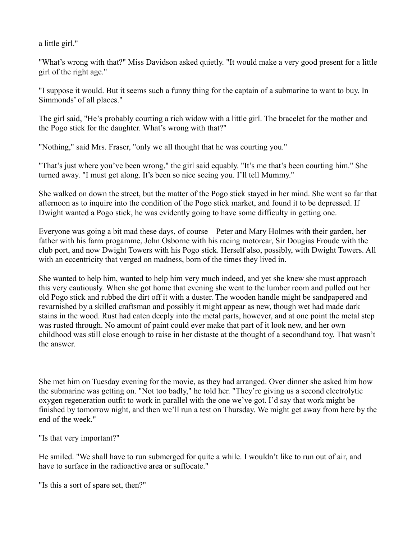a little girl."

"What's wrong with that?" Miss Davidson asked quietly. "It would make a very good present for a little girl of the right age."

"I suppose it would. But it seems such a funny thing for the captain of a submarine to want to buy. In Simmonds' of all places."

The girl said, "He's probably courting a rich widow with a little girl. The bracelet for the mother and the Pogo stick for the daughter. What's wrong with that?"

"Nothing," said Mrs. Fraser, "only we all thought that he was courting you."

"That's just where you've been wrong," the girl said equably. "It's me that's been courting him." She turned away. "I must get along. It's been so nice seeing you. I'll tell Mummy."

She walked on down the street, but the matter of the Pogo stick stayed in her mind. She went so far that afternoon as to inquire into the condition of the Pogo stick market, and found it to be depressed. If Dwight wanted a Pogo stick, he was evidently going to have some difficulty in getting one.

Everyone was going a bit mad these days, of course—Peter and Mary Holmes with their garden, her father with his farm progamme, John Osborne with his racing motorcar, Sir Dougias Froude with the club port, and now Dwight Towers with his Pogo stick. Herself also, possibly, with Dwight Towers. All with an eccentricity that verged on madness, born of the times they lived in.

She wanted to help him, wanted to help him very much indeed, and yet she knew she must approach this very cautiously. When she got home that evening she went to the lumber room and pulled out her old Pogo stick and rubbed the dirt off it with a duster. The wooden handle might be sandpapered and revarnished by a skilled craftsman and possibly it might appear as new, though wet had made dark stains in the wood. Rust had eaten deeply into the metal parts, however, and at one point the metal step was rusted through. No amount of paint could ever make that part of it look new, and her own childhood was still close enough to raise in her distaste at the thought of a secondhand toy. That wasn't the answer.

She met him on Tuesday evening for the movie, as they had arranged. Over dinner she asked him how the submarine was getting on. "Not too badly," he told her. "They're giving us a second electrolytic oxygen regeneration outfit to work in parallel with the one we've got. I'd say that work might be finished by tomorrow night, and then we'll run a test on Thursday. We might get away from here by the end of the week."

"Is that very important?"

He smiled. "We shall have to run submerged for quite a while. I wouldn't like to run out of air, and have to surface in the radioactive area or suffocate."

"Is this a sort of spare set, then?"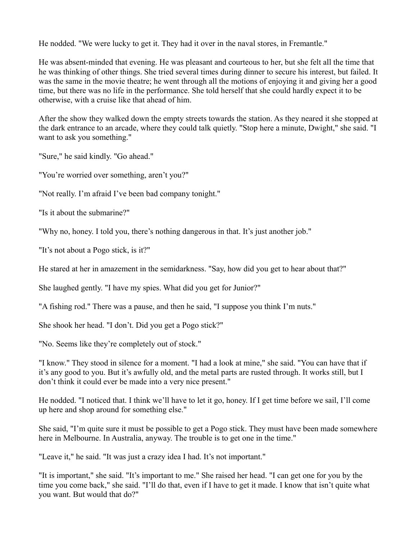He nodded. "We were lucky to get it. They had it over in the naval stores, in Fremantle."

He was absent-minded that evening. He was pleasant and courteous to her, but she felt all the time that he was thinking of other things. She tried several times during dinner to secure his interest, but failed. It was the same in the movie theatre; he went through all the motions of enjoying it and giving her a good time, but there was no life in the performance. She told herself that she could hardly expect it to be otherwise, with a cruise like that ahead of him.

After the show they walked down the empty streets towards the station. As they neared it she stopped at the dark entrance to an arcade, where they could talk quietly. "Stop here a minute, Dwight," she said. "I want to ask you something."

"Sure," he said kindly. "Go ahead."

"You're worried over something, aren't you?"

"Not really. I'm afraid I've been bad company tonight."

"Is it about the submarine?"

"Why no, honey. I told you, there's nothing dangerous in that. It's just another job."

"It's not about a Pogo stick, is it?"

He stared at her in amazement in the semidarkness. "Say, how did you get to hear about that?"

She laughed gently. "I have my spies. What did you get for Junior?"

"A fishing rod." There was a pause, and then he said, "I suppose you think I'm nuts."

She shook her head. "I don't. Did you get a Pogo stick?"

"No. Seems like they're completely out of stock."

"I know." They stood in silence for a moment. "I had a look at mine," she said. "You can have that if it's any good to you. But it's awfully old, and the metal parts are rusted through. It works still, but I don't think it could ever be made into a very nice present."

He nodded. "I noticed that. I think we'll have to let it go, honey. If I get time before we sail, I'll come up here and shop around for something else."

She said, "I'm quite sure it must be possible to get a Pogo stick. They must have been made somewhere here in Melbourne. In Australia, anyway. The trouble is to get one in the time."

"Leave it," he said. "It was just a crazy idea I had. It's not important."

"It is important," she said. "It's important to me." She raised her head. "I can get one for you by the time you come back," she said. "I'll do that, even if I have to get it made. I know that isn't quite what you want. But would that do?"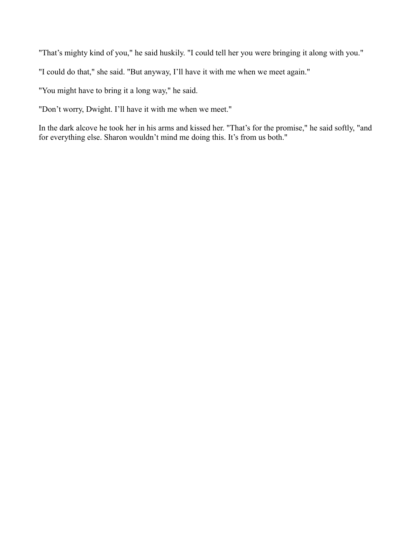"That's mighty kind of you," he said huskily. "I could tell her you were bringing it along with you."

"I could do that," she said. "But anyway, I'll have it with me when we meet again."

"You might have to bring it a long way," he said.

"Don't worry, Dwight. I'll have it with me when we meet."

In the dark alcove he took her in his arms and kissed her. "That's for the promise," he said softly, "and for everything else. Sharon wouldn't mind me doing this. It's from us both."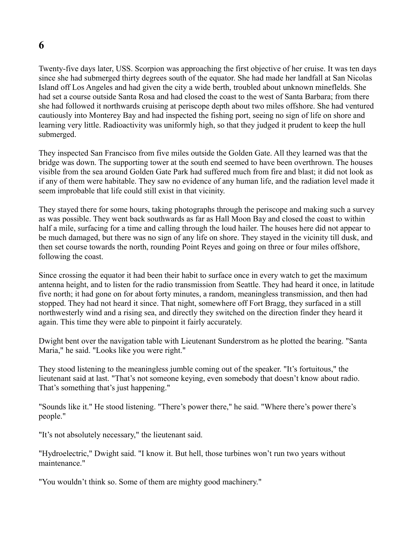## **6**

Twenty-five days later, USS. Scorpion was approaching the first objective of her cruise. It was ten days since she had submerged thirty degrees south of the equator. She had made her landfall at San Nicolas Island off Los Angeles and had given the city a wide berth, troubled about unknown mineflelds. She had set a course outside Santa Rosa and had closed the coast to the west of Santa Barbara; from there she had followed it northwards cruising at periscope depth about two miles offshore. She had ventured cautiously into Monterey Bay and had inspected the fishing port, seeing no sign of life on shore and learning very little. Radioactivity was uniformly high, so that they judged it prudent to keep the hull submerged.

They inspected San Francisco from five miles outside the Golden Gate. All they learned was that the bridge was down. The supporting tower at the south end seemed to have been overthrown. The houses visible from the sea around Golden Gate Park had suffered much from fire and blast; it did not look as if any of them were habitable. They saw no evidence of any human life, and the radiation level made it seem improbable that life could still exist in that vicinity.

They stayed there for some hours, taking photographs through the periscope and making such a survey as was possible. They went back southwards as far as Hall Moon Bay and closed the coast to within half a mile, surfacing for a time and calling through the loud hailer. The houses here did not appear to be much damaged, but there was no sign of any life on shore. They stayed in the vicinity till dusk, and then set course towards the north, rounding Point Reyes and going on three or four miles offshore, following the coast.

Since crossing the equator it had been their habit to surface once in every watch to get the maximum antenna height, and to listen for the radio transmission from Seattle. They had heard it once, in latitude five north; it had gone on for about forty minutes, a random, meaningless transmission, and then had stopped. They had not heard it since. That night, somewhere off Fort Bragg, they surfaced in a still northwesterly wind and a rising sea, and directly they switched on the direction finder they heard it again. This time they were able to pinpoint it fairly accurately.

Dwight bent over the navigation table with Lieutenant Sunderstrom as he plotted the bearing. "Santa Maria," he said. "Looks like you were right."

They stood listening to the meaningless jumble coming out of the speaker. "It's fortuitous," the lieutenant said at last. "That's not someone keying, even somebody that doesn't know about radio. That's something that's just happening."

"Sounds like it." He stood listening. "There's power there," he said. "Where there's power there's people."

"It's not absolutely necessary," the lieutenant said.

"Hydroelectric," Dwight said. "I know it. But hell, those turbines won't run two years without maintenance."

"You wouldn't think so. Some of them are mighty good machinery."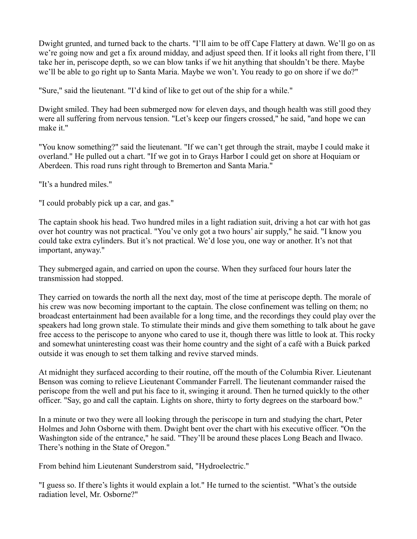Dwight grunted, and turned back to the charts. "I'll aim to be off Cape Flattery at dawn. We'll go on as we're going now and get a fix around midday, and adjust speed then. If it looks all right from there, I'll take her in, periscope depth, so we can blow tanks if we hit anything that shouldn't be there. Maybe we'll be able to go right up to Santa Maria. Maybe we won't. You ready to go on shore if we do?"

"Sure," said the lieutenant. "I'd kind of like to get out of the ship for a while."

Dwight smiled. They had been submerged now for eleven days, and though health was still good they were all suffering from nervous tension. "Let's keep our fingers crossed," he said, "and hope we can make it."

"You know something?" said the lieutenant. "If we can't get through the strait, maybe I could make it overland." He pulled out a chart. "If we got in to Grays Harbor I could get on shore at Hoquiam or Aberdeen. This road runs right through to Bremerton and Santa Maria."

"It's a hundred miles."

"I could probably pick up a car, and gas."

The captain shook his head. Two hundred miles in a light radiation suit, driving a hot car with hot gas over hot country was not practical. "You've only got a two hours' air supply," he said. "I know you could take extra cylinders. But it's not practical. We'd lose you, one way or another. It's not that important, anyway."

They submerged again, and carried on upon the course. When they surfaced four hours later the transmission had stopped.

They carried on towards the north all the next day, most of the time at periscope depth. The morale of his crew was now becoming important to the captain. The close confinement was telling on them; no broadcast entertainment had been available for a long time, and the recordings they could play over the speakers had long grown stale. To stimulate their minds and give them something to talk about he gave free access to the periscope to anyone who cared to use it, though there was little to look at. This rocky and somewhat uninteresting coast was their home country and the sight of a café with a Buick parked outside it was enough to set them talking and revive starved minds.

At midnight they surfaced according to their routine, off the mouth of the Columbia River. Lieutenant Benson was coming to relieve Lieutenant Commander Farrell. The lieutenant commander raised the periscope from the well and put his face to it, swinging it around. Then he turned quickly to the other officer. "Say, go and call the captain. Lights on shore, thirty to forty degrees on the starboard bow."

In a minute or two they were all looking through the periscope in turn and studying the chart, Peter Holmes and John Osborne with them. Dwight bent over the chart with his executive officer. "On the Washington side of the entrance," he said. "They'll be around these places Long Beach and Ilwaco. There's nothing in the State of Oregon."

From behind him Lieutenant Sunderstrom said, "Hydroelectric."

"I guess so. If there's lights it would explain a lot." He turned to the scientist. "What's the outside radiation level, Mr. Osborne?"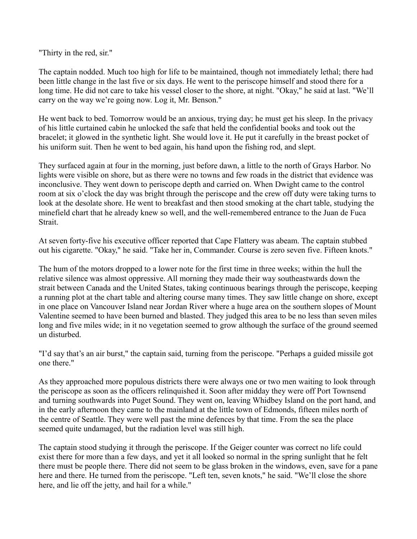"Thirty in the red, sir."

The captain nodded. Much too high for life to be maintained, though not immediately lethal; there had been little change in the last five or six days. He went to the periscope himself and stood there for a long time. He did not care to take his vessel closer to the shore, at night. "Okay," he said at last. "We'll carry on the way we're going now. Log it, Mr. Benson."

He went back to bed. Tomorrow would be an anxious, trying day; he must get his sleep. In the privacy of his little curtained cabin he unlocked the safe that held the confidential books and took out the bracelet; it glowed in the synthetic light. She would love it. He put it carefully in the breast pocket of his uniform suit. Then he went to bed again, his hand upon the fishing rod, and slept.

They surfaced again at four in the morning, just before dawn, a little to the north of Grays Harbor. No lights were visible on shore, but as there were no towns and few roads in the district that evidence was inconclusive. They went down to periscope depth and carried on. When Dwight came to the control room at six o'clock the day was bright through the periscope and the crew off duty were taking turns to look at the desolate shore. He went to breakfast and then stood smoking at the chart table, studying the minefield chart that he already knew so well, and the well-remembered entrance to the Juan de Fuca Strait.

At seven forty-five his executive officer reported that Cape Flattery was abeam. The captain stubbed out his cigarette. "Okay," he said. "Take her in, Commander. Course is zero seven five. Fifteen knots."

The hum of the motors dropped to a lower note for the first time in three weeks; within the hull the relative silence was almost oppressive. All morning they made their way southeastwards down the strait between Canada and the United States, taking continuous bearings through the periscope, keeping a running plot at the chart table and altering course many times. They saw little change on shore, except in one place on Vancouver Island near Jordan River where a huge area on the southern slopes of Mount Valentine seemed to have been burned and blasted. They judged this area to be no less than seven miles long and five miles wide; in it no vegetation seemed to grow although the surface of the ground seemed un disturbed.

"I'd say that's an air burst," the captain said, turning from the periscope. "Perhaps a guided missile got one there."

As they approached more populous districts there were always one or two men waiting to look through the periscope as soon as the officers relinquished it. Soon after midday they were off Port Townsend and turning southwards into Puget Sound. They went on, leaving Whidbey Island on the port hand, and in the early afternoon they came to the mainland at the little town of Edmonds, fifteen miles north of the centre of Seattle. They were well past the mine defences by that time. From the sea the place seemed quite undamaged, but the radiation level was still high.

The captain stood studying it through the periscope. If the Geiger counter was correct no life could exist there for more than a few days, and yet it all looked so normal in the spring sunlight that he felt there must be people there. There did not seem to be glass broken in the windows, even, save for a pane here and there. He turned from the periscope. "Left ten, seven knots," he said. "We'll close the shore here, and lie off the jetty, and hail for a while."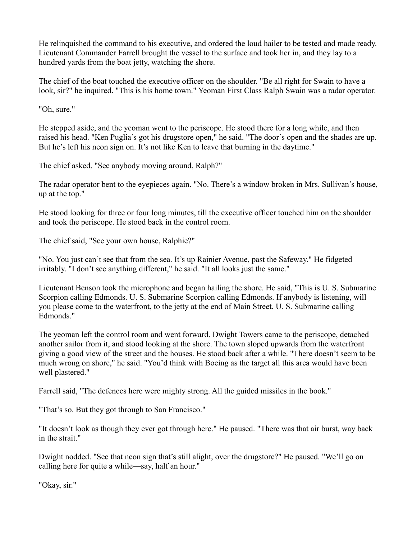He relinquished the command to his executive, and ordered the loud hailer to be tested and made ready. Lieutenant Commander Farrell brought the vessel to the surface and took her in, and they lay to a hundred yards from the boat jetty, watching the shore.

The chief of the boat touched the executive officer on the shoulder. "Be all right for Swain to have a look, sir?" he inquired. "This is his home town." Yeoman First Class Ralph Swain was a radar operator.

"Oh, sure."

He stepped aside, and the yeoman went to the periscope. He stood there for a long while, and then raised his head. "Ken Puglia's got his drugstore open," he said. "The door's open and the shades are up. But he's left his neon sign on. It's not like Ken to leave that burning in the daytime."

The chief asked, "See anybody moving around, Ralph?"

The radar operator bent to the eyepieces again. "No. There's a window broken in Mrs. Sullivan's house, up at the top."

He stood looking for three or four long minutes, till the executive officer touched him on the shoulder and took the periscope. He stood back in the control room.

The chief said, "See your own house, Ralphie?"

"No. You just can't see that from the sea. It's up Rainier Avenue, past the Safeway." He fidgeted irritably. "I don't see anything different," he said. "It all looks just the same."

Lieutenant Benson took the microphone and began hailing the shore. He said, "This is U. S. Submarine Scorpion calling Edmonds. U. S. Submarine Scorpion calling Edmonds. If anybody is listening, will you please come to the waterfront, to the jetty at the end of Main Street. U. S. Submarine calling Edmonds."

The yeoman left the control room and went forward. Dwight Towers came to the periscope, detached another sailor from it, and stood looking at the shore. The town sloped upwards from the waterfront giving a good view of the street and the houses. He stood back after a while. "There doesn't seem to be much wrong on shore," he said. "You'd think with Boeing as the target all this area would have been well plastered."

Farrell said, "The defences here were mighty strong. All the guided missiles in the book."

"That's so. But they got through to San Francisco."

"It doesn't look as though they ever got through here." He paused. "There was that air burst, way back in the strait."

Dwight nodded. "See that neon sign that's still alight, over the drugstore?" He paused. "We'll go on calling here for quite a while—say, half an hour."

"Okay, sir."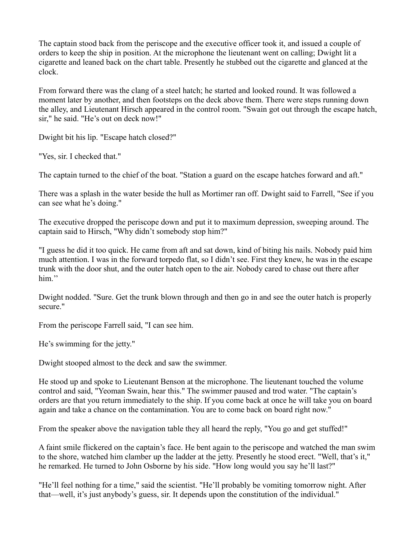The captain stood back from the periscope and the executive officer took it, and issued a couple of orders to keep the ship in position. At the microphone the lieutenant went on calling; Dwight lit a cigarette and leaned back on the chart table. Presently he stubbed out the cigarette and glanced at the clock.

From forward there was the clang of a steel hatch; he started and looked round. It was followed a moment later by another, and then footsteps on the deck above them. There were steps running down the alley, and Lieutenant Hirsch appeared in the control room. "Swain got out through the escape hatch, sir," he said. "He's out on deck now!"

Dwight bit his lip. "Escape hatch closed?"

"Yes, sir. I checked that."

The captain turned to the chief of the boat. "Station a guard on the escape hatches forward and aft."

There was a splash in the water beside the hull as Mortimer ran off. Dwight said to Farrell, "See if you can see what he's doing."

The executive dropped the periscope down and put it to maximum depression, sweeping around. The captain said to Hirsch, "Why didn't somebody stop him?"

"I guess he did it too quick. He came from aft and sat down, kind of biting his nails. Nobody paid him much attention. I was in the forward torpedo flat, so I didn't see. First they knew, he was in the escape trunk with the door shut, and the outer hatch open to the air. Nobody cared to chase out there after him.''

Dwight nodded. "Sure. Get the trunk blown through and then go in and see the outer hatch is properly secure."

From the periscope Farrell said, "I can see him.

He's swimming for the jetty."

Dwight stooped almost to the deck and saw the swimmer.

He stood up and spoke to Lieutenant Benson at the microphone. The lieutenant touched the volume control and said, "Yeoman Swain, hear this." The swimmer paused and trod water. "The captain's orders are that you return immediately to the ship. If you come back at once he will take you on board again and take a chance on the contamination. You are to come back on board right now."

From the speaker above the navigation table they all heard the reply, "You go and get stuffed!"

A faint smile flickered on the captain's face. He bent again to the periscope and watched the man swim to the shore, watched him clamber up the ladder at the jetty. Presently he stood erect. "Well, that's it," he remarked. He turned to John Osborne by his side. "How long would you say he'll last?"

"He'll feel nothing for a time," said the scientist. "He'll probably be vomiting tomorrow night. After that—well, it's just anybody's guess, sir. It depends upon the constitution of the individual."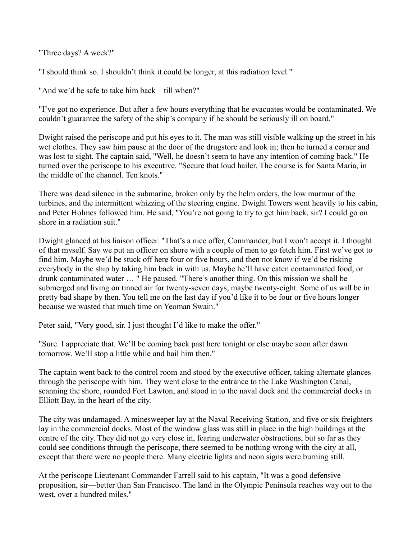"Three days? A week?"

"I should think so. I shouldn't think it could be longer, at this radiation level."

"And we'd be safe to take him back—till when?"

"I've got no experience. But after a few hours everything that he evacuates would be contaminated. We couldn't guarantee the safety of the ship's company if he should be seriously ill on board."

Dwight raised the periscope and put his eyes to it. The man was still visible walking up the street in his wet clothes. They saw him pause at the door of the drugstore and look in; then he turned a corner and was lost to sight. The captain said, "Well, he doesn't seem to have any intention of coming back." He turned over the periscope to his executive. "Secure that loud hailer. The course is for Santa Maria, in the middle of the channel. Ten knots."

There was dead silence in the submarine, broken only by the helm orders, the low murmur of the turbines, and the intermittent whizzing of the steering engine. Dwight Towers went heavily to his cabin, and Peter Holmes followed him. He said, "You're not going to try to get him back, sir? I could go on shore in a radiation suit."

Dwight glanced at his liaison officer. "That's a nice offer, Commander, but I won't accept it. I thought of that myself. Say we put an officer on shore with a couple of men to go fetch him. First we've got to find him. Maybe we'd be stuck off here four or five hours, and then not know if we'd be risking everybody in the ship by taking him back in with us. Maybe he'll have eaten contaminated food, or drunk contaminated water … " He paused. "There's another thing. On this mission we shall be submerged and living on tinned air for twenty-seven days, maybe twenty-eight. Some of us will be in pretty bad shape by then. You tell me on the last day if you'd like it to be four or five hours longer because we wasted that much time on Yeoman Swain."

Peter said, "Very good, sir. I just thought I'd like to make the offer."

"Sure. I appreciate that. We'll be coming back past here tonight or else maybe soon after dawn tomorrow. We'll stop a little while and hail him then."

The captain went back to the control room and stood by the executive officer, taking alternate glances through the periscope with him. They went close to the entrance to the Lake Washington Canal, scanning the shore, rounded Fort Lawton, and stood in to the naval dock and the commercial docks in Elliott Bay, in the heart of the city.

The city was undamaged. A minesweeper lay at the Naval Receiving Station, and five or six freighters lay in the commercial docks. Most of the window glass was still in place in the high buildings at the centre of the city. They did not go very close in, fearing underwater obstructions, but so far as they could see conditions through the periscope, there seemed to be nothing wrong with the city at all, except that there were no people there. Many electric lights and neon signs were burning still.

At the periscope Lieutenant Commander Farrell said to his captain, "It was a good defensive proposition, sir—better than San Francisco. The land in the Olympic Peninsula reaches way out to the west, over a hundred miles."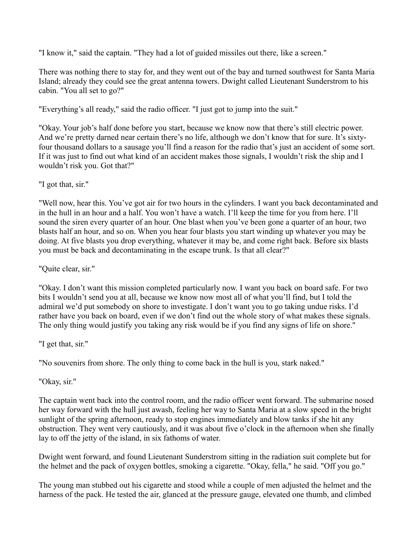"I know it," said the captain. "They had a lot of guided missiles out there, like a screen."

There was nothing there to stay for, and they went out of the bay and turned southwest for Santa Maria Island; already they could see the great antenna towers. Dwight called Lieutenant Sunderstrom to his cabin. "You all set to go?"

"Everything's all ready," said the radio officer. "I just got to jump into the suit."

"Okay. Your job's half done before you start, because we know now that there's still electric power. And we're pretty darned near certain there's no life, although we don't know that for sure. It's sixtyfour thousand dollars to a sausage you'll find a reason for the radio that's just an accident of some sort. If it was just to find out what kind of an accident makes those signals, I wouldn't risk the ship and I wouldn't risk you. Got that?"

"I got that, sir."

"Well now, hear this. You've got air for two hours in the cylinders. I want you back decontaminated and in the hull in an hour and a half. You won't have a watch. I'll keep the time for you from here. I'll sound the siren every quarter of an hour. One blast when you've been gone a quarter of an hour, two blasts half an hour, and so on. When you hear four blasts you start winding up whatever you may be doing. At five blasts you drop everything, whatever it may be, and come right back. Before six blasts you must be back and decontaminating in the escape trunk. Is that all clear?"

"Quite clear, sir."

"Okay. I don't want this mission completed particularly now. I want you back on board safe. For two bits I wouldn't send you at all, because we know now most all of what you'll find, but I told the admiral we'd put somebody on shore to investigate. I don't want you to go taking undue risks. I'd rather have you back on board, even if we don't find out the whole story of what makes these signals. The only thing would justify you taking any risk would be if you find any signs of life on shore."

"I get that, sir."

"No souvenirs from shore. The only thing to come back in the hull is you, stark naked."

"Okay, sir."

The captain went back into the control room, and the radio officer went forward. The submarine nosed her way forward with the hull just awash, feeling her way to Santa Maria at a slow speed in the bright sunlight of the spring afternoon, ready to stop engines immediately and blow tanks if she hit any obstruction. They went very cautiously, and it was about five o'clock in the afternoon when she finally lay to off the jetty of the island, in six fathoms of water.

Dwight went forward, and found Lieutenant Sunderstrom sitting in the radiation suit complete but for the helmet and the pack of oxygen bottles, smoking a cigarette. "Okay, fella," he said. "Off you go."

The young man stubbed out his cigarette and stood while a couple of men adjusted the helmet and the harness of the pack. He tested the air, glanced at the pressure gauge, elevated one thumb, and climbed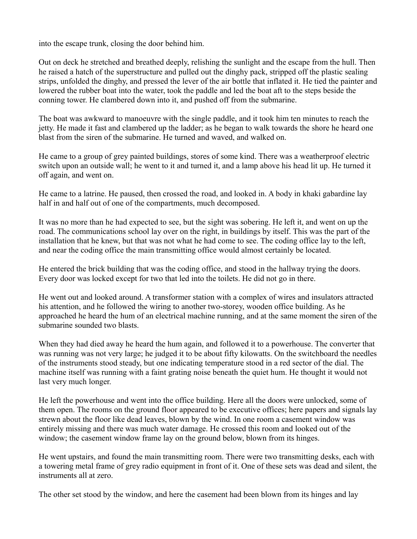into the escape trunk, closing the door behind him.

Out on deck he stretched and breathed deeply, relishing the sunlight and the escape from the hull. Then he raised a hatch of the superstructure and pulled out the dinghy pack, stripped off the plastic sealing strips, unfolded the dinghy, and pressed the lever of the air bottle that inflated it. He tied the painter and lowered the rubber boat into the water, took the paddle and led the boat aft to the steps beside the conning tower. He clambered down into it, and pushed off from the submarine.

The boat was awkward to manoeuvre with the single paddle, and it took him ten minutes to reach the jetty. He made it fast and clambered up the ladder; as he began to walk towards the shore he heard one blast from the siren of the submarine. He turned and waved, and walked on.

He came to a group of grey painted buildings, stores of some kind. There was a weatherproof electric switch upon an outside wall; he went to it and turned it, and a lamp above his head lit up. He turned it off again, and went on.

He came to a latrine. He paused, then crossed the road, and looked in. A body in khaki gabardine lay half in and half out of one of the compartments, much decomposed.

It was no more than he had expected to see, but the sight was sobering. He left it, and went on up the road. The communications school lay over on the right, in buildings by itself. This was the part of the installation that he knew, but that was not what he had come to see. The coding office lay to the left, and near the coding office the main transmitting office would almost certainly be located.

He entered the brick building that was the coding office, and stood in the hallway trying the doors. Every door was locked except for two that led into the toilets. He did not go in there.

He went out and looked around. A transformer station with a complex of wires and insulators attracted his attention, and he followed the wiring to another two-storey, wooden office building. As he approached he heard the hum of an electrical machine running, and at the same moment the siren of the submarine sounded two blasts.

When they had died away he heard the hum again, and followed it to a powerhouse. The converter that was running was not very large; he judged it to be about fifty kilowatts. On the switchboard the needles of the instruments stood steady, but one indicating temperature stood in a red sector of the dial. The machine itself was running with a faint grating noise beneath the quiet hum. He thought it would not last very much longer.

He left the powerhouse and went into the office building. Here all the doors were unlocked, some of them open. The rooms on the ground floor appeared to be executive offices; here papers and signals lay strewn about the floor like dead leaves, blown by the wind. In one room a casement window was entirely missing and there was much water damage. He crossed this room and looked out of the window; the casement window frame lay on the ground below, blown from its hinges.

He went upstairs, and found the main transmitting room. There were two transmitting desks, each with a towering metal frame of grey radio equipment in front of it. One of these sets was dead and silent, the instruments all at zero.

The other set stood by the window, and here the casement had been blown from its hinges and lay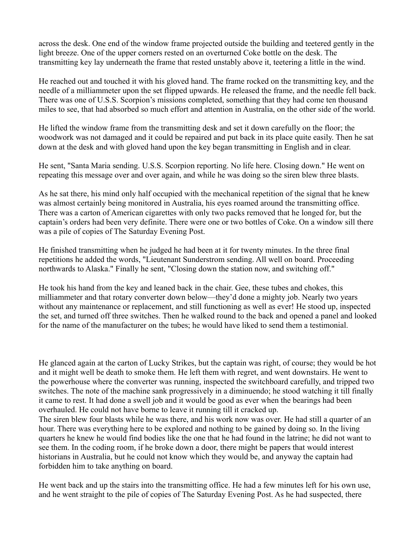across the desk. One end of the window frame projected outside the building and teetered gently in the light breeze. One of the upper corners rested on an overturned Coke bottle on the desk. The transmitting key lay underneath the frame that rested unstably above it, teetering a little in the wind.

He reached out and touched it with his gloved hand. The frame rocked on the transmitting key, and the needle of a milliammeter upon the set flipped upwards. He released the frame, and the needle fell back. There was one of U.S.S. Scorpion's missions completed, something that they had come ten thousand miles to see, that had absorbed so much effort and attention in Australia, on the other side of the world.

He lifted the window frame from the transmitting desk and set it down carefully on the floor; the woodwork was not damaged and it could be repaired and put back in its place quite easily. Then he sat down at the desk and with gloved hand upon the key began transmitting in English and in clear.

He sent, "Santa Maria sending. U.S.S. Scorpion reporting. No life here. Closing down." He went on repeating this message over and over again, and while he was doing so the siren blew three blasts.

As he sat there, his mind only half occupied with the mechanical repetition of the signal that he knew was almost certainly being monitored in Australia, his eyes roamed around the transmitting office. There was a carton of American cigarettes with only two packs removed that he longed for, but the captain's orders had been very definite. There were one or two bottles of Coke. On a window sill there was a pile of copies of The Saturday Evening Post.

He finished transmitting when he judged he had been at it for twenty minutes. In the three final repetitions he added the words, "Lieutenant Sunderstrom sending. All well on board. Proceeding northwards to Alaska." Finally he sent, "Closing down the station now, and switching off."

He took his hand from the key and leaned back in the chair. Gee, these tubes and chokes, this milliammeter and that rotary converter down below—they'd done a mighty job. Nearly two years without any maintenance or replacement, and still functioning as well as ever! He stood up, inspected the set, and turned off three switches. Then he walked round to the back and opened a panel and looked for the name of the manufacturer on the tubes; he would have liked to send them a testimonial.

He glanced again at the carton of Lucky Strikes, but the captain was right, of course; they would be hot and it might well be death to smoke them. He left them with regret, and went downstairs. He went to the powerhouse where the converter was running, inspected the switchboard carefully, and tripped two switches. The note of the machine sank progressively in a diminuendo; he stood watching it till finally it came to rest. It had done a swell job and it would be good as ever when the bearings had been overhauled. He could not have borne to leave it running till it cracked up.

The siren blew four blasts while he was there, and his work now was over. He had still a quarter of an hour. There was everything here to be explored and nothing to be gained by doing so. In the living quarters he knew he would find bodies like the one that he had found in the latrine; he did not want to see them. In the coding room, if he broke down a door, there might be papers that would interest historians in Australia, but he could not know which they would be, and anyway the captain had forbidden him to take anything on board.

He went back and up the stairs into the transmitting office. He had a few minutes left for his own use, and he went straight to the pile of copies of The Saturday Evening Post. As he had suspected, there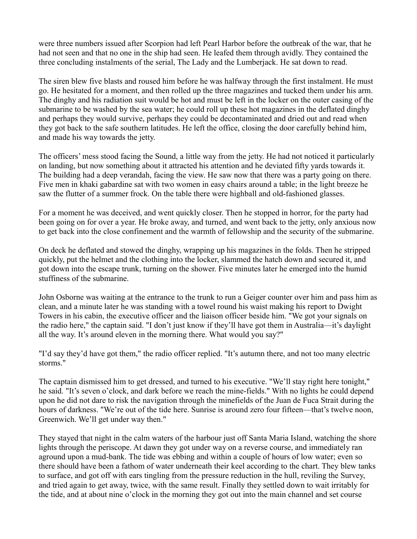were three numbers issued after Scorpion had left Pearl Harbor before the outbreak of the war, that he had not seen and that no one in the ship had seen. He leafed them through avidly. They contained the three concluding instalments of the serial, The Lady and the Lumberjack. He sat down to read.

The siren blew five blasts and roused him before he was halfway through the first instalment. He must go. He hesitated for a moment, and then rolled up the three magazines and tucked them under his arm. The dinghy and his radiation suit would be hot and must be left in the locker on the outer casing of the submarine to be washed by the sea water; he could roll up these hot magazines in the deflated dinghy and perhaps they would survive, perhaps they could be decontaminated and dried out and read when they got back to the safe southern latitudes. He left the office, closing the door carefully behind him, and made his way towards the jetty.

The officers' mess stood facing the Sound, a little way from the jetty. He had not noticed it particularly on landing, but now something about it attracted his attention and he deviated fifty yards towards it. The building had a deep verandah, facing the view. He saw now that there was a party going on there. Five men in khaki gabardine sat with two women in easy chairs around a table; in the light breeze he saw the flutter of a summer frock. On the table there were highball and old-fashioned glasses.

For a moment he was deceived, and went quickly closer. Then he stopped in horror, for the party had been going on for over a year. He broke away, and turned, and went back to the jetty, only anxious now to get back into the close confinement and the warmth of fellowship and the security of the submarine.

On deck he deflated and stowed the dinghy, wrapping up his magazines in the folds. Then he stripped quickly, put the helmet and the clothing into the locker, slammed the hatch down and secured it, and got down into the escape trunk, turning on the shower. Five minutes later he emerged into the humid stuffiness of the submarine.

John Osborne was waiting at the entrance to the trunk to run a Geiger counter over him and pass him as clean, and a minute later he was standing with a towel round his waist making his report to Dwight Towers in his cabin, the executive officer and the liaison officer beside him. "We got your signals on the radio here," the captain said. "I don't just know if they'll have got them in Australia—it's daylight all the way. It's around eleven in the morning there. What would you say?"

"I'd say they'd have got them," the radio officer replied. "It's autumn there, and not too many electric storms."

The captain dismissed him to get dressed, and turned to his executive. "We'll stay right here tonight," he said. "It's seven o'clock, and dark before we reach the mine-fields." With no lights he could depend upon he did not dare to risk the navigation through the minefields of the Juan de Fuca Strait during the hours of darkness. "We're out of the tide here. Sunrise is around zero four fifteen—that's twelve noon, Greenwich. We'll get under way then."

They stayed that night in the calm waters of the harbour just off Santa Maria Island, watching the shore lights through the periscope. At dawn they got under way on a reverse course, and immediately ran aground upon a mud-bank. The tide was ebbing and within a couple of hours of low water; even so there should have been a fathom of water underneath their keel according to the chart. They blew tanks to surface, and got off with ears tingling from the pressure reduction in the hull, reviling the Survey, and tried again to get away, twice, with the same result. Finally they settled down to wait irritably for the tide, and at about nine o'clock in the morning they got out into the main channel and set course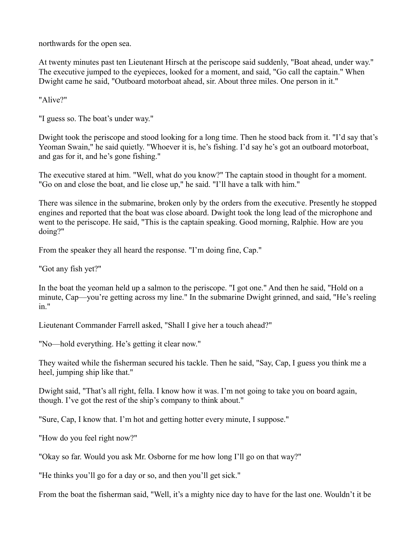northwards for the open sea.

At twenty minutes past ten Lieutenant Hirsch at the periscope said suddenly, "Boat ahead, under way." The executive jumped to the eyepieces, looked for a moment, and said, "Go call the captain." When Dwight came he said, "Outboard motorboat ahead, sir. About three miles. One person in it."

"Alive?"

"I guess so. The boat's under way."

Dwight took the periscope and stood looking for a long time. Then he stood back from it. "I'd say that's Yeoman Swain," he said quietly. "Whoever it is, he's fishing. I'd say he's got an outboard motorboat, and gas for it, and he's gone fishing."

The executive stared at him. "Well, what do you know?" The captain stood in thought for a moment. "Go on and close the boat, and lie close up," he said. "I'll have a talk with him."

There was silence in the submarine, broken only by the orders from the executive. Presently he stopped engines and reported that the boat was close aboard. Dwight took the long lead of the microphone and went to the periscope. He said, "This is the captain speaking. Good morning, Ralphie. How are you doing?"

From the speaker they all heard the response. "I'm doing fine, Cap."

"Got any fish yet?"

In the boat the yeoman held up a salmon to the periscope. "I got one." And then he said, "Hold on a minute, Cap—you're getting across my line." In the submarine Dwight grinned, and said, "He's reeling in."

Lieutenant Commander Farrell asked, "Shall I give her a touch ahead?"

"No—hold everything. He's getting it clear now."

They waited while the fisherman secured his tackle. Then he said, "Say, Cap, I guess you think me a heel, jumping ship like that."

Dwight said, "That's all right, fella. I know how it was. I'm not going to take you on board again, though. I've got the rest of the ship's company to think about."

"Sure, Cap, I know that. I'm hot and getting hotter every minute, I suppose."

"How do you feel right now?"

"Okay so far. Would you ask Mr. Osborne for me how long I'll go on that way?"

"He thinks you'll go for a day or so, and then you'll get sick."

From the boat the fisherman said, "Well, it's a mighty nice day to have for the last one. Wouldn't it be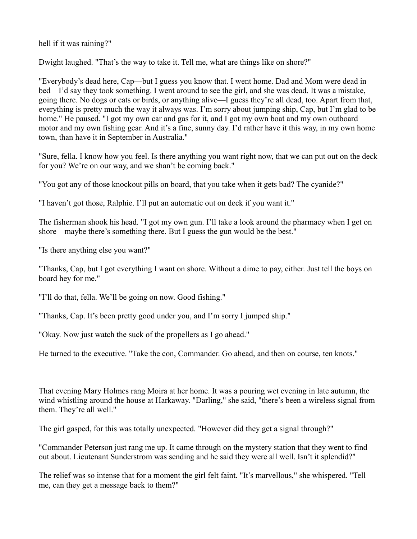hell if it was raining?"

Dwight laughed. "That's the way to take it. Tell me, what are things like on shore?"

"Everybody's dead here, Cap—but I guess you know that. I went home. Dad and Mom were dead in bed—I'd say they took something. I went around to see the girl, and she was dead. It was a mistake, going there. No dogs or cats or birds, or anything alive—I guess they're all dead, too. Apart from that, everything is pretty much the way it always was. I'm sorry about jumping ship, Cap, but I'm glad to be home." He paused. "I got my own car and gas for it, and I got my own boat and my own outboard motor and my own fishing gear. And it's a fine, sunny day. I'd rather have it this way, in my own home town, than have it in September in Australia."

"Sure, fella. I know how you feel. Is there anything you want right now, that we can put out on the deck for you? We're on our way, and we shan't be coming back."

"You got any of those knockout pills on board, that you take when it gets bad? The cyanide?"

"I haven't got those, Ralphie. I'll put an automatic out on deck if you want it."

The fisherman shook his head. "I got my own gun. I'll take a look around the pharmacy when I get on shore—maybe there's something there. But I guess the gun would be the best."

"Is there anything else you want?"

"Thanks, Cap, but I got everything I want on shore. Without a dime to pay, either. Just tell the boys on board hey for me."

"I'll do that, fella. We'll be going on now. Good fishing."

"Thanks, Cap. It's been pretty good under you, and I'm sorry I jumped ship."

"Okay. Now just watch the suck of the propellers as I go ahead."

He turned to the executive. "Take the con, Commander. Go ahead, and then on course, ten knots."

That evening Mary Holmes rang Moira at her home. It was a pouring wet evening in late autumn, the wind whistling around the house at Harkaway. "Darling," she said, "there's been a wireless signal from them. They're all well."

The girl gasped, for this was totally unexpected. "However did they get a signal through?"

"Commander Peterson just rang me up. It came through on the mystery station that they went to find out about. Lieutenant Sunderstrom was sending and he said they were all well. Isn't it splendid?"

The relief was so intense that for a moment the girl felt faint. "It's marvellous," she whispered. "Tell me, can they get a message back to them?"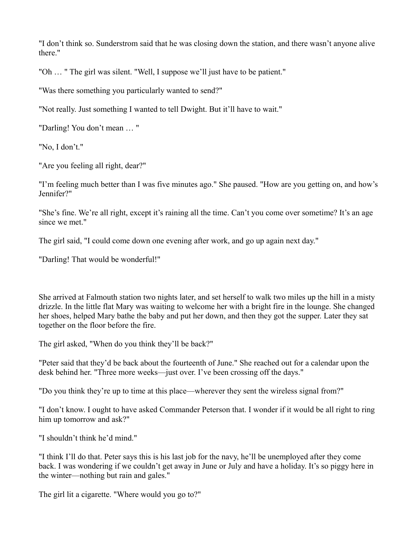"I don't think so. Sunderstrom said that he was closing down the station, and there wasn't anyone alive there."

"Oh … " The girl was silent. "Well, I suppose we'll just have to be patient."

"Was there something you particularly wanted to send?"

"Not really. Just something I wanted to tell Dwight. But it'll have to wait."

"Darling! You don't mean … "

"No, I don't."

"Are you feeling all right, dear?"

"I'm feeling much better than I was five minutes ago." She paused. "How are you getting on, and how's Jennifer?"

"She's fine. We're all right, except it's raining all the time. Can't you come over sometime? It's an age since we met."

The girl said, "I could come down one evening after work, and go up again next day."

"Darling! That would be wonderful!"

She arrived at Falmouth station two nights later, and set herself to walk two miles up the hill in a misty drizzle. In the little flat Mary was waiting to welcome her with a bright fire in the lounge. She changed her shoes, helped Mary bathe the baby and put her down, and then they got the supper. Later they sat together on the floor before the fire.

The girl asked, "When do you think they'll be back?"

"Peter said that they'd be back about the fourteenth of June." She reached out for a calendar upon the desk behind her. "Three more weeks—just over. I've been crossing off the days."

"Do you think they're up to time at this place—wherever they sent the wireless signal from?"

"I don't know. I ought to have asked Commander Peterson that. I wonder if it would be all right to ring him up tomorrow and ask?"

"I shouldn't think he'd mind."

"I think I'll do that. Peter says this is his last job for the navy, he'll be unemployed after they come back. I was wondering if we couldn't get away in June or July and have a holiday. It's so piggy here in the winter—nothing but rain and gales."

The girl lit a cigarette. "Where would you go to?"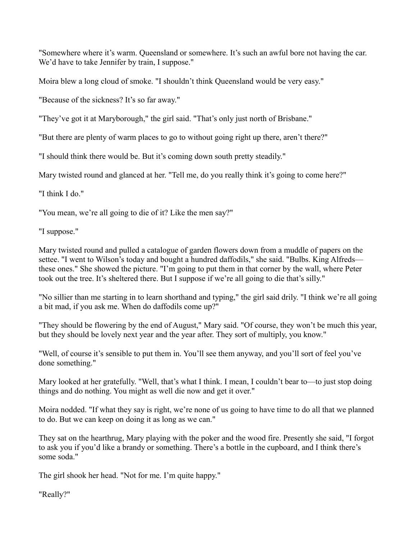"Somewhere where it's warm. Queensland or somewhere. It's such an awful bore not having the car. We'd have to take Jennifer by train, I suppose."

Moira blew a long cloud of smoke. "I shouldn't think Queensland would be very easy."

"Because of the sickness? It's so far away."

"They've got it at Maryborough," the girl said. "That's only just north of Brisbane."

"But there are plenty of warm places to go to without going right up there, aren't there?"

"I should think there would be. But it's coming down south pretty steadily."

Mary twisted round and glanced at her. "Tell me, do you really think it's going to come here?"

"I think I do."

"You mean, we're all going to die of it? Like the men say?"

"I suppose."

Mary twisted round and pulled a catalogue of garden flowers down from a muddle of papers on the settee. "I went to Wilson's today and bought a hundred daffodils," she said. "Bulbs. King Alfreds these ones." She showed the picture. "I'm going to put them in that corner by the wall, where Peter took out the tree. It's sheltered there. But I suppose if we're all going to die that's silly."

"No sillier than me starting in to learn shorthand and typing," the girl said drily. "I think we're all going a bit mad, if you ask me. When do daffodils come up?"

"They should be flowering by the end of August," Mary said. "Of course, they won't be much this year, but they should be lovely next year and the year after. They sort of multiply, you know."

"Well, of course it's sensible to put them in. You'll see them anyway, and you'll sort of feel you've done something."

Mary looked at her gratefully. "Well, that's what I think. I mean, I couldn't bear to—to just stop doing things and do nothing. You might as well die now and get it over."

Moira nodded. "If what they say is right, we're none of us going to have time to do all that we planned to do. But we can keep on doing it as long as we can."

They sat on the hearthrug, Mary playing with the poker and the wood fire. Presently she said, "I forgot to ask you if you'd like a brandy or something. There's a bottle in the cupboard, and I think there's some soda."

The girl shook her head. "Not for me. I'm quite happy."

"Really?"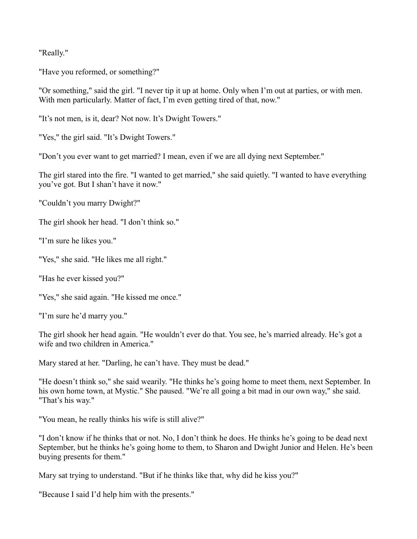"Really."

"Have you reformed, or something?"

"Or something," said the girl. "I never tip it up at home. Only when I'm out at parties, or with men. With men particularly. Matter of fact, I'm even getting tired of that, now."

"It's not men, is it, dear? Not now. It's Dwight Towers."

"Yes," the girl said. "It's Dwight Towers."

"Don't you ever want to get married? I mean, even if we are all dying next September."

The girl stared into the fire. "I wanted to get married," she said quietly. "I wanted to have everything you've got. But I shan't have it now."

"Couldn't you marry Dwight?"

The girl shook her head. "I don't think so."

"I'm sure he likes you."

"Yes," she said. "He likes me all right."

"Has he ever kissed you?"

"Yes," she said again. "He kissed me once."

"I'm sure he'd marry you."

The girl shook her head again. "He wouldn't ever do that. You see, he's married already. He's got a wife and two children in America."

Mary stared at her. "Darling, he can't have. They must be dead."

"He doesn't think so," she said wearily. "He thinks he's going home to meet them, next September. In his own home town, at Mystic." She paused. "We're all going a bit mad in our own way," she said. "That's his way."

"You mean, he really thinks his wife is still alive?"

"I don't know if he thinks that or not. No, I don't think he does. He thinks he's going to be dead next September, but he thinks he's going home to them, to Sharon and Dwight Junior and Helen. He's been buying presents for them."

Mary sat trying to understand. "But if he thinks like that, why did he kiss you?"

"Because I said I'd help him with the presents."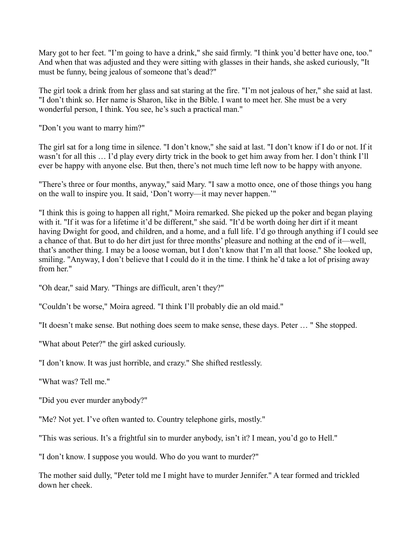Mary got to her feet. "I'm going to have a drink," she said firmly. "I think you'd better have one, too." And when that was adjusted and they were sitting with glasses in their hands, she asked curiously, "It must be funny, being jealous of someone that's dead?"

The girl took a drink from her glass and sat staring at the fire. "I'm not jealous of her," she said at last. "I don't think so. Her name is Sharon, like in the Bible. I want to meet her. She must be a very wonderful person, I think. You see, he's such a practical man."

"Don't you want to marry him?"

The girl sat for a long time in silence. "I don't know," she said at last. "I don't know if I do or not. If it wasn't for all this … I'd play every dirty trick in the book to get him away from her. I don't think I'll ever be happy with anyone else. But then, there's not much time left now to be happy with anyone.

"There's three or four months, anyway," said Mary. "I saw a motto once, one of those things you hang on the wall to inspire you. It said, 'Don't worry—it may never happen.'"

"I think this is going to happen all right," Moira remarked. She picked up the poker and began playing with it. "If it was for a lifetime it'd be different," she said. "It'd be worth doing her dirt if it meant having Dwight for good, and children, and a home, and a full life. I'd go through anything if I could see a chance of that. But to do her dirt just for three months' pleasure and nothing at the end of it—well, that's another thing. I may be a loose woman, but I don't know that I'm all that loose." She looked up, smiling. "Anyway, I don't believe that I could do it in the time. I think he'd take a lot of prising away from her."

"Oh dear," said Mary. "Things are difficult, aren't they?"

"Couldn't be worse," Moira agreed. "I think I'll probably die an old maid."

"It doesn't make sense. But nothing does seem to make sense, these days. Peter … " She stopped.

"What about Peter?" the girl asked curiously.

"I don't know. It was just horrible, and crazy." She shifted restlessly.

"What was? Tell me."

"Did you ever murder anybody?"

"Me? Not yet. I've often wanted to. Country telephone girls, mostly."

"This was serious. It's a frightful sin to murder anybody, isn't it? I mean, you'd go to Hell."

"I don't know. I suppose you would. Who do you want to murder?"

The mother said dully, "Peter told me I might have to murder Jennifer." A tear formed and trickled down her cheek.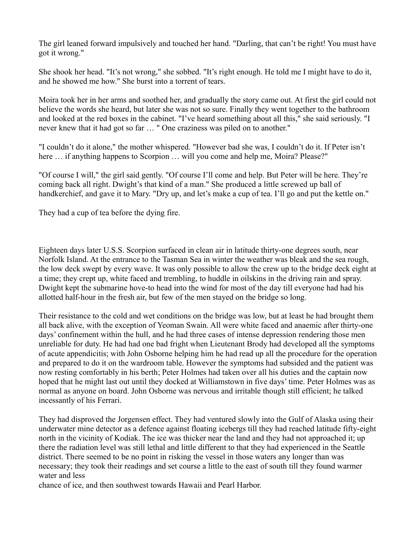The girl leaned forward impulsively and touched her hand. "Darling, that can't be right! You must have got it wrong."

She shook her head. "It's not wrong," she sobbed. "It's right enough. He told me I might have to do it, and he showed me how." She burst into a torrent of tears.

Moira took her in her arms and soothed her, and gradually the story came out. At first the girl could not believe the words she heard, but later she was not so sure. Finally they went together to the bathroom and looked at the red boxes in the cabinet. "I've heard something about all this," she said seriously. "I never knew that it had got so far … " One craziness was piled on to another."

"I couldn't do it alone," the mother whispered. "However bad she was, I couldn't do it. If Peter isn't here ... if anything happens to Scorpion ... will you come and help me, Moira? Please?"

"Of course I will," the girl said gently. "Of course I'll come and help. But Peter will be here. They're coming back all right. Dwight's that kind of a man." She produced a little screwed up ball of handkerchief, and gave it to Mary. "Dry up, and let's make a cup of tea. I'll go and put the kettle on."

They had a cup of tea before the dying fire.

Eighteen days later U.S.S. Scorpion surfaced in clean air in latitude thirty-one degrees south, near Norfolk Island. At the entrance to the Tasman Sea in winter the weather was bleak and the sea rough, the low deck swept by every wave. It was only possible to allow the crew up to the bridge deck eight at a time; they crept up, white faced and trembling, to huddle in oilskins in the driving rain and spray. Dwight kept the submarine hove-to head into the wind for most of the day till everyone had had his allotted half-hour in the fresh air, but few of the men stayed on the bridge so long.

Their resistance to the cold and wet conditions on the bridge was low, but at least he had brought them all back alive, with the exception of Yeoman Swain. All were white faced and anaemic after thirty-one days' confinement within the hull, and he had three cases of intense depression rendering those men unreliable for duty. He had had one bad fright when Lieutenant Brody had developed all the symptoms of acute appendicitis; with John Osborne helping him he had read up all the procedure for the operation and prepared to do it on the wardroom table. However the symptoms had subsided and the patient was now resting comfortably in his berth; Peter Holmes had taken over all his duties and the captain now hoped that he might last out until they docked at Williamstown in five days' time. Peter Holmes was as normal as anyone on board. John Osborne was nervous and irritable though still efficient; he talked incessantly of his Ferrari.

They had disproved the Jorgensen effect. They had ventured slowly into the Gulf of Alaska using their underwater mine detector as a defence against floating icebergs till they had reached latitude fifty-eight north in the vicinity of Kodiak. The ice was thicker near the land and they had not approached it; up there the radiation level was still lethal and little different to that they had experienced in the Seattle district. There seemed to be no point in risking the vessel in those waters any longer than was necessary; they took their readings and set course a little to the east of south till they found warmer water and less

chance of ice, and then southwest towards Hawaii and Pearl Harbor.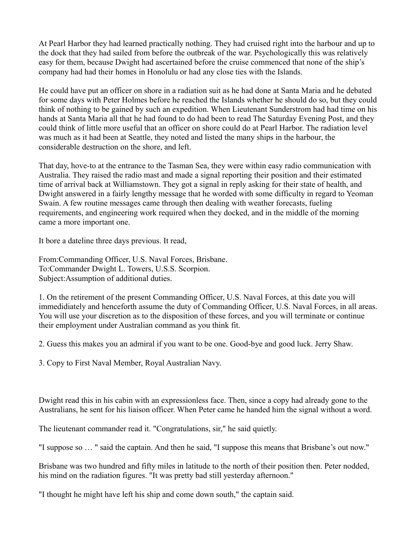At Pearl Harbor they had learned practically nothing. They had cruised right into the harbour and up to the dock that they had sailed from before the outbreak of the war. Psychologically this was relatively easy for them, because Dwight had ascertained before the cruise commenced that none of the ship's company had had their homes in Honolulu or had any close ties with the Islands.

He could have put an officer on shore in a radiation suit as he had done at Santa Maria and he debated for some days with Peter Holmes before he reached the Islands whether he should do so, but they could think of nothing to be gained by such an expedition. When Lieutenant Sunderstrom had had time on his hands at Santa Maria all that he had found to do had been to read The Saturday Evening Post, and they could think of little more useful that an officer on shore could do at Pearl Harbor. The radiation level was much as it had been at Seattle, they noted and listed the many ships in the harbour, the considerable destruction on the shore, and left.

That day, hove-to at the entrance to the Tasman Sea, they were within easy radio communication with Australia. They raised the radio mast and made a signal reporting their position and their estimated time of arrival back at Williamstown. They got a signal in reply asking for their state of health, and Dwight answered in a fairly lengthy message that he worded with some difficulty in regard to Yeoman Swain. A few routine messages came through then dealing with weather forecasts, fueling requirements, and engineering work required when they docked, and in the middle of the morning came a more important one.

It bore a dateline three days previous. It read,

From:Commanding Officer, U.S. Naval Forces, Brisbane. To:Commander Dwight L. Towers, U.S.S. Scorpion. Subject:Assumption of additional duties.

1. On the retirement of the present Commanding Officer, U.S. Naval Forces, at this date you will immedidiately and henceforth assume the duty of Commanding Officer, U.S. Naval Forces, in all areas. You will use your discretion as to the disposition of these forces, and you will terminate or continue their employment under Australian command as you think fit.

2. Guess this makes you an admiral if you want to be one. Good-bye and good luck. Jerry Shaw.

3. Copy to First Naval Member, Royal Australian Navy.

Dwight read this in his cabin with an expressionless face. Then, since a copy had already gone to the Australians, he sent for his liaison officer. When Peter came he handed him the signal without a word.

The lieutenant commander read it. "Congratulations, sir," he said quietly.

"I suppose so … " said the captain. And then he said, "I suppose this means that Brisbane's out now."

Brisbane was two hundred and fifty miles in latitude to the north of their position then. Peter nodded, his mind on the radiation figures. "It was pretty bad still yesterday afternoon."

"I thought he might have left his ship and come down south," the captain said.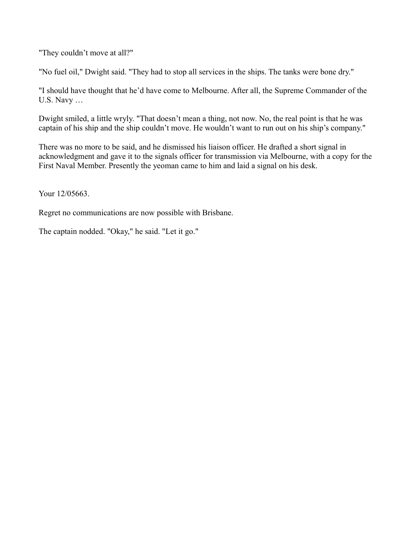"They couldn't move at all?"

"No fuel oil," Dwight said. "They had to stop all services in the ships. The tanks were bone dry."

"I should have thought that he'd have come to Melbourne. After all, the Supreme Commander of the U.S. Navy …

Dwight smiled, a little wryly. "That doesn't mean a thing, not now. No, the real point is that he was captain of his ship and the ship couldn't move. He wouldn't want to run out on his ship's company."

There was no more to be said, and he dismissed his liaison officer. He drafted a short signal in acknowledgment and gave it to the signals officer for transmission via Melbourne, with a copy for the First Naval Member. Presently the yeoman came to him and laid a signal on his desk.

Your 12/05663.

Regret no communications are now possible with Brisbane.

The captain nodded. "Okay," he said. "Let it go."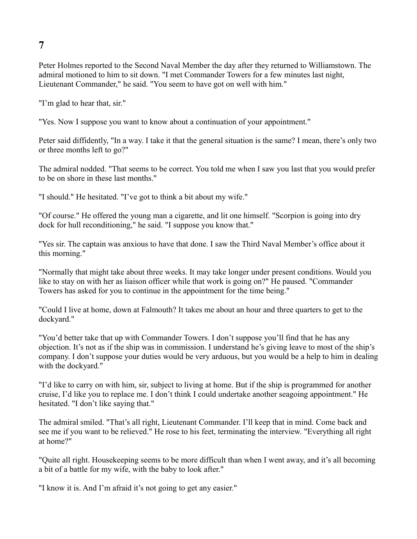## **7**

Peter Holmes reported to the Second Naval Member the day after they returned to Williamstown. The admiral motioned to him to sit down. "I met Commander Towers for a few minutes last night, Lieutenant Commander," he said. "You seem to have got on well with him."

"I'm glad to hear that, sir."

"Yes. Now I suppose you want to know about a continuation of your appointment."

Peter said diffidently, "In a way. I take it that the general situation is the same? I mean, there's only two or three months left to go?"

The admiral nodded. "That seems to be correct. You told me when I saw you last that you would prefer to be on shore in these last months."

"I should." He hesitated. "I've got to think a bit about my wife."

"Of course." He offered the young man a cigarette, and lit one himself. "Scorpion is going into dry dock for hull reconditioning," he said. "I suppose you know that."

"Yes sir. The captain was anxious to have that done. I saw the Third Naval Member's office about it this morning."

"Normally that might take about three weeks. It may take longer under present conditions. Would you like to stay on with her as liaison officer while that work is going on?" He paused. "Commander Towers has asked for you to continue in the appointment for the time being."

"Could I live at home, down at Falmouth? It takes me about an hour and three quarters to get to the dockyard."

"You'd better take that up with Commander Towers. I don't suppose you'll find that he has any objection. It's not as if the ship was in commission. I understand he's giving leave to most of the ship's company. I don't suppose your duties would be very arduous, but you would be a help to him in dealing with the dockyard."

"I'd like to carry on with him, sir, subject to living at home. But if the ship is programmed for another cruise, I'd like you to replace me. I don't think I could undertake another seagoing appointment." He hesitated. "I don't like saying that."

The admiral smiled. "That's all right, Lieutenant Commander. I'll keep that in mind. Come back and see me if you want to be relieved." He rose to his feet, terminating the interview. "Everything all right at home?"

"Quite all right. Housekeeping seems to be more difficult than when I went away, and it's all becoming a bit of a battle for my wife, with the baby to look after."

"I know it is. And I'm afraid it's not going to get any easier."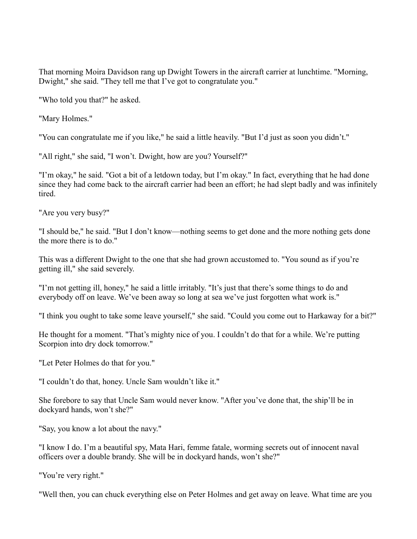That morning Moira Davidson rang up Dwight Towers in the aircraft carrier at lunchtime. "Morning, Dwight," she said. "They tell me that I've got to congratulate you."

"Who told you that?" he asked.

"Mary Holmes."

"You can congratulate me if you like," he said a little heavily. "But I'd just as soon you didn't."

"All right," she said, "I won't. Dwight, how are you? Yourself?"

"I'm okay," he said. "Got a bit of a letdown today, but I'm okay." In fact, everything that he had done since they had come back to the aircraft carrier had been an effort; he had slept badly and was infinitely tired.

"Are you very busy?"

"I should be," he said. "But I don't know—nothing seems to get done and the more nothing gets done the more there is to do."

This was a different Dwight to the one that she had grown accustomed to. "You sound as if you're getting ill," she said severely.

"I'm not getting ill, honey," he said a little irritably. "It's just that there's some things to do and everybody off on leave. We've been away so long at sea we've just forgotten what work is."

"I think you ought to take some leave yourself," she said. "Could you come out to Harkaway for a bit?"

He thought for a moment. "That's mighty nice of you. I couldn't do that for a while. We're putting Scorpion into dry dock tomorrow."

"Let Peter Holmes do that for you."

"I couldn't do that, honey. Uncle Sam wouldn't like it."

She forebore to say that Uncle Sam would never know. "After you've done that, the ship'll be in dockyard hands, won't she?"

"Say, you know a lot about the navy."

"I know I do. I'm a beautiful spy, Mata Hari, femme fatale, worming secrets out of innocent naval officers over a double brandy. She will be in dockyard hands, won't she?"

"You're very right."

"Well then, you can chuck everything else on Peter Holmes and get away on leave. What time are you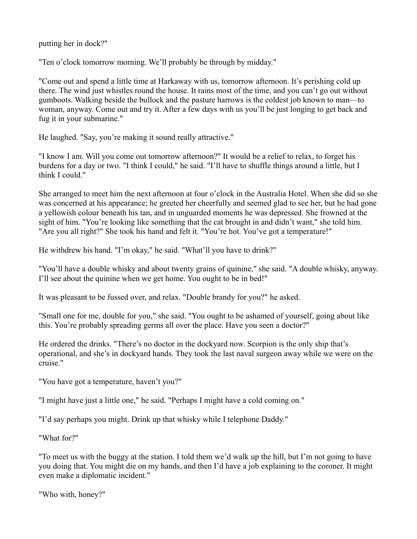putting her in dock?"

"Ten o'clock tomorrow morning. We'll probably be through by midday."

"Come out and spend a little time at Harkaway with us, tomorrow afternoon. It's perishing cold up there. The wind just whistles round the house. It rains most of the time, and you can't go out without gumboots. Walking beside the bullock and the pasture harrows is the coldest job known to man—to woman, anyway. Come out and try it. After a few days with us you'll be just longing to get back and fug it in your submarine."

He laughed. "Say, you're making it sound really attractive."

"I know I am. Will you come out tomorrow afternoon?" It would be a relief to relax, to forget his burdens for a day or two. "I think I could," he said. "I'll have to shuffle things around a little, but I think I could."

She arranged to meet him the next afternoon at four o'clock in the Australia Hotel. When she did so she was concerned at his appearance; he greeted her cheerfully and seemed glad to see her, but he had gone a yellowish colour beneath his tan, and in unguarded moments he was depressed. She frowned at the sight of him. "You're looking like something that the cat brought in and didn't want," she told him. "Are you all right?" She took his hand and felt it. "You're hot. You've got a temperature!"

He withdrew his hand. "I'm okay," he said. "What'll you have to drink?"

"You'll have a double whisky and about twenty grains of quinine," she said. "A double whisky, anyway. I'll see about the quinine when we get home. You ought to be in bed!"

It was pleasant to be fussed over, and relax. "Double brandy for you?" he asked.

"Small one for me, double for you," she said. "You ought to be ashamed of yourself, going about like this. You're probably spreading germs all over the place. Have you seen a doctor?"

He ordered the drinks. "There's no doctor in the dockyard now. Scorpion is the only ship that's operational, and she's in dockyard hands. They took the last naval surgeon away while we were on the cruise."

"You have got a temperature, haven't you?"

"I might have just a little one," he said. "Perhaps I might have a cold coming on."

"I'd say perhaps you might. Drink up that whisky while I telephone Daddy."

"What for?"

"To meet us with the buggy at the station. I told them we'd walk up the hill, but I'm not going to have you doing that. You might die on my hands, and then I'd have a job explaining to the coroner. It might even make a diplomatic incident."

"Who with, honey?"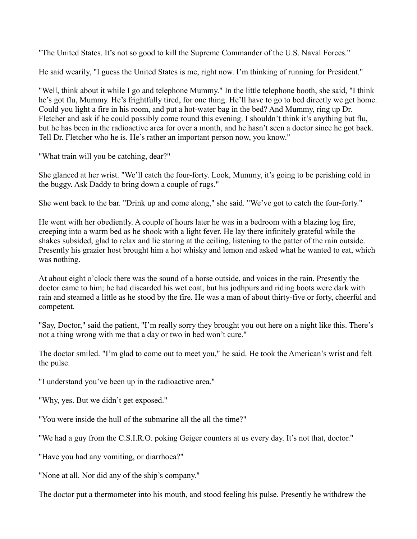"The United States. It's not so good to kill the Supreme Commander of the U.S. Naval Forces."

He said wearily, "I guess the United States is me, right now. I'm thinking of running for President."

"Well, think about it while I go and telephone Mummy." In the little telephone booth, she said, "I think he's got flu, Mummy. He's frightfully tired, for one thing. He'll have to go to bed directly we get home. Could you light a fire in his room, and put a hot-water bag in the bed? And Mummy, ring up Dr. Fletcher and ask if he could possibly come round this evening. I shouldn't think it's anything but flu, but he has been in the radioactive area for over a month, and he hasn't seen a doctor since he got back. Tell Dr. Fletcher who he is. He's rather an important person now, you know."

"What train will you be catching, dear?"

She glanced at her wrist. "We'll catch the four-forty. Look, Mummy, it's going to be perishing cold in the buggy. Ask Daddy to bring down a couple of rugs."

She went back to the bar. "Drink up and come along," she said. "We've got to catch the four-forty."

He went with her obediently. A couple of hours later he was in a bedroom with a blazing log fire, creeping into a warm bed as he shook with a light fever. He lay there infinitely grateful while the shakes subsided, glad to relax and lie staring at the ceiling, listening to the patter of the rain outside. Presently his grazier host brought him a hot whisky and lemon and asked what he wanted to eat, which was nothing.

At about eight o'clock there was the sound of a horse outside, and voices in the rain. Presently the doctor came to him; he had discarded his wet coat, but his jodhpurs and riding boots were dark with rain and steamed a little as he stood by the fire. He was a man of about thirty-five or forty, cheerful and competent.

"Say, Doctor," said the patient, "I'm really sorry they brought you out here on a night like this. There's not a thing wrong with me that a day or two in bed won't cure."

The doctor smiled. "I'm glad to come out to meet you," he said. He took the American's wrist and felt the pulse.

"I understand you've been up in the radioactive area."

"Why, yes. But we didn't get exposed."

"You were inside the hull of the submarine all the all the time?"

"We had a guy from the C.S.I.R.O. poking Geiger counters at us every day. It's not that, doctor."

"Have you had any vomiting, or diarrhoea?"

"None at all. Nor did any of the ship's company."

The doctor put a thermometer into his mouth, and stood feeling his pulse. Presently he withdrew the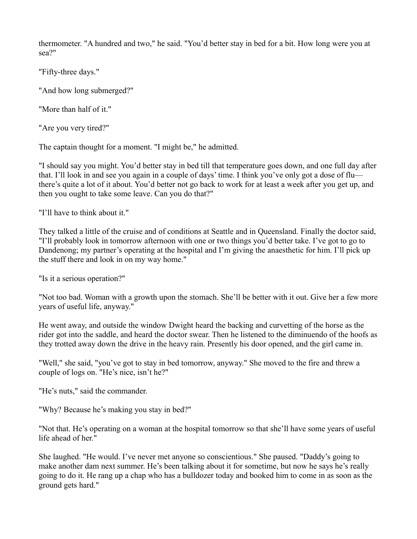thermometer. "A hundred and two," he said. "You'd better stay in bed for a bit. How long were you at sea?"

"Fifty-three days."

"And how long submerged?"

"More than half of it."

"Are you very tired?"

The captain thought for a moment. "I might be," he admitted.

"I should say you might. You'd better stay in bed till that temperature goes down, and one full day after that. I'll look in and see you again in a couple of days' time. I think you've only got a dose of flu there's quite a lot of it about. You'd better not go back to work for at least a week after you get up, and then you ought to take some leave. Can you do that?"

"I'll have to think about it."

They talked a little of the cruise and of conditions at Seattle and in Queensland. Finally the doctor said, "I'll probably look in tomorrow afternoon with one or two things you'd better take. I've got to go to Dandenong; my partner's operating at the hospital and I'm giving the anaesthetic for him. I'll pick up the stuff there and look in on my way home."

"Is it a serious operation?"

"Not too bad. Woman with a growth upon the stomach. She'll be better with it out. Give her a few more years of useful life, anyway."

He went away, and outside the window Dwight heard the backing and curvetting of the horse as the rider got into the saddle, and heard the doctor swear. Then he listened to the diminuendo of the hoofs as they trotted away down the drive in the heavy rain. Presently his door opened, and the girl came in.

"Well," she said, "you've got to stay in bed tomorrow, anyway." She moved to the fire and threw a couple of logs on. "He's nice, isn't he?"

"He's nuts," said the commander.

"Why? Because he's making you stay in bed?"

"Not that. He's operating on a woman at the hospital tomorrow so that she'll have some years of useful life ahead of her."

She laughed. "He would. I've never met anyone so conscientious." She paused. "Daddy's going to make another dam next summer. He's been talking about it for sometime, but now he says he's really going to do it. He rang up a chap who has a bulldozer today and booked him to come in as soon as the ground gets hard."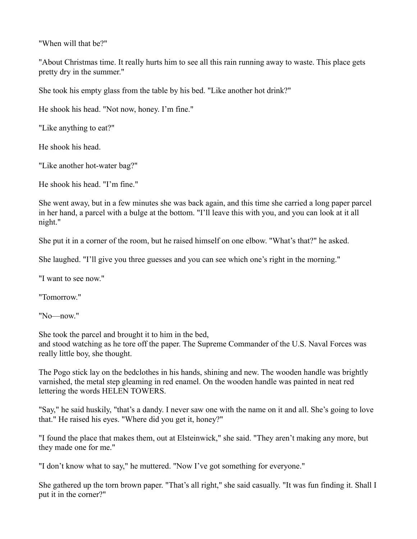"When will that be?"

"About Christmas time. It really hurts him to see all this rain running away to waste. This place gets pretty dry in the summer."

She took his empty glass from the table by his bed. "Like another hot drink?"

He shook his head. "Not now, honey. I'm fine."

"Like anything to eat?"

He shook his head.

"Like another hot-water bag?"

He shook his head. "I'm fine."

She went away, but in a few minutes she was back again, and this time she carried a long paper parcel in her hand, a parcel with a bulge at the bottom. "I'll leave this with you, and you can look at it all night."

She put it in a corner of the room, but he raised himself on one elbow. "What's that?" he asked.

She laughed. "I'll give you three guesses and you can see which one's right in the morning."

"I want to see now."

"Tomorrow."

"No—now."

She took the parcel and brought it to him in the bed, and stood watching as he tore off the paper. The Supreme Commander of the U.S. Naval Forces was really little boy, she thought.

The Pogo stick lay on the bedclothes in his hands, shining and new. The wooden handle was brightly varnished, the metal step gleaming in red enamel. On the wooden handle was painted in neat red lettering the words HELEN TOWERS.

"Say," he said huskily, "that's a dandy. I never saw one with the name on it and all. She's going to love that." He raised his eyes. "Where did you get it, honey?"

"I found the place that makes them, out at Elsteinwick," she said. "They aren't making any more, but they made one for me."

"I don't know what to say," he muttered. "Now I've got something for everyone."

She gathered up the torn brown paper. "That's all right," she said casually. "It was fun finding it. Shall I put it in the corner?"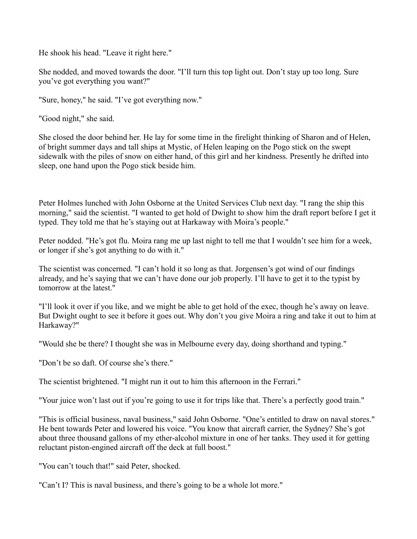He shook his head. "Leave it right here."

She nodded, and moved towards the door. "I'll turn this top light out. Don't stay up too long. Sure you've got everything you want?"

"Sure, honey," he said. "I've got everything now."

"Good night," she said.

She closed the door behind her. He lay for some time in the firelight thinking of Sharon and of Helen, of bright summer days and tall ships at Mystic, of Helen leaping on the Pogo stick on the swept sidewalk with the piles of snow on either hand, of this girl and her kindness. Presently he drifted into sleep, one hand upon the Pogo stick beside him.

Peter Holmes lunched with John Osborne at the United Services Club next day. "I rang the ship this morning," said the scientist. "I wanted to get hold of Dwight to show him the draft report before I get it typed. They told me that he's staying out at Harkaway with Moira's people."

Peter nodded. "He's got flu. Moira rang me up last night to tell me that I wouldn't see him for a week, or longer if she's got anything to do with it."

The scientist was concerned. "I can't hold it so long as that. Jorgensen's got wind of our findings already, and he's saying that we can't have done our job properly. I'll have to get it to the typist by tomorrow at the latest."

"I'll look it over if you like, and we might be able to get hold of the exec, though he's away on leave. But Dwight ought to see it before it goes out. Why don't you give Moira a ring and take it out to him at Harkaway?"

"Would she be there? I thought she was in Melbourne every day, doing shorthand and typing."

"Don't be so daft. Of course she's there."

The scientist brightened. "I might run it out to him this afternoon in the Ferrari."

"Your juice won't last out if you're going to use it for trips like that. There's a perfectly good train."

"This is official business, naval business," said John Osborne. "One's entitled to draw on naval stores." He bent towards Peter and lowered his voice. "You know that aircraft carrier, the Sydney? She's got about three thousand gallons of my ether-alcohol mixture in one of her tanks. They used it for getting reluctant piston-engined aircraft off the deck at full boost."

"You can't touch that!" said Peter, shocked.

"Can't I? This is naval business, and there's going to be a whole lot more."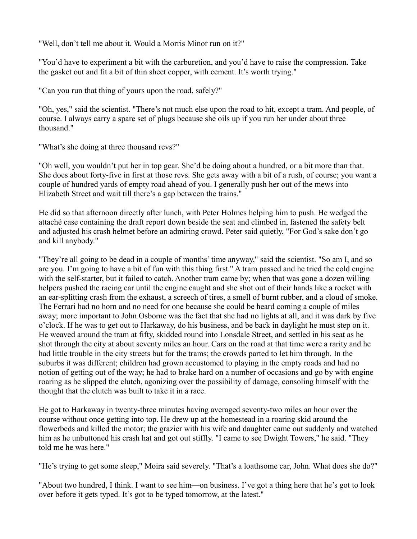"Well, don't tell me about it. Would a Morris Minor run on it?"

"You'd have to experiment a bit with the carburetion, and you'd have to raise the compression. Take the gasket out and fit a bit of thin sheet copper, with cement. It's worth trying."

"Can you run that thing of yours upon the road, safely?"

"Oh, yes," said the scientist. "There's not much else upon the road to hit, except a tram. And people, of course. I always carry a spare set of plugs because she oils up if you run her under about three thousand."

"What's she doing at three thousand revs?"

"Oh well, you wouldn't put her in top gear. She'd be doing about a hundred, or a bit more than that. She does about forty-five in first at those revs. She gets away with a bit of a rush, of course; you want a couple of hundred yards of empty road ahead of you. I generally push her out of the mews into Elizabeth Street and wait till there's a gap between the trains."

He did so that afternoon directly after lunch, with Peter Holmes helping him to push. He wedged the attaché case containing the draft report down beside the seat and climbed in, fastened the safety belt and adjusted his crash helmet before an admiring crowd. Peter said quietly, "For God's sake don't go and kill anybody."

"They're all going to be dead in a couple of months' time anyway," said the scientist. "So am I, and so are you. I'm going to have a bit of fun with this thing first." A tram passed and he tried the cold engine with the self-starter, but it failed to catch. Another tram came by; when that was gone a dozen willing helpers pushed the racing car until the engine caught and she shot out of their hands like a rocket with an ear-splitting crash from the exhaust, a screech of tires, a smell of burnt rubber, and a cloud of smoke. The Ferrari had no horn and no need for one because she could be heard coming a couple of miles away; more important to John Osborne was the fact that she had no lights at all, and it was dark by five o'clock. If he was to get out to Harkaway, do his business, and be back in daylight he must step on it. He weaved around the tram at fifty, skidded round into Lonsdale Street, and settled in his seat as he shot through the city at about seventy miles an hour. Cars on the road at that time were a rarity and he had little trouble in the city streets but for the trams; the crowds parted to let him through. In the suburbs it was different; children had grown accustomed to playing in the empty roads and had no notion of getting out of the way; he had to brake hard on a number of occasions and go by with engine roaring as he slipped the clutch, agonizing over the possibility of damage, consoling himself with the thought that the clutch was built to take it in a race.

He got to Harkaway in twenty-three minutes having averaged seventy-two miles an hour over the course without once getting into top. He drew up at the homestead in a roaring skid around the flowerbeds and killed the motor; the grazier with his wife and daughter came out suddenly and watched him as he unbuttoned his crash hat and got out stiffly. "I came to see Dwight Towers," he said. "They told me he was here."

"He's trying to get some sleep," Moira said severely. "That's a loathsome car, John. What does she do?"

"About two hundred, I think. I want to see him—on business. I've got a thing here that he's got to look over before it gets typed. It's got to be typed tomorrow, at the latest."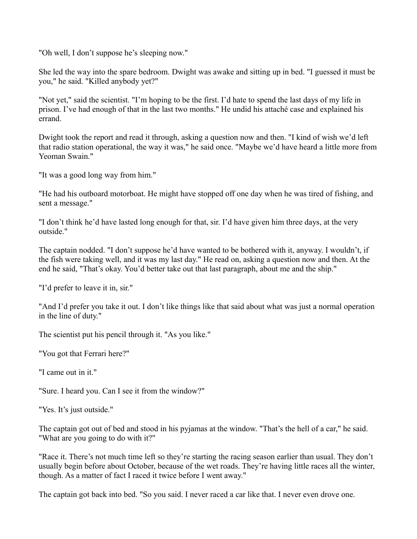"Oh well, I don't suppose he's sleeping now."

She led the way into the spare bedroom. Dwight was awake and sitting up in bed. "I guessed it must be you," he said. "Killed anybody yet?"

"Not yet," said the scientist. "I'm hoping to be the first. I'd hate to spend the last days of my life in prison. I've had enough of that in the last two months." He undid his attaché case and explained his errand.

Dwight took the report and read it through, asking a question now and then. "I kind of wish we'd left that radio station operational, the way it was," he said once. "Maybe we'd have heard a little more from Yeoman Swain."

"It was a good long way from him."

"He had his outboard motorboat. He might have stopped off one day when he was tired of fishing, and sent a message."

"I don't think he'd have lasted long enough for that, sir. I'd have given him three days, at the very outside."

The captain nodded. "I don't suppose he'd have wanted to be bothered with it, anyway. I wouldn't, if the fish were taking well, and it was my last day." He read on, asking a question now and then. At the end he said, "That's okay. You'd better take out that last paragraph, about me and the ship."

"I'd prefer to leave it in, sir."

"And I'd prefer you take it out. I don't like things like that said about what was just a normal operation in the line of duty."

The scientist put his pencil through it. "As you like."

"You got that Ferrari here?"

"I came out in it."

"Sure. I heard you. Can I see it from the window?"

"Yes. It's just outside."

The captain got out of bed and stood in his pyjamas at the window. "That's the hell of a car," he said. "What are you going to do with it?"

"Race it. There's not much time left so they're starting the racing season earlier than usual. They don't usually begin before about October, because of the wet roads. They're having little races all the winter, though. As a matter of fact I raced it twice before I went away."

The captain got back into bed. "So you said. I never raced a car like that. I never even drove one.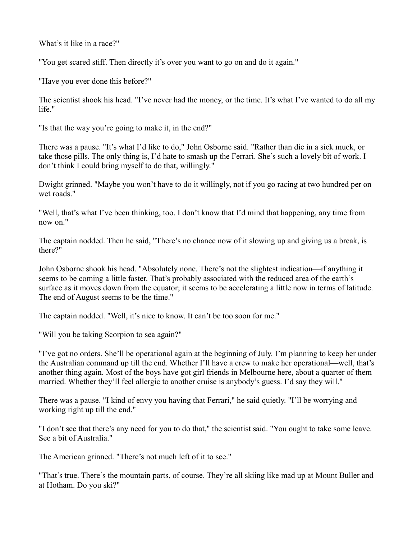What's it like in a race?"

"You get scared stiff. Then directly it's over you want to go on and do it again."

"Have you ever done this before?"

The scientist shook his head. "I've never had the money, or the time. It's what I've wanted to do all my life."

"Is that the way you're going to make it, in the end?"

There was a pause. "It's what I'd like to do," John Osborne said. "Rather than die in a sick muck, or take those pills. The only thing is, I'd hate to smash up the Ferrari. She's such a lovely bit of work. I don't think I could bring myself to do that, willingly."

Dwight grinned. "Maybe you won't have to do it willingly, not if you go racing at two hundred per on wet roads."

"Well, that's what I've been thinking, too. I don't know that I'd mind that happening, any time from now on."

The captain nodded. Then he said, "There's no chance now of it slowing up and giving us a break, is there?"

John Osborne shook his head. "Absolutely none. There's not the slightest indication—if anything it seems to be coming a little faster. That's probably associated with the reduced area of the earth's surface as it moves down from the equator; it seems to be accelerating a little now in terms of latitude. The end of August seems to be the time."

The captain nodded. "Well, it's nice to know. It can't be too soon for me."

"Will you be taking Scorpion to sea again?"

"I've got no orders. She'll be operational again at the beginning of July. I'm planning to keep her under the Australian command up till the end. Whether I'll have a crew to make her operational—well, that's another thing again. Most of the boys have got girl friends in Melbourne here, about a quarter of them married. Whether they'll feel allergic to another cruise is anybody's guess. I'd say they will."

There was a pause. "I kind of envy you having that Ferrari," he said quietly. "I'll be worrying and working right up till the end."

"I don't see that there's any need for you to do that," the scientist said. "You ought to take some leave. See a bit of Australia."

The American grinned. "There's not much left of it to see."

"That's true. There's the mountain parts, of course. They're all skiing like mad up at Mount Buller and at Hotham. Do you ski?"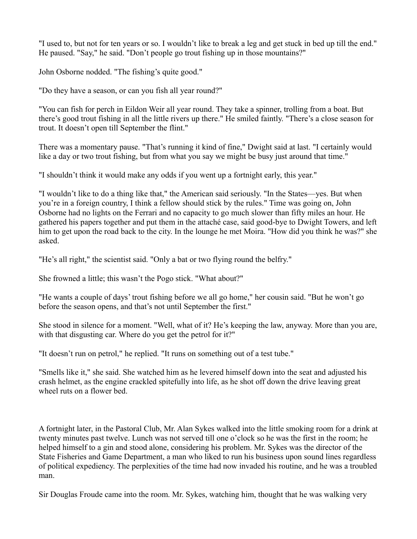"I used to, but not for ten years or so. I wouldn't like to break a leg and get stuck in bed up till the end." He paused. "Say," he said. "Don't people go trout fishing up in those mountains?"

John Osborne nodded. "The fishing's quite good."

"Do they have a season, or can you fish all year round?"

"You can fish for perch in Eildon Weir all year round. They take a spinner, trolling from a boat. But there's good trout fishing in all the little rivers up there." He smiled faintly. "There's a close season for trout. It doesn't open till September the flint."

There was a momentary pause. "That's running it kind of fine," Dwight said at last. "I certainly would like a day or two trout fishing, but from what you say we might be busy just around that time."

"I shouldn't think it would make any odds if you went up a fortnight early, this year."

"I wouldn't like to do a thing like that," the American said seriously. "In the States—yes. But when you're in a foreign country, I think a fellow should stick by the rules." Time was going on, John Osborne had no lights on the Ferrari and no capacity to go much slower than fifty miles an hour. He gathered his papers together and put them in the attaché case, said good-bye to Dwight Towers, and left him to get upon the road back to the city. In the lounge he met Moira. "How did you think he was?" she asked.

"He's all right," the scientist said. "Only a bat or two flying round the belfry."

She frowned a little; this wasn't the Pogo stick. "What about?"

"He wants a couple of days' trout fishing before we all go home," her cousin said. "But he won't go before the season opens, and that's not until September the first."

She stood in silence for a moment. "Well, what of it? He's keeping the law, anyway. More than you are, with that disgusting car. Where do you get the petrol for it?"

"It doesn't run on petrol," he replied. "It runs on something out of a test tube."

"Smells like it," she said. She watched him as he levered himself down into the seat and adjusted his crash helmet, as the engine crackled spitefully into life, as he shot off down the drive leaving great wheel ruts on a flower bed.

A fortnight later, in the Pastoral Club, Mr. Alan Sykes walked into the little smoking room for a drink at twenty minutes past twelve. Lunch was not served till one o'clock so he was the first in the room; he helped himself to a gin and stood alone, considering his problem. Mr. Sykes was the director of the State Fisheries and Game Department, a man who liked to run his business upon sound lines regardless of political expediency. The perplexities of the time had now invaded his routine, and he was a troubled man.

Sir Douglas Froude came into the room. Mr. Sykes, watching him, thought that he was walking very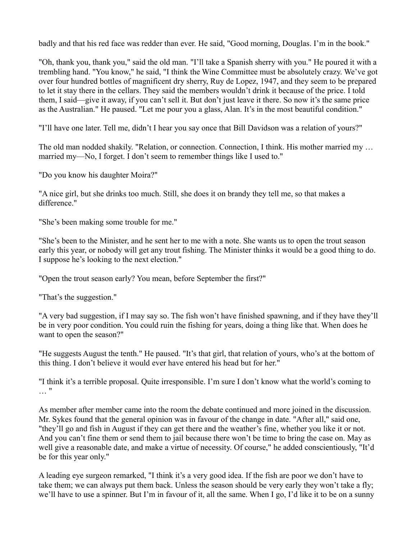badly and that his red face was redder than ever. He said, "Good morning, Douglas. I'm in the book."

"Oh, thank you, thank you," said the old man. "I'll take a Spanish sherry with you." He poured it with a trembling hand. "You know," he said, "I think the Wine Committee must be absolutely crazy. We've got over four hundred bottles of magnificent dry sherry, Ruy de Lopez, 1947, and they seem to be prepared to let it stay there in the cellars. They said the members wouldn't drink it because of the price. I told them, I said—give it away, if you can't sell it. But don't just leave it there. So now it's the same price as the Australian." He paused. "Let me pour you a glass, Alan. It's in the most beautiful condition."

"I'll have one later. Tell me, didn't I hear you say once that Bill Davidson was a relation of yours?"

The old man nodded shakily. "Relation, or connection. Connection, I think. His mother married my … married my—No, I forget. I don't seem to remember things like I used to."

"Do you know his daughter Moira?"

"A nice girl, but she drinks too much. Still, she does it on brandy they tell me, so that makes a difference."

"She's been making some trouble for me."

"She's been to the Minister, and he sent her to me with a note. She wants us to open the trout season early this year, or nobody will get any trout fishing. The Minister thinks it would be a good thing to do. I suppose he's looking to the next election."

"Open the trout season early? You mean, before September the first?"

"That's the suggestion."

"A very bad suggestion, if I may say so. The fish won't have finished spawning, and if they have they'll be in very poor condition. You could ruin the fishing for years, doing a thing like that. When does he want to open the season?"

"He suggests August the tenth." He paused. "It's that girl, that relation of yours, who's at the bottom of this thing. I don't believe it would ever have entered his head but for her."

"I think it's a terrible proposal. Quite irresponsible. I'm sure I don't know what the world's coming to  $\mathbb{R}$ .  $\mathbb{R}$ 

As member after member came into the room the debate continued and more joined in the discussion. Mr. Sykes found that the general opinion was in favour of the change in date. "After all," said one, "they'll go and fish in August if they can get there and the weather's fine, whether you like it or not. And you can't fine them or send them to jail because there won't be time to bring the case on. May as well give a reasonable date, and make a virtue of necessity. Of course," he added conscientiously, "It'd be for this year only."

A leading eye surgeon remarked, "I think it's a very good idea. If the fish are poor we don't have to take them; we can always put them back. Unless the season should be very early they won't take a fly; we'll have to use a spinner. But I'm in favour of it, all the same. When I go, I'd like it to be on a sunny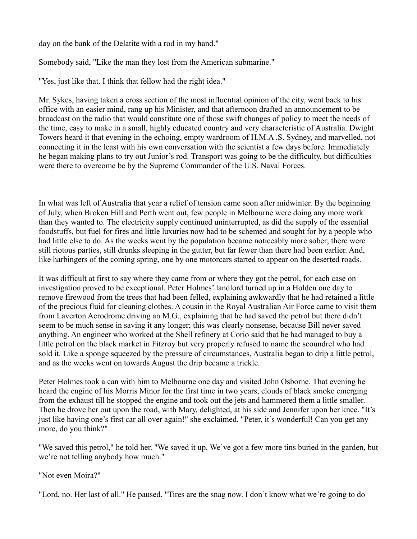day on the bank of the Delatite with a rod in my hand."

Somebody said, "Like the man they lost from the American submarine."

"Yes, just like that. I think that fellow had the right idea."

Mr. Sykes, having taken a cross section of the most influential opinion of the city, went back to his office with an easier mind, rang up his Minister, and that afternoon drafted an announcement to be broadcast on the radio that would constitute one of those swift changes of policy to meet the needs of the time, easy to make in a small, highly educated country and very characteristic of Australia. Dwight Towers heard it that evening in the echoing, empty wardroom of H.M.A .S. Sydney, and marvelled, not connecting it in the least with his own conversation with the scientist a few days before. Immediately he began making plans to try out Junior's rod. Transport was going to be the difficulty, but difficulties were there to overcome be by the Supreme Commander of the U.S. Naval Forces.

In what was left of Australia that year a relief of tension came soon after midwinter. By the beginning of July, when Broken Hill and Perth went out, few people in Melbourne were doing any more work than they wanted to. The electricity supply continued uninterrupted, as did the supply of the essential foodstuffs, but fuel for fires and little luxuries now had to be schemed and sought for by a people who had little else to do. As the weeks went by the population became noticeably more sober; there were still riotous parties, still drunks sleeping in the gutter, but far fewer than there had been earlier. And, like harbingers of the coming spring, one by one motorcars started to appear on the deserted roads.

It was difficult at first to say where they came from or where they got the petrol, for each case on investigation proved to be exceptional. Peter Holmes' landlord turned up in a Holden one day to remove firewood from the trees that had been felled, explaining awkwardly that he had retained a little of the precious fluid for cleaning clothes. A cousin in the Royal Australian Air Force came to visit them from Laverton Aerodrome driving an M.G., explaining that he had saved the petrol but there didn't seem to be much sense in saving it any longer; this was clearly nonsense, because Bill never saved anything. An engineer who worked at the Shell refinery at Corio said that he had managed to buy a little petrol on the black market in Fitzroy but very properly refused to name the scoundrel who had sold it. Like a sponge squeezed by the pressure of circumstances, Australia began to drip a little petrol, and as the weeks went on towards August the drip became a trickle.

Peter Holmes took a can with him to Melbourne one day and visited John Osborne. That evening he heard the engine of his Morris Minor for the first time in two years, clouds of black smoke emerging from the exhaust till he stopped the engine and took out the jets and hammered them a little smaller. Then he drove her out upon the road, with Mary, delighted, at his side and Jennifer upon her knee. "It's just like having one's first car all over again!" she exclaimed. "Peter, it's wonderful! Can you get any more, do you think?"

"We saved this petrol," he told her. "We saved it up. We've got a few more tins buried in the garden, but we're not telling anybody how much."

"Not even Moira?"

"Lord, no. Her last of all." He paused. "Tires are the snag now. I don't know what we're going to do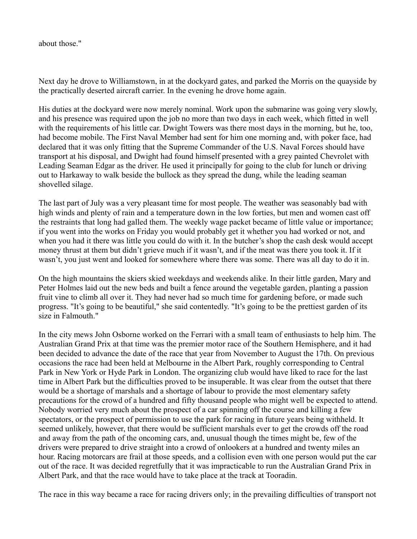about those."

Next day he drove to Williamstown, in at the dockyard gates, and parked the Morris on the quayside by the practically deserted aircraft carrier. In the evening he drove home again.

His duties at the dockyard were now merely nominal. Work upon the submarine was going very slowly, and his presence was required upon the job no more than two days in each week, which fitted in well with the requirements of his little car. Dwight Towers was there most days in the morning, but he, too, had become mobile. The First Naval Member had sent for him one morning and, with poker face, had declared that it was only fitting that the Supreme Commander of the U.S. Naval Forces should have transport at his disposal, and Dwight had found himself presented with a grey painted Chevrolet with Leading Seaman Edgar as the driver. He used it principally for going to the club for lunch or driving out to Harkaway to walk beside the bullock as they spread the dung, while the leading seaman shovelled silage.

The last part of July was a very pleasant time for most people. The weather was seasonably bad with high winds and plenty of rain and a temperature down in the low forties, but men and women cast off the restraints that long had galled them. The weekly wage packet became of little value or importance; if you went into the works on Friday you would probably get it whether you had worked or not, and when you had it there was little you could do with it. In the butcher's shop the cash desk would accept money thrust at them but didn't grieve much if it wasn't, and if the meat was there you took it. If it wasn't, you just went and looked for somewhere where there was some. There was all day to do it in.

On the high mountains the skiers skied weekdays and weekends alike. In their little garden, Mary and Peter Holmes laid out the new beds and built a fence around the vegetable garden, planting a passion fruit vine to climb all over it. They had never had so much time for gardening before, or made such progress. "It's going to be beautiful," she said contentedly. "It's going to be the prettiest garden of its size in Falmouth."

In the city mews John Osborne worked on the Ferrari with a small team of enthusiasts to help him. The Australian Grand Prix at that time was the premier motor race of the Southern Hemisphere, and it had been decided to advance the date of the race that year from November to August the 17th. On previous occasions the race had been held at Melbourne in the Albert Park, roughly corresponding to Central Park in New York or Hyde Park in London. The organizing club would have liked to race for the last time in Albert Park but the difficulties proved to be insuperable. It was clear from the outset that there would be a shortage of marshals and a shortage of labour to provide the most elementary safety precautions for the crowd of a hundred and fifty thousand people who might well be expected to attend. Nobody worried very much about the prospect of a car spinning off the course and killing a few spectators, or the prospect of permission to use the park for racing in future years being withheld. It seemed unlikely, however, that there would be sufficient marshals ever to get the crowds off the road and away from the path of the oncoming cars, and, unusual though the times might be, few of the drivers were prepared to drive straight into a crowd of onlookers at a hundred and twenty miles an hour. Racing motorcars are frail at those speeds, and a collision even with one person would put the car out of the race. It was decided regretfully that it was impracticable to run the Australian Grand Prix in Albert Park, and that the race would have to take place at the track at Tooradin.

The race in this way became a race for racing drivers only; in the prevailing difficulties of transport not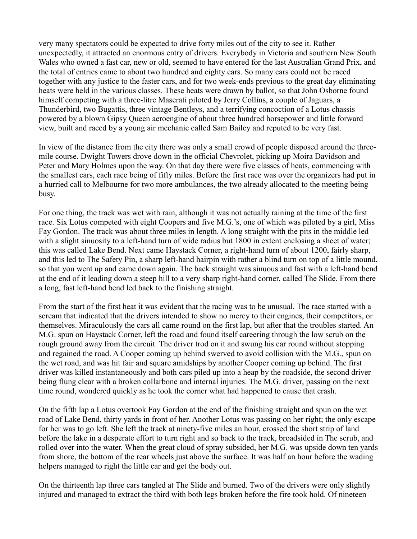very many spectators could be expected to drive forty miles out of the city to see it. Rather unexpectedly, it attracted an enormous entry of drivers. Everybody in Victoria and southern New South Wales who owned a fast car, new or old, seemed to have entered for the last Australian Grand Prix, and the total of entries came to about two hundred and eighty cars. So many cars could not be raced together with any justice to the faster cars, and for two week-ends previous to the great day eliminating heats were held in the various classes. These heats were drawn by ballot, so that John Osborne found himself competing with a three-litre Maserati piloted by Jerry Collins, a couple of Jaguars, a Thunderbird, two Bugattis, three vintage Bentleys, and a terrifying concoction of a Lotus chassis powered by a blown Gipsy Queen aeroengine of about three hundred horsepower and little forward view, built and raced by a young air mechanic called Sam Bailey and reputed to be very fast.

In view of the distance from the city there was only a small crowd of people disposed around the threemile course. Dwight Towers drove down in the official Chevrolet, picking up Moira Davidson and Peter and Mary Holmes upon the way. On that day there were five classes of heats, commencing with the smallest cars, each race being of fifty miles. Before the first race was over the organizers had put in a hurried call to Melbourne for two more ambulances, the two already allocated to the meeting being busy.

For one thing, the track was wet with rain, although it was not actually raining at the time of the first race. Six Lotus competed with eight Coopers and five M.G.'s, one of which was piloted by a girl, Miss Fay Gordon. The track was about three miles in length. A long straight with the pits in the middle led with a slight sinuosity to a left-hand turn of wide radius but 1800 in extent enclosing a sheet of water; this was called Lake Bend. Next came Haystack Corner, a right-hand turn of about 1200, fairly sharp, and this led to The Safety Pin, a sharp left-hand hairpin with rather a blind turn on top of a little mound, so that you went up and came down again. The back straight was sinuous and fast with a left-hand bend at the end of it leading down a steep hill to a very sharp right-hand corner, called The Slide. From there a long, fast left-hand bend led back to the finishing straight.

From the start of the first heat it was evident that the racing was to be unusual. The race started with a scream that indicated that the drivers intended to show no mercy to their engines, their competitors, or themselves. Miraculously the cars all came round on the first lap, but after that the troubles started. An M.G. spun on Haystack Corner, left the road and found itself careering through the low scrub on the rough ground away from the circuit. The driver trod on it and swung his car round without stopping and regained the road. A Cooper coming up behind swerved to avoid collision with the M.G., spun on the wet road, and was hit fair and square amidships by another Cooper coming up behind. The first driver was killed instantaneously and both cars piled up into a heap by the roadside, the second driver being flung clear with a broken collarbone and internal injuries. The M.G. driver, passing on the next time round, wondered quickly as he took the corner what had happened to cause that crash.

On the fifth lap a Lotus overtook Fay Gordon at the end of the finishing straight and spun on the wet road of Lake Bend, thirty yards in front of her. Another Lotus was passing on her right; the only escape for her was to go left. She left the track at ninety-five miles an hour, crossed the short strip of land before the lake in a desperate effort to turn right and so back to the track, broadsided in The scrub, and rolled over into the water. When the great cloud of spray subsided, her M.G. was upside down ten yards from shore, the bottom of the rear wheels just above the surface. It was half an hour before the wading helpers managed to right the little car and get the body out.

On the thirteenth lap three cars tangled at The Slide and burned. Two of the drivers were only slightly injured and managed to extract the third with both legs broken before the fire took hold. Of nineteen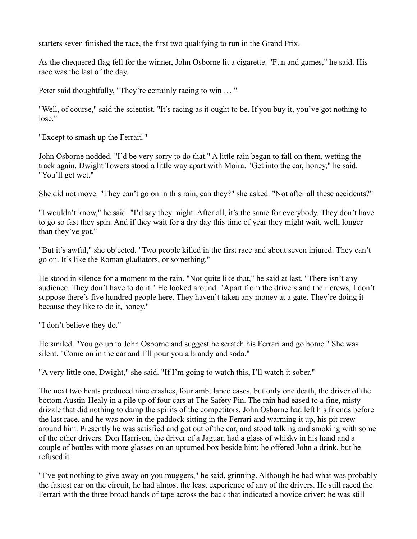starters seven finished the race, the first two qualifying to run in the Grand Prix.

As the chequered flag fell for the winner, John Osborne lit a cigarette. "Fun and games," he said. His race was the last of the day.

Peter said thoughtfully, "They're certainly racing to win … "

"Well, of course," said the scientist. "It's racing as it ought to be. If you buy it, you've got nothing to lose."

"Except to smash up the Ferrari."

John Osborne nodded. "I'd be very sorry to do that." A little rain began to fall on them, wetting the track again. Dwight Towers stood a little way apart with Moira. "Get into the car, honey," he said. "You'll get wet."

She did not move. "They can't go on in this rain, can they?" she asked. "Not after all these accidents?"

"I wouldn't know," he said. "I'd say they might. After all, it's the same for everybody. They don't have to go so fast they spin. And if they wait for a dry day this time of year they might wait, well, longer than they've got."

"But it's awful," she objected. "Two people killed in the first race and about seven injured. They can't go on. It's like the Roman gladiators, or something."

He stood in silence for a moment m the rain. "Not quite like that," he said at last. "There isn't any audience. They don't have to do it." He looked around. "Apart from the drivers and their crews, I don't suppose there's five hundred people here. They haven't taken any money at a gate. They're doing it because they like to do it, honey."

"I don't believe they do."

He smiled. "You go up to John Osborne and suggest he scratch his Ferrari and go home." She was silent. "Come on in the car and I'll pour you a brandy and soda."

"A very little one, Dwight," she said. "If I'm going to watch this, I'll watch it sober."

The next two heats produced nine crashes, four ambulance cases, but only one death, the driver of the bottom Austin-Healy in a pile up of four cars at The Safety Pin. The rain had eased to a fine, misty drizzle that did nothing to damp the spirits of the competitors. John Osborne had left his friends before the last race, and he was now in the paddock sitting in the Ferrari and warming it up, his pit crew around him. Presently he was satisfied and got out of the car, and stood talking and smoking with some of the other drivers. Don Harrison, the driver of a Jaguar, had a glass of whisky in his hand and a couple of bottles with more glasses on an upturned box beside him; he offered John a drink, but he refused it.

"I've got nothing to give away on you muggers," he said, grinning. Although he had what was probably the fastest car on the circuit, he had almost the least experience of any of the drivers. He still raced the Ferrari with the three broad bands of tape across the back that indicated a novice driver; he was still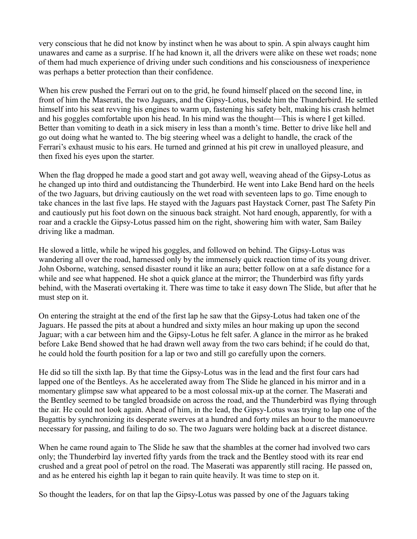very conscious that he did not know by instinct when he was about to spin. A spin always caught him unawares and came as a surprise. If he had known it, all the drivers were alike on these wet roads; none of them had much experience of driving under such conditions and his consciousness of inexperience was perhaps a better protection than their confidence.

When his crew pushed the Ferrari out on to the grid, he found himself placed on the second line, in front of him the Maserati, the two Jaguars, and the Gipsy-Lotus, beside him the Thunderbird. He settled himself into his seat revving his engines to warm up, fastening his safety belt, making his crash helmet and his goggles comfortable upon his head. In his mind was the thought—This is where I get killed. Better than vomiting to death in a sick misery in less than a month's time. Better to drive like hell and go out doing what he wanted to. The big steering wheel was a delight to handle, the crack of the Ferrari's exhaust music to his ears. He turned and grinned at his pit crew in unalloyed pleasure, and then fixed his eyes upon the starter.

When the flag dropped he made a good start and got away well, weaving ahead of the Gipsy-Lotus as he changed up into third and outdistancing the Thunderbird. He went into Lake Bend hard on the heels of the two Jaguars, but driving cautiously on the wet road with seventeen laps to go. Time enough to take chances in the last five laps. He stayed with the Jaguars past Haystack Corner, past The Safety Pin and cautiously put his foot down on the sinuous back straight. Not hard enough, apparently, for with a roar and a crackle the Gipsy-Lotus passed him on the right, showering him with water, Sam Bailey driving like a madman.

He slowed a little, while he wiped his goggles, and followed on behind. The Gipsy-Lotus was wandering all over the road, harnessed only by the immensely quick reaction time of its young driver. John Osborne, watching, sensed disaster round it like an aura; better follow on at a safe distance for a while and see what happened. He shot a quick glance at the mirror; the Thunderbird was fifty yards behind, with the Maserati overtaking it. There was time to take it easy down The Slide, but after that he must step on it.

On entering the straight at the end of the first lap he saw that the Gipsy-Lotus had taken one of the Jaguars. He passed the pits at about a hundred and sixty miles an hour making up upon the second Jaguar; with a car between him and the Gipsy-Lotus he felt safer. A glance in the mirror as he braked before Lake Bend showed that he had drawn well away from the two cars behind; if he could do that, he could hold the fourth position for a lap or two and still go carefully upon the corners.

He did so till the sixth lap. By that time the Gipsy-Lotus was in the lead and the first four cars had lapped one of the Bentleys. As he accelerated away from The Slide he glanced in his mirror and in a momentary glimpse saw what appeared to be a most colossal mix-up at the corner. The Maserati and the Bentley seemed to be tangled broadside on across the road, and the Thunderbird was flying through the air. He could not look again. Ahead of him, in the lead, the Gipsy-Lotus was trying to lap one of the Bugattis by synchronizing its desperate swerves at a hundred and forty miles an hour to the manoeuvre necessary for passing, and failing to do so. The two Jaguars were holding back at a discreet distance.

When he came round again to The Slide he saw that the shambles at the corner had involved two cars only; the Thunderbird lay inverted fifty yards from the track and the Bentley stood with its rear end crushed and a great pool of petrol on the road. The Maserati was apparently still racing. He passed on, and as he entered his eighth lap it began to rain quite heavily. It was time to step on it.

So thought the leaders, for on that lap the Gipsy-Lotus was passed by one of the Jaguars taking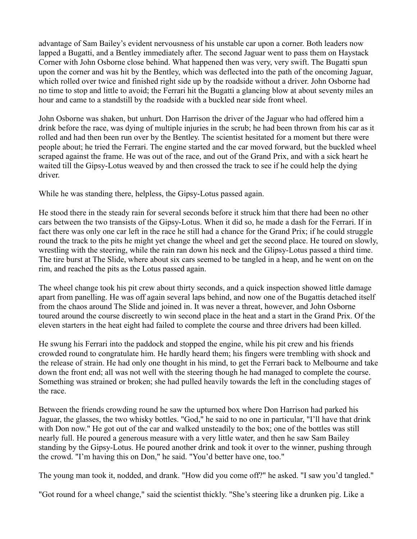advantage of Sam Bailey's evident nervousness of his unstable car upon a corner. Both leaders now lapped a Bugatti, and a Bentley immediately after. The second Jaguar went to pass them on Haystack Corner with John Osborne close behind. What happened then was very, very swift. The Bugatti spun upon the corner and was hit by the Bentley, which was deflected into the path of the oncoming Jaguar, which rolled over twice and finished right side up by the roadside without a driver. John Osborne had no time to stop and little to avoid; the Ferrari hit the Bugatti a glancing blow at about seventy miles an hour and came to a standstill by the roadside with a buckled near side front wheel.

John Osborne was shaken, but unhurt. Don Harrison the driver of the Jaguar who had offered him a drink before the race, was dying of multiple injuries in the scrub; he had been thrown from his car as it rolled and had then been run over by the Bentley. The scientist hesitated for a moment but there were people about; he tried the Ferrari. The engine started and the car moved forward, but the buckled wheel scraped against the frame. He was out of the race, and out of the Grand Prix, and with a sick heart he waited till the Gipsy-Lotus weaved by and then crossed the track to see if he could help the dying driver.

While he was standing there, helpless, the Gipsy-Lotus passed again.

He stood there in the steady rain for several seconds before it struck him that there had been no other cars between the two transists of the Gipsy-Lotus. When it did so, he made a dash for the Ferrari. If in fact there was only one car left in the race he still had a chance for the Grand Prix; if he could struggle round the track to the pits he might yet change the wheel and get the second place. He toured on slowly, wrestling with the steering, while the rain ran down his neck and the Glipsy-Lotus passed a third time. The tire burst at The Slide, where about six cars seemed to be tangled in a heap, and he went on on the rim, and reached the pits as the Lotus passed again.

The wheel change took his pit crew about thirty seconds, and a quick inspection showed little damage apart from panelling. He was off again several laps behind, and now one of the Bugattis detached itself from the chaos around The Slide and joined in. It was never a threat, however, and John Osborne toured around the course discreetly to win second place in the heat and a start in the Grand Prix. Of the eleven starters in the heat eight had failed to complete the course and three drivers had been killed.

He swung his Ferrari into the paddock and stopped the engine, while his pit crew and his friends crowded round to congratulate him. He hardly heard them; his fingers were trembling with shock and the release of strain. He had only one thought in his mind, to get the Ferrari back to Melbourne and take down the front end; all was not well with the steering though he had managed to complete the course. Something was strained or broken; she had pulled heavily towards the left in the concluding stages of the race.

Between the friends crowding round he saw the upturned box where Don Harrison had parked his Jaguar, the glasses, the two whisky bottles. "God," he said to no one in particular, "I'll have that drink with Don now." He got out of the car and walked unsteadily to the box; one of the bottles was still nearly full. He poured a generous measure with a very little water, and then he saw Sam Bailey standing by the Gipsy-Lotus. He poured another drink and took it over to the winner, pushing through the crowd. "I'm having this on Don," he said. "You'd better have one, too."

The young man took it, nodded, and drank. "How did you come off?" he asked. "I saw you'd tangled."

"Got round for a wheel change," said the scientist thickly. "She's steering like a drunken pig. Like a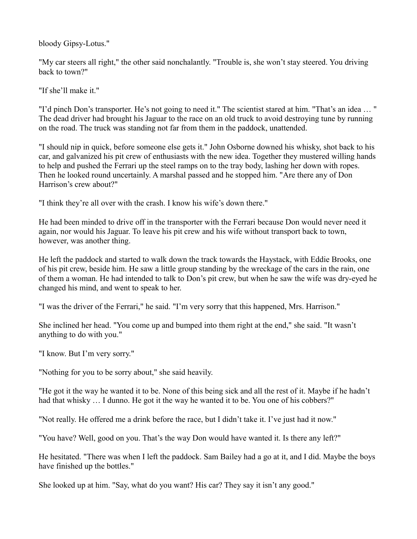bloody Gipsy-Lotus."

"My car steers all right," the other said nonchalantly. "Trouble is, she won't stay steered. You driving back to town?"

"If she'll make it."

"I'd pinch Don's transporter. He's not going to need it." The scientist stared at him. "That's an idea … " The dead driver had brought his Jaguar to the race on an old truck to avoid destroying tune by running on the road. The truck was standing not far from them in the paddock, unattended.

"I should nip in quick, before someone else gets it." John Osborne downed his whisky, shot back to his car, and galvanized his pit crew of enthusiasts with the new idea. Together they mustered willing hands to help and pushed the Ferrari up the steel ramps on to the tray body, lashing her down with ropes. Then he looked round uncertainly. A marshal passed and he stopped him. "Are there any of Don Harrison's crew about?"

"I think they're all over with the crash. I know his wife's down there."

He had been minded to drive off in the transporter with the Ferrari because Don would never need it again, nor would his Jaguar. To leave his pit crew and his wife without transport back to town, however, was another thing.

He left the paddock and started to walk down the track towards the Haystack, with Eddie Brooks, one of his pit crew, beside him. He saw a little group standing by the wreckage of the cars in the rain, one of them a woman. He had intended to talk to Don's pit crew, but when he saw the wife was dry-eyed he changed his mind, and went to speak to her.

"I was the driver of the Ferrari," he said. "I'm very sorry that this happened, Mrs. Harrison."

She inclined her head. "You come up and bumped into them right at the end," she said. "It wasn't anything to do with you."

"I know. But I'm very sorry."

"Nothing for you to be sorry about," she said heavily.

"He got it the way he wanted it to be. None of this being sick and all the rest of it. Maybe if he hadn't had that whisky ... I dunno. He got it the way he wanted it to be. You one of his cobbers?"

"Not really. He offered me a drink before the race, but I didn't take it. I've just had it now."

"You have? Well, good on you. That's the way Don would have wanted it. Is there any left?"

He hesitated. "There was when I left the paddock. Sam Bailey had a go at it, and I did. Maybe the boys have finished up the bottles."

She looked up at him. "Say, what do you want? His car? They say it isn't any good."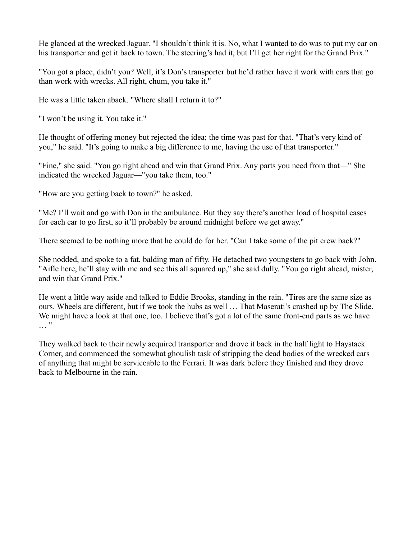He glanced at the wrecked Jaguar. "I shouldn't think it is. No, what I wanted to do was to put my car on his transporter and get it back to town. The steering's had it, but I'll get her right for the Grand Prix."

"You got a place, didn't you? Well, it's Don's transporter but he'd rather have it work with cars that go than work with wrecks. All right, chum, you take it."

He was a little taken aback. "Where shall I return it to?"

"I won't be using it. You take it."

He thought of offering money but rejected the idea; the time was past for that. "That's very kind of you," he said. "It's going to make a big difference to me, having the use of that transporter."

"Fine," she said. "You go right ahead and win that Grand Prix. Any parts you need from that—" She indicated the wrecked Jaguar—"you take them, too."

"How are you getting back to town?" he asked.

"Me? I'll wait and go with Don in the ambulance. But they say there's another load of hospital cases for each car to go first, so it'll probably be around midnight before we get away."

There seemed to be nothing more that he could do for her. "Can I take some of the pit crew back?"

She nodded, and spoke to a fat, balding man of fifty. He detached two youngsters to go back with John. "Aifle here, he'll stay with me and see this all squared up," she said dully. "You go right ahead, mister, and win that Grand Prix."

He went a little way aside and talked to Eddie Brooks, standing in the rain. "Tires are the same size as ours. Wheels are different, but if we took the hubs as well … That Maserati's crashed up by The Slide. We might have a look at that one, too. I believe that's got a lot of the same front-end parts as we have … "

They walked back to their newly acquired transporter and drove it back in the half light to Haystack Corner, and commenced the somewhat ghoulish task of stripping the dead bodies of the wrecked cars of anything that might be serviceable to the Ferrari. It was dark before they finished and they drove back to Melbourne in the rain.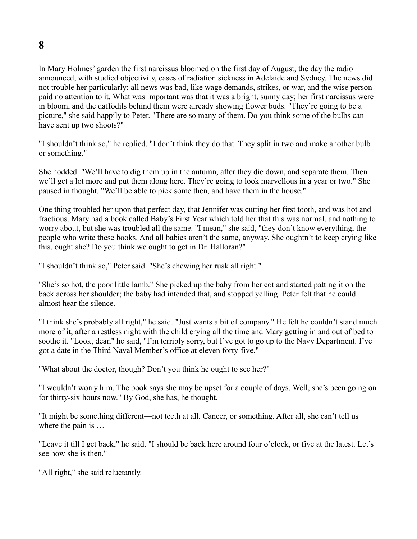## **8**

In Mary Holmes' garden the first narcissus bloomed on the first day of August, the day the radio announced, with studied objectivity, cases of radiation sickness in Adelaide and Sydney. The news did not trouble her particularly; all news was bad, like wage demands, strikes, or war, and the wise person paid no attention to it. What was important was that it was a bright, sunny day; her first narcissus were in bloom, and the daffodils behind them were already showing flower buds. "They're going to be a picture," she said happily to Peter. "There are so many of them. Do you think some of the bulbs can have sent up two shoots?"

"I shouldn't think so," he replied. "I don't think they do that. They split in two and make another bulb or something."

She nodded. "We'll have to dig them up in the autumn, after they die down, and separate them. Then we'll get a lot more and put them along here. They're going to look marvellous in a year or two." She paused in thought. "We'll be able to pick some then, and have them in the house."

One thing troubled her upon that perfect day, that Jennifer was cutting her first tooth, and was hot and fractious. Mary had a book called Baby's First Year which told her that this was normal, and nothing to worry about, but she was troubled all the same. "I mean," she said, "they don't know everything, the people who write these books. And all babies aren't the same, anyway. She oughtn't to keep crying like this, ought she? Do you think we ought to get in Dr. Halloran?"

"I shouldn't think so," Peter said. "She's chewing her rusk all right."

"She's so hot, the poor little lamb." She picked up the baby from her cot and started patting it on the back across her shoulder; the baby had intended that, and stopped yelling. Peter felt that he could almost hear the silence.

"I think she's probably all right," he said. "Just wants a bit of company." He felt he couldn't stand much more of it, after a restless night with the child crying all the time and Mary getting in and out of bed to soothe it. "Look, dear," he said, "I'm terribly sorry, but I've got to go up to the Navy Department. I've got a date in the Third Naval Member's office at eleven forty-five."

"What about the doctor, though? Don't you think he ought to see her?"

"I wouldn't worry him. The book says she may be upset for a couple of days. Well, she's been going on for thirty-six hours now." By God, she has, he thought.

"It might be something different—not teeth at all. Cancer, or something. After all, she can't tell us where the pain is ...

"Leave it till I get back," he said. "I should be back here around four o'clock, or five at the latest. Let's see how she is then."

"All right," she said reluctantly.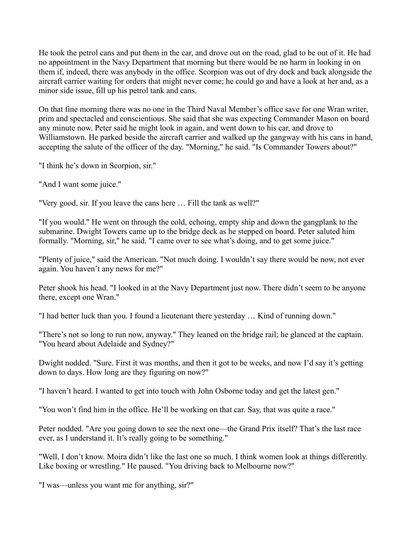He took the petrol cans and put them in the car, and drove out on the road, glad to be out of it. He had no appointment in the Navy Department that morning but there would be no harm in looking in on them if, indeed, there was anybody in the office. Scorpion was out of dry dock and back alongside the aircraft carrier waiting for orders that might never come; he could go and have a look at her and, as a minor side issue, fill up his petrol tank and cans.

On that fine morning there was no one in the Third Naval Member's office save for one Wran writer, prim and spectacled and conscientious. She said that she was expecting Commander Mason on board any minute now. Peter said he might look in again, and went down to his car, and drove to Williamstown. He parked beside the aircraft carrier and walked up the gangway with his cans in hand, accepting the salute of the officer of the day. "Morning," he said. "Is Commander Towers about?"

"I think he's down in Scorpion, sir."

"And I want some juice."

"Very good, sir. If you leave the cans here … Fill the tank as well?"

"If you would." He went on through the cold, echoing, empty ship and down the gangplank to the submarine. Dwight Towers came up to the bridge deck as he stepped on board. Peter saluted him formally. "Morning, sir," he said. "I came over to see what's doing, and to get some juice."

"Plenty of juice," said the American. "Not much doing. I wouldn't say there would be now, not ever again. You haven't any news for me?"

Peter shook his head. "I looked in at the Navy Department just now. There didn't seem to be anyone there, except one Wran."

"I had better luck than you. I found a lieutenant there yesterday … Kind of running down."

"There's not so long to run now, anyway." They leaned on the bridge rail; he glanced at the captain. "You heard about Adelaide and Sydney?"

Dwight nodded. "Sure. First it was months, and then it got to be weeks, and now I'd say it's getting down to days. How long are they figuring on now?"

"I haven't heard. I wanted to get into touch with John Osborne today and get the latest gen."

"You won't find him in the office. He'll be working on that car. Say, that was quite a race."

Peter nodded. "Are you going down to see the next one—the Grand Prix itself? That's the last race ever, as I understand it. It's really going to be something."

"Well, I don't know. Moira didn't like the last one so much. I think women look at things differently. Like boxing or wrestling." He paused. "You driving back to Melbourne now?"

"I was—unless you want me for anything, sir?"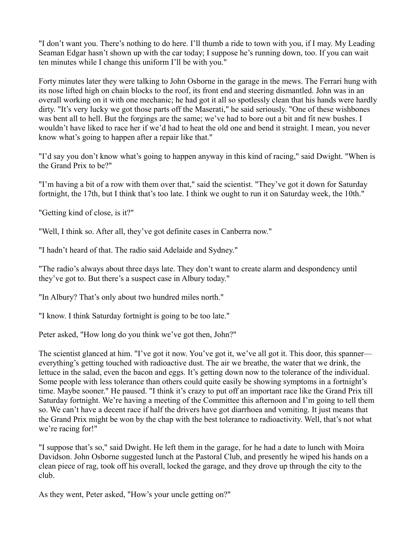"I don't want you. There's nothing to do here. I'll thumb a ride to town with you, if I may. My Leading Seaman Edgar hasn't shown up with the car today; I suppose he's running down, too. If you can wait ten minutes while I change this uniform I'll be with you."

Forty minutes later they were talking to John Osborne in the garage in the mews. The Ferrari hung with its nose lifted high on chain blocks to the roof, its front end and steering dismantled. John was in an overall working on it with one mechanic; he had got it all so spotlessly clean that his hands were hardly dirty. "It's very lucky we got those parts off the Maserati," he said seriously. "One of these wishbones was bent all to hell. But the forgings are the same; we've had to bore out a bit and fit new bushes. I wouldn't have liked to race her if we'd had to heat the old one and bend it straight. I mean, you never know what's going to happen after a repair like that."

"I'd say you don't know what's going to happen anyway in this kind of racing," said Dwight. "When is the Grand Prix to be?"

"I'm having a bit of a row with them over that," said the scientist. "They've got it down for Saturday fortnight, the 17th, but I think that's too late. I think we ought to run it on Saturday week, the 10th."

"Getting kind of close, is it?"

"Well, I think so. After all, they've got definite cases in Canberra now."

"I hadn't heard of that. The radio said Adelaide and Sydney."

"The radio's always about three days late. They don't want to create alarm and despondency until they've got to. But there's a suspect case in Albury today."

"In Albury? That's only about two hundred miles north."

"I know. I think Saturday fortnight is going to be too late."

Peter asked, "How long do you think we've got then, John?"

The scientist glanced at him. "I've got it now. You've got it, we've all got it. This door, this spanner everything's getting touched with radioactive dust. The air we breathe, the water that we drink, the lettuce in the salad, even the bacon and eggs. It's getting down now to the tolerance of the individual. Some people with less tolerance than others could quite easily be showing symptoms in a fortnight's time. Maybe sooner." He paused. "I think it's crazy to put off an important race like the Grand Prix till Saturday fortnight. We're having a meeting of the Committee this afternoon and I'm going to tell them so. We can't have a decent race if half the drivers have got diarrhoea and vomiting. It just means that the Grand Prix might be won by the chap with the best tolerance to radioactivity. Well, that's not what we're racing for!"

"I suppose that's so," said Dwight. He left them in the garage, for he had a date to lunch with Moira Davidson. John Osborne suggested lunch at the Pastoral Club, and presently he wiped his hands on a clean piece of rag, took off his overall, locked the garage, and they drove up through the city to the club.

As they went, Peter asked, "How's your uncle getting on?"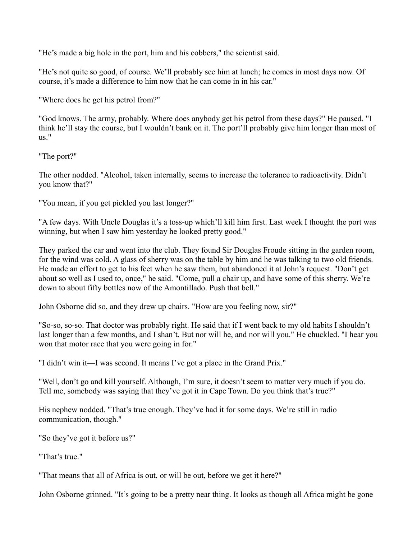"He's made a big hole in the port, him and his cobbers," the scientist said.

"He's not quite so good, of course. We'll probably see him at lunch; he comes in most days now. Of course, it's made a difference to him now that he can come in in his car."

"Where does he get his petrol from?"

"God knows. The army, probably. Where does anybody get his petrol from these days?" He paused. "I think he'll stay the course, but I wouldn't bank on it. The port'll probably give him longer than most of us."

"The port?"

The other nodded. "Alcohol, taken internally, seems to increase the tolerance to radioactivity. Didn't you know that?"

"You mean, if you get pickled you last longer?"

"A few days. With Uncle Douglas it's a toss-up which'll kill him first. Last week I thought the port was winning, but when I saw him yesterday he looked pretty good."

They parked the car and went into the club. They found Sir Douglas Froude sitting in the garden room, for the wind was cold. A glass of sherry was on the table by him and he was talking to two old friends. He made an effort to get to his feet when he saw them, but abandoned it at John's request. "Don't get about so well as I used to, once," he said. "Come, pull a chair up, and have some of this sherry. We're down to about fifty bottles now of the Amontillado. Push that bell."

John Osborne did so, and they drew up chairs. "How are you feeling now, sir?"

"So-so, so-so. That doctor was probably right. He said that if I went back to my old habits I shouldn't last longer than a few months, and I shan't. But nor will he, and nor will you." He chuckled. "I hear you won that motor race that you were going in for."

"I didn't win it—I was second. It means I've got a place in the Grand Prix."

"Well, don't go and kill yourself. Although, I'm sure, it doesn't seem to matter very much if you do. Tell me, somebody was saying that they've got it in Cape Town. Do you think that's true?"

His nephew nodded. "That's true enough. They've had it for some days. We're still in radio communication, though."

"So they've got it before us?"

"That's true."

"That means that all of Africa is out, or will be out, before we get it here?"

John Osborne grinned. "It's going to be a pretty near thing. It looks as though all Africa might be gone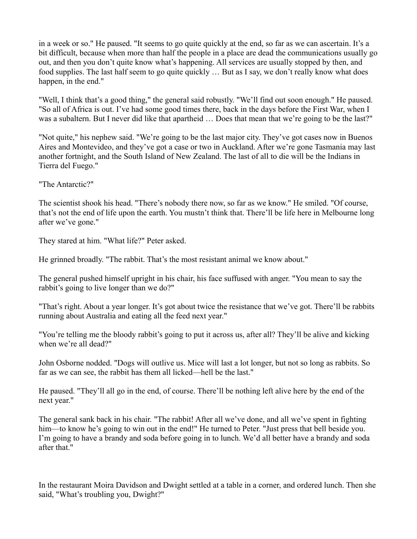in a week or so." He paused. "It seems to go quite quickly at the end, so far as we can ascertain. It's a bit difficult, because when more than half the people in a place are dead the communications usually go out, and then you don't quite know what's happening. All services are usually stopped by then, and food supplies. The last half seem to go quite quickly … But as I say, we don't really know what does happen, in the end."

"Well, I think that's a good thing," the general said robustly. "We'll find out soon enough." He paused. "So all of Africa is out. I've had some good times there, back in the days before the First War, when I was a subaltern. But I never did like that apartheid … Does that mean that we're going to be the last?"

"Not quite," his nephew said. "We're going to be the last major city. They've got cases now in Buenos Aires and Montevideo, and they've got a case or two in Auckland. After we're gone Tasmania may last another fortnight, and the South Island of New Zealand. The last of all to die will be the Indians in Tierra del Fuego."

"The Antarctic?"

The scientist shook his head. "There's nobody there now, so far as we know." He smiled. "Of course, that's not the end of life upon the earth. You mustn't think that. There'll be life here in Melbourne long after we've gone."

They stared at him. "What life?" Peter asked.

He grinned broadly. "The rabbit. That's the most resistant animal we know about."

The general pushed himself upright in his chair, his face suffused with anger. "You mean to say the rabbit's going to live longer than we do?"

"That's right. About a year longer. It's got about twice the resistance that we've got. There'll be rabbits running about Australia and eating all the feed next year."

"You're telling me the bloody rabbit's going to put it across us, after all? They'll be alive and kicking when we're all dead?"

John Osborne nodded. "Dogs will outlive us. Mice will last a lot longer, but not so long as rabbits. So far as we can see, the rabbit has them all licked—hell be the last."

He paused. "They'll all go in the end, of course. There'll be nothing left alive here by the end of the next year."

The general sank back in his chair. "The rabbit! After all we've done, and all we've spent in fighting him—to know he's going to win out in the end!" He turned to Peter. "Just press that bell beside you. I'm going to have a brandy and soda before going in to lunch. We'd all better have a brandy and soda after that."

In the restaurant Moira Davidson and Dwight settled at a table in a corner, and ordered lunch. Then she said, "What's troubling you, Dwight?"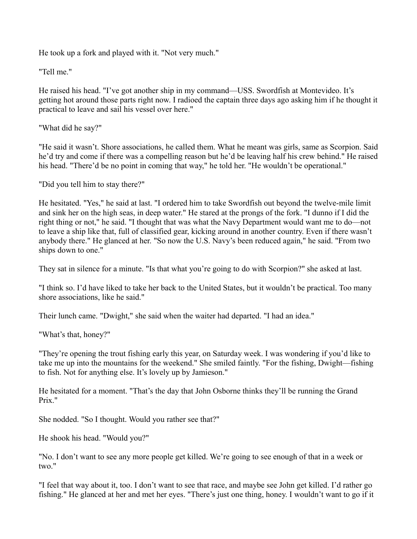He took up a fork and played with it. "Not very much."

"Tell me."

He raised his head. "I've got another ship in my command—USS. Swordfish at Montevideo. It's getting hot around those parts right now. I radioed the captain three days ago asking him if he thought it practical to leave and sail his vessel over here."

"What did he say?"

"He said it wasn't. Shore associations, he called them. What he meant was girls, same as Scorpion. Said he'd try and come if there was a compelling reason but he'd be leaving half his crew behind." He raised his head. "There'd be no point in coming that way," he told her. "He wouldn't be operational."

"Did you tell him to stay there?"

He hesitated. "Yes," he said at last. "I ordered him to take Swordfish out beyond the twelve-mile limit and sink her on the high seas, in deep water." He stared at the prongs of the fork. "I dunno if I did the right thing or not," he said. "I thought that was what the Navy Department would want me to do—not to leave a ship like that, full of classified gear, kicking around in another country. Even if there wasn't anybody there." He glanced at her. "So now the U.S. Navy's been reduced again," he said. "From two ships down to one."

They sat in silence for a minute. "Is that what you're going to do with Scorpion?" she asked at last.

"I think so. I'd have liked to take her back to the United States, but it wouldn't be practical. Too many shore associations, like he said."

Their lunch came. "Dwight," she said when the waiter had departed. "I had an idea."

"What's that, honey?"

"They're opening the trout fishing early this year, on Saturday week. I was wondering if you'd like to take me up into the mountains for the weekend." She smiled faintly. "For the fishing, Dwight—fishing to fish. Not for anything else. It's lovely up by Jamieson."

He hesitated for a moment. "That's the day that John Osborne thinks they'll be running the Grand Prix."

She nodded. "So I thought. Would you rather see that?"

He shook his head. "Would you?"

"No. I don't want to see any more people get killed. We're going to see enough of that in a week or two."

"I feel that way about it, too. I don't want to see that race, and maybe see John get killed. I'd rather go fishing." He glanced at her and met her eyes. "There's just one thing, honey. I wouldn't want to go if it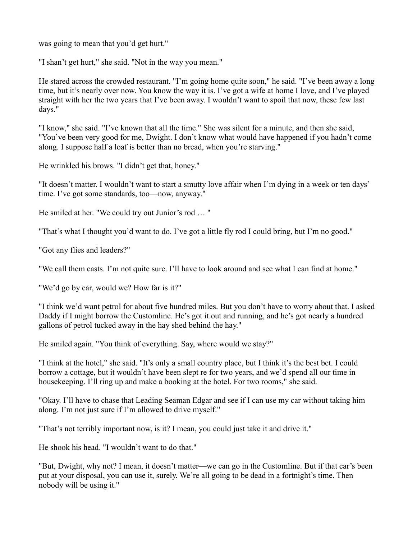was going to mean that you'd get hurt."

"I shan't get hurt," she said. "Not in the way you mean."

He stared across the crowded restaurant. "I'm going home quite soon," he said. "I've been away a long time, but it's nearly over now. You know the way it is. I've got a wife at home I love, and I've played straight with her the two years that I've been away. I wouldn't want to spoil that now, these few last days."

"I know," she said. "I've known that all the time." She was silent for a minute, and then she said, "You've been very good for me, Dwight. I don't know what would have happened if you hadn't come along. I suppose half a loaf is better than no bread, when you're starving."

He wrinkled his brows. "I didn't get that, honey."

"It doesn't matter. I wouldn't want to start a smutty love affair when I'm dying in a week or ten days' time. I've got some standards, too—now, anyway."

He smiled at her. "We could try out Junior's rod … "

"That's what I thought you'd want to do. I've got a little fly rod I could bring, but I'm no good."

"Got any flies and leaders?"

"We call them casts. I'm not quite sure. I'll have to look around and see what I can find at home."

"We'd go by car, would we? How far is it?"

"I think we'd want petrol for about five hundred miles. But you don't have to worry about that. I asked Daddy if I might borrow the Customline. He's got it out and running, and he's got nearly a hundred gallons of petrol tucked away in the hay shed behind the hay."

He smiled again. "You think of everything. Say, where would we stay?"

"I think at the hotel," she said. "It's only a small country place, but I think it's the best bet. I could borrow a cottage, but it wouldn't have been slept re for two years, and we'd spend all our time in housekeeping. I'll ring up and make a booking at the hotel. For two rooms," she said.

"Okay. I'll have to chase that Leading Seaman Edgar and see if I can use my car without taking him along. I'm not just sure if I'm allowed to drive myself."

"That's not terribly important now, is it? I mean, you could just take it and drive it."

He shook his head. "I wouldn't want to do that."

"But, Dwight, why not? I mean, it doesn't matter—we can go in the Customline. But if that car's been put at your disposal, you can use it, surely. We're all going to be dead in a fortnight's time. Then nobody will be using it."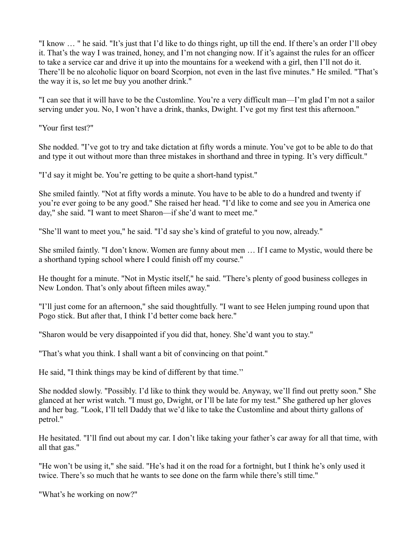"I know … " he said. "It's just that I'd like to do things right, up till the end. If there's an order I'll obey it. That's the way I was trained, honey, and I'm not changing now. If it's against the rules for an officer to take a service car and drive it up into the mountains for a weekend with a girl, then I'll not do it. There'll be no alcoholic liquor on board Scorpion, not even in the last five minutes." He smiled. "That's the way it is, so let me buy you another drink."

"I can see that it will have to be the Customline. You're a very difficult man—I'm glad I'm not a sailor serving under you. No, I won't have a drink, thanks, Dwight. I've got my first test this afternoon."

"Your first test?"

She nodded. "I've got to try and take dictation at fifty words a minute. You've got to be able to do that and type it out without more than three mistakes in shorthand and three in typing. It's very difficult."

"I'd say it might be. You're getting to be quite a short-hand typist."

She smiled faintly. "Not at fifty words a minute. You have to be able to do a hundred and twenty if you're ever going to be any good." She raised her head. "I'd like to come and see you in America one day," she said. "I want to meet Sharon—if she'd want to meet me."

"She'll want to meet you," he said. "I'd say she's kind of grateful to you now, already."

She smiled faintly. "I don't know. Women are funny about men … If I came to Mystic, would there be a shorthand typing school where I could finish off my course."

He thought for a minute. "Not in Mystic itself," he said. "There's plenty of good business colleges in New London. That's only about fifteen miles away."

"I'll just come for an afternoon," she said thoughtfully. "I want to see Helen jumping round upon that Pogo stick. But after that, I think I'd better come back here."

"Sharon would be very disappointed if you did that, honey. She'd want you to stay."

"That's what you think. I shall want a bit of convincing on that point."

He said, "I think things may be kind of different by that time.''

She nodded slowly. "Possibly. I'd like to think they would be. Anyway, we'll find out pretty soon." She glanced at her wrist watch. "I must go, Dwight, or I'll be late for my test." She gathered up her gloves and her bag. "Look, I'll tell Daddy that we'd like to take the Customline and about thirty gallons of petrol."

He hesitated. "I'll find out about my car. I don't like taking your father's car away for all that time, with all that gas."

"He won't be using it," she said. "He's had it on the road for a fortnight, but I think he's only used it twice. There's so much that he wants to see done on the farm while there's still time."

"What's he working on now?"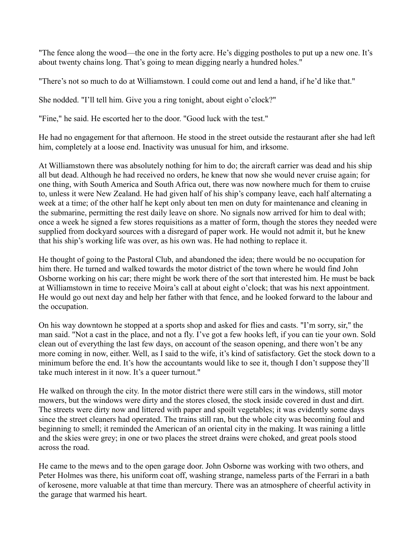"The fence along the wood—the one in the forty acre. He's digging postholes to put up a new one. It's about twenty chains long. That's going to mean digging nearly a hundred holes."

"There's not so much to do at Williamstown. I could come out and lend a hand, if he'd like that."

She nodded. "I'll tell him. Give you a ring tonight, about eight o'clock?"

"Fine," he said. He escorted her to the door. "Good luck with the test."

He had no engagement for that afternoon. He stood in the street outside the restaurant after she had left him, completely at a loose end. Inactivity was unusual for him, and irksome.

At Williamstown there was absolutely nothing for him to do; the aircraft carrier was dead and his ship all but dead. Although he had received no orders, he knew that now she would never cruise again; for one thing, with South America and South Africa out, there was now nowhere much for them to cruise to, unless it were New Zealand. He had given half of his ship's company leave, each half alternating a week at a time; of the other half he kept only about ten men on duty for maintenance and cleaning in the submarine, permitting the rest daily leave on shore. No signals now arrived for him to deal with; once a week he signed a few stores requisitions as a matter of form, though the stores they needed were supplied from dockyard sources with a disregard of paper work. He would not admit it, but he knew that his ship's working life was over, as his own was. He had nothing to replace it.

He thought of going to the Pastoral Club, and abandoned the idea; there would be no occupation for him there. He turned and walked towards the motor district of the town where he would find John Osborne working on his car; there might be work there of the sort that interested him. He must be back at Williamstown in time to receive Moira's call at about eight o'clock; that was his next appointment. He would go out next day and help her father with that fence, and he looked forward to the labour and the occupation.

On his way downtown he stopped at a sports shop and asked for flies and casts. "I'm sorry, sir," the man said. "Not a cast in the place, and not a fly. I've got a few hooks left, if you can tie your own. Sold clean out of everything the last few days, on account of the season opening, and there won't be any more coming in now, either. Well, as I said to the wife, it's kind of satisfactory. Get the stock down to a minimum before the end. It's how the accountants would like to see it, though I don't suppose they'll take much interest in it now. It's a queer turnout."

He walked on through the city. In the motor district there were still cars in the windows, still motor mowers, but the windows were dirty and the stores closed, the stock inside covered in dust and dirt. The streets were dirty now and littered with paper and spoilt vegetables; it was evidently some days since the street cleaners had operated. The trains still ran, but the whole city was becoming foul and beginning to smell; it reminded the American of an oriental city in the making. It was raining a little and the skies were grey; in one or two places the street drains were choked, and great pools stood across the road.

He came to the mews and to the open garage door. John Osborne was working with two others, and Peter Holmes was there, his uniform coat off, washing strange, nameless parts of the Ferrari in a bath of kerosene, more valuable at that time than mercury. There was an atmosphere of cheerful activity in the garage that warmed his heart.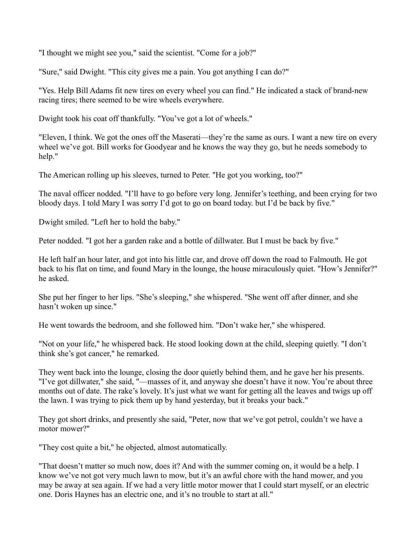"I thought we might see you," said the scientist. "Come for a job?"

"Sure," said Dwight. "This city gives me a pain. You got anything I can do?"

"Yes. Help Bill Adams fit new tires on every wheel you can find." He indicated a stack of brand-new racing tires; there seemed to be wire wheels everywhere.

Dwight took his coat off thankfully. "You've got a lot of wheels."

"Eleven, I think. We got the ones off the Maserati—they're the same as ours. I want a new tire on every wheel we've got. Bill works for Goodyear and he knows the way they go, but he needs somebody to help."

The American rolling up his sleeves, turned to Peter. "He got you working, too?"

The naval officer nodded. "I'll have to go before very long. Jennifer's teething, and been crying for two bloody days. I told Mary I was sorry I'd got to go on board today. but I'd be back by five."

Dwight smiled. "Left her to hold the baby."

Peter nodded. "I got her a garden rake and a bottle of dillwater. But I must be back by five."

He left half an hour later, and got into his little car, and drove off down the road to Falmouth. He got back to his flat on time, and found Mary in the lounge, the house miraculously quiet. "How's Jennifer?" he asked.

She put her finger to her lips. "She's sleeping," she whispered. "She went off after dinner, and she hasn't woken up since."

He went towards the bedroom, and she followed him. "Don't wake her," she whispered.

"Not on your life," he whispered back. He stood looking down at the child, sleeping quietly. "I don't think she's got cancer," he remarked.

They went back into the lounge, closing the door quietly behind them, and he gave her his presents. "I've got dillwater," she said, "—masses of it, and anyway she doesn't have it now. You're about three months out of date. The rake's lovely. It's just what we want for getting all the leaves and twigs up off the lawn. I was trying to pick them up by hand yesterday, but it breaks your back."

They got short drinks, and presently she said, "Peter, now that we've got petrol, couldn't we have a motor mower?"

"They cost quite a bit," he objected, almost automatically.

"That doesn't matter so much now, does it? And with the summer coming on, it would be a help. I know we've not got very much lawn to mow, but it's an awful chore with the hand mower, and you may be away at sea again. If we had a very little motor mower that I could start myself, or an electric one. Doris Haynes has an electric one, and it's no trouble to start at all."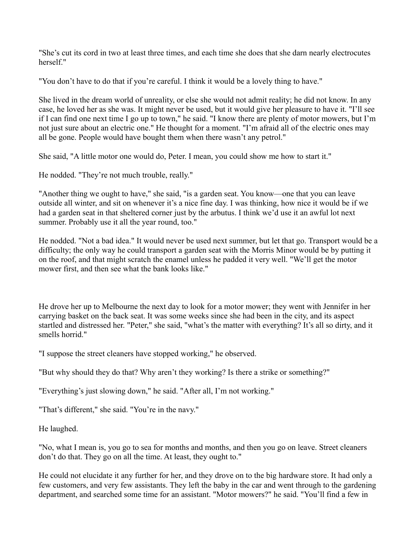"She's cut its cord in two at least three times, and each time she does that she darn nearly electrocutes herself."

"You don't have to do that if you're careful. I think it would be a lovely thing to have."

She lived in the dream world of unreality, or else she would not admit reality; he did not know. In any case, he loved her as she was. It might never be used, but it would give her pleasure to have it. "I'll see if I can find one next time I go up to town," he said. "I know there are plenty of motor mowers, but I'm not just sure about an electric one." He thought for a moment. "I'm afraid all of the electric ones may all be gone. People would have bought them when there wasn't any petrol."

She said, "A little motor one would do, Peter. I mean, you could show me how to start it."

He nodded. "They're not much trouble, really."

"Another thing we ought to have," she said, "is a garden seat. You know—one that you can leave outside all winter, and sit on whenever it's a nice fine day. I was thinking, how nice it would be if we had a garden seat in that sheltered corner just by the arbutus. I think we'd use it an awful lot next summer. Probably use it all the year round, too."

He nodded. "Not a bad idea." It would never be used next summer, but let that go. Transport would be a difficulty; the only way he could transport a garden seat with the Morris Minor would be by putting it on the roof, and that might scratch the enamel unless he padded it very well. "We'll get the motor mower first, and then see what the bank looks like."

He drove her up to Melbourne the next day to look for a motor mower; they went with Jennifer in her carrying basket on the back seat. It was some weeks since she had been in the city, and its aspect startled and distressed her. "Peter," she said, "what's the matter with everything? It's all so dirty, and it smells horrid."

"I suppose the street cleaners have stopped working," he observed.

"But why should they do that? Why aren't they working? Is there a strike or something?"

"Everything's just slowing down," he said. "After all, I'm not working."

"That's different," she said. "You're in the navy."

He laughed.

"No, what I mean is, you go to sea for months and months, and then you go on leave. Street cleaners don't do that. They go on all the time. At least, they ought to."

He could not elucidate it any further for her, and they drove on to the big hardware store. It had only a few customers, and very few assistants. They left the baby in the car and went through to the gardening department, and searched some time for an assistant. "Motor mowers?" he said. "You'll find a few in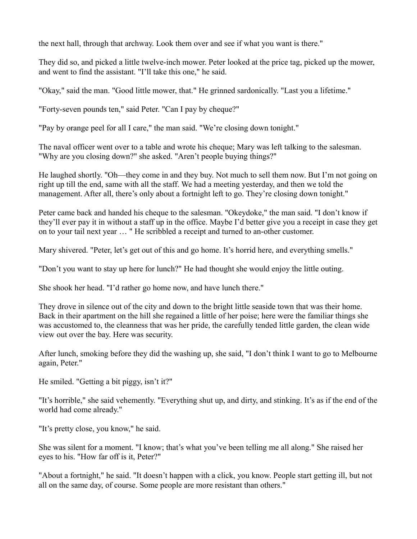the next hall, through that archway. Look them over and see if what you want is there."

They did so, and picked a little twelve-inch mower. Peter looked at the price tag, picked up the mower, and went to find the assistant. "I'll take this one," he said.

"Okay," said the man. "Good little mower, that." He grinned sardonically. "Last you a lifetime."

"Forty-seven pounds ten," said Peter. "Can I pay by cheque?"

"Pay by orange peel for all I care," the man said. "We're closing down tonight."

The naval officer went over to a table and wrote his cheque; Mary was left talking to the salesman. "Why are you closing down?" she asked. "Aren't people buying things?"

He laughed shortly. "Oh—they come in and they buy. Not much to sell them now. But I'm not going on right up till the end, same with all the staff. We had a meeting yesterday, and then we told the management. After all, there's only about a fortnight left to go. They're closing down tonight."

Peter came back and handed his cheque to the salesman. "Okeydoke," the man said. "I don't know if they'll ever pay it in without a staff up in the office. Maybe I'd better give you a receipt in case they get on to your tail next year … " He scribbled a receipt and turned to an-other customer.

Mary shivered. "Peter, let's get out of this and go home. It's horrid here, and everything smells."

"Don't you want to stay up here for lunch?" He had thought she would enjoy the little outing.

She shook her head. "I'd rather go home now, and have lunch there."

They drove in silence out of the city and down to the bright little seaside town that was their home. Back in their apartment on the hill she regained a little of her poise; here were the familiar things she was accustomed to, the cleanness that was her pride, the carefully tended little garden, the clean wide view out over the bay. Here was security.

After lunch, smoking before they did the washing up, she said, "I don't think I want to go to Melbourne again, Peter."

He smiled. "Getting a bit piggy, isn't it?"

"It's horrible," she said vehemently. "Everything shut up, and dirty, and stinking. It's as if the end of the world had come already."

"It's pretty close, you know," he said.

She was silent for a moment. "I know; that's what you've been telling me all along." She raised her eyes to his. "How far off is it, Peter?"

"About a fortnight," he said. "It doesn't happen with a click, you know. People start getting ill, but not all on the same day, of course. Some people are more resistant than others."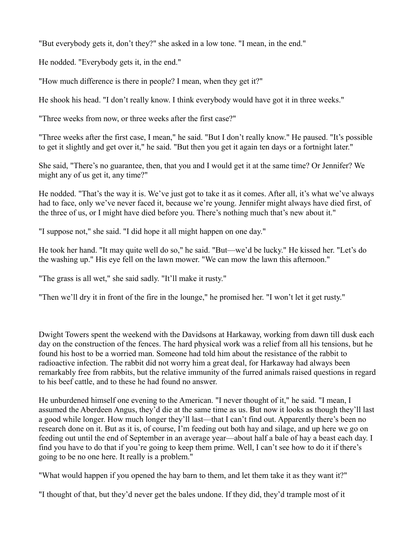"But everybody gets it, don't they?" she asked in a low tone. "I mean, in the end."

He nodded. "Everybody gets it, in the end."

"How much difference is there in people? I mean, when they get it?"

He shook his head. "I don't really know. I think everybody would have got it in three weeks."

"Three weeks from now, or three weeks after the first case?"

"Three weeks after the first case, I mean," he said. "But I don't really know." He paused. "It's possible to get it slightly and get over it," he said. "But then you get it again ten days or a fortnight later."

She said, "There's no guarantee, then, that you and I would get it at the same time? Or Jennifer? We might any of us get it, any time?"

He nodded. "That's the way it is. We've just got to take it as it comes. After all, it's what we've always had to face, only we've never faced it, because we're young. Jennifer might always have died first, of the three of us, or I might have died before you. There's nothing much that's new about it."

"I suppose not," she said. "I did hope it all might happen on one day."

He took her hand. "It may quite well do so," he said. "But—we'd be lucky." He kissed her. "Let's do the washing up." His eye fell on the lawn mower. "We can mow the lawn this afternoon."

"The grass is all wet," she said sadly. "It'll make it rusty."

"Then we'll dry it in front of the fire in the lounge," he promised her. "I won't let it get rusty."

Dwight Towers spent the weekend with the Davidsons at Harkaway, working from dawn till dusk each day on the construction of the fences. The hard physical work was a relief from all his tensions, but he found his host to be a worried man. Someone had told him about the resistance of the rabbit to radioactive infection. The rabbit did not worry him a great deal, for Harkaway had always been remarkably free from rabbits, but the relative immunity of the furred animals raised questions in regard to his beef cattle, and to these he had found no answer.

He unburdened himself one evening to the American. "I never thought of it," he said. "I mean, I assumed the Aberdeen Angus, they'd die at the same time as us. But now it looks as though they'll last a good while longer. How much longer they'll last—that I can't find out. Apparently there's been no research done on it. But as it is, of course, I'm feeding out both hay and silage, and up here we go on feeding out until the end of September in an average year—about half a bale of hay a beast each day. I find you have to do that if you're going to keep them prime. Well, I can't see how to do it if there's going to be no one here. It really is a problem."

"What would happen if you opened the hay barn to them, and let them take it as they want it?"

"I thought of that, but they'd never get the bales undone. If they did, they'd trample most of it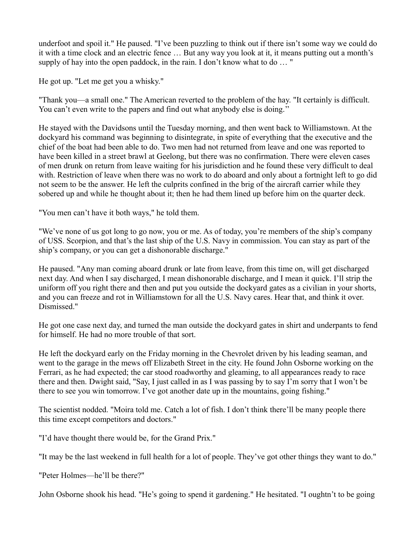underfoot and spoil it." He paused. "I've been puzzling to think out if there isn't some way we could do it with a time clock and an electric fence … But any way you look at it, it means putting out a month's supply of hay into the open paddock, in the rain. I don't know what to do … "

He got up. "Let me get you a whisky."

"Thank you—a small one." The American reverted to the problem of the hay. "It certainly is difficult. You can't even write to the papers and find out what anybody else is doing.''

He stayed with the Davidsons until the Tuesday morning, and then went back to Williamstown. At the dockyard his command was beginning to disintegrate, in spite of everything that the executive and the chief of the boat had been able to do. Two men had not returned from leave and one was reported to have been killed in a street brawl at Geelong, but there was no confirmation. There were eleven cases of men drunk on return from leave waiting for his jurisdiction and he found these very difficult to deal with. Restriction of leave when there was no work to do aboard and only about a fortnight left to go did not seem to be the answer. He left the culprits confined in the brig of the aircraft carrier while they sobered up and while he thought about it; then he had them lined up before him on the quarter deck.

"You men can't have it both ways," he told them.

"We've none of us got long to go now, you or me. As of today, you're members of the ship's company of USS. Scorpion, and that's the last ship of the U.S. Navy in commission. You can stay as part of the ship's company, or you can get a dishonorable discharge."

He paused. "Any man coming aboard drunk or late from leave, from this time on, will get discharged next day. And when I say discharged, I mean dishonorable discharge, and I mean it quick. I'll strip the uniform off you right there and then and put you outside the dockyard gates as a civilian in your shorts, and you can freeze and rot in Williamstown for all the U.S. Navy cares. Hear that, and think it over. Dismissed."

He got one case next day, and turned the man outside the dockyard gates in shirt and underpants to fend for himself. He had no more trouble of that sort.

He left the dockyard early on the Friday morning in the Chevrolet driven by his leading seaman, and went to the garage in the mews off Elizabeth Street in the city. He found John Osborne working on the Ferrari, as he had expected; the car stood roadworthy and gleaming, to all appearances ready to race there and then. Dwight said, "Say, I just called in as I was passing by to say I'm sorry that I won't be there to see you win tomorrow. I've got another date up in the mountains, going fishing."

The scientist nodded. "Moira told me. Catch a lot of fish. I don't think there'll be many people there this time except competitors and doctors."

"I'd have thought there would be, for the Grand Prix."

"It may be the last weekend in full health for a lot of people. They've got other things they want to do."

"Peter Holmes—he'll be there?"

John Osborne shook his head. "He's going to spend it gardening." He hesitated. "I oughtn't to be going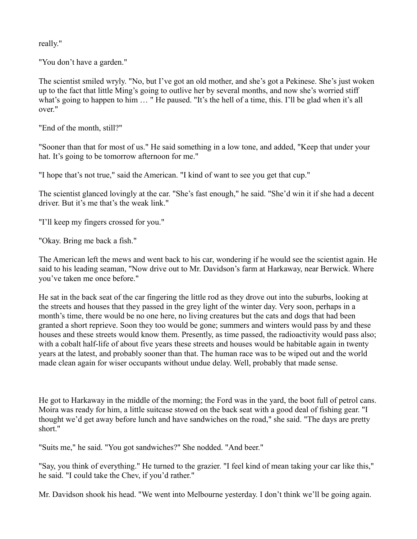really."

"You don't have a garden."

The scientist smiled wryly. "No, but I've got an old mother, and she's got a Pekinese. She's just woken up to the fact that little Ming's going to outlive her by several months, and now she's worried stiff what's going to happen to him … " He paused. "It's the hell of a time, this. I'll be glad when it's all over."

"End of the month, still?"

"Sooner than that for most of us." He said something in a low tone, and added, "Keep that under your hat. It's going to be tomorrow afternoon for me."

"I hope that's not true," said the American. "I kind of want to see you get that cup."

The scientist glanced lovingly at the car. "She's fast enough," he said. "She'd win it if she had a decent driver. But it's me that's the weak link."

"I'll keep my fingers crossed for you."

"Okay. Bring me back a fish."

The American left the mews and went back to his car, wondering if he would see the scientist again. He said to his leading seaman, "Now drive out to Mr. Davidson's farm at Harkaway, near Berwick. Where you've taken me once before."

He sat in the back seat of the car fingering the little rod as they drove out into the suburbs, looking at the streets and houses that they passed in the grey light of the winter day. Very soon, perhaps in a month's time, there would be no one here, no living creatures but the cats and dogs that had been granted a short reprieve. Soon they too would be gone; summers and winters would pass by and these houses and these streets would know them. Presently, as time passed, the radioactivity would pass also; with a cobalt half-life of about five years these streets and houses would be habitable again in twenty years at the latest, and probably sooner than that. The human race was to be wiped out and the world made clean again for wiser occupants without undue delay. Well, probably that made sense.

He got to Harkaway in the middle of the morning; the Ford was in the yard, the boot full of petrol cans. Moira was ready for him, a little suitcase stowed on the back seat with a good deal of fishing gear. "I thought we'd get away before lunch and have sandwiches on the road," she said. "The days are pretty short."

"Suits me," he said. "You got sandwiches?" She nodded. "And beer."

"Say, you think of everything." He turned to the grazier. "I feel kind of mean taking your car like this," he said. "I could take the Chev, if you'd rather."

Mr. Davidson shook his head. "We went into Melbourne yesterday. I don't think we'll be going again.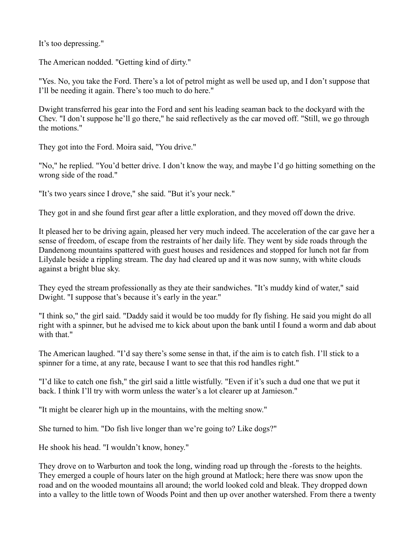It's too depressing."

The American nodded. "Getting kind of dirty."

"Yes. No, you take the Ford. There's a lot of petrol might as well be used up, and I don't suppose that I'll be needing it again. There's too much to do here."

Dwight transferred his gear into the Ford and sent his leading seaman back to the dockyard with the Chev. "I don't suppose he'll go there," he said reflectively as the car moved off. "Still, we go through the motions."

They got into the Ford. Moira said, "You drive."

"No," he replied. "You'd better drive. I don't know the way, and maybe I'd go hitting something on the wrong side of the road."

"It's two years since I drove," she said. "But it's your neck."

They got in and she found first gear after a little exploration, and they moved off down the drive.

It pleased her to be driving again, pleased her very much indeed. The acceleration of the car gave her a sense of freedom, of escape from the restraints of her daily life. They went by side roads through the Dandenong mountains spattered with guest houses and residences and stopped for lunch not far from Lilydale beside a rippling stream. The day had cleared up and it was now sunny, with white clouds against a bright blue sky.

They eyed the stream professionally as they ate their sandwiches. "It's muddy kind of water," said Dwight. "I suppose that's because it's early in the year."

"I think so," the girl said. "Daddy said it would be too muddy for fly fishing. He said you might do all right with a spinner, but he advised me to kick about upon the bank until I found a worm and dab about with that."

The American laughed. "I'd say there's some sense in that, if the aim is to catch fish. I'll stick to a spinner for a time, at any rate, because I want to see that this rod handles right."

"I'd like to catch one fish," the girl said a little wistfully. "Even if it's such a dud one that we put it back. I think I'll try with worm unless the water's a lot clearer up at Jamieson."

"It might be clearer high up in the mountains, with the melting snow."

She turned to him. "Do fish live longer than we're going to? Like dogs?"

He shook his head. "I wouldn't know, honey."

They drove on to Warburton and took the long, winding road up through the -forests to the heights. They emerged a couple of hours later on the high ground at Matlock; here there was snow upon the road and on the wooded mountains all around; the world looked cold and bleak. They dropped down into a valley to the little town of Woods Point and then up over another watershed. From there a twenty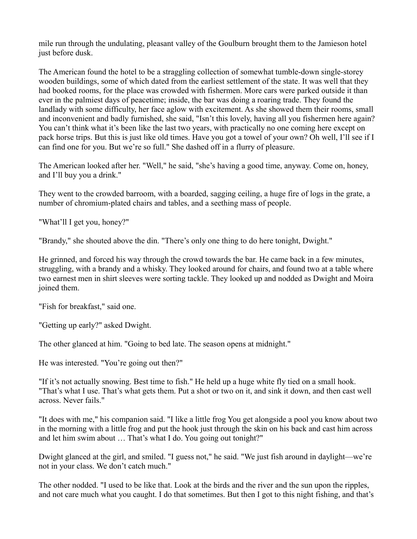mile run through the undulating, pleasant valley of the Goulburn brought them to the Jamieson hotel just before dusk.

The American found the hotel to be a straggling collection of somewhat tumble-down single-storey wooden buildings, some of which dated from the earliest settlement of the state. It was well that they had booked rooms, for the place was crowded with fishermen. More cars were parked outside it than ever in the palmiest days of peacetime; inside, the bar was doing a roaring trade. They found the landlady with some difficulty, her face aglow with excitement. As she showed them their rooms, small and inconvenient and badly furnished, she said, "Isn't this lovely, having all you fishermen here again? You can't think what it's been like the last two years, with practically no one coming here except on pack horse trips. But this is just like old times. Have you got a towel of your own? Oh well, I'll see if I can find one for you. But we're so full." She dashed off in a flurry of pleasure.

The American looked after her. "Well," he said, "she's having a good time, anyway. Come on, honey, and I'll buy you a drink."

They went to the crowded barroom, with a boarded, sagging ceiling, a huge fire of logs in the grate, a number of chromium-plated chairs and tables, and a seething mass of people.

"What'll I get you, honey?"

"Brandy," she shouted above the din. "There's only one thing to do here tonight, Dwight."

He grinned, and forced his way through the crowd towards the bar. He came back in a few minutes, struggling, with a brandy and a whisky. They looked around for chairs, and found two at a table where two earnest men in shirt sleeves were sorting tackle. They looked up and nodded as Dwight and Moira joined them.

"Fish for breakfast," said one.

"Getting up early?" asked Dwight.

The other glanced at him. "Going to bed late. The season opens at midnight."

He was interested. "You're going out then?"

"If it's not actually snowing. Best time to fish." He held up a huge white fly tied on a small hook. "That's what I use. That's what gets them. Put a shot or two on it, and sink it down, and then cast well across. Never fails."

"It does with me," his companion said. "I like a little frog You get alongside a pool you know about two in the morning with a little frog and put the hook just through the skin on his back and cast him across and let him swim about … That's what I do. You going out tonight?"

Dwight glanced at the girl, and smiled. "I guess not," he said. "We just fish around in daylight—we're not in your class. We don't catch much."

The other nodded. "I used to be like that. Look at the birds and the river and the sun upon the ripples, and not care much what you caught. I do that sometimes. But then I got to this night fishing, and that's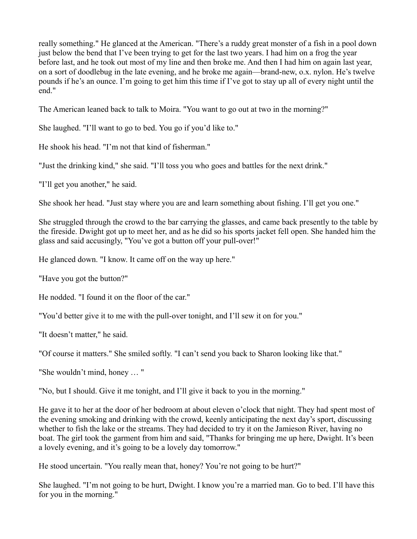really something." He glanced at the American. "There's a ruddy great monster of a fish in a pool down just below the bend that I've been trying to get for the last two years. I had him on a frog the year before last, and he took out most of my line and then broke me. And then I had him on again last year, on a sort of doodlebug in the late evening, and he broke me again—brand-new, o.x. nylon. He's twelve pounds if he's an ounce. I'm going to get him this time if I've got to stay up all of every night until the end."

The American leaned back to talk to Moira. "You want to go out at two in the morning?"

She laughed. "I'll want to go to bed. You go if you'd like to."

He shook his head. "I'm not that kind of fisherman."

"Just the drinking kind," she said. "I'll toss you who goes and battles for the next drink."

"I'll get you another," he said.

She shook her head. "Just stay where you are and learn something about fishing. I'll get you one."

She struggled through the crowd to the bar carrying the glasses, and came back presently to the table by the fireside. Dwight got up to meet her, and as he did so his sports jacket fell open. She handed him the glass and said accusingly, "You've got a button off your pull-over!"

He glanced down. "I know. It came off on the way up here."

"Have you got the button?"

He nodded. "I found it on the floor of the car."

"You'd better give it to me with the pull-over tonight, and I'll sew it on for you."

"It doesn't matter," he said.

"Of course it matters." She smiled softly. "I can't send you back to Sharon looking like that."

"She wouldn't mind, honey … "

"No, but I should. Give it me tonight, and I'll give it back to you in the morning."

He gave it to her at the door of her bedroom at about eleven o'clock that night. They had spent most of the evening smoking and drinking with the crowd, keenly anticipating the next day's sport, discussing whether to fish the lake or the streams. They had decided to try it on the Jamieson River, having no boat. The girl took the garment from him and said, "Thanks for bringing me up here, Dwight. It's been a lovely evening, and it's going to be a lovely day tomorrow."

He stood uncertain. "You really mean that, honey? You're not going to be hurt?"

She laughed. "I'm not going to be hurt, Dwight. I know you're a married man. Go to bed. I'll have this for you in the morning."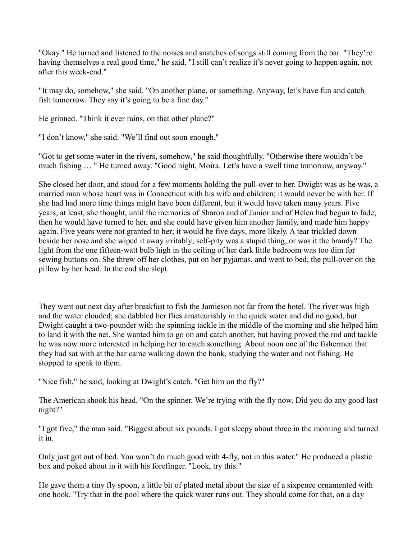"Okay." He turned and listened to the noises and snatches of songs still coming from the bar. "They're having themselves a real good time," he said. "I still can't realize it's never going to happen again, not after this week-end."

"It may do, somehow," she said. "On another plane, or something. Anyway, let's have fun and catch fish tomorrow. They say it's going to be a fine day."

He grinned. "Think it ever rains, on that other plane?"

"I don't know," she said. "We'll find out soon enough."

"Got to get some water in the rivers, somehow," he said thoughtfully. "Otherwise there wouldn't be much fishing … " He turned away. "Good night, Moira. Let's have a swell time tomorrow, anyway."

She closed her door, and stood for a few moments holding the pull-over to her. Dwight was as he was, a married man whose heart was in Connecticut with his wife and children; it would never be with her. If she had had more time things might have been different, but it would have taken many years. Five years, at least, she thought, until the memories of Sharon and of Junior and of Helen had begun to fade; then he would have turned to her, and she could have given him another family, and made him happy again. Five years were not granted to her; it would be five days, more likely. A tear trickled down beside her nose and she wiped it away irritably; self-pity was a stupid thing, or was it the brandy? The light from the one fifteen-watt bulb high in the ceiling of her dark little bedroom was too dim for sewing buttons on. She threw off her clothes, put on her pyjamas, and went to bed, the pull-over on the pillow by her head. In the end she slept.

They went out next day after breakfast to fish the Jamieson not far from the hotel. The river was high and the water clouded; she dabbled her flies amateurishly in the quick water and did no good, but Dwight caught a two-pounder with the spinning tackle in the middle of the morning and she helped him to land it with the net. She wanted him to go on and catch another, but having proved the rod and tackle he was now more interested in helping her to catch something. About noon one of the fishermen that they had sat with at the bar came walking down the bank, studying the water and not fishing. He stopped to speak to them.

"Nice fish," he said, looking at Dwight's catch. "Get him on the fly?"

The American shook his head. "On the spinner. We're trying with the fly now. Did you do any good last night?"

"I got five," the man said. "Biggest about six pounds. I got sleepy about three in the morning and turned it in.

Only just got out of bed. You won't do much good with 4-fly, not in this water." He produced a plastic box and poked about in it with his forefinger. "Look, try this."

He gave them a tiny fly spoon, a little bit of plated metal about the size of a sixpence ornamented with one hook. "Try that in the pool where the quick water runs out. They should come for that, on a day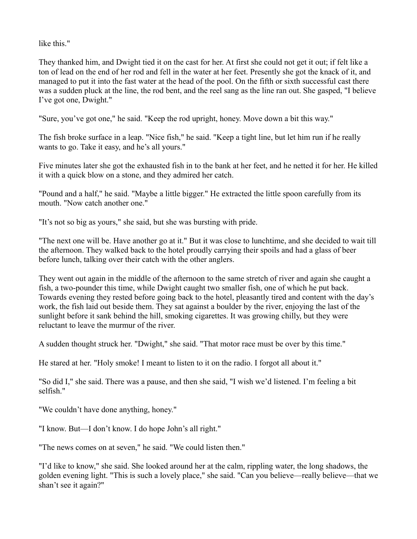like this."

They thanked him, and Dwight tied it on the cast for her. At first she could not get it out; if felt like a ton of lead on the end of her rod and fell in the water at her feet. Presently she got the knack of it, and managed to put it into the fast water at the head of the pool. On the fifth or sixth successful cast there was a sudden pluck at the line, the rod bent, and the reel sang as the line ran out. She gasped, "I believe I've got one, Dwight."

"Sure, you've got one," he said. "Keep the rod upright, honey. Move down a bit this way."

The fish broke surface in a leap. "Nice fish," he said. "Keep a tight line, but let him run if he really wants to go. Take it easy, and he's all yours."

Five minutes later she got the exhausted fish in to the bank at her feet, and he netted it for her. He killed it with a quick blow on a stone, and they admired her catch.

"Pound and a half," he said. "Maybe a little bigger." He extracted the little spoon carefully from its mouth. "Now catch another one."

"It's not so big as yours," she said, but she was bursting with pride.

"The next one will be. Have another go at it." But it was close to lunchtime, and she decided to wait till the afternoon. They walked back to the hotel proudly carrying their spoils and had a glass of beer before lunch, talking over their catch with the other anglers.

They went out again in the middle of the afternoon to the same stretch of river and again she caught a fish, a two-pounder this time, while Dwight caught two smaller fish, one of which he put back. Towards evening they rested before going back to the hotel, pleasantly tired and content with the day's work, the fish laid out beside them. They sat against a boulder by the river, enjoying the last of the sunlight before it sank behind the hill, smoking cigarettes. It was growing chilly, but they were reluctant to leave the murmur of the river.

A sudden thought struck her. "Dwight," she said. "That motor race must be over by this time."

He stared at her. "Holy smoke! I meant to listen to it on the radio. I forgot all about it."

"So did I," she said. There was a pause, and then she said, "I wish we'd listened. I'm feeling a bit selfish."

"We couldn't have done anything, honey."

"I know. But—I don't know. I do hope John's all right."

"The news comes on at seven," he said. "We could listen then."

"I'd like to know," she said. She looked around her at the calm, rippling water, the long shadows, the golden evening light. "This is such a lovely place," she said. "Can you believe—really believe—that we shan't see it again?"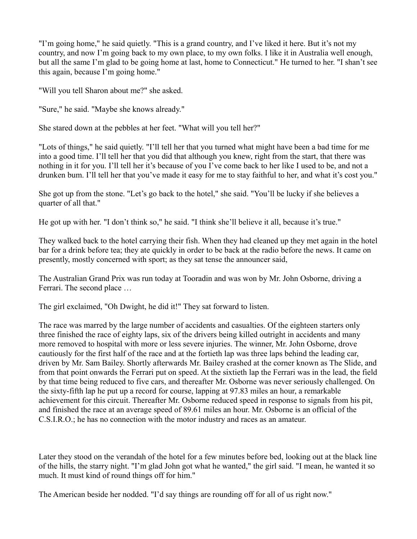"I'm going home," he said quietly. "This is a grand country, and I've liked it here. But it's not my country, and now I'm going back to my own place, to my own folks. I like it in Australia well enough, but all the same I'm glad to be going home at last, home to Connecticut." He turned to her. "I shan't see this again, because I'm going home."

"Will you tell Sharon about me?" she asked.

"Sure," he said. "Maybe she knows already."

She stared down at the pebbles at her feet. "What will you tell her?"

"Lots of things," he said quietly. "I'll tell her that you turned what might have been a bad time for me into a good time. I'll tell her that you did that although you knew, right from the start, that there was nothing in it for you. I'll tell her it's because of you I've come back to her like I used to be, and not a drunken bum. I'll tell her that you've made it easy for me to stay faithful to her, and what it's cost you."

She got up from the stone. "Let's go back to the hotel," she said. "You'll be lucky if she believes a quarter of all that."

He got up with her. "I don't think so," he said. "I think she'll believe it all, because it's true."

They walked back to the hotel carrying their fish. When they had cleaned up they met again in the hotel bar for a drink before tea; they ate quickly in order to be back at the radio before the news. It came on presently, mostly concerned with sport; as they sat tense the announcer said,

The Australian Grand Prix was run today at Tooradin and was won by Mr. John Osborne, driving a Ferrari. The second place …

The girl exclaimed, "Oh Dwight, he did it!" They sat forward to listen.

The race was marred by the large number of accidents and casualties. Of the eighteen starters only three finished the race of eighty laps, six of the drivers being killed outright in accidents and many more removed to hospital with more or less severe injuries. The winner, Mr. John Osborne, drove cautiously for the first half of the race and at the fortieth lap was three laps behind the leading car, driven by Mr. Sam Bailey. Shortly afterwards Mr. Bailey crashed at the corner known as The Slide, and from that point onwards the Ferrari put on speed. At the sixtieth lap the Ferrari was in the lead, the field by that time being reduced to five cars, and thereafter Mr. Osborne was never seriously challenged. On the sixty-fifth lap he put up a record for course, lapping at 97.83 miles an hour, a remarkable achievement for this circuit. Thereafter Mr. Osborne reduced speed in response to signals from his pit, and finished the race at an average speed of 89.61 miles an hour. Mr. Osborne is an official of the C.S.I.R.O.; he has no connection with the motor industry and races as an amateur.

Later they stood on the verandah of the hotel for a few minutes before bed, looking out at the black line of the hills, the starry night. "I'm glad John got what he wanted," the girl said. "I mean, he wanted it so much. It must kind of round things off for him."

The American beside her nodded. "I'd say things are rounding off for all of us right now."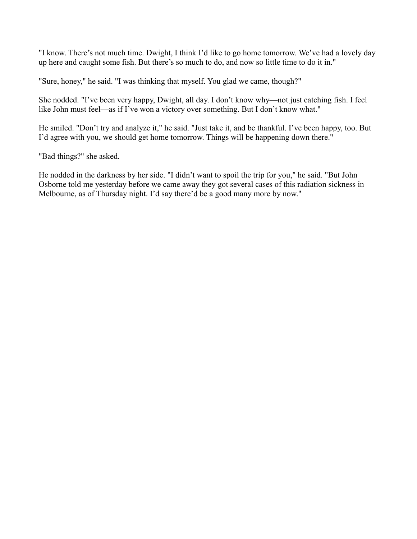"I know. There's not much time. Dwight, I think I'd like to go home tomorrow. We've had a lovely day up here and caught some fish. But there's so much to do, and now so little time to do it in."

"Sure, honey," he said. "I was thinking that myself. You glad we came, though?"

She nodded. "I've been very happy, Dwight, all day. I don't know why—not just catching fish. I feel like John must feel—as if I've won a victory over something. But I don't know what."

He smiled. "Don't try and analyze it," he said. "Just take it, and be thankful. I've been happy, too. But I'd agree with you, we should get home tomorrow. Things will be happening down there."

"Bad things?" she asked.

He nodded in the darkness by her side. "I didn't want to spoil the trip for you," he said. "But John Osborne told me yesterday before we came away they got several cases of this radiation sickness in Melbourne, as of Thursday night. I'd say there'd be a good many more by now."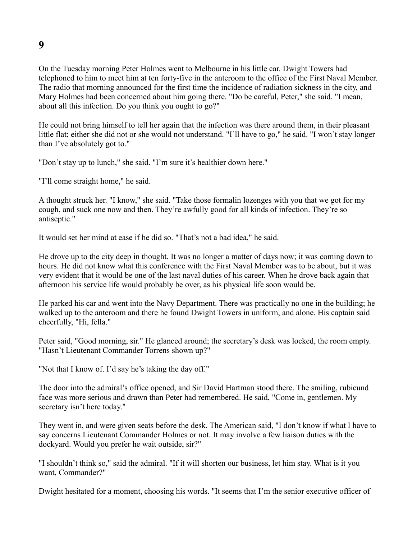On the Tuesday morning Peter Holmes went to Melbourne in his little car. Dwight Towers had telephoned to him to meet him at ten forty-five in the anteroom to the office of the First Naval Member. The radio that morning announced for the first time the incidence of radiation sickness in the city, and Mary Holmes had been concerned about him going there. "Do be careful, Peter," she said. "I mean, about all this infection. Do you think you ought to go?"

He could not bring himself to tell her again that the infection was there around them, in their pleasant little flat; either she did not or she would not understand. "I'll have to go," he said. "I won't stay longer than I've absolutely got to."

"Don't stay up to lunch," she said. "I'm sure it's healthier down here."

"I'll come straight home," he said.

A thought struck her. "I know," she said. "Take those formalin lozenges with you that we got for my cough, and suck one now and then. They're awfully good for all kinds of infection. They're so antiseptic."

It would set her mind at ease if he did so. "That's not a bad idea," he said.

He drove up to the city deep in thought. It was no longer a matter of days now; it was coming down to hours. He did not know what this conference with the First Naval Member was to be about, but it was very evident that it would be one of the last naval duties of his career. When he drove back again that afternoon his service life would probably be over, as his physical life soon would be.

He parked his car and went into the Navy Department. There was practically no one in the building; he walked up to the anteroom and there he found Dwight Towers in uniform, and alone. His captain said cheerfully, "Hi, fella."

Peter said, "Good morning, sir." He glanced around; the secretary's desk was locked, the room empty. "Hasn't Lieutenant Commander Torrens shown up?"

"Not that I know of. I'd say he's taking the day off."

The door into the admiral's office opened, and Sir David Hartman stood there. The smiling, rubicund face was more serious and drawn than Peter had remembered. He said, "Come in, gentlemen. My secretary isn't here today."

They went in, and were given seats before the desk. The American said, "I don't know if what I have to say concerns Lieutenant Commander Holmes or not. It may involve a few liaison duties with the dockyard. Would you prefer he wait outside, sir?"

"I shouldn't think so," said the admiral. "If it will shorten our business, let him stay. What is it you want, Commander?"

Dwight hesitated for a moment, choosing his words. "It seems that I'm the senior executive officer of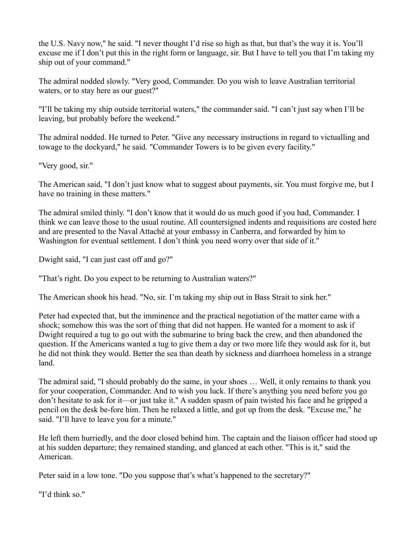the U.S. Navy now," he said. "I never thought I'd rise so high as that, but that's the way it is. You'll excuse me if I don't put this in the right form or language, sir. But I have to tell you that I'm taking my ship out of your command."

The admiral nodded slowly. "Very good, Commander. Do you wish to leave Australian territorial waters, or to stay here as our guest?"

"I'll be taking my ship outside territorial waters," the commander said. "I can't just say when I'll be leaving, but probably before the weekend."

The admiral nodded. He turned to Peter. "Give any necessary instructions in regard to victualling and towage to the dockyard," he said. "Commander Towers is to be given every facility."

"Very good, sir."

The American said, "I don't just know what to suggest about payments, sir. You must forgive me, but I have no training in these matters."

The admiral smiled thinly. "I don't know that it would do us much good if you had, Commander. I think we can leave those to the usual routine. All countersigned indents and requisitions are costed here and are presented to the Naval Attaché at your embassy in Canberra, and forwarded by him to Washington for eventual settlement. I don't think you need worry over that side of it."

Dwight said, "I can just cast off and go?"

"That's right. Do you expect to be returning to Australian waters?"

The American shook his head. "No, sir. I'm taking my ship out in Bass Strait to sink her."

Peter had expected that, but the imminence and the practical negotiation of the matter came with a shock; somehow this was the sort of thing that did not happen. He wanted for a moment to ask if Dwight required a tug to go out with the submarine to bring back the crew, and then abandoned the question. If the Americans wanted a tug to give them a day or two more life they would ask for it, but he did not think they would. Better the sea than death by sickness and diarrhoea homeless in a strange land.

The admiral said, "I should probably do the same, in your shoes … Well, it only remains to thank you for your cooperation, Commander. And to wish you luck. If there's anything you need before you go don't hesitate to ask for it—or just take it." A sudden spasm of pain twisted his face and he gripped a pencil on the desk be-fore him. Then he relaxed a little, and got up from the desk. "Excuse me," he said. "I'll have to leave you for a minute."

He left them hurriedly, and the door closed behind him. The captain and the liaison officer had stood up at his sudden departure; they remained standing, and glanced at each other. "This is it," said the American.

Peter said in a low tone. "Do you suppose that's what's happened to the secretary?"

"I'd think so."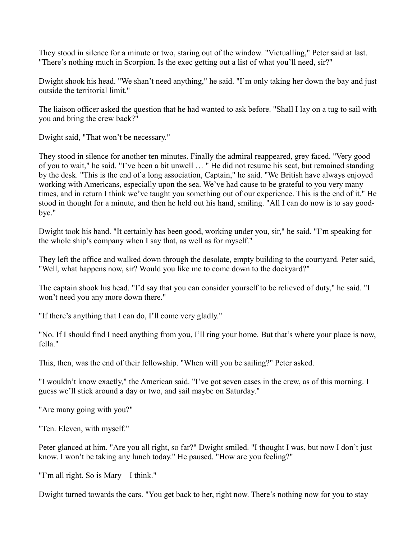They stood in silence for a minute or two, staring out of the window. "Victualling," Peter said at last. "There's nothing much in Scorpion. Is the exec getting out a list of what you'll need, sir?"

Dwight shook his head. "We shan't need anything," he said. "I'm only taking her down the bay and just outside the territorial limit."

The liaison officer asked the question that he had wanted to ask before. "Shall I lay on a tug to sail with you and bring the crew back?"

Dwight said, "That won't be necessary."

They stood in silence for another ten minutes. Finally the admiral reappeared, grey faced. "Very good of you to wait," he said. "I've been a bit unwell … " He did not resume his seat, but remained standing by the desk. "This is the end of a long association, Captain," he said. "We British have always enjoyed working with Americans, especially upon the sea. We've had cause to be grateful to you very many times, and in return I think we've taught you something out of our experience. This is the end of it." He stood in thought for a minute, and then he held out his hand, smiling. "All I can do now is to say goodbye."

Dwight took his hand. "It certainly has been good, working under you, sir," he said. "I'm speaking for the whole ship's company when I say that, as well as for myself."

They left the office and walked down through the desolate, empty building to the courtyard. Peter said, "Well, what happens now, sir? Would you like me to come down to the dockyard?"

The captain shook his head. "I'd say that you can consider yourself to be relieved of duty," he said. "I won't need you any more down there."

"If there's anything that I can do, I'll come very gladly."

"No. If I should find I need anything from you, I'll ring your home. But that's where your place is now, fella<sup>"</sup>

This, then, was the end of their fellowship. "When will you be sailing?" Peter asked.

"I wouldn't know exactly," the American said. "I've got seven cases in the crew, as of this morning. I guess we'll stick around a day or two, and sail maybe on Saturday."

"Are many going with you?"

"Ten. Eleven, with myself."

Peter glanced at him. "Are you all right, so far?" Dwight smiled. "I thought I was, but now I don't just know. I won't be taking any lunch today." He paused. "How are you feeling?"

"I'm all right. So is Mary—I think."

Dwight turned towards the cars. "You get back to her, right now. There's nothing now for you to stay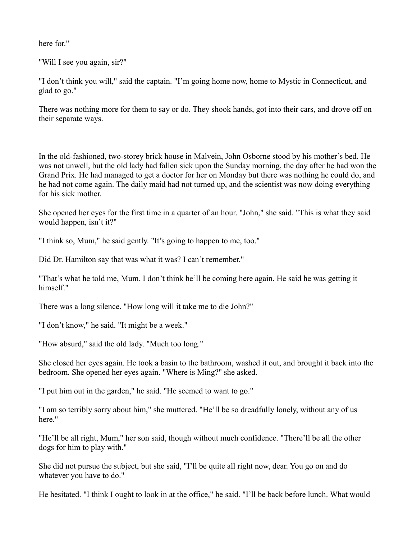here for."

"Will I see you again, sir?"

"I don't think you will," said the captain. "I'm going home now, home to Mystic in Connecticut, and glad to go."

There was nothing more for them to say or do. They shook hands, got into their cars, and drove off on their separate ways.

In the old-fashioned, two-storey brick house in Malvein, John Osborne stood by his mother's bed. He was not unwell, but the old lady had fallen sick upon the Sunday morning, the day after he had won the Grand Prix. He had managed to get a doctor for her on Monday but there was nothing he could do, and he had not come again. The daily maid had not turned up, and the scientist was now doing everything for his sick mother.

She opened her eyes for the first time in a quarter of an hour. "John," she said. "This is what they said would happen, isn't it?"

"I think so, Mum," he said gently. "It's going to happen to me, too."

Did Dr. Hamilton say that was what it was? I can't remember."

"That's what he told me, Mum. I don't think he'll be coming here again. He said he was getting it himself"

There was a long silence. "How long will it take me to die John?"

"I don't know," he said. "It might be a week."

"How absurd," said the old lady. "Much too long."

She closed her eyes again. He took a basin to the bathroom, washed it out, and brought it back into the bedroom. She opened her eyes again. "Where is Ming?" she asked.

"I put him out in the garden," he said. "He seemed to want to go."

"I am so terribly sorry about him," she muttered. "He'll be so dreadfully lonely, without any of us here."

"He'll be all right, Mum," her son said, though without much confidence. "There'll be all the other dogs for him to play with."

She did not pursue the subject, but she said, "I'll be quite all right now, dear. You go on and do whatever you have to do."

He hesitated. "I think I ought to look in at the office," he said. "I'll be back before lunch. What would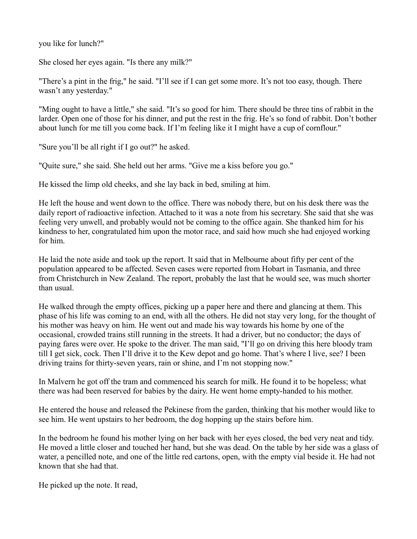you like for lunch?"

She closed her eyes again. "Is there any milk?"

"There's a pint in the frig," he said. "I'll see if I can get some more. It's not too easy, though. There wasn't any yesterday."

"Ming ought to have a little," she said. "It's so good for him. There should be three tins of rabbit in the larder. Open one of those for his dinner, and put the rest in the frig. He's so fond of rabbit. Don't bother about lunch for me till you come back. If I'm feeling like it I might have a cup of cornflour."

"Sure you'll be all right if I go out?" he asked.

"Quite sure," she said. She held out her arms. "Give me a kiss before you go."

He kissed the limp old cheeks, and she lay back in bed, smiling at him.

He left the house and went down to the office. There was nobody there, but on his desk there was the daily report of radioactive infection. Attached to it was a note from his secretary. She said that she was feeling very unwell, and probably would not be coming to the office again. She thanked him for his kindness to her, congratulated him upon the motor race, and said how much she had enjoyed working for him.

He laid the note aside and took up the report. It said that in Melbourne about fifty per cent of the population appeared to be affected. Seven cases were reported from Hobart in Tasmania, and three from Christchurch in New Zealand. The report, probably the last that he would see, was much shorter than usual.

He walked through the empty offices, picking up a paper here and there and glancing at them. This phase of his life was coming to an end, with all the others. He did not stay very long, for the thought of his mother was heavy on him. He went out and made his way towards his home by one of the occasional, crowded trains still running in the streets. It had a driver, but no conductor; the days of paying fares were over. He spoke to the driver. The man said, "I'll go on driving this here bloody tram till I get sick, cock. Then I'll drive it to the Kew depot and go home. That's where I live, see? I been driving trains for thirty-seven years, rain or shine, and I'm not stopping now."

In Malvern he got off the tram and commenced his search for milk. He found it to be hopeless; what there was had been reserved for babies by the dairy. He went home empty-handed to his mother.

He entered the house and released the Pekinese from the garden, thinking that his mother would like to see him. He went upstairs to her bedroom, the dog hopping up the stairs before him.

In the bedroom he found his mother lying on her back with her eyes closed, the bed very neat and tidy. He moved a little closer and touched her hand, but she was dead. On the table by her side was a glass of water, a pencilled note, and one of the little red cartons, open, with the empty vial beside it. He had not known that she had that.

He picked up the note. It read,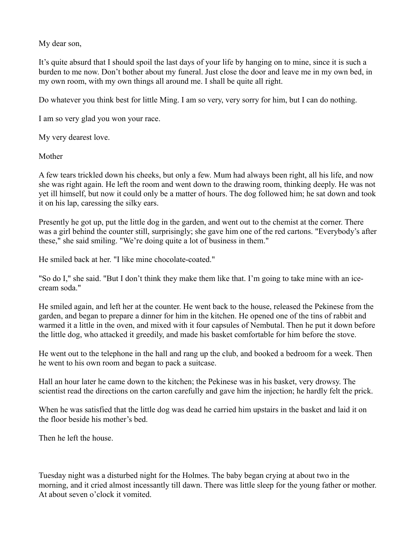My dear son,

It's quite absurd that I should spoil the last days of your life by hanging on to mine, since it is such a burden to me now. Don't bother about my funeral. Just close the door and leave me in my own bed, in my own room, with my own things all around me. I shall be quite all right.

Do whatever you think best for little Ming. I am so very, very sorry for him, but I can do nothing.

I am so very glad you won your race.

My very dearest love.

Mother

A few tears trickled down his cheeks, but only a few. Mum had always been right, all his life, and now she was right again. He left the room and went down to the drawing room, thinking deeply. He was not yet ill himself, but now it could only be a matter of hours. The dog followed him; he sat down and took it on his lap, caressing the silky ears.

Presently he got up, put the little dog in the garden, and went out to the chemist at the corner. There was a girl behind the counter still, surprisingly; she gave him one of the red cartons. "Everybody's after these," she said smiling. "We're doing quite a lot of business in them."

He smiled back at her. "I like mine chocolate-coated."

"So do I," she said. "But I don't think they make them like that. I'm going to take mine with an icecream soda."

He smiled again, and left her at the counter. He went back to the house, released the Pekinese from the garden, and began to prepare a dinner for him in the kitchen. He opened one of the tins of rabbit and warmed it a little in the oven, and mixed with it four capsules of Nembutal. Then he put it down before the little dog, who attacked it greedily, and made his basket comfortable for him before the stove.

He went out to the telephone in the hall and rang up the club, and booked a bedroom for a week. Then he went to his own room and began to pack a suitcase.

Hall an hour later he came down to the kitchen; the Pekinese was in his basket, very drowsy. The scientist read the directions on the carton carefully and gave him the injection; he hardly felt the prick.

When he was satisfied that the little dog was dead he carried him upstairs in the basket and laid it on the floor beside his mother's bed.

Then he left the house.

Tuesday night was a disturbed night for the Holmes. The baby began crying at about two in the morning, and it cried almost incessantly till dawn. There was little sleep for the young father or mother. At about seven o'clock it vomited.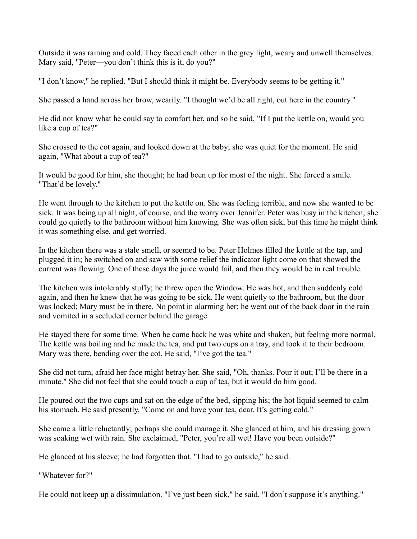Outside it was raining and cold. They faced each other in the grey light, weary and unwell themselves. Mary said, "Peter—you don't think this is it, do you?"

"I don't know," he replied. "But I should think it might be. Everybody seems to be getting it."

She passed a hand across her brow, wearily. "I thought we'd be all right, out here in the country."

He did not know what he could say to comfort her, and so he said, "If I put the kettle on, would you like a cup of tea?"

She crossed to the cot again, and looked down at the baby; she was quiet for the moment. He said again, "What about a cup of tea?"

It would be good for him, she thought; he had been up for most of the night. She forced a smile. "That'd be lovely."

He went through to the kitchen to put the kettle on. She was feeling terrible, and now she wanted to be sick. It was being up all night, of course, and the worry over Jennifer. Peter was busy in the kitchen; she could go quietly to the bathroom without him knowing. She was often sick, but this time he might think it was something else, and get worried.

In the kitchen there was a stale smell, or seemed to be. Peter Holmes filled the kettle at the tap, and plugged it in; he switched on and saw with some relief the indicator light come on that showed the current was flowing. One of these days the juice would fail, and then they would be in real trouble.

The kitchen was intolerably stuffy; he threw open the Window. He was hot, and then suddenly cold again, and then he knew that he was going to be sick. He went quietly to the bathroom, but the door was locked; Mary must be in there. No point in alarming her; he went out of the back door in the rain and vomited in a secluded corner behind the garage.

He stayed there for some time. When he came back he was white and shaken, but feeling more normal. The kettle was boiling and he made the tea, and put two cups on a tray, and took it to their bedroom. Mary was there, bending over the cot. He said, "I've got the tea."

She did not turn, afraid her face might betray her. She said, "Oh, thanks. Pour it out; I'll be there in a minute." She did not feel that she could touch a cup of tea, but it would do him good.

He poured out the two cups and sat on the edge of the bed, sipping his; the hot liquid seemed to calm his stomach. He said presently, "Come on and have your tea, dear. It's getting cold."

She came a little reluctantly; perhaps she could manage it. She glanced at him, and his dressing gown was soaking wet with rain. She exclaimed, "Peter, you're all wet! Have you been outside?"

He glanced at his sleeve; he had forgotten that. "I had to go outside," he said.

"Whatever for?"

He could not keep up a dissimulation. "I've just been sick," he said. "I don't suppose it's anything."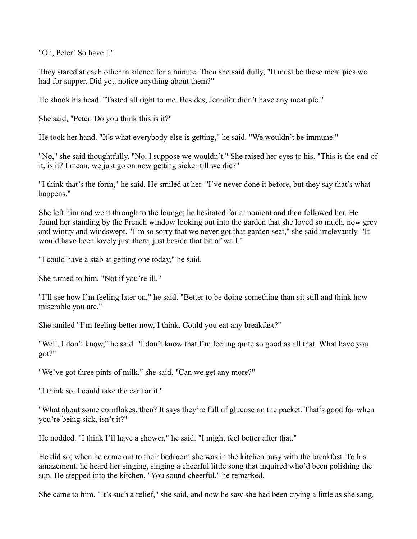"Oh, Peter! So have I."

They stared at each other in silence for a minute. Then she said dully, "It must be those meat pies we had for supper. Did you notice anything about them?"

He shook his head. "Tasted all right to me. Besides, Jennifer didn't have any meat pie."

She said, "Peter. Do you think this is it?"

He took her hand. "It's what everybody else is getting," he said. "We wouldn't be immune."

"No," she said thoughtfully. "No. I suppose we wouldn't." She raised her eyes to his. "This is the end of it, is it? I mean, we just go on now getting sicker till we die?"

"I think that's the form," he said. He smiled at her. "I've never done it before, but they say that's what happens."

She left him and went through to the lounge; he hesitated for a moment and then followed her. He found her standing by the French window looking out into the garden that she loved so much, now grey and wintry and windswept. "I'm so sorry that we never got that garden seat," she said irrelevantly. "It would have been lovely just there, just beside that bit of wall."

"I could have a stab at getting one today," he said.

She turned to him. "Not if you're ill."

"I'll see how I'm feeling later on," he said. "Better to be doing something than sit still and think how miserable you are."

She smiled "I'm feeling better now, I think. Could you eat any breakfast?"

"Well, I don't know," he said. "I don't know that I'm feeling quite so good as all that. What have you got?"

"We've got three pints of milk," she said. "Can we get any more?"

"I think so. I could take the car for it."

"What about some cornflakes, then? It says they're full of glucose on the packet. That's good for when you're being sick, isn't it?"

He nodded. "I think I'll have a shower," he said. "I might feel better after that."

He did so; when he came out to their bedroom she was in the kitchen busy with the breakfast. To his amazement, he heard her singing, singing a cheerful little song that inquired who'd been polishing the sun. He stepped into the kitchen. "You sound cheerful," he remarked.

She came to him. "It's such a relief," she said, and now he saw she had been crying a little as she sang.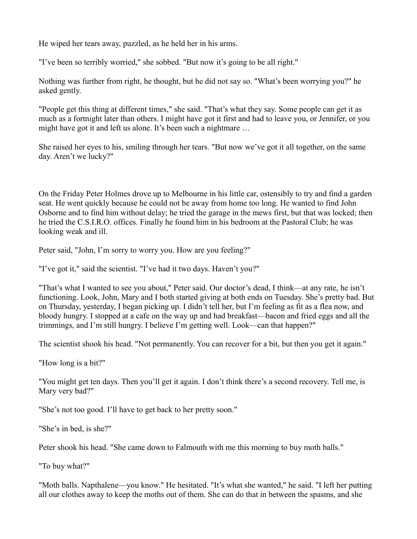He wiped her tears away, puzzled, as he held her in his arms.

"I've been so terribly worried," she sobbed. "But now it's going to be all right."

Nothing was further from right, he thought, but he did not say so. "What's been worrying you?" he asked gently.

"People get this thing at different times," she said. "That's what they say. Some people can get it as much as a fortnight later than others. I might have got it first and had to leave you, or Jennifer, or you might have got it and left us alone. It's been such a nightmare …

She raised her eyes to his, smiling through her tears. "But now we've got it all together, on the same day. Aren't we lucky?"

On the Friday Peter Holmes drove up to Melbourne in his little car, ostensibly to try and find a garden seat. He went quickly because he could not be away from home too long. He wanted to find John Osborne and to find him without delay; he tried the garage in the mews first, but that was locked; then he tried the C.S.I.R.O. offices. Finally he found him in his bedroom at the Pastoral Club; he was looking weak and ill.

Peter said, "John, I'm sorry to worry you. How are you feeling?"

"I've got it," said the scientist. "I've had it two days. Haven't you?"

"That's what I wanted to see you about," Peter said. Our doctor's dead, I think—at any rate, he isn't functioning. Look, John, Mary and I both started giving at both ends on Tuesday. She's pretty bad. But on Thursday, yesterday, I began picking up. I didn't tell her, but I'm feeling as fit as a flea now, and bloody hungry. I stopped at a cafe on the way up and had breakfast—bacon and fried eggs and all the trimmings, and I'm still hungry. I believe I'm getting well. Look—can that happen?"

The scientist shook his head. "Not permanently. You can recover for a bit, but then you get it again."

"How long is a bit?"

"You might get ten days. Then you'll get it again. I don't think there's a second recovery. Tell me, is Mary very bad?"

"She's not too good. I'll have to get back to her pretty soon."

"She's in bed, is she?"

Peter shook his head. "She came down to Falmouth with me this morning to buy moth balls."

"To buy what?"

"Moth balls. Napthalene—you know." He hesitated. "It's what she wanted," he said. "I left her putting all our clothes away to keep the moths out of them. She can do that in between the spasms, and she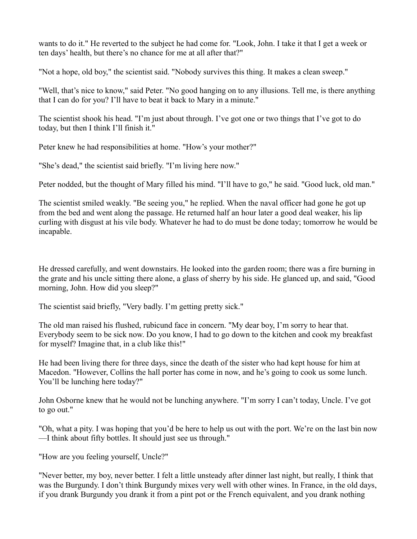wants to do it." He reverted to the subject he had come for. "Look, John. I take it that I get a week or ten days' health, but there's no chance for me at all after that?"

"Not a hope, old boy," the scientist said. "Nobody survives this thing. It makes a clean sweep."

"Well, that's nice to know," said Peter. "No good hanging on to any illusions. Tell me, is there anything that I can do for you? I'll have to beat it back to Mary in a minute."

The scientist shook his head. "I'm just about through. I've got one or two things that I've got to do today, but then I think I'll finish it."

Peter knew he had responsibilities at home. "How's your mother?"

"She's dead," the scientist said briefly. "I'm living here now."

Peter nodded, but the thought of Mary filled his mind. "I'll have to go," he said. "Good luck, old man."

The scientist smiled weakly. "Be seeing you," he replied. When the naval officer had gone he got up from the bed and went along the passage. He returned half an hour later a good deal weaker, his lip curling with disgust at his vile body. Whatever he had to do must be done today; tomorrow he would be incapable.

He dressed carefully, and went downstairs. He looked into the garden room; there was a fire burning in the grate and his uncle sitting there alone, a glass of sherry by his side. He glanced up, and said, "Good morning, John. How did you sleep?"

The scientist said briefly, "Very badly. I'm getting pretty sick."

The old man raised his flushed, rubicund face in concern. "My dear boy, I'm sorry to hear that. Everybody seem to be sick now. Do you know, I had to go down to the kitchen and cook my breakfast for myself? Imagine that, in a club like this!"

He had been living there for three days, since the death of the sister who had kept house for him at Macedon. "However, Collins the hall porter has come in now, and he's going to cook us some lunch. You'll be lunching here today?"

John Osborne knew that he would not be lunching anywhere. "I'm sorry I can't today, Uncle. I've got to go out."

"Oh, what a pity. I was hoping that you'd be here to help us out with the port. We're on the last bin now —I think about fifty bottles. It should just see us through."

"How are you feeling yourself, Uncle?"

"Never better, my boy, never better. I felt a little unsteady after dinner last night, but really, I think that was the Burgundy. I don't think Burgundy mixes very well with other wines. In France, in the old days, if you drank Burgundy you drank it from a pint pot or the French equivalent, and you drank nothing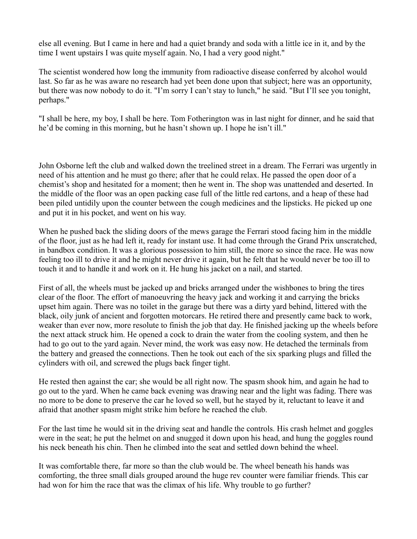else all evening. But I came in here and had a quiet brandy and soda with a little ice in it, and by the time I went upstairs I was quite myself again. No, I had a very good night."

The scientist wondered how long the immunity from radioactive disease conferred by alcohol would last. So far as he was aware no research had yet been done upon that subject; here was an opportunity, but there was now nobody to do it. "I'm sorry I can't stay to lunch," he said. "But I'll see you tonight, perhaps."

"I shall be here, my boy, I shall be here. Tom Fotherington was in last night for dinner, and he said that he'd be coming in this morning, but he hasn't shown up. I hope he isn't ill."

John Osborne left the club and walked down the treelined street in a dream. The Ferrari was urgently in need of his attention and he must go there; after that he could relax. He passed the open door of a chemist's shop and hesitated for a moment; then he went in. The shop was unattended and deserted. In the middle of the floor was an open packing case full of the little red cartons, and a heap of these had been piled untidily upon the counter between the cough medicines and the lipsticks. He picked up one and put it in his pocket, and went on his way.

When he pushed back the sliding doors of the mews garage the Ferrari stood facing him in the middle of the floor, just as he had left it, ready for instant use. It had come through the Grand Prix unscratched, in bandbox condition. It was a glorious possession to him still, the more so since the race. He was now feeling too ill to drive it and he might never drive it again, but he felt that he would never be too ill to touch it and to handle it and work on it. He hung his jacket on a nail, and started.

First of all, the wheels must be jacked up and bricks arranged under the wishbones to bring the tires clear of the floor. The effort of manoeuvring the heavy jack and working it and carrying the bricks upset him again. There was no toilet in the garage but there was a dirty yard behind, littered with the black, oily junk of ancient and forgotten motorcars. He retired there and presently came back to work, weaker than ever now, more resolute to finish the job that day. He finished jacking up the wheels before the next attack struck him. He opened a cock to drain the water from the cooling system, and then he had to go out to the yard again. Never mind, the work was easy now. He detached the terminals from the battery and greased the connections. Then he took out each of the six sparking plugs and filled the cylinders with oil, and screwed the plugs back finger tight.

He rested then against the car; she would be all right now. The spasm shook him, and again he had to go out to the yard. When he came back evening was drawing near and the light was fading. There was no more to be done to preserve the car he loved so well, but he stayed by it, reluctant to leave it and afraid that another spasm might strike him before he reached the club.

For the last time he would sit in the driving seat and handle the controls. His crash helmet and goggles were in the seat; he put the helmet on and snugged it down upon his head, and hung the goggles round his neck beneath his chin. Then he climbed into the seat and settled down behind the wheel.

It was comfortable there, far more so than the club would be. The wheel beneath his hands was comforting, the three small dials grouped around the huge rev counter were familiar friends. This car had won for him the race that was the climax of his life. Why trouble to go further?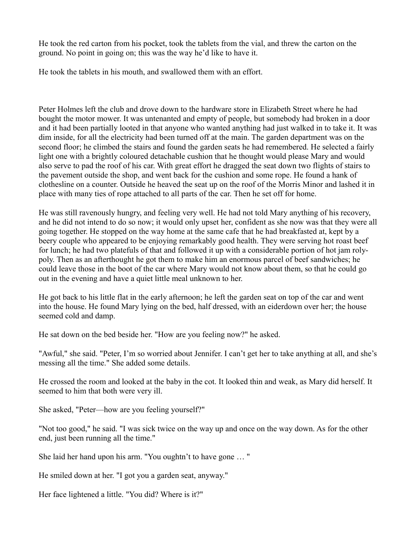He took the red carton from his pocket, took the tablets from the vial, and threw the carton on the ground. No point in going on; this was the way he'd like to have it.

He took the tablets in his mouth, and swallowed them with an effort.

Peter Holmes left the club and drove down to the hardware store in Elizabeth Street where he had bought the motor mower. It was untenanted and empty of people, but somebody had broken in a door and it had been partially looted in that anyone who wanted anything had just walked in to take it. It was dim inside, for all the electricity had been turned off at the main. The garden department was on the second floor; he climbed the stairs and found the garden seats he had remembered. He selected a fairly light one with a brightly coloured detachable cushion that he thought would please Mary and would also serve to pad the roof of his car. With great effort he dragged the seat down two flights of stairs to the pavement outside the shop, and went back for the cushion and some rope. He found a hank of clothesline on a counter. Outside he heaved the seat up on the roof of the Morris Minor and lashed it in place with many ties of rope attached to all parts of the car. Then he set off for home.

He was still ravenously hungry, and feeling very well. He had not told Mary anything of his recovery, and he did not intend to do so now; it would only upset her, confident as she now was that they were all going together. He stopped on the way home at the same cafe that he had breakfasted at, kept by a beery couple who appeared to be enjoying remarkably good health. They were serving hot roast beef for lunch; he had two platefuls of that and followed it up with a considerable portion of hot jam rolypoly. Then as an afterthought he got them to make him an enormous parcel of beef sandwiches; he could leave those in the boot of the car where Mary would not know about them, so that he could go out in the evening and have a quiet little meal unknown to her.

He got back to his little flat in the early afternoon; he left the garden seat on top of the car and went into the house. He found Mary lying on the bed, half dressed, with an eiderdown over her; the house seemed cold and damp.

He sat down on the bed beside her. "How are you feeling now?" he asked.

"Awful," she said. "Peter, I'm so worried about Jennifer. I can't get her to take anything at all, and she's messing all the time." She added some details.

He crossed the room and looked at the baby in the cot. It looked thin and weak, as Mary did herself. It seemed to him that both were very ill.

She asked, "Peter—how are you feeling yourself?"

"Not too good," he said. "I was sick twice on the way up and once on the way down. As for the other end, just been running all the time."

She laid her hand upon his arm. "You oughtn't to have gone … "

He smiled down at her. "I got you a garden seat, anyway."

Her face lightened a little. "You did? Where is it?"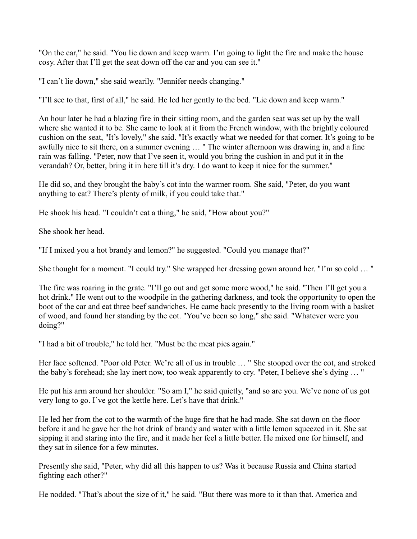"On the car," he said. "You lie down and keep warm. I'm going to light the fire and make the house cosy. After that I'll get the seat down off the car and you can see it."

"I can't lie down," she said wearily. "Jennifer needs changing."

"I'll see to that, first of all," he said. He led her gently to the bed. "Lie down and keep warm."

An hour later he had a blazing fire in their sitting room, and the garden seat was set up by the wall where she wanted it to be. She came to look at it from the French window, with the brightly coloured cushion on the seat, "It's lovely," she said. "It's exactly what we needed for that corner. It's going to be awfully nice to sit there, on a summer evening … " The winter afternoon was drawing in, and a fine rain was falling. "Peter, now that I've seen it, would you bring the cushion in and put it in the verandah? Or, better, bring it in here till it's dry. I do want to keep it nice for the summer."

He did so, and they brought the baby's cot into the warmer room. She said, "Peter, do you want anything to eat? There's plenty of milk, if you could take that."

He shook his head. "I couldn't eat a thing," he said, "How about you?"

She shook her head.

"If I mixed you a hot brandy and lemon?" he suggested. "Could you manage that?"

She thought for a moment. "I could try." She wrapped her dressing gown around her. "I'm so cold … "

The fire was roaring in the grate. "I'll go out and get some more wood," he said. "Then I'll get you a hot drink." He went out to the woodpile in the gathering darkness, and took the opportunity to open the boot of the car and eat three beef sandwiches. He came back presently to the living room with a basket of wood, and found her standing by the cot. "You've been so long," she said. "Whatever were you doing?"

"I had a bit of trouble," he told her. "Must be the meat pies again."

Her face softened. "Poor old Peter. We're all of us in trouble … " She stooped over the cot, and stroked the baby's forehead; she lay inert now, too weak apparently to cry. "Peter, I believe she's dying … "

He put his arm around her shoulder. "So am I," he said quietly, "and so are you. We've none of us got very long to go. I've got the kettle here. Let's have that drink."

He led her from the cot to the warmth of the huge fire that he had made. She sat down on the floor before it and he gave her the hot drink of brandy and water with a little lemon squeezed in it. She sat sipping it and staring into the fire, and it made her feel a little better. He mixed one for himself, and they sat in silence for a few minutes.

Presently she said, "Peter, why did all this happen to us? Was it because Russia and China started fighting each other?"

He nodded. "That's about the size of it," he said. "But there was more to it than that. America and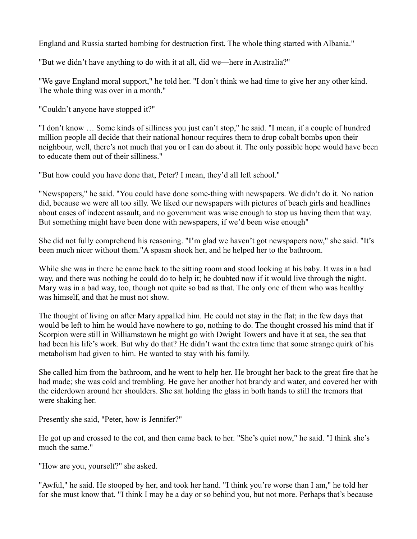England and Russia started bombing for destruction first. The whole thing started with Albania."

"But we didn't have anything to do with it at all, did we—here in Australia?"

"We gave England moral support," he told her. "I don't think we had time to give her any other kind. The whole thing was over in a month."

"Couldn't anyone have stopped it?"

"I don't know … Some kinds of silliness you just can't stop," he said. "I mean, if a couple of hundred million people all decide that their national honour requires them to drop cobalt bombs upon their neighbour, well, there's not much that you or I can do about it. The only possible hope would have been to educate them out of their silliness."

"But how could you have done that, Peter? I mean, they'd all left school."

"Newspapers," he said. "You could have done some-thing with newspapers. We didn't do it. No nation did, because we were all too silly. We liked our newspapers with pictures of beach girls and headlines about cases of indecent assault, and no government was wise enough to stop us having them that way. But something might have been done with newspapers, if we'd been wise enough"

She did not fully comprehend his reasoning. "I'm glad we haven't got newspapers now," she said. "It's been much nicer without them."A spasm shook her, and he helped her to the bathroom.

While she was in there he came back to the sitting room and stood looking at his baby. It was in a bad way, and there was nothing he could do to help it; he doubted now if it would live through the night. Mary was in a bad way, too, though not quite so bad as that. The only one of them who was healthy was himself, and that he must not show.

The thought of living on after Mary appalled him. He could not stay in the flat; in the few days that would be left to him he would have nowhere to go, nothing to do. The thought crossed his mind that if Scorpion were still in Williamstown he might go with Dwight Towers and have it at sea, the sea that had been his life's work. But why do that? He didn't want the extra time that some strange quirk of his metabolism had given to him. He wanted to stay with his family.

She called him from the bathroom, and he went to help her. He brought her back to the great fire that he had made; she was cold and trembling. He gave her another hot brandy and water, and covered her with the eiderdown around her shoulders. She sat holding the glass in both hands to still the tremors that were shaking her.

Presently she said, "Peter, how is Jennifer?"

He got up and crossed to the cot, and then came back to her. "She's quiet now," he said. "I think she's much the same."

"How are you, yourself?" she asked.

"Awful," he said. He stooped by her, and took her hand. "I think you're worse than I am," he told her for she must know that. "I think I may be a day or so behind you, but not more. Perhaps that's because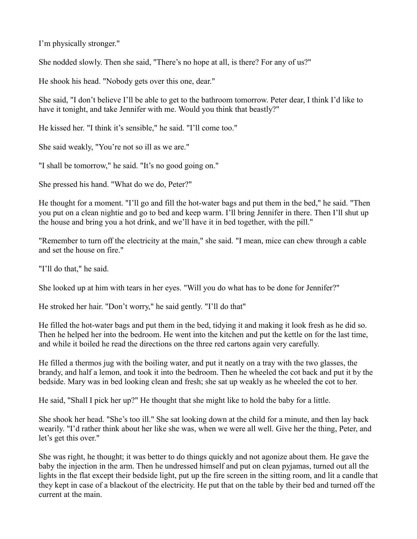I'm physically stronger."

She nodded slowly. Then she said, "There's no hope at all, is there? For any of us?"

He shook his head. "Nobody gets over this one, dear."

She said, "I don't believe I'll be able to get to the bathroom tomorrow. Peter dear, I think I'd like to have it tonight, and take Jennifer with me. Would you think that beastly?"

He kissed her. "I think it's sensible," he said. "I'll come too."

She said weakly, "You're not so ill as we are."

"I shall be tomorrow," he said. "It's no good going on."

She pressed his hand. "What do we do, Peter?"

He thought for a moment. "I'll go and fill the hot-water bags and put them in the bed," he said. "Then you put on a clean nightie and go to bed and keep warm. I'll bring Jennifer in there. Then I'll shut up the house and bring you a hot drink, and we'll have it in bed together, with the pill."

"Remember to turn off the electricity at the main," she said. "I mean, mice can chew through a cable and set the house on fire."

"I'll do that," he said.

She looked up at him with tears in her eyes. "Will you do what has to be done for Jennifer?"

He stroked her hair. "Don't worry," he said gently. "I'll do that"

He filled the hot-water bags and put them in the bed, tidying it and making it look fresh as he did so. Then he helped her into the bedroom. He went into the kitchen and put the kettle on for the last time, and while it boiled he read the directions on the three red cartons again very carefully.

He filled a thermos jug with the boiling water, and put it neatly on a tray with the two glasses, the brandy, and half a lemon, and took it into the bedroom. Then he wheeled the cot back and put it by the bedside. Mary was in bed looking clean and fresh; she sat up weakly as he wheeled the cot to her.

He said, "Shall I pick her up?" He thought that she might like to hold the baby for a little.

She shook her head. "She's too ill." She sat looking down at the child for a minute, and then lay back wearily. "I'd rather think about her like she was, when we were all well. Give her the thing, Peter, and let's get this over."

She was right, he thought; it was better to do things quickly and not agonize about them. He gave the baby the injection in the arm. Then he undressed himself and put on clean pyjamas, turned out all the lights in the flat except their bedside light, put up the fire screen in the sitting room, and lit a candle that they kept in case of a blackout of the electricity. He put that on the table by their bed and turned off the current at the main.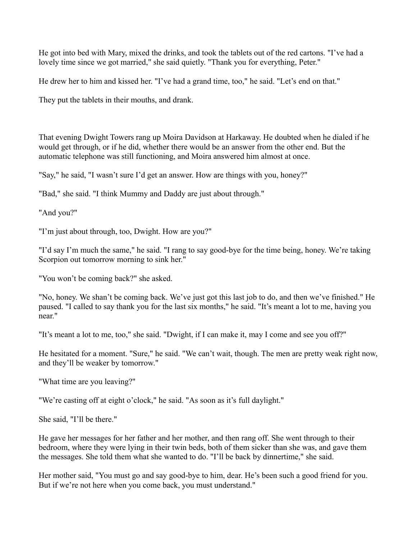He got into bed with Mary, mixed the drinks, and took the tablets out of the red cartons. "I've had a lovely time since we got married," she said quietly. "Thank you for everything, Peter."

He drew her to him and kissed her. "I've had a grand time, too," he said. "Let's end on that."

They put the tablets in their mouths, and drank.

That evening Dwight Towers rang up Moira Davidson at Harkaway. He doubted when he dialed if he would get through, or if he did, whether there would be an answer from the other end. But the automatic telephone was still functioning, and Moira answered him almost at once.

"Say," he said, "I wasn't sure I'd get an answer. How are things with you, honey?"

"Bad," she said. "I think Mummy and Daddy are just about through."

"And you?"

"I'm just about through, too, Dwight. How are you?"

"I'd say I'm much the same," he said. "I rang to say good-bye for the time being, honey. We're taking Scorpion out tomorrow morning to sink her."

"You won't be coming back?" she asked.

"No, honey. We shan't be coming back. We've just got this last job to do, and then we've finished." He paused. "I called to say thank you for the last six months," he said. "It's meant a lot to me, having you near"

"It's meant a lot to me, too," she said. "Dwight, if I can make it, may I come and see you off?"

He hesitated for a moment. "Sure," he said. "We can't wait, though. The men are pretty weak right now, and they'll be weaker by tomorrow."

"What time are you leaving?"

"We're casting off at eight o'clock," he said. "As soon as it's full daylight."

She said, "I'll be there."

He gave her messages for her father and her mother, and then rang off. She went through to their bedroom, where they were lying in their twin beds, both of them sicker than she was, and gave them the messages. She told them what she wanted to do. "I'll be back by dinnertime," she said.

Her mother said, "You must go and say good-bye to him, dear. He's been such a good friend for you. But if we're not here when you come back, you must understand."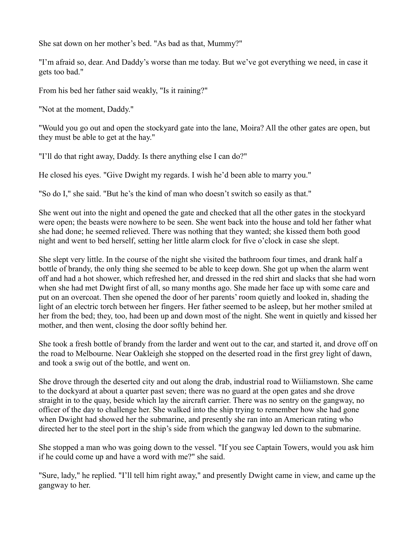She sat down on her mother's bed. "As bad as that, Mummy?"

"I'm afraid so, dear. And Daddy's worse than me today. But we've got everything we need, in case it gets too bad."

From his bed her father said weakly, "Is it raining?"

"Not at the moment, Daddy."

"Would you go out and open the stockyard gate into the lane, Moira? All the other gates are open, but they must be able to get at the hay."

"I'll do that right away, Daddy. Is there anything else I can do?"

He closed his eyes. "Give Dwight my regards. I wish he'd been able to marry you."

"So do I," she said. "But he's the kind of man who doesn't switch so easily as that."

She went out into the night and opened the gate and checked that all the other gates in the stockyard were open; the beasts were nowhere to be seen. She went back into the house and told her father what she had done; he seemed relieved. There was nothing that they wanted; she kissed them both good night and went to bed herself, setting her little alarm clock for five o'clock in case she slept.

She slept very little. In the course of the night she visited the bathroom four times, and drank half a bottle of brandy, the only thing she seemed to be able to keep down. She got up when the alarm went off and had a hot shower, which refreshed her, and dressed in the red shirt and slacks that she had worn when she had met Dwight first of all, so many months ago. She made her face up with some care and put on an overcoat. Then she opened the door of her parents' room quietly and looked in, shading the light of an electric torch between her fingers. Her father seemed to be asleep, but her mother smiled at her from the bed; they, too, had been up and down most of the night. She went in quietly and kissed her mother, and then went, closing the door softly behind her.

She took a fresh bottle of brandy from the larder and went out to the car, and started it, and drove off on the road to Melbourne. Near Oakleigh she stopped on the deserted road in the first grey light of dawn, and took a swig out of the bottle, and went on.

She drove through the deserted city and out along the drab, industrial road to Wiiliamstown. She came to the dockyard at about a quarter past seven; there was no guard at the open gates and she drove straight in to the quay, beside which lay the aircraft carrier. There was no sentry on the gangway, no officer of the day to challenge her. She walked into the ship trying to remember how she had gone when Dwight had showed her the submarine, and presently she ran into an American rating who directed her to the steel port in the ship's side from which the gangway led down to the submarine.

She stopped a man who was going down to the vessel. "If you see Captain Towers, would you ask him if he could come up and have a word with me?" she said.

"Sure, lady," he replied. "I'll tell him right away," and presently Dwight came in view, and came up the gangway to her.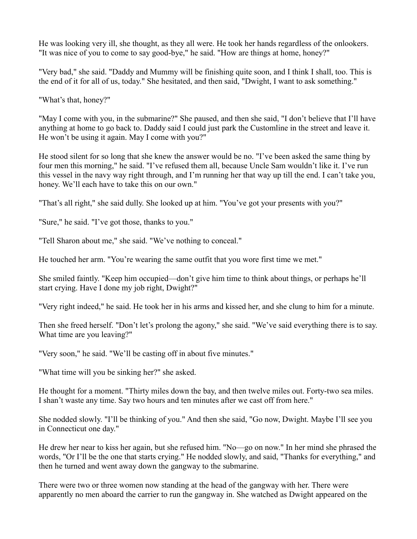He was looking very ill, she thought, as they all were. He took her hands regardless of the onlookers. "It was nice of you to come to say good-bye," he said. "How are things at home, honey?"

"Very bad," she said. "Daddy and Mummy will be finishing quite soon, and I think I shall, too. This is the end of it for all of us, today." She hesitated, and then said, "Dwight, I want to ask something."

"What's that, honey?"

"May I come with you, in the submarine?" She paused, and then she said, "I don't believe that I'll have anything at home to go back to. Daddy said I could just park the Customline in the street and leave it. He won't be using it again. May I come with you?"

He stood silent for so long that she knew the answer would be no. "I've been asked the same thing by four men this morning," he said. "I've refused them all, because Uncle Sam wouldn't like it. I've run this vessel in the navy way right through, and I'm running her that way up till the end. I can't take you, honey. We'll each have to take this on our own."

"That's all right," she said dully. She looked up at him. "You've got your presents with you?"

"Sure," he said. "I've got those, thanks to you."

"Tell Sharon about me," she said. "We've nothing to conceal."

He touched her arm. "You're wearing the same outfit that you wore first time we met."

She smiled faintly. "Keep him occupied—don't give him time to think about things, or perhaps he'll start crying. Have I done my job right, Dwight?"

"Very right indeed," he said. He took her in his arms and kissed her, and she clung to him for a minute.

Then she freed herself. "Don't let's prolong the agony," she said. "We've said everything there is to say. What time are you leaving?"

"Very soon," he said. "We'll be casting off in about five minutes."

"What time will you be sinking her?" she asked.

He thought for a moment. "Thirty miles down the bay, and then twelve miles out. Forty-two sea miles. I shan't waste any time. Say two hours and ten minutes after we cast off from here."

She nodded slowly. "I'll be thinking of you." And then she said, "Go now, Dwight. Maybe I'll see you in Connecticut one day."

He drew her near to kiss her again, but she refused him. "No—go on now." In her mind she phrased the words, "Or I'll be the one that starts crying." He nodded slowly, and said, "Thanks for everything," and then he turned and went away down the gangway to the submarine.

There were two or three women now standing at the head of the gangway with her. There were apparently no men aboard the carrier to run the gangway in. She watched as Dwight appeared on the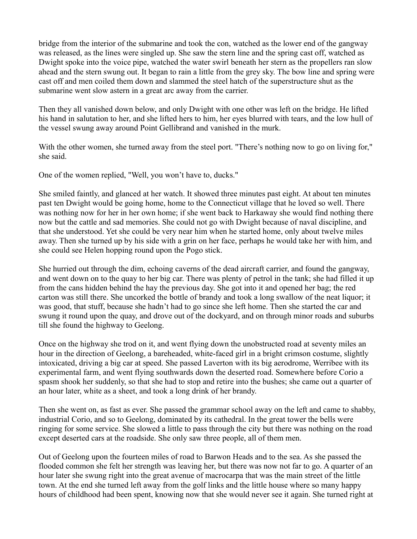bridge from the interior of the submarine and took the con, watched as the lower end of the gangway was released, as the lines were singled up. She saw the stern line and the spring cast off, watched as Dwight spoke into the voice pipe, watched the water swirl beneath her stern as the propellers ran slow ahead and the stern swung out. It began to rain a little from the grey sky. The bow line and spring were cast off and men coiled them down and slammed the steel hatch of the superstructure shut as the submarine went slow astern in a great arc away from the carrier.

Then they all vanished down below, and only Dwight with one other was left on the bridge. He lifted his hand in salutation to her, and she lifted hers to him, her eyes blurred with tears, and the low hull of the vessel swung away around Point Gellibrand and vanished in the murk.

With the other women, she turned away from the steel port. "There's nothing now to go on living for," she said.

One of the women replied, "Well, you won't have to, ducks."

She smiled faintly, and glanced at her watch. It showed three minutes past eight. At about ten minutes past ten Dwight would be going home, home to the Connecticut village that he loved so well. There was nothing now for her in her own home; if she went back to Harkaway she would find nothing there now but the cattle and sad memories. She could not go with Dwight because of naval discipline, and that she understood. Yet she could be very near him when he started home, only about twelve miles away. Then she turned up by his side with a grin on her face, perhaps he would take her with him, and she could see Helen hopping round upon the Pogo stick.

She hurried out through the dim, echoing caverns of the dead aircraft carrier, and found the gangway, and went down on to the quay to her big car. There was plenty of petrol in the tank; she had filled it up from the cans hidden behind the hay the previous day. She got into it and opened her bag; the red carton was still there. She uncorked the bottle of brandy and took a long swallow of the neat liquor; it was good, that stuff, because she hadn't had to go since she left home. Then she started the car and swung it round upon the quay, and drove out of the dockyard, and on through minor roads and suburbs till she found the highway to Geelong.

Once on the highway she trod on it, and went flying down the unobstructed road at seventy miles an hour in the direction of Geelong, a bareheaded, white-faced girl in a bright crimson costume, slightly intoxicated, driving a big car at speed. She passed Laverton with its big aerodrome, Werribee with its experimental farm, and went flying southwards down the deserted road. Somewhere before Corio a spasm shook her suddenly, so that she had to stop and retire into the bushes; she came out a quarter of an hour later, white as a sheet, and took a long drink of her brandy.

Then she went on, as fast as ever. She passed the grammar school away on the left and came to shabby, industrial Corio, and so to Geelong, dominated by its cathedral. In the great tower the bells were ringing for some service. She slowed a little to pass through the city but there was nothing on the road except deserted cars at the roadside. She only saw three people, all of them men.

Out of Geelong upon the fourteen miles of road to Barwon Heads and to the sea. As she passed the flooded common she felt her strength was leaving her, but there was now not far to go. A quarter of an hour later she swung right into the great avenue of macrocarpa that was the main street of the little town. At the end she turned left away from the golf links and the little house where so many happy hours of childhood had been spent, knowing now that she would never see it again. She turned right at